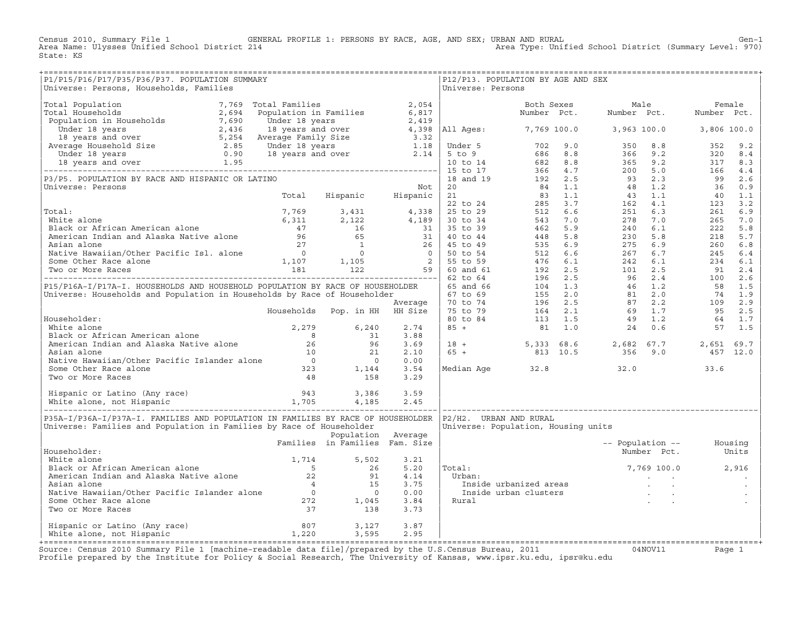Census 2010, Summary File 1 GENERAL PROFILE 1: PERSONS BY RACE, AGE, AND SEX; URBAN AND RURAL Gen−1<br>Area Name: Ulysses Unified School District 214 Area Type: Unified School District (Summary Level: 970) Area Type: Unified School District (Summary Level: 970) State: KS

| P1/P15/P16/P17/P35/P36/P37. POPULATION SUMMARY<br>Universe: Persons, Households, Families                                                                                                                                                                        |                                |                    |      | P12/P13. POPULATION BY AGE AND SEX<br>Universe: Persons |                     |                          |                   |  |
|------------------------------------------------------------------------------------------------------------------------------------------------------------------------------------------------------------------------------------------------------------------|--------------------------------|--------------------|------|---------------------------------------------------------|---------------------|--------------------------|-------------------|--|
|                                                                                                                                                                                                                                                                  |                                |                    |      |                                                         |                     |                          |                   |  |
|                                                                                                                                                                                                                                                                  |                                |                    |      |                                                         |                     |                          |                   |  |
|                                                                                                                                                                                                                                                                  |                                |                    |      |                                                         |                     |                          |                   |  |
|                                                                                                                                                                                                                                                                  |                                |                    |      |                                                         |                     |                          |                   |  |
|                                                                                                                                                                                                                                                                  |                                |                    |      |                                                         |                     |                          |                   |  |
|                                                                                                                                                                                                                                                                  |                                |                    |      |                                                         |                     |                          |                   |  |
|                                                                                                                                                                                                                                                                  |                                |                    |      |                                                         |                     |                          |                   |  |
|                                                                                                                                                                                                                                                                  |                                |                    |      |                                                         |                     |                          |                   |  |
|                                                                                                                                                                                                                                                                  |                                |                    |      |                                                         |                     |                          |                   |  |
|                                                                                                                                                                                                                                                                  |                                |                    |      |                                                         |                     |                          |                   |  |
|                                                                                                                                                                                                                                                                  |                                |                    |      |                                                         |                     |                          |                   |  |
|                                                                                                                                                                                                                                                                  |                                |                    |      |                                                         |                     |                          |                   |  |
|                                                                                                                                                                                                                                                                  |                                |                    |      |                                                         |                     |                          |                   |  |
|                                                                                                                                                                                                                                                                  |                                |                    |      |                                                         |                     |                          |                   |  |
|                                                                                                                                                                                                                                                                  |                                |                    |      |                                                         |                     |                          |                   |  |
|                                                                                                                                                                                                                                                                  |                                |                    |      |                                                         |                     |                          |                   |  |
|                                                                                                                                                                                                                                                                  |                                |                    |      |                                                         |                     |                          |                   |  |
|                                                                                                                                                                                                                                                                  |                                |                    |      |                                                         |                     |                          |                   |  |
|                                                                                                                                                                                                                                                                  |                                |                    |      |                                                         |                     |                          |                   |  |
|                                                                                                                                                                                                                                                                  |                                |                    |      |                                                         |                     |                          |                   |  |
|                                                                                                                                                                                                                                                                  |                                |                    |      |                                                         |                     |                          |                   |  |
|                                                                                                                                                                                                                                                                  |                                |                    |      |                                                         |                     |                          |                   |  |
|                                                                                                                                                                                                                                                                  |                                |                    |      |                                                         |                     |                          |                   |  |
|                                                                                                                                                                                                                                                                  |                                |                    |      |                                                         |                     |                          |                   |  |
|                                                                                                                                                                                                                                                                  |                                |                    |      |                                                         |                     |                          |                   |  |
|                                                                                                                                                                                                                                                                  |                                |                    |      |                                                         |                     |                          |                   |  |
|                                                                                                                                                                                                                                                                  |                                |                    |      |                                                         |                     |                          |                   |  |
|                                                                                                                                                                                                                                                                  |                                |                    |      |                                                         |                     |                          |                   |  |
|                                                                                                                                                                                                                                                                  |                                |                    |      |                                                         |                     |                          |                   |  |
|                                                                                                                                                                                                                                                                  |                                |                    |      |                                                         |                     |                          |                   |  |
| Notice alone<br>Mite alone<br>Mite alone<br>Mite alone<br>Mite alone<br>Mite alone<br>Mite alone<br>Mite alone<br>Mite alone<br>Mite alone<br>Mite alone<br>Mite alone<br>Mite alone<br>Mite alone<br>Mite alone<br>Mite Baran alone<br>Mite Baran alone<br>Mite |                                |                    |      |                                                         |                     |                          |                   |  |
|                                                                                                                                                                                                                                                                  |                                |                    |      |                                                         |                     |                          |                   |  |
|                                                                                                                                                                                                                                                                  |                                |                    |      |                                                         |                     |                          |                   |  |
|                                                                                                                                                                                                                                                                  |                                |                    |      |                                                         |                     |                          |                   |  |
|                                                                                                                                                                                                                                                                  |                                |                    |      |                                                         |                     |                          |                   |  |
|                                                                                                                                                                                                                                                                  |                                |                    |      |                                                         |                     |                          |                   |  |
|                                                                                                                                                                                                                                                                  |                                |                    |      |                                                         |                     |                          |                   |  |
| P35A-I/P36A-I/P37A-I. FAMILIES AND POPULATION IN FAMILIES BY RACE OF HOUSEHOLDER   P2/H2. URBAN AND RURAL                                                                                                                                                        |                                |                    |      |                                                         |                     |                          |                   |  |
| Universe: Families and Population in Families by Race of Householder                                                                                                                                                                                             |                                |                    |      | Universe: Population, Housing units                     |                     |                          |                   |  |
|                                                                                                                                                                                                                                                                  |                                | Population Average |      |                                                         |                     |                          |                   |  |
|                                                                                                                                                                                                                                                                  | Families in Families Fam. Size |                    |      |                                                         |                     | -- Population -- Housing |                   |  |
| Householder:                                                                                                                                                                                                                                                     |                                |                    |      |                                                         |                     |                          | Number Pct. Units |  |
|                                                                                                                                                                                                                                                                  |                                |                    |      |                                                         |                     |                          |                   |  |
|                                                                                                                                                                                                                                                                  |                                |                    |      | Total:                                                  |                     |                          |                   |  |
|                                                                                                                                                                                                                                                                  |                                |                    |      | Urban:                                                  | $7,769$ 100.0 2,916 |                          |                   |  |
|                                                                                                                                                                                                                                                                  |                                |                    |      |                                                         |                     |                          |                   |  |
|                                                                                                                                                                                                                                                                  |                                |                    |      |                                                         |                     |                          |                   |  |
|                                                                                                                                                                                                                                                                  |                                |                    |      | Rural                                                   |                     |                          |                   |  |
| Householder:<br>White alone<br>Black or African American alone<br>American Indian and Alaska Native alone<br>22 91 4.14<br>Asian alone<br>Native Hawaiian/Other Pacific Islander alone<br>37 1,045 3.84<br>Two or More Races<br>272 1,045 3.84<br>               |                                |                    |      |                                                         |                     |                          |                   |  |
|                                                                                                                                                                                                                                                                  |                                |                    |      |                                                         |                     |                          |                   |  |
| Hispanic or Latino (Any race) 807 3,127<br>White alone, not Hispanic 1,220 3,595                                                                                                                                                                                 |                                |                    | 3.87 |                                                         |                     |                          |                   |  |
|                                                                                                                                                                                                                                                                  |                                |                    | 2.95 |                                                         |                     |                          |                   |  |
|                                                                                                                                                                                                                                                                  |                                |                    |      |                                                         |                     |                          |                   |  |

+===================================================================================================================================================+Source: Census 2010 Summary File 1 [machine−readable data file]/prepared by the U.S.Census Bureau, 2011 04NOV11 Page 1 Profile prepared by the Institute for Policy & Social Research, The University of Kansas, www.ipsr.ku.edu, ipsr@ku.edu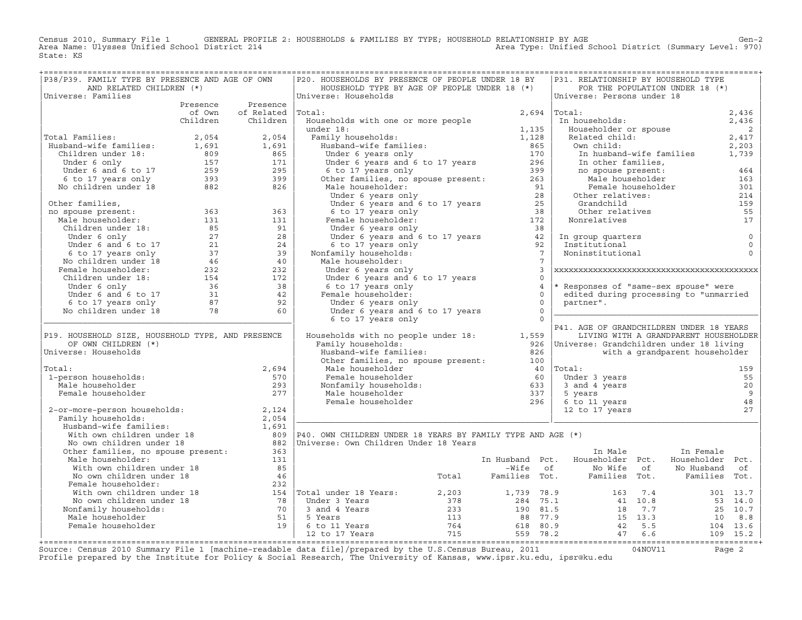Census 2010, Summary File 1 GENERAL PROFILE 2: HOUSEHOLDS & FAMILIES BY TYPE; HOUSEHOLD RELATIONSHIP BY AGE GEN<br>Area Name: Ulysses Unified School District 214 Area Type: Unified School District (Summary Level: 970) Area Type: Unified School District (Summary Level: 970) State: KS

| P38/P39. FAMILY TYPE BY PRESENCE AND AGE OF OWN                                                                                                                                                                             |        |                   | P20. HOUSEHOLDS BY PRESENCE OF PEOPLE UNDER 18 BY                                                                                                                                                                                                                                                                                                                                                                                                                      |                            |   | P31. RELATIONSHIP BY HOUSEHOLD TYPE                                                                    |                                       |                            |
|-----------------------------------------------------------------------------------------------------------------------------------------------------------------------------------------------------------------------------|--------|-------------------|------------------------------------------------------------------------------------------------------------------------------------------------------------------------------------------------------------------------------------------------------------------------------------------------------------------------------------------------------------------------------------------------------------------------------------------------------------------------|----------------------------|---|--------------------------------------------------------------------------------------------------------|---------------------------------------|----------------------------|
| AND RELATED CHILDREN (*)                                                                                                                                                                                                    |        |                   | HOUSEHOLD TYPE BY AGE OF PEOPLE UNDER 18 (*)                                                                                                                                                                                                                                                                                                                                                                                                                           |                            |   |                                                                                                        | FOR THE POPULATION UNDER 18 (*)       |                            |
| Universe: Families                                                                                                                                                                                                          |        |                   | Universe: Households                                                                                                                                                                                                                                                                                                                                                                                                                                                   |                            |   | Universe: Persons under 18                                                                             |                                       |                            |
|                                                                                                                                                                                                                             |        | Presence Presence |                                                                                                                                                                                                                                                                                                                                                                                                                                                                        |                            |   |                                                                                                        |                                       |                            |
|                                                                                                                                                                                                                             | of Own | of Related Total: |                                                                                                                                                                                                                                                                                                                                                                                                                                                                        | 2,694                      |   | Total:<br>Iotal:<br>In households:                                                                     |                                       | 2,436<br>2,436             |
|                                                                                                                                                                                                                             |        | Children Children | Households with one or more people                                                                                                                                                                                                                                                                                                                                                                                                                                     |                            |   |                                                                                                        |                                       |                            |
|                                                                                                                                                                                                                             |        |                   | under 18:                                                                                                                                                                                                                                                                                                                                                                                                                                                              | $1,135$<br>$1,128$         |   | Householder or spouse<br>Related child:<br>Own child:<br>In husband-wife families<br>And Wife families |                                       | $\overline{\phantom{0}}$ 2 |
| Total Families:<br>Husband–wife families:<br>Children under 18: 1,691 1,691 1,691 Children under 18: 809 865<br>Under 6 only 157 171 Under 6 and 6 to 17 259 295 6 to 17 years only 393 399<br>No children under 18 882 826 |        |                   |                                                                                                                                                                                                                                                                                                                                                                                                                                                                        |                            |   |                                                                                                        |                                       | 2,417                      |
|                                                                                                                                                                                                                             |        |                   |                                                                                                                                                                                                                                                                                                                                                                                                                                                                        |                            |   |                                                                                                        |                                       | 2,203                      |
|                                                                                                                                                                                                                             |        |                   |                                                                                                                                                                                                                                                                                                                                                                                                                                                                        |                            |   |                                                                                                        |                                       | 1,739                      |
|                                                                                                                                                                                                                             |        |                   |                                                                                                                                                                                                                                                                                                                                                                                                                                                                        |                            |   | In other families,                                                                                     |                                       |                            |
|                                                                                                                                                                                                                             |        |                   |                                                                                                                                                                                                                                                                                                                                                                                                                                                                        |                            |   | no spouse present:<br>Male householder                                                                 |                                       | 464                        |
|                                                                                                                                                                                                                             |        |                   |                                                                                                                                                                                                                                                                                                                                                                                                                                                                        |                            |   |                                                                                                        |                                       | 163                        |
|                                                                                                                                                                                                                             |        |                   |                                                                                                                                                                                                                                                                                                                                                                                                                                                                        |                            |   |                                                                                                        | Female householder                    | 301                        |
|                                                                                                                                                                                                                             |        |                   | under 18:<br>Family households:<br>Husband–wife families:<br>Under 6 years only<br>Under 6 years and 6 to 17 years<br>6 to 17 years and 6 to 17 years<br>6 to 17 years and 6 to 17 years<br>(all householder:<br>Male householder:<br>Under 6 ye                                                                                                                                                                                                                       |                            |   | Other relatives:                                                                                       |                                       | 214                        |
| Other families,                                                                                                                                                                                                             |        |                   |                                                                                                                                                                                                                                                                                                                                                                                                                                                                        |                            |   | Grandchild<br>Grandchiid<br>Other relatives                                                            |                                       | 159                        |
|                                                                                                                                                                                                                             |        |                   |                                                                                                                                                                                                                                                                                                                                                                                                                                                                        |                            |   |                                                                                                        |                                       | 55                         |
|                                                                                                                                                                                                                             |        |                   |                                                                                                                                                                                                                                                                                                                                                                                                                                                                        |                            |   | Nonrelatives                                                                                           |                                       | 17                         |
|                                                                                                                                                                                                                             |        |                   |                                                                                                                                                                                                                                                                                                                                                                                                                                                                        |                            |   |                                                                                                        |                                       |                            |
|                                                                                                                                                                                                                             |        |                   |                                                                                                                                                                                                                                                                                                                                                                                                                                                                        |                            |   | In group quarters                                                                                      |                                       | $\circ$                    |
|                                                                                                                                                                                                                             |        |                   |                                                                                                                                                                                                                                                                                                                                                                                                                                                                        |                            |   | Institutional                                                                                          |                                       | $\mathbf{0}$               |
|                                                                                                                                                                                                                             |        |                   |                                                                                                                                                                                                                                                                                                                                                                                                                                                                        |                            |   | Noninstitutional                                                                                       |                                       | $\Omega$                   |
|                                                                                                                                                                                                                             |        |                   |                                                                                                                                                                                                                                                                                                                                                                                                                                                                        |                            |   |                                                                                                        |                                       |                            |
|                                                                                                                                                                                                                             |        |                   | Under 6 years only                                                                                                                                                                                                                                                                                                                                                                                                                                                     |                            | 3 |                                                                                                        |                                       |                            |
|                                                                                                                                                                                                                             |        |                   | Under 6 years and 6 to 17 years<br>6 to 17 years and 6 to 17 years<br>Female householder:<br>Under 6 years only                                                                                                                                                                                                                                                                                                                                                        | $\Omega$                   |   |                                                                                                        |                                       |                            |
|                                                                                                                                                                                                                             |        |                   |                                                                                                                                                                                                                                                                                                                                                                                                                                                                        | $\overline{4}$             |   | * Responses of "same-sex spouse" were                                                                  |                                       |                            |
|                                                                                                                                                                                                                             |        |                   | Female householder:                                                                                                                                                                                                                                                                                                                                                                                                                                                    | $\circ$                    |   | edited during processing to "unmarried                                                                 |                                       |                            |
|                                                                                                                                                                                                                             |        |                   | Under 6 years only                                                                                                                                                                                                                                                                                                                                                                                                                                                     | $\Omega$                   |   | partner".                                                                                              |                                       |                            |
|                                                                                                                                                                                                                             |        |                   | Under 6 years and 6 to 17 years                                                                                                                                                                                                                                                                                                                                                                                                                                        | $\overline{0}$<br>$\Omega$ |   |                                                                                                        |                                       |                            |
|                                                                                                                                                                                                                             |        |                   | 6 to 17 years only                                                                                                                                                                                                                                                                                                                                                                                                                                                     |                            |   | P41. AGE OF GRANDCHILDREN UNDER 18 YEARS                                                               |                                       |                            |
| P19. HOUSEHOLD SIZE, HOUSEHOLD TYPE, AND PRESENCE                                                                                                                                                                           |        |                   | Households with no people under 18: 1,559                                                                                                                                                                                                                                                                                                                                                                                                                              |                            |   |                                                                                                        | LIVING WITH A GRANDPARENT HOUSEHOLDER |                            |
| OF OWN CHILDREN (*)                                                                                                                                                                                                         |        |                   | Family households:                                                                                                                                                                                                                                                                                                                                                                                                                                                     |                            |   | 926   Universe: Grandchildren under 18 living                                                          |                                       |                            |
| Universe: Households                                                                                                                                                                                                        |        |                   | Husband-wife families:                                                                                                                                                                                                                                                                                                                                                                                                                                                 | 826                        |   |                                                                                                        | with a grandparent householder        |                            |
|                                                                                                                                                                                                                             |        |                   | Other families, no spouse present: 100                                                                                                                                                                                                                                                                                                                                                                                                                                 |                            |   |                                                                                                        |                                       |                            |
| Total:                                                                                                                                                                                                                      |        | 2,694             |                                                                                                                                                                                                                                                                                                                                                                                                                                                                        |                            |   |                                                                                                        |                                       | 159                        |
| 1-person households:                                                                                                                                                                                                        |        | 570               |                                                                                                                                                                                                                                                                                                                                                                                                                                                                        |                            |   |                                                                                                        |                                       | 55                         |
| Male householder                                                                                                                                                                                                            |        | 293               |                                                                                                                                                                                                                                                                                                                                                                                                                                                                        |                            |   |                                                                                                        |                                       | 20                         |
| Female householder                                                                                                                                                                                                          |        | 277               |                                                                                                                                                                                                                                                                                                                                                                                                                                                                        |                            |   |                                                                                                        |                                       | $\overline{9}$             |
|                                                                                                                                                                                                                             |        |                   |                                                                                                                                                                                                                                                                                                                                                                                                                                                                        |                            |   | 6 to 11 years                                                                                          |                                       | 48                         |
|                                                                                                                                                                                                                             |        |                   | Female householder<br>Monfamily households:<br>Monfamily households:<br>Male householder<br>Monfamily householder<br>Male householder<br>Temale householder<br>Temale householder<br>Temale householder<br>296 6 to 1<br>2-or-more-person households:<br>Family households:<br>Husband-wife families:<br>With own children under 18<br>No own children under 18<br>No own children under 18<br>No own children under 18<br>No own children under 18<br>No own children |                            |   | 6 to 11 years<br>12 to 17 years                                                                        |                                       | 27                         |
|                                                                                                                                                                                                                             |        |                   |                                                                                                                                                                                                                                                                                                                                                                                                                                                                        |                            |   |                                                                                                        |                                       |                            |
|                                                                                                                                                                                                                             |        |                   |                                                                                                                                                                                                                                                                                                                                                                                                                                                                        |                            |   |                                                                                                        |                                       |                            |
|                                                                                                                                                                                                                             |        |                   |                                                                                                                                                                                                                                                                                                                                                                                                                                                                        |                            |   |                                                                                                        |                                       |                            |
|                                                                                                                                                                                                                             |        |                   |                                                                                                                                                                                                                                                                                                                                                                                                                                                                        |                            |   |                                                                                                        |                                       |                            |
| Other families, no spouse present: 363                                                                                                                                                                                      |        |                   |                                                                                                                                                                                                                                                                                                                                                                                                                                                                        |                            |   | In Male                                                                                                | In Female                             |                            |
| Male householder:                                                                                                                                                                                                           |        | 131               |                                                                                                                                                                                                                                                                                                                                                                                                                                                                        |                            |   | In Husband Pct. Householder Pct.                                                                       | Householder Pct.                      |                            |
| With own children under 18                                                                                                                                                                                                  |        | 85                |                                                                                                                                                                                                                                                                                                                                                                                                                                                                        |                            |   | -Wife of No Wife of                                                                                    | No Husband                            | of                         |
|                                                                                                                                                                                                                             |        |                   |                                                                                                                                                                                                                                                                                                                                                                                                                                                                        |                            |   |                                                                                                        |                                       |                            |
|                                                                                                                                                                                                                             |        |                   |                                                                                                                                                                                                                                                                                                                                                                                                                                                                        |                            |   |                                                                                                        |                                       |                            |
|                                                                                                                                                                                                                             |        |                   |                                                                                                                                                                                                                                                                                                                                                                                                                                                                        |                            |   |                                                                                                        |                                       |                            |
|                                                                                                                                                                                                                             |        |                   |                                                                                                                                                                                                                                                                                                                                                                                                                                                                        |                            |   |                                                                                                        |                                       |                            |
| Nonfamily households:                                                                                                                                                                                                       |        |                   |                                                                                                                                                                                                                                                                                                                                                                                                                                                                        |                            |   |                                                                                                        |                                       |                            |
| Male householder                                                                                                                                                                                                            |        |                   |                                                                                                                                                                                                                                                                                                                                                                                                                                                                        |                            |   |                                                                                                        |                                       |                            |
|                                                                                                                                                                                                                             |        |                   |                                                                                                                                                                                                                                                                                                                                                                                                                                                                        |                            |   |                                                                                                        |                                       |                            |
|                                                                                                                                                                                                                             |        |                   |                                                                                                                                                                                                                                                                                                                                                                                                                                                                        |                            |   |                                                                                                        |                                       |                            |
|                                                                                                                                                                                                                             |        |                   |                                                                                                                                                                                                                                                                                                                                                                                                                                                                        |                            |   |                                                                                                        |                                       |                            |

+===================================================================================================================================================+Source: Census 2010 Summary File 1 [machine−readable data file]/prepared by the U.S.Census Bureau, 2011 04NOV11 Page 2 Profile prepared by the Institute for Policy & Social Research, The University of Kansas, www.ipsr.ku.edu, ipsr@ku.edu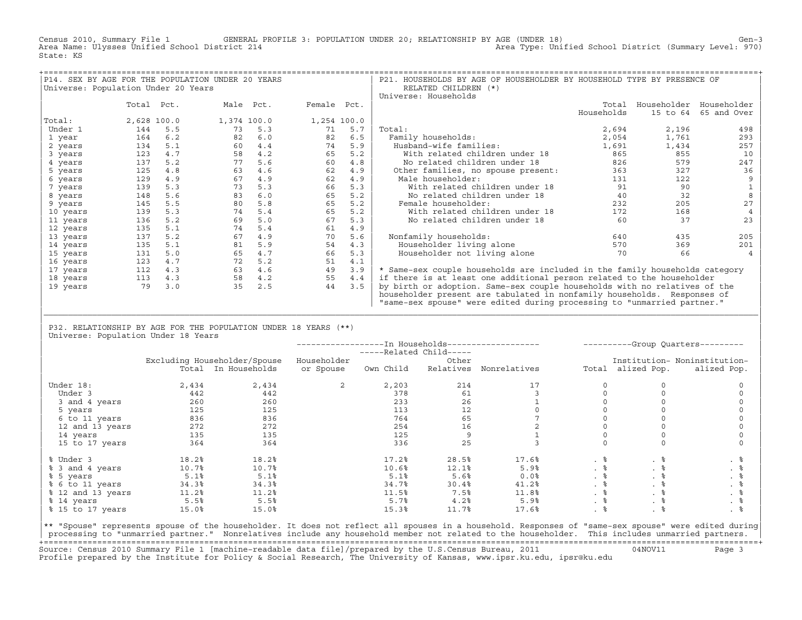Census 2010, Summary File 1 GENERAL PROFILE 3: POPULATION UNDER 20; RELATIONSHIP BY AGE (UNDER 18) Gen−3<br>Area Name: Ulysses Unified School District 214 Area Type: Unified School District (Summary Level: 970) Area Type: Unified School District (Summary Level: 970) State: KS

| P14. SEX BY AGE FOR THE POPULATION UNDER 20 YEARS |             |     |             |     |             |     | P21. HOUSEHOLDS BY AGE OF HOUSEHOLDER BY HOUSEHOLD TYPE BY PRESENCE OF      |            |          |                         |
|---------------------------------------------------|-------------|-----|-------------|-----|-------------|-----|-----------------------------------------------------------------------------|------------|----------|-------------------------|
| Universe: Population Under 20 Years               |             |     |             |     |             |     | RELATED CHILDREN (*)                                                        |            |          |                         |
|                                                   |             |     |             |     |             |     | Universe: Households                                                        |            |          |                         |
|                                                   | Total Pct.  |     | Male Pct.   |     | Female Pct. |     |                                                                             | Total      |          | Householder Householder |
|                                                   |             |     |             |     |             |     |                                                                             | Households | 15 to 64 | 65 and Over             |
| Total:                                            | 2,628 100.0 |     | 1,374 100.0 |     | 1,254 100.0 |     |                                                                             |            |          |                         |
| Under 1                                           | 144         | 5.5 | 73          | 5.3 | 71          | 5.7 | Total:                                                                      | 2,694      | 2,196    | 498                     |
| 1 year                                            | 164         | 6.2 | 82          | 6.0 | 82          | 6.5 | Family households:                                                          | 2,054      | 1,761    | 293                     |
| 2 years                                           | 134         | 5.1 | 60          | 4.4 | 74          | 5.9 | Husband-wife families:                                                      | 1,691      | 1,434    | 257                     |
| 3 years                                           | 123         | 4.7 | 58          | 4.2 | 65          | 5.2 | With related children under 18                                              | 865        | 855      | 10                      |
| 4 years                                           | 137         | 5.2 | 77          | 5.6 | 60          | 4.8 | No related children under 18                                                | 826        | 579      | 247                     |
| 5 years                                           | 125         | 4.8 | 63          | 4.6 | 62          | 4.9 | Other families, no spouse present:                                          | 363        | 327      | 36                      |
| 6 years                                           | 129         | 4.9 | 67          | 4.9 | 62          | 4.9 | Male householder:                                                           | 131        | 122      |                         |
| 7 years                                           | 139         | 5.3 | 73          | 5.3 | 66          | 5.3 | With related children under 18                                              | 91         | 90       |                         |
| 8 years                                           | 148         | 5.6 | 83          | 6.0 | 65          | 5.2 | No related children under 18                                                | 40         | 32       |                         |
| 9 years                                           | 145         | 5.5 | 80          | 5.8 | 65          | 5.2 | Female householder:                                                         | 232        | 205      | 27                      |
| 10 years                                          | 139         | 5.3 | 74          | 5.4 | 65          | 5.2 | With related children under 18                                              | 172        | 168      |                         |
| 11 years                                          | 136         | 5.2 | 69          | 5.0 | 67          | 5.3 | No related children under 18                                                | 60         | 37       | 23                      |
| 12 years                                          | 135         | 5.1 | 74          | 5.4 | 61          | 4.9 |                                                                             |            |          |                         |
| 13 years                                          | 137         | 5.2 | 67          | 4.9 | 70          | 5.6 | Nonfamily households:                                                       | 640        | 435      | 205                     |
| 14 years                                          | 135         | 5.1 | 81          | 5.9 | 54          | 4.3 | Householder living alone                                                    | 570        | 369      | 201                     |
| 15 years                                          | 131         | 5.0 | 65          | 4.7 | 66          | 5.3 | Householder not living alone                                                | 70         | 66       |                         |
| 16 years                                          | 123         | 4.7 | 72          | 5.2 | 51          | 4.1 |                                                                             |            |          |                         |
| 17 years                                          | 112         | 4.3 | 63          | 4.6 | 49          | 3.9 | * Same-sex couple households are included in the family households category |            |          |                         |
| 18 years                                          | 113         | 4.3 | 58          | 4.2 | 55          | 4.4 | if there is at least one additional person related to the householder       |            |          |                         |
| 19 years                                          | 79          | 3.0 | 35          | 2.5 | 44          | 3.5 | by birth or adoption. Same-sex couple households with no relatives of the   |            |          |                         |
|                                                   |             |     |             |     |             |     | householder present are tabulated in nonfamily households. Responses of     |            |          |                         |
|                                                   |             |     |             |     |             |     | "same-sex spouse" were edited during processing to "unmarried partner."     |            |          |                         |

| P32. RELATIONSHIP BY AGE FOR THE POPULATION UNDER 18 YEARS (\*\*) | Universe: Population Under 18 Years

|                   |       |                              |             | -----Related Child----- |           |              |           |                   | ----------Group Quarters--------- |
|-------------------|-------|------------------------------|-------------|-------------------------|-----------|--------------|-----------|-------------------|-----------------------------------|
|                   |       | Excluding Householder/Spouse | Householder |                         | Other     |              |           |                   | Institution- Noninstitution-      |
|                   |       | Total In Households          | or Spouse   | Own Child               | Relatives | Nonrelatives |           | Total alized Pop. | alized Pop.                       |
| Under 18:         | 2,434 | 2,434                        | 2           | 2,203                   | 214       | 17           |           |                   |                                   |
| Under 3           | 442   | 442                          |             | 378                     | 61        |              |           |                   |                                   |
| 3 and 4 years     | 260   | 260                          |             | 233                     | 26        |              |           |                   |                                   |
| 5 years           | 125   | 125                          |             | 113                     | 12        |              |           |                   |                                   |
| 6 to 11 years     | 836   | 836                          |             | 764                     | 65        |              |           |                   |                                   |
| 12 and 13 years   | 272   | 272                          |             | 254                     | 16        |              |           |                   |                                   |
| 14 years          | 135   | 135                          |             | 125                     | 9         |              |           |                   |                                   |
| 15 to 17 years    | 364   | 364                          |             | 336                     | 25        |              |           |                   |                                   |
| % Under 3         | 18.2% | 18.2%                        |             | 17.2%                   | 28.5%     | 17.6%        | . 응       | . 응               | . 응                               |
| % 3 and 4 years   | 10.7% | 10.7%                        |             | 10.6%                   | 12.1%     | 5.9%         | $. \circ$ | . ៖               | . 응                               |
| % 5 years         | 5.1%  | 5.1%                         |             | 5.1%                    | 5.6%      | 0.0%         | . 응       | . 응               |                                   |
| % 6 to 11 years   | 34.3% | 34.3%                        |             | 34.7%                   | 30.4%     | 41.2%        | . 응       | . 응               |                                   |
| % 12 and 13 years | 11.2% | 11.2%                        |             | 11.5%                   | 7.5%      | 11.8%        |           |                   | . 응                               |
| % 14 years        | 5.5%  | 5.5%                         |             | 5.7%                    | 4.2%      | 5.9%         | . 응       | . 응               | . 응                               |
| % 15 to 17 years  | 15.0% | 15.0%                        |             | 15.3%                   | 11.7%     | 17.6%        | .  응      | . ៖               | . 응                               |

|\_\_\_\_\_\_\_\_\_\_\_\_\_\_\_\_\_\_\_\_\_\_\_\_\_\_\_\_\_\_\_\_\_\_\_\_\_\_\_\_\_\_\_\_\_\_\_\_\_\_\_\_\_\_\_\_\_\_\_\_\_\_\_\_\_\_\_\_\_\_\_\_\_\_\_\_\_\_\_\_\_\_\_\_\_\_\_\_\_\_\_\_\_\_\_\_\_\_\_\_\_\_\_\_\_\_\_\_\_\_\_\_\_\_\_\_\_\_\_\_\_\_\_\_\_\_\_\_\_\_\_\_\_\_\_\_\_\_\_\_\_\_\_\_\_\_\_| | |

|\*\* "Spouse" represents spouse of the householder. It does not reflect all spouses in a household. Responses of "same−sex spouse" were edited during| processing to "unmarried partner." Nonrelatives include any household member not related to the householder. This includes unmarried partners. +===================================================================================================================================================+ Source: Census 2010 Summary File 1 [machine−readable data file]/prepared by the U.S.Census Bureau, 2011 04NOV11 Page 3 Profile prepared by the Institute for Policy & Social Research, The University of Kansas, www.ipsr.ku.edu, ipsr@ku.edu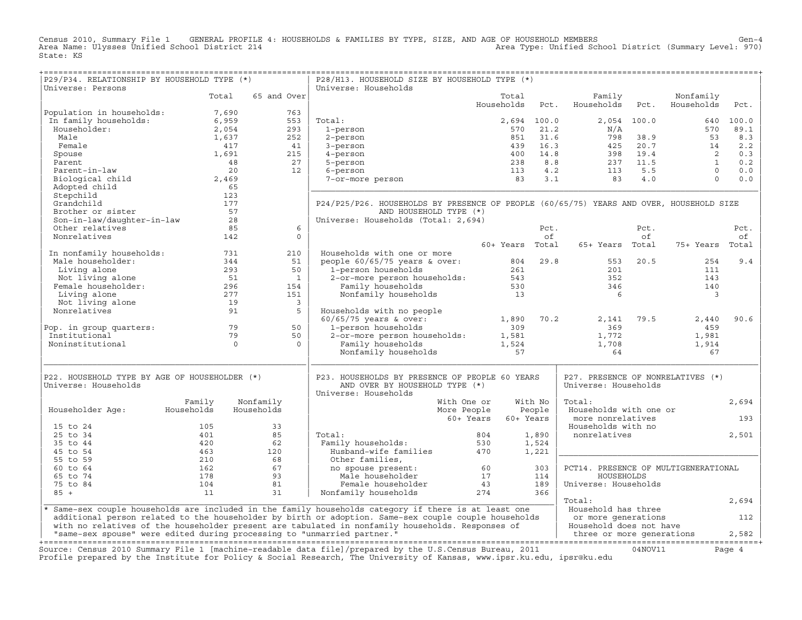Census 2010, Summary File 1 GENERAL PROFILE 4: HOUSEHOLDS & FAMILIES BY TYPE, SIZE, AND AGE OF HOUSEHOLD MEMBERS<br>Area Name: Ulysses Unified School District 214 1990) (Area Type: Unified School District (Summary Level: 970 State: KS

+===================================================================================================================================================+

| P29/P34. RELATIONSHIP BY HOUSEHOLD TYPE (*)                             |            |                      | P28/H13. HOUSEHOLD SIZE BY HOUSEHOLD TYPE (*)                                                                                                                                                                                     |             |                 |             |                                      |             |                         |        |
|-------------------------------------------------------------------------|------------|----------------------|-----------------------------------------------------------------------------------------------------------------------------------------------------------------------------------------------------------------------------------|-------------|-----------------|-------------|--------------------------------------|-------------|-------------------------|--------|
| Universe: Persons                                                       |            |                      | Universe: Households                                                                                                                                                                                                              |             |                 |             |                                      |             |                         |        |
|                                                                         | Total      | 65 and Over          |                                                                                                                                                                                                                                   |             | Total           |             | Family                               |             | Nonfamily               |        |
| Population in households:                                               | 7,690      | 763                  |                                                                                                                                                                                                                                   |             | Households      | Pct.        | Households                           | Pct.        | Households              | Pct.   |
| In family households:                                                   | 6,959      | 553                  | Total:                                                                                                                                                                                                                            |             |                 | 2,694 100.0 |                                      | 2,054 100.0 | 640                     | 100.0  |
| Householder:                                                            | 2,054      | 293                  |                                                                                                                                                                                                                                   |             | 570             | 21.2        | N/A                                  |             | 570                     | 89.1   |
| Male                                                                    |            |                      | 1-person                                                                                                                                                                                                                          |             |                 |             |                                      |             | 53                      |        |
|                                                                         | 1,637      | 252                  | 2-person                                                                                                                                                                                                                          |             | 851             | 31.6        | 798                                  | 38.9        |                         | 8.3    |
| Female                                                                  | 417        | 41                   | 3-person                                                                                                                                                                                                                          |             | 439             | 16.3        | 425                                  | 20.7        | 14                      | 2.2    |
| Spouse                                                                  | 1,691      | 215                  | 4-person                                                                                                                                                                                                                          |             | 400             | 14.8        | 398                                  | 19.4        | $\overline{2}$          | 0.3    |
| Parent                                                                  |            | 27<br>48             | 5-person                                                                                                                                                                                                                          |             | 238             | 8.8         | 237                                  | 11.5        | $\overline{1}$          | 0.2    |
| Parent-in-law                                                           |            | 20<br>12             | 6-person                                                                                                                                                                                                                          |             | 113             | 4.2         | 113                                  | 5.5         | $\Omega$                | 0.0    |
| Biological child                                                        | 2,469      |                      | 7-or-more person                                                                                                                                                                                                                  |             | 83              | 3.1         | 83                                   | 4.0         | $\Omega$                | 0.0    |
| Adopted child                                                           |            | 65                   |                                                                                                                                                                                                                                   |             |                 |             |                                      |             |                         |        |
| Stepchild                                                               | 123        |                      |                                                                                                                                                                                                                                   |             |                 |             |                                      |             |                         |        |
| Grandchild                                                              | 177        |                      | P24/P25/P26. HOUSEHOLDS BY PRESENCE OF PEOPLE (60/65/75) YEARS AND OVER, HOUSEHOLD SIZE                                                                                                                                           |             |                 |             |                                      |             |                         |        |
| Brother or sister                                                       |            | 57                   | AND HOUSEHOLD TYPE (*)                                                                                                                                                                                                            |             |                 |             |                                      |             |                         |        |
| Son-in-law/daughter-in-law                                              |            | 28                   | Universe: Households (Total: 2,694)                                                                                                                                                                                               |             |                 |             |                                      |             |                         |        |
| Other relatives                                                         |            | 85<br>6              |                                                                                                                                                                                                                                   |             |                 | Pct.        |                                      | Pct.        |                         | Pct.   |
| Nonrelatives                                                            | 142        | $\Omega$             |                                                                                                                                                                                                                                   |             |                 | of          |                                      | of          |                         | оf     |
|                                                                         |            |                      |                                                                                                                                                                                                                                   |             | 60+ Years Total |             | 65+ Years Total                      |             | 75+ Years               | Total  |
| In nonfamily households:                                                | 731        | 210                  | Households with one or more                                                                                                                                                                                                       |             |                 |             |                                      |             |                         |        |
| Male householder:                                                       | 344        | 51                   | people $60/65/75$ years & over:                                                                                                                                                                                                   |             | 804             | 29.8        | 553                                  | 20.5        | 254                     | 9.4    |
| Living alone                                                            | 293        | 50                   | 1-person households                                                                                                                                                                                                               |             | 261             |             | 201                                  |             | 111                     |        |
| Not living alone                                                        | 51         | $\overline{1}$       | 2-or-more person households:                                                                                                                                                                                                      |             | 543             |             | 352                                  |             | 143                     |        |
| Female householder:                                                     | 296        | 154                  | Family households                                                                                                                                                                                                                 |             | 530             |             | 346                                  |             | 140                     |        |
| Living alone                                                            | 277        | 151                  | Nonfamily households                                                                                                                                                                                                              |             | 13              |             | 6                                    |             | $\overline{\mathbf{3}}$ |        |
|                                                                         |            | $\overline{3}$       |                                                                                                                                                                                                                                   |             |                 |             |                                      |             |                         |        |
| Not living alone<br>Nonrelatives                                        | 19         |                      |                                                                                                                                                                                                                                   |             |                 |             |                                      |             |                         |        |
|                                                                         |            | 91<br>5              | Households with no people                                                                                                                                                                                                         |             |                 |             |                                      |             |                         |        |
|                                                                         |            |                      | $60/65/75$ years & over:                                                                                                                                                                                                          |             | 1,890           | 70.2        | 2,141                                | 79.5        | 2,440                   | 90.6   |
| Pop. in group quarters:                                                 |            | 79<br>50             | 1-person households                                                                                                                                                                                                               |             | 309             |             | 369                                  |             | 459                     |        |
| Institutional                                                           |            | 79<br>50             | 2-or-more person households:                                                                                                                                                                                                      |             | 1,581           |             | 1,772                                |             | 1,981                   |        |
| Noninstitutional                                                        |            | $\Omega$<br>$\Omega$ | Family households                                                                                                                                                                                                                 |             | 1,524           |             | 1,708                                |             | 1,914                   |        |
|                                                                         |            |                      | Nonfamily households                                                                                                                                                                                                              |             | 57              |             | 64                                   |             | 67                      |        |
|                                                                         |            |                      |                                                                                                                                                                                                                                   |             |                 |             |                                      |             |                         |        |
| P22. HOUSEHOLD TYPE BY AGE OF HOUSEHOLDER (*)                           |            |                      | P23. HOUSEHOLDS BY PRESENCE OF PEOPLE 60 YEARS                                                                                                                                                                                    |             |                 |             | P27. PRESENCE OF NONRELATIVES (*)    |             |                         |        |
| Universe: Households                                                    |            |                      | AND OVER BY HOUSEHOLD TYPE (*)                                                                                                                                                                                                    |             |                 |             | Universe: Households                 |             |                         |        |
|                                                                         |            |                      | Universe: Households                                                                                                                                                                                                              |             |                 |             |                                      |             |                         |        |
|                                                                         | Family     | Nonfamily            |                                                                                                                                                                                                                                   | With One or |                 | With No     | Total:                               |             |                         | 2,694  |
| Householder Age:                                                        | Households | Households           |                                                                                                                                                                                                                                   | More People |                 | People      | Households with one or               |             |                         |        |
|                                                                         |            |                      |                                                                                                                                                                                                                                   | 60+ Years   | 60+ Years       |             | more nonrelatives                    |             |                         | 193    |
| 15 to 24                                                                | 105        | 33                   |                                                                                                                                                                                                                                   |             |                 |             | Households with no                   |             |                         |        |
| 25 to 34                                                                | 401        | 85                   | Total:                                                                                                                                                                                                                            | 804         |                 | 1,890       | nonrelatives                         |             |                         | 2,501  |
| 35 to 44                                                                | 420        | 62                   | Family households:                                                                                                                                                                                                                | 530         |                 | 1,524       |                                      |             |                         |        |
| 45 to 54                                                                | 463        | 120                  | Husband-wife families                                                                                                                                                                                                             | 470         |                 | 1,221       |                                      |             |                         |        |
| 55 to 59                                                                | 210        | 68                   | Other families,                                                                                                                                                                                                                   |             |                 |             |                                      |             |                         |        |
| 60 to 64                                                                | 162        | 67                   | no spouse present:                                                                                                                                                                                                                | 60          |                 | 303         | PCT14. PRESENCE OF MULTIGENERATIONAL |             |                         |        |
| 65 to 74                                                                | 178        | 93                   | Male householder                                                                                                                                                                                                                  | 17          |                 | 114         | HOUSEHOLDS                           |             |                         |        |
|                                                                         |            |                      |                                                                                                                                                                                                                                   |             |                 |             |                                      |             |                         |        |
| 75 to 84                                                                | 104        | 81<br>31             | Female householder                                                                                                                                                                                                                | 43<br>274   |                 | 189<br>366  | Universe: Households                 |             |                         |        |
| $85 +$                                                                  | 11         |                      | Nonfamily households                                                                                                                                                                                                              |             |                 |             |                                      |             |                         |        |
|                                                                         |            |                      |                                                                                                                                                                                                                                   |             |                 |             | Total:                               |             |                         | 2,694  |
|                                                                         |            |                      | * Same-sex couple households are included in the family households category if there is at least one                                                                                                                              |             |                 |             | Household has three                  |             |                         |        |
|                                                                         |            |                      | additional person related to the householder by birth or adoption. Same-sex couple couple households                                                                                                                              |             |                 |             | or more generations                  |             |                         | 112    |
|                                                                         |            |                      | with no relatives of the householder present are tabulated in nonfamily households. Responses of                                                                                                                                  |             |                 |             | Household does not have              |             |                         |        |
| "same-sex spouse" were edited during processing to "unmarried partner." |            |                      |                                                                                                                                                                                                                                   |             |                 |             | three or more generations            |             |                         | 2,582  |
|                                                                         |            |                      |                                                                                                                                                                                                                                   |             |                 |             |                                      |             |                         |        |
|                                                                         |            |                      | Source: Census 2010 Summary File 1 [machine-readable data file]/prepared by the U.S.Census Bureau, 2011<br>Profile prepared by the Institute for Policy & Social Research, The University of Kansas, www.ipsr.ku.edu, ipsr@ku.edu |             |                 |             |                                      | 04NOV11     |                         | Page 4 |
|                                                                         |            |                      |                                                                                                                                                                                                                                   |             |                 |             |                                      |             |                         |        |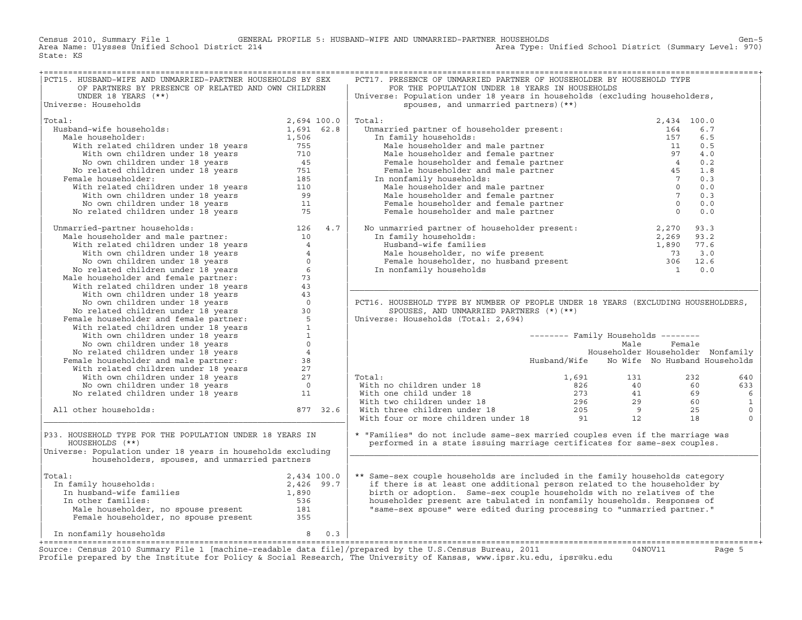Census 2010, Summary File 1 GENERAL PROFILE 5: HUSBAND−WIFE AND UNMARRIED−PARTNER HOUSEHOLDS Gen−5 Area Type: Unified School District (Summary Level: 970) State: KS

| PCT15. HUSBAND-WIFE AND UNMARRIED-PARTNER HOUSEHOLDS BY SEX                                                                                                                                                                                            |          | PCT17. PRESENCE OF UNMARRIED PARTNER OF HOUSEHOLDER BY HOUSEHOLD TYPE                                                                                                                                                                                                                                                                                                                                                      |                                            |             |        |              |
|--------------------------------------------------------------------------------------------------------------------------------------------------------------------------------------------------------------------------------------------------------|----------|----------------------------------------------------------------------------------------------------------------------------------------------------------------------------------------------------------------------------------------------------------------------------------------------------------------------------------------------------------------------------------------------------------------------------|--------------------------------------------|-------------|--------|--------------|
| OF PARTNERS BY PRESENCE OF RELATED AND OWN CHILDREN                                                                                                                                                                                                    |          | FOR THE POPULATION UNDER 18 YEARS IN HOUSEHOLDS                                                                                                                                                                                                                                                                                                                                                                            |                                            |             |        |              |
| UNDER 18 YEARS $(**)$                                                                                                                                                                                                                                  |          | Universe: Population under 18 years in households (excluding householders,                                                                                                                                                                                                                                                                                                                                                 |                                            |             |        |              |
| Universe: Households                                                                                                                                                                                                                                   |          | spouses, and unmarried partners) (**)                                                                                                                                                                                                                                                                                                                                                                                      |                                            |             |        |              |
|                                                                                                                                                                                                                                                        |          |                                                                                                                                                                                                                                                                                                                                                                                                                            |                                            |             |        |              |
| Total:<br>2,694 100.0<br>iband-wife households:<br>iale householder:<br>With related children under 18 years<br>With own children under 18 years<br>No related children under 18 years<br>No related children under 18 years<br>No related children un |          | Total:                                                                                                                                                                                                                                                                                                                                                                                                                     |                                            | 2,434 100.0 |        |              |
| Husband-wife households:                                                                                                                                                                                                                               |          |                                                                                                                                                                                                                                                                                                                                                                                                                            |                                            |             | 6.7    |              |
| Male householder:                                                                                                                                                                                                                                      |          |                                                                                                                                                                                                                                                                                                                                                                                                                            |                                            |             | 6.5    |              |
|                                                                                                                                                                                                                                                        |          |                                                                                                                                                                                                                                                                                                                                                                                                                            |                                            |             |        |              |
|                                                                                                                                                                                                                                                        |          |                                                                                                                                                                                                                                                                                                                                                                                                                            |                                            |             | 0.5    |              |
|                                                                                                                                                                                                                                                        |          |                                                                                                                                                                                                                                                                                                                                                                                                                            |                                            |             | 4.0    |              |
|                                                                                                                                                                                                                                                        |          |                                                                                                                                                                                                                                                                                                                                                                                                                            |                                            |             | 0.2    |              |
|                                                                                                                                                                                                                                                        |          |                                                                                                                                                                                                                                                                                                                                                                                                                            |                                            |             | 1.8    |              |
| Female householder:                                                                                                                                                                                                                                    |          |                                                                                                                                                                                                                                                                                                                                                                                                                            |                                            |             | 0.3    |              |
|                                                                                                                                                                                                                                                        |          |                                                                                                                                                                                                                                                                                                                                                                                                                            |                                            |             | 0.0    |              |
|                                                                                                                                                                                                                                                        |          |                                                                                                                                                                                                                                                                                                                                                                                                                            |                                            |             | 0.3    |              |
|                                                                                                                                                                                                                                                        |          |                                                                                                                                                                                                                                                                                                                                                                                                                            |                                            |             | 0.0    |              |
|                                                                                                                                                                                                                                                        |          |                                                                                                                                                                                                                                                                                                                                                                                                                            |                                            |             | 0.0    |              |
|                                                                                                                                                                                                                                                        |          |                                                                                                                                                                                                                                                                                                                                                                                                                            |                                            |             |        |              |
| No related children under 18 years 75<br>Unmarried-partner households: 126 4.7<br>Male householder and male partner: 126 4.7<br>With related children under 18 years 4<br>No own children under 18 years 4<br>No own children under 18 y               |          | No unmarried partner of householder present:<br>In family households:<br>Husband-wife families<br>Male householder, no wife present<br>Female householder, no husband present<br>The nonfamily households<br>The nonfamily households<br>Th                                                                                                                                                                                |                                            |             |        |              |
|                                                                                                                                                                                                                                                        |          |                                                                                                                                                                                                                                                                                                                                                                                                                            |                                            |             |        |              |
|                                                                                                                                                                                                                                                        |          |                                                                                                                                                                                                                                                                                                                                                                                                                            |                                            |             |        |              |
|                                                                                                                                                                                                                                                        |          |                                                                                                                                                                                                                                                                                                                                                                                                                            |                                            |             |        |              |
|                                                                                                                                                                                                                                                        |          |                                                                                                                                                                                                                                                                                                                                                                                                                            |                                            |             |        |              |
|                                                                                                                                                                                                                                                        |          |                                                                                                                                                                                                                                                                                                                                                                                                                            |                                            |             |        |              |
|                                                                                                                                                                                                                                                        |          |                                                                                                                                                                                                                                                                                                                                                                                                                            |                                            |             |        |              |
|                                                                                                                                                                                                                                                        |          |                                                                                                                                                                                                                                                                                                                                                                                                                            |                                            |             |        |              |
|                                                                                                                                                                                                                                                        |          |                                                                                                                                                                                                                                                                                                                                                                                                                            |                                            |             |        |              |
|                                                                                                                                                                                                                                                        |          |                                                                                                                                                                                                                                                                                                                                                                                                                            |                                            |             |        |              |
|                                                                                                                                                                                                                                                        |          | PCT16. HOUSEHOLD TYPE BY NUMBER OF PEOPLE UNDER 18 YEARS (EXCLUDING HOUSEHOLDERS,                                                                                                                                                                                                                                                                                                                                          |                                            |             |        |              |
|                                                                                                                                                                                                                                                        |          | SPOUSES, AND UNMARRIED PARTNERS (*) (**)                                                                                                                                                                                                                                                                                                                                                                                   |                                            |             |        |              |
|                                                                                                                                                                                                                                                        |          | Universe: Households (Total: 2,694)                                                                                                                                                                                                                                                                                                                                                                                        |                                            |             |        |              |
|                                                                                                                                                                                                                                                        |          |                                                                                                                                                                                                                                                                                                                                                                                                                            |                                            |             |        |              |
|                                                                                                                                                                                                                                                        |          |                                                                                                                                                                                                                                                                                                                                                                                                                            | -------- Family Households --------        |             |        |              |
|                                                                                                                                                                                                                                                        |          |                                                                                                                                                                                                                                                                                                                                                                                                                            | Male                                       |             | Female |              |
|                                                                                                                                                                                                                                                        |          |                                                                                                                                                                                                                                                                                                                                                                                                                            | Householder Householder Nonfamily          |             |        |              |
|                                                                                                                                                                                                                                                        |          |                                                                                                                                                                                                                                                                                                                                                                                                                            | Husband/Wife No Wife No Husband Households |             |        |              |
|                                                                                                                                                                                                                                                        |          |                                                                                                                                                                                                                                                                                                                                                                                                                            |                                            |             |        |              |
|                                                                                                                                                                                                                                                        |          | Total:                                                                                                                                                                                                                                                                                                                                                                                                                     |                                            |             |        | 640          |
|                                                                                                                                                                                                                                                        |          |                                                                                                                                                                                                                                                                                                                                                                                                                            |                                            |             |        | 633          |
|                                                                                                                                                                                                                                                        |          |                                                                                                                                                                                                                                                                                                                                                                                                                            |                                            |             |        |              |
|                                                                                                                                                                                                                                                        |          |                                                                                                                                                                                                                                                                                                                                                                                                                            |                                            |             |        | 6            |
|                                                                                                                                                                                                                                                        |          |                                                                                                                                                                                                                                                                                                                                                                                                                            |                                            |             |        | $\mathbf{1}$ |
| All other households:                                                                                                                                                                                                                                  | 877 32.6 |                                                                                                                                                                                                                                                                                                                                                                                                                            |                                            |             |        | $\mathbb O$  |
|                                                                                                                                                                                                                                                        |          | Total: $\begin{array}{cccccc} \text{Total:} & & & & & 1,691 & & 131 & & 232 \\ \text{With no children under 18} & & & & 826 & & 40 & & 60 \\ \text{With two children under 18} & & & & 273 & & 41 & & 69 \\ \text{With three children under 18} & & & 296 & & 29 & & 60 \\ \text{With three children under 18} & & & 205 & & 9 & & 25 \\ \text{With four or more children under 18} & & & 91 & & 12 & & 18 \\ \end{array}$ |                                            |             |        | $\Omega$     |
|                                                                                                                                                                                                                                                        |          |                                                                                                                                                                                                                                                                                                                                                                                                                            |                                            |             |        |              |
| P33. HOUSEHOLD TYPE FOR THE POPULATION UNDER 18 YEARS IN                                                                                                                                                                                               |          | * "Families" do not include same-sex married couples even if the marriage was                                                                                                                                                                                                                                                                                                                                              |                                            |             |        |              |
| HOUSEHOLDS (**)                                                                                                                                                                                                                                        |          | performed in a state issuing marriage certificates for same-sex couples.                                                                                                                                                                                                                                                                                                                                                   |                                            |             |        |              |
| Universe: Population under 18 years in households excluding                                                                                                                                                                                            |          |                                                                                                                                                                                                                                                                                                                                                                                                                            |                                            |             |        |              |
| householders, spouses, and unmarried partners                                                                                                                                                                                                          |          |                                                                                                                                                                                                                                                                                                                                                                                                                            |                                            |             |        |              |
|                                                                                                                                                                                                                                                        |          |                                                                                                                                                                                                                                                                                                                                                                                                                            |                                            |             |        |              |
| Total:                                                                                                                                                                                                                                                 |          | ** Same-sex couple households are included in the family households category                                                                                                                                                                                                                                                                                                                                               |                                            |             |        |              |
| otal:<br>In family households:<br>In husband-wife families<br>In other families<br>The other families<br>The other families<br>S36<br>S36                                                                                                              |          | if there is at least one additional person related to the householder by                                                                                                                                                                                                                                                                                                                                                   |                                            |             |        |              |
|                                                                                                                                                                                                                                                        |          | birth or adoption. Same-sex couple households with no relatives of the                                                                                                                                                                                                                                                                                                                                                     |                                            |             |        |              |
|                                                                                                                                                                                                                                                        |          |                                                                                                                                                                                                                                                                                                                                                                                                                            |                                            |             |        |              |
|                                                                                                                                                                                                                                                        |          |                                                                                                                                                                                                                                                                                                                                                                                                                            |                                            |             |        |              |
| In other families:                                                                                                                                                                                                                                     |          | householder present are tabulated in nonfamily households. Responses of                                                                                                                                                                                                                                                                                                                                                    |                                            |             |        |              |
|                                                                                                                                                                                                                                                        |          | "same-sex spouse" were edited during processing to "unmarried partner."                                                                                                                                                                                                                                                                                                                                                    |                                            |             |        |              |
|                                                                                                                                                                                                                                                        |          |                                                                                                                                                                                                                                                                                                                                                                                                                            |                                            |             |        |              |
|                                                                                                                                                                                                                                                        |          |                                                                                                                                                                                                                                                                                                                                                                                                                            |                                            |             |        |              |
| Male householder, no spouse present<br>Female householder, no spouse present<br>and the spouse present<br>and the spouse present<br>and the spouse present<br>and the spouse present<br>and the spouse present<br>and the spouse present<br>and the sp |          |                                                                                                                                                                                                                                                                                                                                                                                                                            |                                            |             |        |              |

+===================================================================================================================================================+Source: Census 2010 Summary File 1 [machine−readable data file]/prepared by the U.S.Census Bureau, 2011 04NOV11 Page 5 Profile prepared by the Institute for Policy & Social Research, The University of Kansas, www.ipsr.ku.edu, ipsr@ku.edu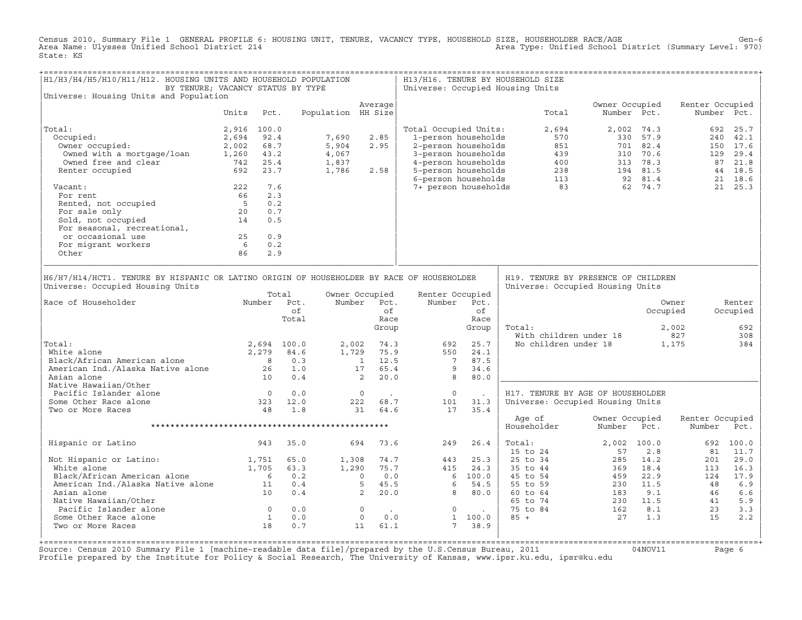Census 2010, Summary File 1 GENERAL PROFILE 6: HOUSING UNIT, TENURE, VACANCY TYPE, HOUSEHOLD SIZE, HOUSEHOLDER RACE/AGE<br>Area Name: Ulysses Unified School District 214 State: KS

| H1/H3/H4/H5/H10/H11/H12. HOUSING UNITS AND HOUSEHOLD POPULATION<br>BY TENURE; VACANCY STATUS BY TYPE<br>Universe: Housing Units and Population                                                                                                 |                   |     |                                                                      |                                                                                                                        |                                                                   |                                   |                                                                                                                                                                                          |                                                             | H13/H16. TENURE BY HOUSEHOLD SIZE<br>Universe: Occupied Housing Units                                                                                                                                                                                                                                      |                               |             |                           |                                         |
|------------------------------------------------------------------------------------------------------------------------------------------------------------------------------------------------------------------------------------------------|-------------------|-----|----------------------------------------------------------------------|------------------------------------------------------------------------------------------------------------------------|-------------------------------------------------------------------|-----------------------------------|------------------------------------------------------------------------------------------------------------------------------------------------------------------------------------------|-------------------------------------------------------------|------------------------------------------------------------------------------------------------------------------------------------------------------------------------------------------------------------------------------------------------------------------------------------------------------------|-------------------------------|-------------|---------------------------|-----------------------------------------|
|                                                                                                                                                                                                                                                |                   |     |                                                                      |                                                                                                                        | Average                                                           |                                   |                                                                                                                                                                                          |                                                             |                                                                                                                                                                                                                                                                                                            | Owner Occupied                |             | Renter Occupied           |                                         |
|                                                                                                                                                                                                                                                | Units Pct.        |     |                                                                      | Population HH Size                                                                                                     |                                                                   |                                   |                                                                                                                                                                                          |                                                             | Total                                                                                                                                                                                                                                                                                                      |                               | Number Pct. |                           | Number Pct.                             |
| Total:                                                                                                                                                                                                                                         | 2,916 100.0       |     |                                                                      |                                                                                                                        |                                                                   |                                   | Total Occupied Units:                                                                                                                                                                    |                                                             | 2,694                                                                                                                                                                                                                                                                                                      |                               | 2,002 74.3  |                           | 692 25.7                                |
| Occupied:                                                                                                                                                                                                                                      | 2,694 92.4        |     |                                                                      | 7,690                                                                                                                  | 2.85                                                              |                                   | 1-person households                                                                                                                                                                      |                                                             | 570                                                                                                                                                                                                                                                                                                        |                               | 330 57.9    |                           | 240 42.1                                |
|                                                                                                                                                                                                                                                |                   |     |                                                                      | 5,904                                                                                                                  | 2.95                                                              |                                   |                                                                                                                                                                                          |                                                             |                                                                                                                                                                                                                                                                                                            |                               |             |                           | 150 17.6                                |
|                                                                                                                                                                                                                                                |                   |     |                                                                      | 4,067                                                                                                                  |                                                                   |                                   |                                                                                                                                                                                          |                                                             |                                                                                                                                                                                                                                                                                                            |                               |             |                           | 129 29.4                                |
|                                                                                                                                                                                                                                                |                   |     |                                                                      | 1,837                                                                                                                  |                                                                   |                                   |                                                                                                                                                                                          |                                                             |                                                                                                                                                                                                                                                                                                            |                               |             |                           | 87 21.8                                 |
| Occupied: 2,694 92.4<br>Owner occupied: 2,002 68.7<br>Owned with a mortgage/loan 1,260 43.2<br>Owned free and clear 742 25.4<br>Renter occupied 692 23.7                                                                                       |                   |     |                                                                      | 1,786                                                                                                                  | 2.58                                                              |                                   |                                                                                                                                                                                          |                                                             |                                                                                                                                                                                                                                                                                                            |                               |             |                           | 44 18.5                                 |
|                                                                                                                                                                                                                                                |                   |     |                                                                      |                                                                                                                        |                                                                   |                                   |                                                                                                                                                                                          |                                                             | 1-person households<br>2-person households<br>3-person households<br>4-person households<br>5-person households<br>5-person households<br>5-person households<br>6-person households<br>7+ person households<br>7+ person households<br>83<br>62 74.                                                       |                               |             |                           | 21 18.6                                 |
| Vacant:                                                                                                                                                                                                                                        | 222               | 7.6 |                                                                      |                                                                                                                        |                                                                   |                                   |                                                                                                                                                                                          |                                                             |                                                                                                                                                                                                                                                                                                            |                               |             |                           | 21 25.3                                 |
| For rent                                                                                                                                                                                                                                       | 66                | 2.3 |                                                                      |                                                                                                                        |                                                                   |                                   |                                                                                                                                                                                          |                                                             |                                                                                                                                                                                                                                                                                                            |                               |             |                           |                                         |
|                                                                                                                                                                                                                                                |                   | 0.2 |                                                                      |                                                                                                                        |                                                                   |                                   |                                                                                                                                                                                          |                                                             |                                                                                                                                                                                                                                                                                                            |                               |             |                           |                                         |
|                                                                                                                                                                                                                                                |                   | 0.7 |                                                                      |                                                                                                                        |                                                                   |                                   |                                                                                                                                                                                          |                                                             |                                                                                                                                                                                                                                                                                                            |                               |             |                           |                                         |
| For rent<br>Rented, not occupied 5<br>For sale only 5<br>Sold, not occupied 14<br>For seasonal, recreational,                                                                                                                                  |                   | 0.5 |                                                                      |                                                                                                                        |                                                                   |                                   |                                                                                                                                                                                          |                                                             |                                                                                                                                                                                                                                                                                                            |                               |             |                           |                                         |
|                                                                                                                                                                                                                                                |                   |     |                                                                      |                                                                                                                        |                                                                   |                                   |                                                                                                                                                                                          |                                                             |                                                                                                                                                                                                                                                                                                            |                               |             |                           |                                         |
| or occasional use                                                                                                                                                                                                                              |                   |     |                                                                      |                                                                                                                        |                                                                   |                                   |                                                                                                                                                                                          |                                                             |                                                                                                                                                                                                                                                                                                            |                               |             |                           |                                         |
| For migrant workers                                                                                                                                                                                                                            | $25$ 0.9<br>6 0.2 |     |                                                                      |                                                                                                                        |                                                                   |                                   |                                                                                                                                                                                          |                                                             |                                                                                                                                                                                                                                                                                                            |                               |             |                           |                                         |
| Other                                                                                                                                                                                                                                          | 86                | 2.9 |                                                                      |                                                                                                                        |                                                                   |                                   |                                                                                                                                                                                          |                                                             |                                                                                                                                                                                                                                                                                                            |                               |             |                           |                                         |
| Universe: Occupied Housing Units<br>Number Pct.<br>Race of Householder<br>Total:<br>Votal:<br>White alone 2,279 84.6<br>Black/African American alone 2,279 84.6<br>American Ind./Alaska Native alone 26 1.0<br>10 0.4<br>Native Hawaiian/Other |                   |     | Total<br>of<br>Total                                                 |                                                                                                                        | Owner Occupied<br>Number Pct.<br>Group<br>$\overline{\mathbf{2}}$ | of<br>Race<br>20.0                | Renter Occupied<br>Number Pct.<br>692<br>$\begin{array}{cccc} 2\, , 002 & 74\, .3 & 692 \\ 1\, , 729 & 75\, .9 & 550 \\ & 1 & 12\, .5 & 7 \\ & 17 & 65\, .4 & 9 \end{array}$<br>550<br>8 | of<br>Race<br>Group<br>25.7<br>24.1<br>87.5<br>34.6<br>80.0 | Universe: Occupied Housing Units<br>Total:<br>with children under 18<br>No children under 18 1,175                                                                                                                                                                                                         |                               | Occupied    | Owner<br>2,002            | Renter<br>Occupied<br>692<br>308<br>384 |
| Pacific Islander alone                                                                                                                                                                                                                         |                   |     | $\begin{array}{ccc} & 0 & 0.0 \\ 323 & 12.0 \\ 48 & 1.8 \end{array}$ |                                                                                                                        | $\overline{0}$                                                    | <b>Contract Contract Contract</b> | $\overline{0}$                                                                                                                                                                           | $\sim 100$                                                  | H17. TENURE BY AGE OF HOUSEHOLDER                                                                                                                                                                                                                                                                          |                               |             |                           |                                         |
| Some Other Race alone                                                                                                                                                                                                                          |                   |     |                                                                      |                                                                                                                        | 222 68.7                                                          |                                   | 101                                                                                                                                                                                      | 31.3                                                        | Universe: Occupied Housing Units                                                                                                                                                                                                                                                                           |                               |             |                           |                                         |
| Two or More Races                                                                                                                                                                                                                              |                   |     |                                                                      |                                                                                                                        | 31 64.6                                                           |                                   | 17                                                                                                                                                                                       | 35.4                                                        |                                                                                                                                                                                                                                                                                                            |                               |             |                           |                                         |
|                                                                                                                                                                                                                                                |                   |     |                                                                      |                                                                                                                        |                                                                   |                                   |                                                                                                                                                                                          |                                                             | Age of<br>Householder                                                                                                                                                                                                                                                                                      | Owner Occupied<br>Number Pct. |             | Renter Occupied<br>Number | Pct.                                    |
| Hispanic or Latino                                                                                                                                                                                                                             | 943               |     | 35.0                                                                 |                                                                                                                        | 694 73.6                                                          |                                   | 249                                                                                                                                                                                      | 26.4                                                        | Total:                                                                                                                                                                                                                                                                                                     | 2,002 100.0                   |             |                           | 692 100.0                               |
| Not Hispanic or Latino: 1,751<br>White alone 1,705<br>Black/African American alone 6<br>American Ind./Alaska Native alone 11<br>American Ind./Alaska Native alone 11                                                                           |                   |     |                                                                      |                                                                                                                        |                                                                   |                                   |                                                                                                                                                                                          |                                                             | 15 to 24                                                                                                                                                                                                                                                                                                   | 57                            | 2.8         | 81                        | 11.7                                    |
|                                                                                                                                                                                                                                                |                   |     | 65.0                                                                 |                                                                                                                        | 1,308 74.7                                                        |                                   | 443                                                                                                                                                                                      | 25.3                                                        | 15 Lo 24<br>25 to 34<br>35 to 44<br>45 to 54<br>45 to 54<br>55 to 59<br>230<br>230<br>11.5<br>48<br>66 to 74<br>55 to 84<br>162<br>8.1<br>27<br>1.3<br>11.5<br>46<br>230<br>11.5<br>48<br>46<br>46<br>46<br>230<br>11.5<br>48<br>46<br>46<br>46<br>11.5<br>48<br>46<br>46<br>11.5<br>48<br>46<br>46<br>11. |                               |             |                           | 29.0                                    |
|                                                                                                                                                                                                                                                |                   |     | 63.3                                                                 |                                                                                                                        |                                                                   |                                   |                                                                                                                                                                                          | 415 24.3                                                    |                                                                                                                                                                                                                                                                                                            |                               |             |                           | 16.3                                    |
|                                                                                                                                                                                                                                                |                   |     | 0.2                                                                  |                                                                                                                        |                                                                   |                                   | $6\quad 100.0$                                                                                                                                                                           |                                                             |                                                                                                                                                                                                                                                                                                            |                               |             |                           | 17.9                                    |
|                                                                                                                                                                                                                                                |                   |     | 0.4                                                                  | $\begin{array}{ccc} 1\,,290 & \quad 75\,.7 \\ \,0\, & \quad 0\,.0 \\ \,5\, & \ 45\,.5 \\ \,2\, & \ 20\,.0 \end{array}$ |                                                                   |                                   |                                                                                                                                                                                          | 654.5                                                       |                                                                                                                                                                                                                                                                                                            |                               |             |                           | 6.9                                     |
|                                                                                                                                                                                                                                                |                   |     | 0.4                                                                  |                                                                                                                        |                                                                   |                                   | $6$ $54.5$<br>8 80.0                                                                                                                                                                     |                                                             |                                                                                                                                                                                                                                                                                                            |                               |             |                           | 6.6                                     |
| Native Hawaiian/Other                                                                                                                                                                                                                          |                   |     |                                                                      |                                                                                                                        |                                                                   |                                   |                                                                                                                                                                                          |                                                             |                                                                                                                                                                                                                                                                                                            |                               |             |                           | 5.9                                     |
| Pacific Islander alone                                                                                                                                                                                                                         |                   |     |                                                                      |                                                                                                                        | $\overline{\phantom{0}}$                                          | <b>Contract Contract</b>          | $\overline{0}$                                                                                                                                                                           |                                                             |                                                                                                                                                                                                                                                                                                            |                               |             |                           | 3.3                                     |
| Some Other Race alone                                                                                                                                                                                                                          |                   |     |                                                                      |                                                                                                                        | $\Omega$                                                          | 0.0                               |                                                                                                                                                                                          | 1 100.0                                                     |                                                                                                                                                                                                                                                                                                            |                               |             |                           | 2.2                                     |
| Two or More Races                                                                                                                                                                                                                              |                   |     | $\begin{array}{cccc} 0 & 0.0 \\ 1 & 0.0 \\ 18 & 0.7 \end{array}$     |                                                                                                                        | 11                                                                | 61.1                              |                                                                                                                                                                                          | 7 38.9                                                      |                                                                                                                                                                                                                                                                                                            |                               |             |                           |                                         |
|                                                                                                                                                                                                                                                |                   |     |                                                                      |                                                                                                                        |                                                                   |                                   |                                                                                                                                                                                          |                                                             |                                                                                                                                                                                                                                                                                                            |                               |             |                           |                                         |

+===================================================================================================================================================+Source: Census 2010 Summary File 1 [machine-readable data file]/prepared by the U.S.Census Bureau, 2011 Page 6<br>Profile prepared by the Institute for Policy & Social Research, The University of Kansas, www.ip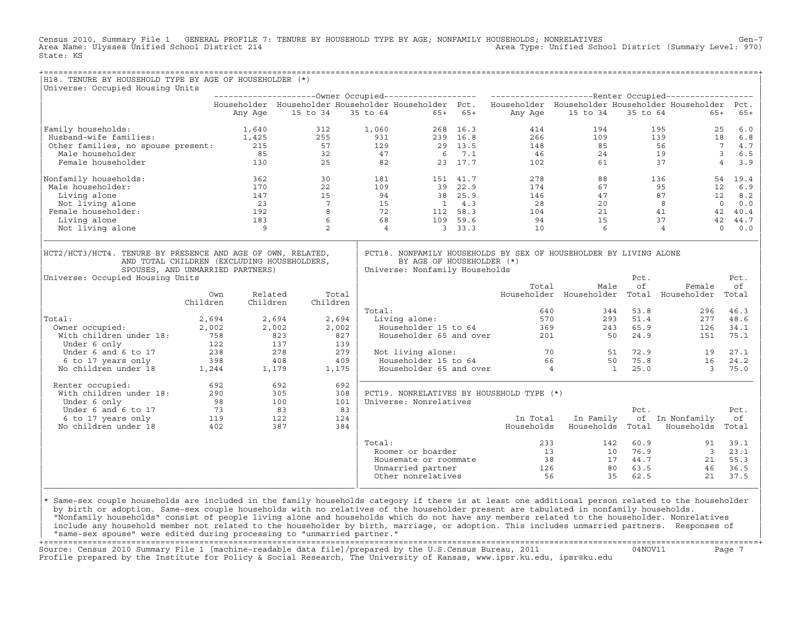Census 2010, Summary File 1 GENERAL PROFILE 7: TENURE BY HOUSEHOLD TYPE BY AGE; NONFAMILY HOUSEHOLDS; NONRELATIVES Gen−7<br>Area Name: Ulysses Unified School District 214 Area Type: Unified School District (Summary Level: 970) State: KS

| H18. TENURE BY HOUSEHOLD TYPE BY AGE OF HOUSEHOLDER (*)                                                                                          |                                                                                       |                                       |                                     |                |                                                                                                      |               |                                                                                                                      |                                                          |                                                  |                             |                                             |
|--------------------------------------------------------------------------------------------------------------------------------------------------|---------------------------------------------------------------------------------------|---------------------------------------|-------------------------------------|----------------|------------------------------------------------------------------------------------------------------|---------------|----------------------------------------------------------------------------------------------------------------------|----------------------------------------------------------|--------------------------------------------------|-----------------------------|---------------------------------------------|
| Universe: Occupied Housing Units                                                                                                                 |                                                                                       |                                       |                                     |                |                                                                                                      |               |                                                                                                                      |                                                          |                                                  |                             |                                             |
|                                                                                                                                                  |                                                                                       |                                       |                                     |                |                                                                                                      |               |                                                                                                                      |                                                          |                                                  |                             |                                             |
|                                                                                                                                                  |                                                                                       | Any Age                               | 15 to 34                            |                | 35 to 64 65+ 65+                                                                                     |               | Householder Householder Householder Householder Pct. Householder Householder Householder Householder Pct.<br>Any Age | 15 to 34                                                 | 35 to 64                                         | $65+$                       | $65+$                                       |
| Family households:                                                                                                                               | $1,640$<br>$1,425$                                                                    |                                       | 312                                 | 1,060          |                                                                                                      | 268 16.3      | 414                                                                                                                  | 194                                                      |                                                  | 195                         | 6.0<br>25                                   |
| Husband-wife families:                                                                                                                           |                                                                                       |                                       | 255                                 | 931            |                                                                                                      | 239 16.8      | 266                                                                                                                  | 109                                                      |                                                  | 139                         | 18<br>6.8                                   |
| Other families, no spouse present: 215                                                                                                           |                                                                                       |                                       | 57                                  | 129            |                                                                                                      | 29 13.5       | 148                                                                                                                  | 85                                                       |                                                  | 56 30                       | $7\overline{ }$<br>4.7                      |
| Male householder                                                                                                                                 |                                                                                       | 85                                    | 32                                  | 47             |                                                                                                      | 6 7.1         | 46                                                                                                                   | 24                                                       |                                                  | 19                          | $\overline{\mathbf{3}}$<br>6.5              |
| Female householder                                                                                                                               |                                                                                       | 130                                   | 25                                  | 82             |                                                                                                      | 23 17.7       | 102                                                                                                                  | 61                                                       |                                                  | 37                          | $\overline{4}$<br>3.9                       |
| Nonfamily households:                                                                                                                            |                                                                                       | 362                                   | 30                                  | 181            |                                                                                                      | 151 41.7      | 278                                                                                                                  | 88                                                       |                                                  | 136                         | 19.4<br>54                                  |
| Male householder:                                                                                                                                |                                                                                       | 170                                   | 22                                  | 109            |                                                                                                      | 39 22.9       | 174                                                                                                                  | 67                                                       |                                                  | 95                          | 12<br>6.9                                   |
| Living alone                                                                                                                                     |                                                                                       | 147                                   | 15                                  | 94             |                                                                                                      | 38 25.9       | 146                                                                                                                  | 47                                                       |                                                  | 87                          | 12<br>8.2                                   |
| Not living alone                                                                                                                                 |                                                                                       | 23                                    | $7^{\circ}$                         | 15             |                                                                                                      | $1 \quad 4.3$ | 28                                                                                                                   | 20                                                       |                                                  | 8                           | $\overline{0}$<br>0.0                       |
| Female householder:                                                                                                                              |                                                                                       | 192                                   | 8                                   | 72             |                                                                                                      | 112 58.3      | 104                                                                                                                  | 21                                                       |                                                  | 41                          | 42<br>40.4                                  |
| Living alone                                                                                                                                     |                                                                                       | 183                                   | 6                                   | 68             |                                                                                                      | 109 59.6      | 94                                                                                                                   | 15                                                       |                                                  | 37                          | 42<br>44.7                                  |
| Not living alone                                                                                                                                 |                                                                                       | $\overline{9}$                        | 2                                   | $\overline{4}$ |                                                                                                      | 3, 33.3       | 10                                                                                                                   | 6                                                        |                                                  | $\overline{4}$              | $\Omega$<br>0.0                             |
| AND TOTAL CHILDREN (EXCLUDING HOUSEHOLDERS,<br>SPOUSES, AND UNMARRIED PARTNERS)<br>Universe: Occupied Housing Units<br>Total:<br>Owner occupied: | Own<br>Children<br>2,694<br>2,002                                                     | Related<br>Children<br>2,694<br>2,002 | Total<br>Children<br>2,694<br>2,002 | Total:         | BY AGE OF HOUSEHOLDER (*)<br>Universe: Nonfamily Households<br>Living alone:<br>Householder 15 to 64 |               | Total<br>640<br>570<br>369                                                                                           | Male<br>Householder Householder Total Householder<br>243 | Pct.<br>of<br>53.8<br>344<br>51.4<br>293<br>65.9 | Female<br>296<br>277<br>126 | Pct.<br>of<br>Total<br>46.3<br>48.6<br>34.1 |
| With children under 18:                                                                                                                          | 758                                                                                   |                                       | 823                                 | 827            | Householder 65 and over                                                                              |               | 201                                                                                                                  |                                                          | 24.9<br>50                                       | 151                         | 75.1                                        |
| Under 6 only                                                                                                                                     |                                                                                       |                                       |                                     | 139            |                                                                                                      |               |                                                                                                                      |                                                          |                                                  |                             |                                             |
| Under 6 and 6 to 17                                                                                                                              |                                                                                       |                                       |                                     | 279            | Not living alone:                                                                                    |               |                                                                                                                      | 70 — 20                                                  | 51 72.9                                          | 19                          | 27.1                                        |
| 6 to 17 years only                                                                                                                               |                                                                                       |                                       |                                     | 409            | Householder 15 to 64                                                                                 |               |                                                                                                                      |                                                          | 75.8<br>50                                       | 16                          | 24.2                                        |
| No children under 18                                                                                                                             | $\begin{array}{ccc} 122 & 222 \\ 137 & 238 \\ 398 & 408 \\ 1,244 & 1,179 \end{array}$ |                                       | 1,175                               |                | Householder 65 and over                                                                              |               | $\frac{1}{4}$                                                                                                        |                                                          | 25.0<br>$\mathbf{1}$                             | $\overline{3}$              | 75.0                                        |
| Renter occupied:                                                                                                                                 | 692                                                                                   |                                       | 692                                 | 692            |                                                                                                      |               |                                                                                                                      |                                                          |                                                  |                             |                                             |
| With children under 18:                                                                                                                          | 290                                                                                   |                                       | 305                                 | 308            |                                                                                                      |               | PCT19. NONRELATIVES BY HOUSEHOLD TYPE (*)                                                                            |                                                          |                                                  |                             |                                             |
| Under 6 only                                                                                                                                     | 98                                                                                    |                                       | 100                                 | 101            | Universe: Nonrelatives                                                                               |               |                                                                                                                      |                                                          |                                                  |                             |                                             |
| Under 6 and 6 to 17                                                                                                                              | 73                                                                                    | 83                                    |                                     | 83             |                                                                                                      |               |                                                                                                                      |                                                          | Pct.                                             |                             | Pct.                                        |
| 6 to 17 years only                                                                                                                               | $\frac{119}{402}$                                                                     |                                       | 122                                 | 124            |                                                                                                      |               | In Total                                                                                                             | In Family                                                |                                                  | of In Nonfamily             | оf                                          |
| No children under 18                                                                                                                             |                                                                                       |                                       | 387                                 | 384            |                                                                                                      |               | Households                                                                                                           | Households                                               | Total                                            | Households                  | Total                                       |
|                                                                                                                                                  |                                                                                       |                                       |                                     | Total:         |                                                                                                      |               | 233                                                                                                                  | 142                                                      | 60.9                                             | 91                          | 39.1                                        |
|                                                                                                                                                  |                                                                                       |                                       |                                     |                | Roomer or boarder                                                                                    |               | 13                                                                                                                   | 10                                                       | 76.9                                             | $\overline{\mathbf{3}}$     | 23.1                                        |
|                                                                                                                                                  |                                                                                       |                                       |                                     |                | Housemate or roommate                                                                                |               | 38                                                                                                                   | 17                                                       | 44.7                                             | 21                          | 55.3                                        |
|                                                                                                                                                  |                                                                                       |                                       |                                     |                | Unmarried partner                                                                                    |               | 126                                                                                                                  | 80                                                       | 63.5                                             | 46                          | 36.5                                        |

design to the control of the control of the control of the control of the control of the control of the control of the control of the control of the control of the control of the control of the control of the control of th |\* Same−sex couple households are included in the family households category if there is at least one additional person related to the householder | | by birth or adoption. Same−sex couple households with no relatives of the householder present are tabulated in nonfamily households. | | "Nonfamily households" consist of people living alone and households which do not have any members related to the householder. Nonrelatives | include any household member not related to the householder by birth, marriage, or adoption. This includes unmarried partners. Responses of | "same−sex spouse" were edited during processing to "unmarried partner." |

 $\vert$  Other nonrelatives  $\vert$  56  $\vert$  35 62.5  $\vert$  21 37.5  $\vert$ |\_\_\_\_\_\_\_\_\_\_\_\_\_\_\_\_\_\_\_\_\_\_\_\_\_\_\_\_\_\_\_\_\_\_\_\_\_\_\_\_\_\_\_\_\_\_\_\_\_\_\_\_\_\_\_\_\_\_\_\_\_\_\_\_|\_\_\_\_\_\_\_\_\_\_\_\_\_\_\_\_\_\_\_\_\_\_\_\_\_\_\_\_\_\_\_\_\_\_\_\_\_\_\_\_\_\_\_\_\_\_\_\_\_\_\_\_\_\_\_\_\_\_\_\_\_\_\_\_\_\_\_\_\_\_\_\_\_\_\_\_\_\_\_\_\_\_|

+===================================================================================================================================================+ Source: Census 2010 Summary File 1 [machine−readable data file]/prepared by the U.S.Census Bureau, 2011 04NOV11 Page 7 Profile prepared by the Institute for Policy & Social Research, The University of Kansas, www.ipsr.ku.edu, ipsr@ku.edu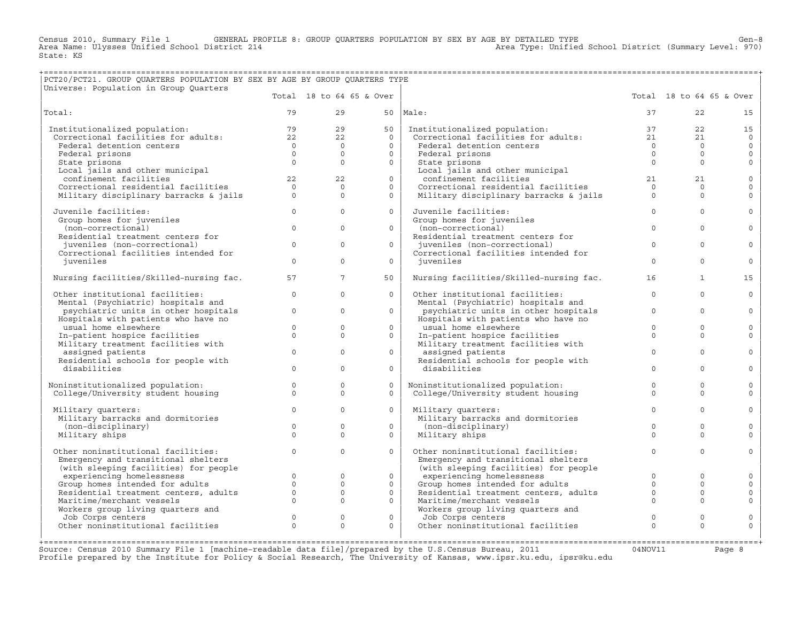Census 2010, Summary File 1 GENERAL PROFILE 8: GROUP QUARTERS POPULATION BY SEX BY AGE BY DETAILED TYPE Gen−8<br>Area Name: Ulysses Unified School District 214 Area Type: Unified School District (Summary Level: 970) Area Type: Unified School District (Summary Level: 970) State: KS

## +===================================================================================================================================================+ |PCT20/PCT21. GROUP QUARTERS POPULATION BY SEX BY AGE BY GROUP QUARTERS TYPE |

| Universe: Population in Group Quarters                  |                     |                |                          |                                                                                                       |                |                          |                         |
|---------------------------------------------------------|---------------------|----------------|--------------------------|-------------------------------------------------------------------------------------------------------|----------------|--------------------------|-------------------------|
|                                                         |                     |                | Total 18 to 64 65 & Over |                                                                                                       |                | Total 18 to 64 65 & Over |                         |
| Total:                                                  | 79                  | 29             | 50                       | Male:                                                                                                 | 37             | 22                       | 15                      |
| Institutionalized population:                           | 79                  | 29             | 50                       | Institutionalized population:<br>Institutionalized population:<br>Correctional facilities for adults: | 37             | 22                       | 15                      |
| Correctional facilities for adults:                     | 22                  | 2.2            | $\Omega$                 |                                                                                                       | 21             | 21                       | $\Omega$                |
| Federal detention centers                               | $\overline{0}$      | $\overline{0}$ | $\Omega$                 | Federal detention centers                                                                             | $\overline{0}$ | $\Omega$                 | $\mathsf{O}$            |
| Federal prisons                                         | $\circ$             | $\Omega$       | $\Omega$                 | Federal prisons                                                                                       | $\Omega$       | $\Omega$                 | $\mathbf{0}$            |
| State prisons                                           | $\Omega$            | $\Omega$       | $\Omega$                 | State prisons                                                                                         | $\Omega$       | $\Omega$                 | $\mathbf{0}$            |
| Local jails and other municipal                         |                     |                |                          | Local jails and other municipal                                                                       |                |                          |                         |
| confinement facilities                                  | 22                  | 22             | $\circ$                  | confinement facilities                                                                                | 21             | 21                       | $\mathsf{O}$            |
| Correctional residential facilities                     | $\Omega$            | $\Omega$       | $\Omega$                 | Correctional residential facilities                                                                   | $\Omega$       | $\Omega$                 | $\mathbf 0$             |
| Military disciplinary barracks & jails                  | $\Omega$            | $\Omega$       | $\Omega$                 | Military disciplinary barracks & jails                                                                | $\Omega$       | $\Omega$                 | $\Omega$                |
| Juvenile facilities:                                    | $\Omega$            | $\Omega$       | $\Omega$                 | Juvenile facilities:                                                                                  | $\Omega$       | $\Omega$                 | $\Omega$                |
| Group homes for juveniles                               |                     |                |                          | Group homes for juveniles                                                                             |                |                          |                         |
| (non-correctional)                                      | $\mathbf{0}$        | $\mathbf 0$    | $\circ$                  | (non-correctional)                                                                                    | $\mathbf{0}$   | $\Omega$                 | $\circ$                 |
| Residential treatment centers for                       |                     |                |                          | Residential treatment centers for                                                                     |                |                          |                         |
| juveniles (non-correctional)                            | $\Omega$            | $\Omega$       | $\Omega$                 | juveniles (non-correctional)                                                                          | $\Omega$       | $\Omega$                 | $\Omega$                |
| Correctional facilities intended for                    |                     |                |                          | Correctional facilities intended for                                                                  |                |                          |                         |
| juveniles                                               | $\Omega$            | $\Omega$       | $\Omega$                 | iuveniles                                                                                             | $\Omega$       | $\Omega$                 | $\mathbf 0$             |
| Nursing facilities/Skilled-nursing fac.                 | 57                  | $7^{\circ}$    | 50                       | Nursing facilities/Skilled-nursing fac.                                                               | 16             | $\mathbf{1}$             | 15                      |
| Other institutional facilities:                         | $\circ$             | $\Omega$       | $\Omega$                 | Other institutional facilities:                                                                       | $\circ$        | $\Omega$                 | $\mathbf 0$             |
| Mental (Psychiatric) hospitals and                      |                     |                |                          | Mental (Psychiatric) hospitals and                                                                    |                |                          |                         |
| psychiatric units in other hospitals                    | $\circ$             | $\Omega$       | $\Omega$                 | psychiatric units in other hospitals                                                                  | $\Omega$       | $\Omega$                 | $\Omega$                |
| Hospitals with patients who have no                     |                     | $\mathbf 0$    | $\Omega$                 | Hospitals with patients who have no                                                                   | $\Omega$       | $\Omega$                 |                         |
| usual home elsewhere                                    | $\circ$<br>$\Omega$ | $\Omega$       | $\Omega$                 | usual home elsewhere                                                                                  | $\Omega$       | $\Omega$                 | $\mathbf 0$<br>$\Omega$ |
| In-patient hospice facilities                           |                     |                |                          | In-patient hospice facilities                                                                         |                |                          |                         |
| Military treatment facilities with<br>assigned patients | $\Omega$            | $\mathbf 0$    | $\Omega$                 | Military treatment facilities with<br>assigned patients                                               | $\Omega$       | $\Omega$                 | $\circ$                 |
| Residential schools for people with                     |                     |                |                          | Residential schools for people with                                                                   |                |                          |                         |
| disabilities                                            | $\Omega$            | $\Omega$       | $\Omega$                 | disabilities                                                                                          | $\Omega$       | $\Omega$                 | $\Omega$                |
|                                                         |                     |                |                          |                                                                                                       |                |                          |                         |
| Noninstitutionalized population:                        | $\circ$             | $\mathbf{0}$   | $\Omega$                 | Noninstitutionalized population:                                                                      | $\Omega$       | $\Omega$                 | $\mathbf 0$             |
| College/University student housing                      | $\Omega$            | $\Omega$       | $\Omega$                 | College/University student housing                                                                    | $\Omega$       | $\Omega$                 | $\Omega$                |
| Military quarters:                                      | $\Omega$            | $\Omega$       | $\Omega$                 | Military quarters:                                                                                    | $\Omega$       | $\Omega$                 | $\mathbf 0$             |
| Military barracks and dormitories                       |                     |                |                          | Military barracks and dormitories                                                                     |                |                          |                         |
| (non-disciplinary)                                      | $\Omega$            | $\Omega$       | $\Omega$                 | (non-disciplinary)                                                                                    | $\Omega$       | $\Omega$                 | $\Omega$                |
| Military ships                                          | $\Omega$            | $\Omega$       | $\Omega$                 | Military ships                                                                                        | $\Omega$       | $\Omega$                 | $\Omega$                |
| Other noninstitutional facilities:                      | $\Omega$            | $\Omega$       | $\Omega$                 | Other noninstitutional facilities:                                                                    | $\Omega$       | $\Omega$                 | $\mathbf 0$             |
| Emergency and transitional shelters                     |                     |                |                          | Emergency and transitional shelters                                                                   |                |                          |                         |
| (with sleeping facilities) for people                   |                     |                |                          | (with sleeping facilities) for people                                                                 |                |                          |                         |
| experiencing homelessness                               | $\Omega$            | $\mathbf 0$    | $\circ$                  | experiencing homelessness                                                                             | $\Omega$       | $\Omega$                 | $\mathbf 0$             |
| Group homes intended for adults                         | $\Omega$            | $\Omega$       | $\Omega$                 | Group homes intended for adults                                                                       | $\Omega$       | $\Omega$                 | $\Omega$                |
| Residential treatment centers, adults                   | $\circ$             | $\mathbf{0}$   | $\circ$                  | Residential treatment centers, adults                                                                 | $\mathbf 0$    | $\mathbf 0$              | 0                       |
| Maritime/merchant vessels                               | $\Omega$            | $\Omega$       | $\Omega$                 | Maritime/merchant vessels                                                                             | $\Omega$       | $\Omega$                 | $\mathbf 0$             |
| Workers group living quarters and                       |                     |                |                          | Workers group living quarters and                                                                     |                |                          |                         |
| Job Corps centers                                       | $\mathbf 0$         | $\mathbb O$    | $\circ$                  | Job Corps centers                                                                                     | $\mathbf 0$    | $\circ$                  | $\mathsf{O}$            |
| Other noninstitutional facilities                       | $\Omega$            | $\Omega$       | $\Omega$                 | Other noninstitutional facilities                                                                     | $\Omega$       | $\Omega$                 | $\mathbf 0$             |
|                                                         |                     |                |                          |                                                                                                       |                |                          |                         |

Source: Census 2010 Summary File 1 [machine-readable data file]/prepared by the U.S.Census Bureau, 2011 Page 8<br>Profile prepared by the Institute for Policy & Social Research, The University of Kansas, www.ip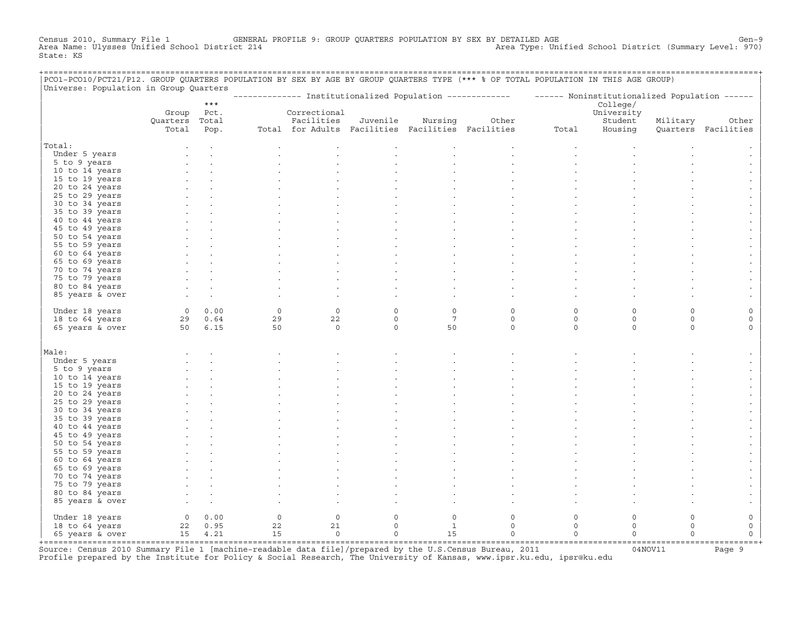Census 2010, Summary File 1 GENERAL PROFILE 9: GROUP QUARTERS POPULATION BY SEX BY DETAILED AGE GENOOL District (Summary Level: 970)<br>Area Name: Ulysses Unified School District 214 Area Type: Unified School District (Summary Level: 970) State: KS

| PCO1-PCO10/PCT21/P12. GROUP QUARTERS POPULATION BY SEX BY AGE BY GROUP QUARTERS TYPE (*** % OF TOTAL POPULATION IN THIS AGE GROUP)<br>Universe: Population in Group Quarters |                |             |         |                |             |                                                   |                                                                                                           |          |            |          |                     |
|------------------------------------------------------------------------------------------------------------------------------------------------------------------------------|----------------|-------------|---------|----------------|-------------|---------------------------------------------------|-----------------------------------------------------------------------------------------------------------|----------|------------|----------|---------------------|
|                                                                                                                                                                              |                |             |         |                |             |                                                   | -------------- Institutionalized Population ------------- - ------ Noninstitutionalized Population ------ |          |            |          |                     |
|                                                                                                                                                                              |                | $***$       |         |                |             |                                                   |                                                                                                           |          | College/   |          |                     |
|                                                                                                                                                                              | Group          | Pct.        |         | Correctional   |             |                                                   |                                                                                                           |          | University |          |                     |
|                                                                                                                                                                              | Quarters Total |             |         | Facilities     | Juvenile    | Nursing                                           | Other                                                                                                     |          | Student    | Military | Other               |
|                                                                                                                                                                              | Total          | Pop.        |         |                |             | Total for Adults Facilities Facilities Facilities |                                                                                                           | Total    | Housing    |          | Quarters Facilities |
| Total:                                                                                                                                                                       |                |             |         |                |             |                                                   |                                                                                                           |          |            |          |                     |
| Under 5 years                                                                                                                                                                |                |             |         |                |             |                                                   |                                                                                                           |          |            |          |                     |
| 5 to 9 years                                                                                                                                                                 |                |             |         |                |             |                                                   |                                                                                                           |          |            |          |                     |
| 10 to 14 years                                                                                                                                                               |                |             |         |                |             |                                                   |                                                                                                           |          |            |          |                     |
| 15 to 19 years                                                                                                                                                               |                |             |         |                |             |                                                   |                                                                                                           |          |            |          |                     |
| 20 to 24 years                                                                                                                                                               |                |             |         |                |             |                                                   |                                                                                                           |          |            |          |                     |
| 25 to 29 years                                                                                                                                                               |                |             |         |                |             |                                                   |                                                                                                           |          |            |          |                     |
| 30 to 34 years                                                                                                                                                               |                |             |         |                |             |                                                   |                                                                                                           |          |            |          |                     |
| 35 to 39 years                                                                                                                                                               |                |             |         |                |             |                                                   |                                                                                                           |          |            |          |                     |
| 40 to 44 years                                                                                                                                                               |                |             |         |                |             |                                                   |                                                                                                           |          |            |          |                     |
| 45 to 49 years                                                                                                                                                               |                |             |         |                |             |                                                   |                                                                                                           |          |            |          |                     |
| 50 to 54 years                                                                                                                                                               |                |             |         |                |             |                                                   |                                                                                                           |          |            |          |                     |
| 55 to 59 years                                                                                                                                                               |                |             |         |                |             |                                                   |                                                                                                           |          |            |          |                     |
| 60 to 64 years                                                                                                                                                               |                |             |         |                |             |                                                   |                                                                                                           |          |            |          |                     |
| 65 to 69 years                                                                                                                                                               |                |             |         |                |             |                                                   |                                                                                                           |          |            |          |                     |
| 70 to 74 years<br>75 to 79 years                                                                                                                                             |                |             |         |                |             |                                                   |                                                                                                           |          |            |          |                     |
| 80 to 84 years                                                                                                                                                               |                |             |         |                |             |                                                   |                                                                                                           |          |            |          |                     |
| 85 years & over                                                                                                                                                              |                |             |         |                |             |                                                   |                                                                                                           |          |            |          |                     |
|                                                                                                                                                                              |                |             |         |                |             |                                                   |                                                                                                           |          |            |          |                     |
| Under 18 years                                                                                                                                                               |                | 0 0.00      | $\circ$ | $\mathbf 0$    | $\circ$     | $\circ$                                           | $\circ$                                                                                                   | $\Omega$ | $\Omega$   | $\Omega$ |                     |
| 18 to 64 years                                                                                                                                                               |                | 29 0.64     | 29      | 22             | $\circ$     | $7\phantom{.0}$                                   | $\circ$                                                                                                   | $\circ$  | $\circ$    | $\circ$  | 0                   |
| 65 years & over                                                                                                                                                              | 50 6.15        |             | 50      | $\mathbb O$    | $\mathbf 0$ | 50                                                | $\circ$                                                                                                   | $\circ$  | $\circ$    | $\Omega$ | $\Omega$            |
|                                                                                                                                                                              |                |             |         |                |             |                                                   |                                                                                                           |          |            |          |                     |
| Male:                                                                                                                                                                        |                |             |         |                |             |                                                   |                                                                                                           |          |            |          |                     |
| Under 5 years                                                                                                                                                                |                |             |         |                |             |                                                   |                                                                                                           |          |            |          |                     |
| 5 to 9 years                                                                                                                                                                 |                |             |         |                |             |                                                   |                                                                                                           |          |            |          |                     |
| 10 to 14 years                                                                                                                                                               |                |             |         |                |             |                                                   |                                                                                                           |          |            |          |                     |
| 15 to 19 years                                                                                                                                                               |                |             |         |                |             |                                                   |                                                                                                           |          |            |          |                     |
| 20 to 24 years                                                                                                                                                               |                |             |         |                |             |                                                   |                                                                                                           |          |            |          |                     |
| 25 to 29 years                                                                                                                                                               |                |             |         |                |             |                                                   |                                                                                                           |          |            |          |                     |
| 30 to 34 years                                                                                                                                                               |                |             |         |                |             |                                                   |                                                                                                           |          |            |          |                     |
| 35 to 39 years<br>40 to 44 years                                                                                                                                             |                |             |         |                |             |                                                   |                                                                                                           |          |            |          |                     |
| 45 to 49 years                                                                                                                                                               |                |             |         |                |             |                                                   |                                                                                                           |          |            |          |                     |
| 50 to 54 years                                                                                                                                                               |                |             |         |                |             |                                                   |                                                                                                           |          |            |          |                     |
| 55 to 59 years                                                                                                                                                               |                |             |         |                |             |                                                   |                                                                                                           |          |            |          |                     |
| 60 to 64 years                                                                                                                                                               |                |             |         |                |             |                                                   |                                                                                                           |          |            |          |                     |
| 65 to 69 years                                                                                                                                                               |                |             |         |                |             |                                                   |                                                                                                           |          |            |          |                     |
| 70 to 74 years                                                                                                                                                               |                |             |         |                |             |                                                   |                                                                                                           |          |            |          |                     |
| 75 to 79 years                                                                                                                                                               |                |             |         |                |             |                                                   |                                                                                                           |          |            |          |                     |
| 80 to 84 years                                                                                                                                                               |                |             |         |                |             |                                                   |                                                                                                           |          |            |          |                     |
| 85 years & over                                                                                                                                                              |                |             |         |                |             |                                                   |                                                                                                           |          |            |          |                     |
| Under 18 years                                                                                                                                                               |                | $0 \t 0.00$ | $\circ$ | $\circ$        | $\circ$     | $\circ$                                           | $\circ$                                                                                                   | $\Omega$ | $\Omega$   | $\Omega$ | 0                   |
| 18 to 64 years                                                                                                                                                               |                | 22 0.95     | 22      | 21             | $\circ$     | <sup>1</sup>                                      | $\circ$                                                                                                   | $\circ$  | $\circ$    | $\Omega$ | 0                   |
| 65 years & over                                                                                                                                                              |                | 15 4.21     | 15      | $\overline{0}$ | $\circ$     | 15                                                | $\mathbf 0$                                                                                               | $\Omega$ | $\Omega$   | $\Omega$ | $\Omega$            |
|                                                                                                                                                                              |                |             |         |                |             |                                                   |                                                                                                           |          |            |          |                     |

+===================================================================================================================================================+Source: Census 2010 Summary File 1 [machine−readable data file]/prepared by the U.S.Census Bureau, 2011 04NOV11 Page 9 Profile prepared by the Institute for Policy & Social Research, The University of Kansas, www.ipsr.ku.edu, ipsr@ku.edu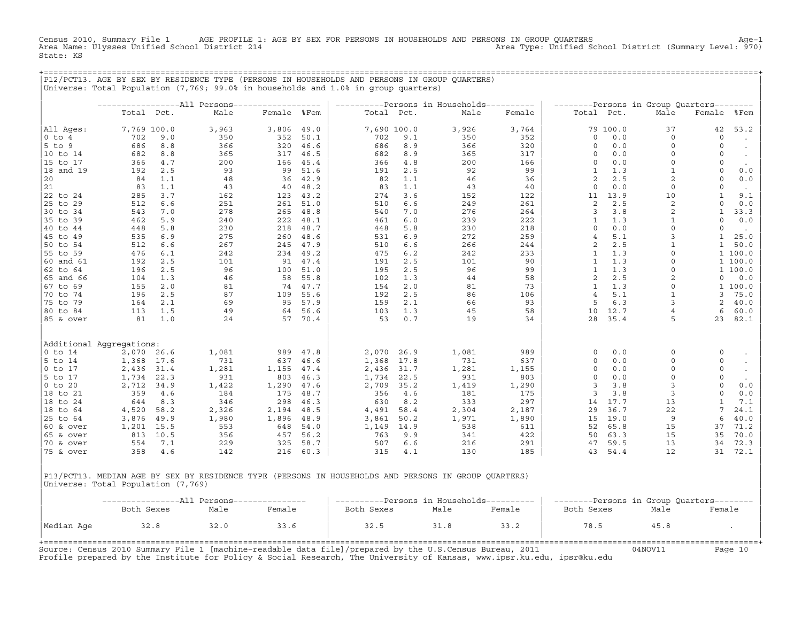Census 2010, Summary File 1 AGE PROFILE 1: AGE BY SEX FOR PERSONS IN HOUSEHOLDS AND PERSONS IN GROUP QUARTERS<br>Area Name: Ulysses Unified School District 214 Area Type: Unified School District (Summary Level:  $970$ ) State: KS

+===================================================================================================================================================+

|P12/PCT13. AGE BY SEX BY RESIDENCE TYPE (PERSONS IN HOUSEHOLDS AND PERSONS IN GROUP QUARTERS) | |Universe: Total Population (7,769; 99.0% in households and 1.0% in group quarters) | | | | −−−−−−−−−−−−−−−−−All Persons−−−−−−−−−−−−−−−−−− | −−−−−−−−−−Persons in Households−−−−−−−−−− | −−−−−−−−Persons in Group Quarters−−−−−−−− | | Total Pct. Male Female %Fem | Total Pct. Male Female | Total Pct. Male Female %Fem | | | | | |All Ages: 7,769 100.0 3,963 3,806 49.0 | 7,690 100.0 3,926 3,764 | 79 100.0 37 42 53.2 | |0 to 4 702 9.0 350 352 50.1 | 702 9.1 350 352 | 0 0.0 0 0 . | |5 to 9 686 8.8 366 320 46.6 | 686 8.9 366 320 | 0 0.0 0 0 . | |10 to 14 682 8.8 365 317 46.5 | 682 8.9 365 317 | 0 0.0 0 0 . | |15 to 17 366 4.7 200 166 45.4 | 366 4.8 200 166 | 0 0.0 0 0 . | |18 and 19 192 2.5 93 99 51.6 | 191 2.5 92 99 | 1 1.3 1 0 0.0 | |20 84 1.1 48 36 42.9 | 82 1.1 46 36 | 2 2.5 2 0 0.0 | |21 83 1.1 43 40 48.2 | 83 1.1 43 40 | 0 0.0 0 0 . | |22 to 24 285 3.7 162 123 43.2 | 274 3.6 152 122 | 11 13.9 10 1 9.1 | |25 to 29 512 6.6 251 261 51.0 | 510 6.6 249 261 | 2 2.5 2 0 0.0 | |30 to 34 543 7.0 278 265 48.8 | 540 7.0 276 264 | 3 3.8 2 1 33.3 | |35 to 39 462 5.9 240 222 48.1 | 461 6.0 239 222 | 1 1.3 1 0 0.0 | |40 to 44 448 5.8 230 218 48.7 | 448 5.8 230 218 | 0 0.0 0 0 . | |45 to 49 535 6.9 275 260 48.6 | 531 6.9 272 259 | 4 5.1 3 1 25.0 | |50 to 54 512 6.6 267 245 47.9 | 510 6.6 266 244 | 2 2.5 1 1 50.0 | |55 to 59 476 6.1 242 234 49.2 | 475 6.2 242 233 | 1 1.3 0 1 100.0 | |60 and 61 192 2.5 101 91 47.4 | 191 2.5 101 90 | 1 1.3 0 1 100.0 | |62 to 64 196 2.5 96 100 51.0 | 195 2.5 96 99 | 1 1.3 0 1 100.0 | |65 and 66 104 1.3 46 58 55.8 | 102 1.3 44 58 | 2 2.5 2 0 0.0 | |67 to 69 155 2.0 81 74 47.7 | 154 2.0 81 73 | 1 1.3 0 1 100.0 | |70 to 74 196 2.5 87 109 55.6 | 192 2.5 86 106 | 4 5.1 1 3 75.0 | |75 to 79 164 2.1 69 95 57.9 | 159 2.1 66 93 | 5 6.3 3 2 40.0 | |80 to 84 113 1.5 49 64 56.6 | 103 1.3 45 58 | 10 12.7 4 6 60.0 | |85 & over 81 1.0 24 57 70.4 | 53 0.7 19 34 | 28 35.4 5 23 82.1 | | | | | | | | | |Additional Aggregations: | | | |0 to 14 2,070 26.6 1,081 989 47.8 | 2,070 26.9 1,081 989 | 0 0.0 0 0 . | |5 to 14 1,368 17.6 731 637 46.6 | 1,368 17.8 731 637 | 0 0.0 0 0 . | |0 to 17 2,436 31.4 1,281 1,155 47.4 | 2,436 31.7 1,281 1,155 | 0 0.0 0 0 . | |5 to 17 1,734 22.3 931 803 46.3 | 1,734 22.5 931 803 | 0 0.0 0 0 . | |0 to 20 2,712 34.9 1,422 1,290 47.6 | 2,709 35.2 1,419 1,290 | 3 3.8 3 0 0.0 | |18 to 21 359 4.6 184 175 48.7 | 356 4.6 181 175 | 3 3.8 3 0 0.0 | |18 to 24  $\begin{array}{cccccccc} 644 & 8.3 & 346 & 298 & 46.3 & | & 630 & 8.2 & 333 & 297 & | & 14 & 17.7 & 13 & 1 & 7.1 \end{array}$ |18 to 64 4,520 58.2 2,326 2,194 48.5 | 4,491 58.4 2,304 2,187 | 29 36.7 22 7 24.1 | |25 to 64 3,876 49.9 1,980 1,896 48.9 | 3,861 50.2 1,971 1,890 | 15 19.0 9 6 40.0 | |60 & over 1,201 15.5 553 648 54.0 | 1,149 14.9 538 611 | 52 65.8 15 37 71.2 | |65 & over 813 10.5 356 457 56.2 | 763 9.9 341 422 | 50 63.3 15 35 70.0 | |70 & over 554 7.1 229 325 58.7 | 507 6.6 216 291 | 47 59.5 13 34 72.3 | |75 & over 358 4.6 142 216 60.3 | 315 4.1 130 185 | 43 54.4 12 31 72.1 | | | | |

|P13/PCT13. MEDIAN AGE BY SEX BY RESIDENCE TYPE (PERSONS IN HOUSEHOLDS AND PERSONS IN GROUP QUARTERS) | Universe: Total Population (7,769)

|            | -----------------All Persons---------------- |      |        | ----------Persons in Households---------- |      |        | 1 --------Persons in Group Quarters-------- ' |      |        |
|------------|----------------------------------------------|------|--------|-------------------------------------------|------|--------|-----------------------------------------------|------|--------|
|            | Both Sexes                                   | Male | Female | Both Sexes                                | Male | Female | Both Sexes                                    | Male | Female |
| Median Age | 32.8                                         | 32.0 | 33.6   | 32.5                                      | 31.8 | 33.2   | 78.5                                          | 45.8 |        |

+===================================================================================================================================================+Source: Census 2010 Summary File 1 [machine−readable data file]/prepared by the U.S.Census Bureau, 2011 04NOV11 Page 10 Profile prepared by the Institute for Policy & Social Research, The University of Kansas, www.ipsr.ku.edu, ipsr@ku.edu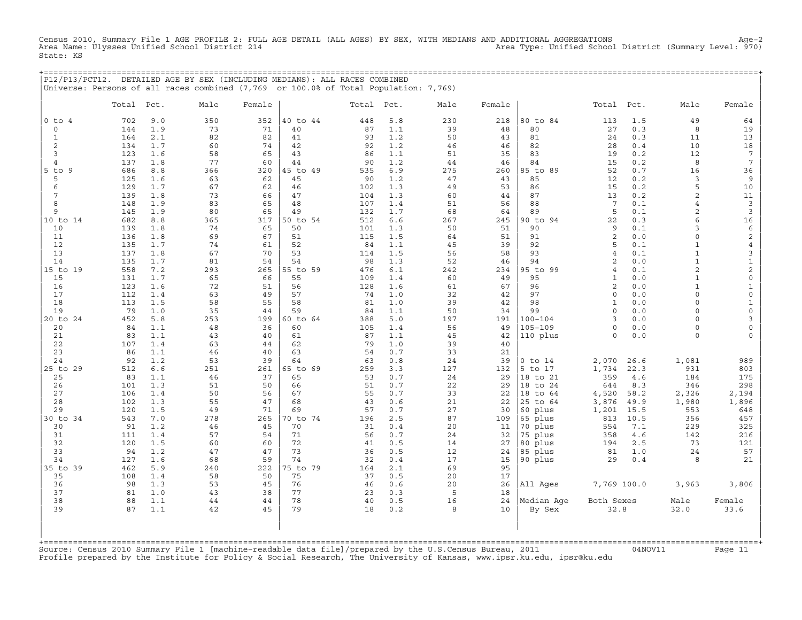Census 2010, Summary File 1 AGE PROFILE 2: FULL AGE DETAIL (ALL AGES) BY SEX, WITH MEDIANS AND ADDITIONAL AGGREGATIONS Age−2 Area Type: Unified School District (Summary Level: 970) State: KS

+===================================================================================================================================================+

|               |       |      | P12/P13/PCT12. DETAILED AGE BY SEX (INCLUDING MEDIANS): ALL RACES COMBINED<br>Universe: Persons of all races combined (7,769 or 100.0% of Total Population: 7,769) |        |          |            |     |              |        |             |                         |      |                |                         |
|---------------|-------|------|--------------------------------------------------------------------------------------------------------------------------------------------------------------------|--------|----------|------------|-----|--------------|--------|-------------|-------------------------|------|----------------|-------------------------|
|               | Total | Pct. | Male                                                                                                                                                               | Female |          | Total Pct. |     | Male         | Female |             | Total                   | Pct. | Male           | Female                  |
| $0$ to $4$    | 702   | 9.0  | 350                                                                                                                                                                | 352    | 40 to 44 | 448        | 5.8 | 230          | 218    | 80 to 84    | 113                     | 1.5  | 49             | 64                      |
| $\Omega$      | 144   | 1.9  | 73                                                                                                                                                                 | 71     | 40       | 87         | 1.1 | 39           | 48     | 80          | 27                      | 0.3  | 8              | 19                      |
| 1             | 164   | 2.1  | 82                                                                                                                                                                 | 82     | 41       | 93         | 1.2 | 50           | 43     | 81          | 24                      | 0.3  | 11             | 13                      |
| $\mathbf{2}$  | 134   | 1.7  | 60                                                                                                                                                                 | 74     | 42       | 92         | 1.2 | 46           | 46     | 82          | 28                      | 0.4  | 10             | 18                      |
| 3             | 123   | 1.6  | 58                                                                                                                                                                 | 65     | 43       | 86         | 1.1 | 51           | 35     | 83          | 19                      | 0.2  | 12             | $7\phantom{.0}$         |
| 4             | 137   | 1.8  | 77                                                                                                                                                                 | 60     | 44       | 90         | 1.2 | 44           | 46     | 84          | 15                      | 0.2  | 8              | $7\phantom{.0}$         |
| $5$ to $9$    | 686   | 8.8  | 366                                                                                                                                                                | 320    | 45 to 49 | 535        | 6.9 | 275          | 260    | 85 to 89    | 52                      | 0.7  | 16             | 36                      |
| 5             | 125   | 1.6  | 63                                                                                                                                                                 | 62     | 45       | 90         | 1.2 | 47           | 43     | 85          | 12                      | 0.2  | 3              | 9                       |
| 6             | 129   | 1.7  | 67                                                                                                                                                                 | 62     | 46       | 102        | 1.3 | 49           | 53     | 86          | 15                      | 0.2  | 5              | 10                      |
|               | 139   | 1.8  | 73                                                                                                                                                                 | 66     | 47       | 104        | 1.3 | 60           | 44     | 87          | 13                      | 0.2  | $\overline{a}$ | 11                      |
| 8             | 148   | 1.9  | 83                                                                                                                                                                 | 65     | 48       | 107        | 1.4 | 51           | 56     | 88          | $7\phantom{.0}$         | 0.1  | $\overline{4}$ | $\overline{3}$          |
| 9             | 145   | 1.9  | 80                                                                                                                                                                 | 65     | 49       | 132        | 1.7 | 68           | 64     | 89          | 5                       | 0.1  | 2              | 3                       |
| 10 to 14      | 682   | 8.8  | 365                                                                                                                                                                | 317    | 50 to 54 | 512        | 6.6 | 267          | 245    | 90 to 94    | 22                      | 0.3  | 6              | 16                      |
| 10            | 139   | 1.8  | 74                                                                                                                                                                 | 65     | 50       | 101        | 1.3 | 50           | 51     | 90          | 9                       | 0.1  | 3              | 6                       |
| 11            | 136   | 1.8  | 69                                                                                                                                                                 | 67     | 51       | 115        | 1.5 | 64           | 51     | 91          | $\overline{\mathbf{c}}$ | 0.0  | $\Omega$       | 2                       |
| 12            | 135   | 1.7  | 74                                                                                                                                                                 | 61     | 52       | 84         | 1.1 | 45           | 39     | 92          | 5                       | 0.1  | $\mathbf{1}$   | 4                       |
| 13            | 137   | 1.8  | 67                                                                                                                                                                 | 70     | 53       | 114        | 1.5 | 56           | 58     | 93          | $\overline{4}$          | 0.1  | $\mathbf{1}$   | 3                       |
| 14            | 135   | 1.7  | 81                                                                                                                                                                 | 54     | 54       | 98         | 1.3 | 52           | 46     | 94          | $\overline{c}$          | 0.0  | $\mathbf{1}$   | $1\,$                   |
| 15 to 19      | 558   | 7.2  | 293                                                                                                                                                                | 265    | 55 to 59 | 476        | 6.1 | 242          | 234    | 95 to 99    | $\overline{4}$          | 0.1  | $\overline{2}$ | $\overline{\mathbf{c}}$ |
| 15            | 131   | 1.7  | 65                                                                                                                                                                 | 66     | 55       | 109        | 1.4 | 60           | 49     | 95          | $\mathbf{1}$            | 0.0  | $\mathbf{1}$   | 0                       |
| 16            | 123   | 1.6  | 72                                                                                                                                                                 | 51     | 56       | 128        | 1.6 | 61           | 67     | 96          | $\overline{c}$          | 0.0  | $\mathbf{1}$   | $1\,$                   |
| 17            | 112   | 1.4  | 63                                                                                                                                                                 | 49     | 57       | 74         | 1.0 | 32           | 42     | 97          | $\circ$                 | 0.0  | $\circ$        | $\mathsf O$             |
| 18            | 113   | 1.5  | 58                                                                                                                                                                 | 55     | 58       | 81         | 1.0 | 39           | 42     | 98          | $\mathbf{1}$            | 0.0  | $\circ$        | $\mathbf{1}$            |
| 19            | 79    | 1.0  | 35                                                                                                                                                                 | 44     | 59       | 84         | 1.1 | 50           | 34     | 99          | $\Omega$                | 0.0  | $\Omega$       | 0                       |
| 20 to 24      | 452   | 5.8  | 253                                                                                                                                                                | 199    | 60 to 64 | 388        | 5.0 | 197          | 191    | $100 - 104$ | 3                       | 0.0  | $\Omega$       | 3                       |
| 20            | 84    | 1.1  | 48                                                                                                                                                                 | 36     | 60       | 105        | 1.4 | 56           | 49     | $105 - 109$ | $\Omega$                | 0.0  | 0              | 0                       |
| 21            | 83    | 1.1  | 43                                                                                                                                                                 | 40     | 61       | 87         | 1.1 | 45           | 42     | 110 plus    | $\Omega$                | 0.0  | $\Omega$       | $\Omega$                |
| 22            | 107   | 1.4  | 63                                                                                                                                                                 | 44     | 62       | 79         | 1.0 | 39           | 40     |             |                         |      |                |                         |
| 23            | 86    | 1.1  | 46                                                                                                                                                                 | 40     | 63       | 54         | 0.7 | 33           | 21     |             |                         |      |                |                         |
| 24            | 92    | 1.2  | 53                                                                                                                                                                 | 39     | 64       | 63         | 0.8 | 24           | 39     | $0$ to $14$ | 2,070                   | 26.6 | 1,081          | 989                     |
| 25 to 29      | 512   | 6.6  | 251                                                                                                                                                                | 261    | 65 to 69 | 259        | 3.3 | 127          | 132    | 5 to 17     | 1,734                   | 22.3 | 931            | 803                     |
| 25            | 83    | 1.1  | 46                                                                                                                                                                 | 37     | 65       | 53         | 0.7 | 24           | 29     | 18 to 21    | 359                     | 4.6  | 184            | 175                     |
| 26            | 101   | 1.3  | 51                                                                                                                                                                 | 50     | 66       | 51         | 0.7 | 22           | 29     | 18 to 24    | 644                     | 8.3  | 346            | 298                     |
| 27            | 106   | 1.4  | 50                                                                                                                                                                 | 56     | 67       | 55         | 0.7 | 33           | 22     | 18 to 64    | 4,520                   | 58.2 | 2,326          | 2,194                   |
| 28            | 102   | 1.3  | 55                                                                                                                                                                 | 47     | 68       | 43         | 0.6 | 21           | 22     | 25 to 64    | 3,876                   | 49.9 | 1,980          | 1,896                   |
| 29            | 120   | 1.5  | 49                                                                                                                                                                 | 71     | 69       | 57         | 0.7 | 27           | 30     | 60 plus     | 1,201                   | 15.5 | 553            | 648                     |
| $30$ to<br>34 | 543   | 7.0  | 278                                                                                                                                                                | 265    | 70 to 74 | 196        | 2.5 | 87           | 109    | 65 plus     | 813                     | 10.5 | 356            | 457                     |
| 30            | 91    | 1.2  | 46                                                                                                                                                                 | 45     | 70       | 31         | 0.4 | 20           | 11     | 70 plus     | 554                     | 7.1  | 229            | 325                     |
| 31            | 111   | 1.4  | 57                                                                                                                                                                 | 54     | 71       | 56         | 0.7 | 24           | 32     | 75 plus     | 358                     | 4.6  | 142            | 216                     |
| 32            | 120   | 1.5  | 60                                                                                                                                                                 | 60     | 72       | 41         | 0.5 | 14           | 27     | 80 plus     | 194                     | 2.5  | 73             | 121                     |
| 33            | 94    | 1.2  | 47                                                                                                                                                                 | 47     | 73       | 36         | 0.5 | 12           | 24     | 85 plus     | 81                      | 1.0  | 24             | 57                      |
| 34            | 127   | 1.6  | 68                                                                                                                                                                 | 59     | 74       | 32         | 0.4 | 17           | 15     | 90 plus     | 29                      | 0.4  | 8              | 21                      |
| 35 to 39      | 462   | 5.9  | 240                                                                                                                                                                | 222    | 75 to 79 | 164        | 2.1 | 69           | 95     |             |                         |      |                |                         |
| 35            | 108   | 1.4  | 58                                                                                                                                                                 | 50     | 75       | 37         | 0.5 | 20           | 17     |             |                         |      |                |                         |
| 36            | 98    | 1.3  | 53                                                                                                                                                                 | 45     | 76       | 46         | 0.6 | 20           | 26     | All Ages    | 7,769 100.0             |      | 3,963          | 3,806                   |
| 37            | 81    | 1.0  | 43                                                                                                                                                                 | 38     | 77       | 23         | 0.3 | 5            | 18     |             |                         |      |                |                         |
| 38            | 88    | 1.1  | 44                                                                                                                                                                 | 44     | 78       | 40         | 0.5 | 16           | 24     | Median Age  | Both Sexes              |      | Male           | Female                  |
| 39            | 87    | 1.1  | 42                                                                                                                                                                 | 45     | 79       | 18         | 0.2 | $\mathsf{R}$ | 10     | By Sex      | 32.8                    |      | 32.0           | 33.6                    |

| | +===================================================================================================================================================+ Source: Census 2010 Summary File 1 [machine−readable data file]/prepared by the U.S.Census Bureau, 2011 04NOV11 Page 11 Profile prepared by the Institute for Policy & Social Research, The University of Kansas, www.ipsr.ku.edu, ipsr@ku.edu

| | | | | | | |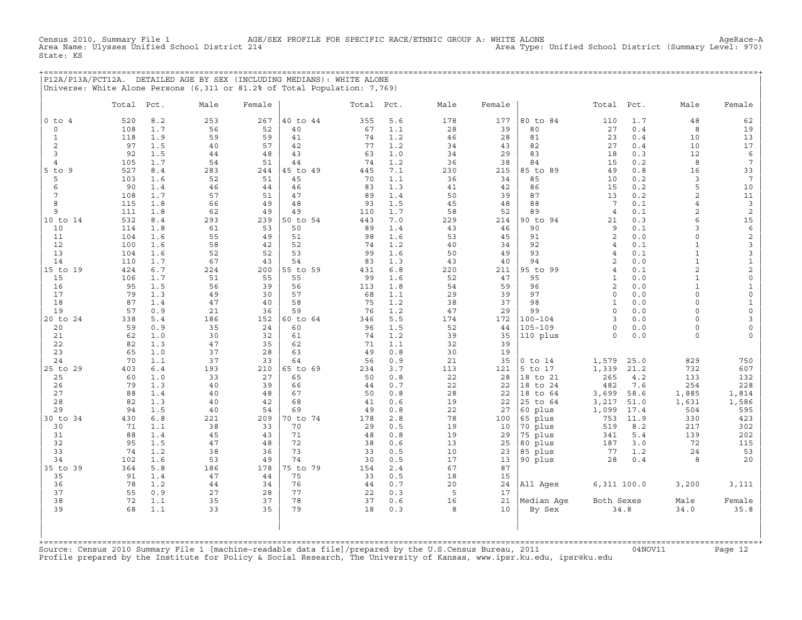Census 2010, Summary File 1 AGE/SEX PROFILE FOR SPECIFIC RACE/ETHNIC GROUP A: WHITE ALONE AgeRace−A Area Type: Unified School District (Summary Level: 970) State: KS

+===================================================================================================================================================+ |P12A/P13A/PCT12A. DETAILED AGE BY SEX (INCLUDING MEDIANS): WHITE ALONE | |Universe: White Alone Persons (6,311 or 81.2% of Total Population: 7,769) |

|                      | Total      | Pct.       | Male      | Female    |                | Total Pct. |            | Male      | Female    |                            | Total                     | Pct.        | Male                | Female                    |
|----------------------|------------|------------|-----------|-----------|----------------|------------|------------|-----------|-----------|----------------------------|---------------------------|-------------|---------------------|---------------------------|
| $0$ to $4$           | 520        | 8.2        | 253       | 267       | 40 to 44       | 355        | 5.6        | 178       | 177       | 80 to 84                   | 110                       | 1.7         | 48                  | 62                        |
| $\circ$              | 108        | 1.7        | 56        | 52        | 40             | 67         | 1.1        | 28        | 39        | 80                         | 27                        | 0.4         | 8                   | 19                        |
| $\mathbf{1}$         | 118        | 1.9        | 59        | 59        | 41             | 74         | 1.2        | 46        | 28        | 81                         | 23                        | 0.4         | 10                  | 13                        |
| 2                    | 97         | 1.5        | 40        | 57        | 42             | 77         | 1.2        | 34        | 43        | 82                         | 27                        | 0.4         | 10                  | 17                        |
| 3                    | 92         | 1.5        | 44        | 48        | 43             | 63         | 1.0        | 34        | 29        | 83                         | 18                        | 0.3         | 12                  | $\epsilon$                |
| $\overline{4}$       | 105        | 1.7        | 54        | 51        | 44             | 74         | 1.2        | 36        | 38        | 84                         | 15                        | 0.2         | 8                   | $7\phantom{.0}$           |
| $5$ to<br>9          | 527        | 8.4        | 283       | 244       | 45 to 49       | 445        | 7.1        | 230       | 215       | 85 to 89                   | 49                        | 0.8         | 16                  | 33                        |
| 5                    | 103        | 1.6        | 52        | 51        | 45             | 70         | 1.1        | 36        | 34        | 85                         | 10                        | 0.2         | 3                   | $7\phantom{.0}$           |
| 6<br>$7\phantom{.0}$ | 90         | 1.4        | 46        | 44<br>51  | 46<br>47       | 83         | 1.3        | 41<br>50  | 42        | 86<br>87                   | 15                        | 0.2         | 5<br>$\overline{c}$ | $10$                      |
| 8                    | 108<br>115 | 1.7<br>1.8 | 57<br>66  | 49        | 48             | 89<br>93   | 1.4<br>1.5 | 45        | 39<br>48  | 88                         | 13<br>7                   | 0.2<br>0.1  | $\overline{4}$      | 11<br>$\overline{3}$      |
| 9                    | 111        | 1.8        | 62        | 49        | 49             | 110        | 1.7        | 58        | 52        | 89                         | $\overline{4}$            | 0.1         | 2                   | $\overline{c}$            |
| 10 to 14             | 532        | 8.4        | 293       | 239       | 50 to 54       | 443        | 7.0        | 229       | 214       | 90 to 94                   | 21                        | 0.3         | 6                   | 15                        |
| 10                   | 114        | 1.8        | 61        | 53        | 50             | 89         | 1.4        | 43        | 46        | 90                         | 9                         | 0.1         | 3                   | $\epsilon$                |
| 11                   | 104        | 1.6        | 55        | 49        | 51             | 98         | 1.6        | 53        | 45        | 91                         | 2                         | 0.0         | $\circ$             | $\sqrt{2}$                |
| 12                   | 100        | 1.6        | 58        | 42        | 52             | 74         | 1.2        | 40        | 34        | 92                         | $\overline{4}$            | 0.1         | $\mathbf{1}$        | $\mathbf{3}$              |
| 13                   | 104        | 1.6        | 52        | 52        | 53             | 99         | 1.6        | 50        | 49        | 93                         | $\overline{4}$            | 0.1         | $\mathbf{1}$        | 3                         |
| 14                   | 110        | 1.7        | 67        | 43        | 54             | 83         | 1.3        | 43        | 40        | 94                         | $\overline{c}$            | 0.0         | $\mathbf{1}$        | $\ensuremath{\mathsf{1}}$ |
| 15 to 19             | 424        | 6.7        | 224       | 200       | 55 to 59       | 431        | 6.8        | 220       | 211       | 95 to 99                   | $\overline{4}$            | 0.1         | $\overline{a}$      | $\overline{c}$            |
| 15                   | 106        | 1.7        | 51        | 55        | 55             | 99         | 1.6        | 52        | 47        | 95                         | $\mathbf{1}$              | 0.0         | $\mathbf{1}$        | $\mathsf{O}\xspace$       |
| 16                   | 95         | 1.5        | 56        | 39        | 56             | 113        | 1.8        | 54        | 59        | 96                         | $\overline{c}$            | 0.0         | $\mathbf{1}$        | $\mathbf{1}$              |
| 17                   | 79         | 1.3        | 49        | 30        | 57             | 68         | 1.1        | 29        | 39        | 97                         | $\Omega$                  | 0.0         | $\Omega$            | $\mathbb O$               |
| 18                   | 87         | 1.4        | 47        | 40        | 58             | 75         | 1.2        | 38        | 37        | 98                         | $\mathbf{1}$              | 0.0         | $\circ$             | $\mathbf{1}$              |
| 19                   | 57         | 0.9        | 21        | 36        | 59             | 76         | 1.2        | 47        | 29        | 99                         | $\circ$                   | 0.0         | 0                   | $\mathbb O$               |
| 20 to 24             | 338<br>59  | 5.4<br>0.9 | 186<br>35 | 152<br>24 | 60 to 64<br>60 | 346<br>96  | 5.5<br>1.5 | 174<br>52 | 172<br>44 | $100 - 104$<br>$105 - 109$ | $\mathcal{R}$<br>$\Omega$ | 0.0<br>0.0  | $\Omega$<br>$\circ$ | 3<br>$\mathsf{O}$         |
| 20<br>21             | 62         | 1.0        | 30        | 32        | 61             | 74         | 1.2        | 39        | 35        | 110 plus                   | $\Omega$                  | 0.0         | $\circ$             | $\mathbf 0$               |
| 22                   | 82         | 1.3        | 47        | 35        | 62             | 71         | 1.1        | 32        | 39        |                            |                           |             |                     |                           |
| 23                   | 65         | 1.0        | 37        | 28        | 63             | 49         | 0.8        | 30        | 19        |                            |                           |             |                     |                           |
| 24                   | 70         | 1.1        | 37        | 33        | 64             | 56         | 0.9        | 21        | 35        | $0$ to $14$                | 1,579                     | 25.0        | 829                 | 750                       |
| 25 to 29             | 403        | $6.4$      | 193       | 210       | 65 to 69       | 234        | 3.7        | 113       | 121       | 5 to 17                    | 1,339                     | 21.2        | 732                 | 607                       |
| 25                   | 60         | 1.0        | 33        | 27        | 65             | 50         | 0.8        | 22        | 28        | 18 to 21                   | 265                       | 4.2         | 133                 | 132                       |
| 26                   | 79         | 1.3        | 40        | 39        | 66             | 44         | 0.7        | 22        | 22        | 18 to 24                   | 482                       | 7.6         | 254                 | 228                       |
| 27                   | 88         | 1.4        | 40        | 48        | 67             | 50         | 0.8        | 28        | 22        | 18 to 64                   | 3,699                     | 58.6        | 1,885               | 1,814                     |
| 28                   | 82         | 1.3        | 40        | 42        | 68             | 41         | 0.6        | 19        | 22        | 25 to 64                   | 3,217                     | 51.0        | 1,631               | 1,586                     |
| 29                   | 94         | 1.5        | 40        | 54        | 69             | 49         | 0.8        | 22        | 27        | 60 plus                    | 1,099                     | 17.4        | 504                 | 595                       |
| 30 to 34             | 430        | 6.8        | 221       | 209       | 70 to 74       | 178        | 2.8        | 78        | 100       | 65 plus                    | 753                       | 11.9        | 330                 | 423                       |
| 30                   | 71         | 1.1        | 38        | 33        | 70             | 29         | 0.5        | 19        | 10        | 70 plus                    | 519                       | 8.2         | 217                 | 302                       |
| 31                   | 88         | 1.4        | 45        | 43        | 71             | 48         | 0.8        | 19        | 29        | 75 plus                    | 341                       | 5.4         | 139                 | 202                       |
| 32                   | 95         | 1.5        | 47        | 48        | 72             | 38         | 0.6        | 13        | 25        | 80 plus                    | 187                       | 3.0         | 72                  | 115                       |
| 33<br>34             | 74<br>102  | 1.2<br>1.6 | 38<br>53  | 36<br>49  | 73<br>74       | 33<br>30   | 0.5<br>0.5 | 10<br>17  | 23<br>13  | 85 plus                    | 77<br>28                  | 1.2<br>0.4  | 24<br>8             | 53<br>20                  |
| 35 to 39             | 364        | 5.8        | 186       | 178       | 75 to 79       | 154        | 2.4        | 67        | 87        | 90 plus                    |                           |             |                     |                           |
| 35                   | 91         | 1.4        | 47        | 44        | 75             | 33         | 0.5        | 18        | 15        |                            |                           |             |                     |                           |
| 36                   | 78         | 1.2        | 44        | 34        | 76             | 44         | 0.7        | 20        | 24        | All Ages                   |                           | 6,311 100.0 | 3,200               | 3,111                     |
| 37                   | 55         | 0.9        | 27        | 28        | 77             | 22         | 0.3        | 5         | 17        |                            |                           |             |                     |                           |
| 38                   | 72         | 1.1        | 35        | 37        | 78             | 37         | 0.6        | 16        | 21        | Median Age                 | Both Sexes                |             | Male                | Female                    |
| 39                   | 68         | 1.1        | 33        | 35        | 79             | 18         | 0.3        | 8         | 10        | By Sex                     |                           | 34.8        | 34.0                | 35.8                      |
|                      |            |            |           |           |                |            |            |           |           |                            |                           |             |                     |                           |

+===================================================================================================================================================+Source: Census 2010 Summary File 1 [machine−readable data file]/prepared by the U.S.Census Bureau, 2011 04NOV11 Page 12 Profile prepared by the Institute for Policy & Social Research, The University of Kansas, www.ipsr.ku.edu, ipsr@ku.edu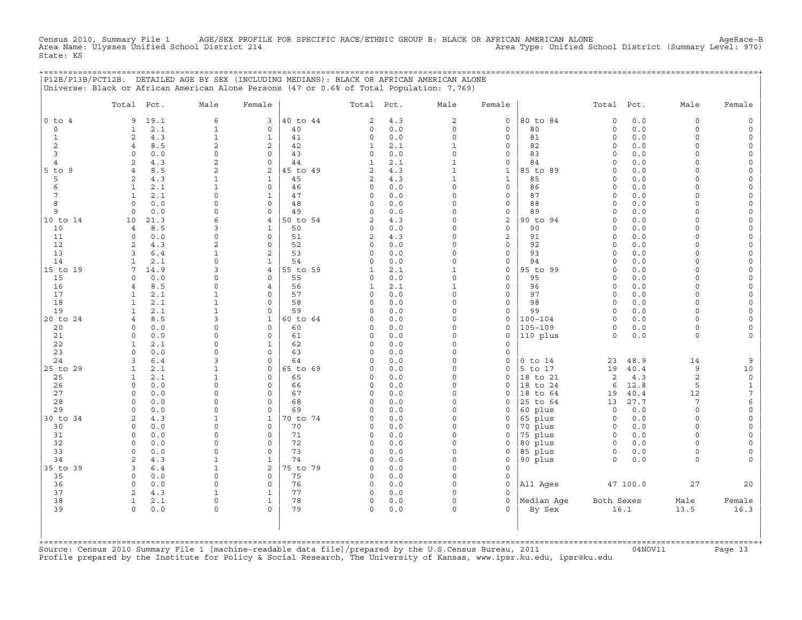Census 2010, Summary File 1 AGE/SEX PROFILE FOR SPECIFIC RACE/ETHNIC GROUP B: BLACK OR AFRICAN AMERICAN ALONE<br>Area Name: Ulysses Unified School District 214 Area Name: Unified School District (Summary Level: 970) State: KS

+===================================================================================================================================================+

|                | P12B/P13B/PCT12B. DETAILED AGE BY SEX (INCLUDING MEDIANS): BLACK OR AFRICAN AMERICAN ALONE<br>Universe: Black or African American Alone Persons (47 or 0.6% of Total Population: 7,769) |                              |                              |          |                          |            |                          |                                     |                                        |                            |              |                      |                          |
|----------------|-----------------------------------------------------------------------------------------------------------------------------------------------------------------------------------------|------------------------------|------------------------------|----------|--------------------------|------------|--------------------------|-------------------------------------|----------------------------------------|----------------------------|--------------|----------------------|--------------------------|
|                | Total Pct.                                                                                                                                                                              | Male                         | Female                       |          | Total                    | Pct.       | Male                     | Female                              |                                        | Total                      | Pct.         | Male                 | Female                   |
| $0$ to $4$     | 19.1<br>9                                                                                                                                                                               | 6                            | 3                            | 40 to 44 | $\overline{c}$           | 4.3        | $\sqrt{2}$               | $\circ$                             | 80 to 84                               | $\circ$                    | $0.0$        | $\circ$              | $\mathsf{O}$             |
| 0              | 2.1<br>1                                                                                                                                                                                | $\mathbf{1}$                 | $\mathbf 0$                  | 40       | $\circ$                  | 0.0        | $\circ$                  | $\mathbf 0$                         | 80                                     | $\circ$                    | 0.0          | $\circ$              | $\mathsf{O}$             |
| $\mathbf{1}$   | 2<br>4.3                                                                                                                                                                                | $\mathbf{1}$                 | $\mathbf{1}$                 | 41       | $\circ$                  | 0.0        | $\circ$                  | $\circ$                             | 81                                     | $\mathsf O$                | 0.0          | $\circ$              | $\mathsf{O}\xspace$      |
| 2              | $\overline{4}$<br>8.5                                                                                                                                                                   | $\overline{2}$               | $\overline{2}$               | 42       | $\mathbf{1}$             | 2.1        | $\mathbf{1}$             | $\circ$                             | 82                                     | $\Omega$                   | 0.0          | $\Omega$             | $\mathbf 0$              |
| 3              | $\circ$<br>0.0                                                                                                                                                                          | $\circ$                      | $\circ$                      | 43       | $\circ$                  | 0.0        | $\Omega$                 | $\circ$                             | 83                                     | $\mathbf 0$                | 0.0          | $\circ$              | 0                        |
| $\overline{4}$ | 2<br>4.3                                                                                                                                                                                | $\overline{c}$               | $\circ$                      | 44       | $\mathbf{1}$             | 2.1        | $\mathbf 1$              | $\mathsf O$                         | 84                                     | $\mathsf O$                | 0.0          | $\circ$              | $\mathsf{O}\xspace$      |
| 5 to 9         | 8.5<br>$\overline{4}$                                                                                                                                                                   | $\overline{c}$               | 2                            | 45 to 49 | $\sqrt{2}$               | 4.3        | $\mathbf 1$              | $\mathbf{1}$                        | 85 to 89                               | $\Omega$                   | $0.0$        | $\Omega$             | $\mathsf{O}\xspace$      |
| 5<br>6         | 2<br>4.3<br>2.1<br>$\mathbf{1}$                                                                                                                                                         | $\mathbf{1}$<br>$\mathbf 1$  | $\mathbf{1}$<br>$\circ$      | 45<br>46 | 2<br>$\mathsf{O}\xspace$ | 4.3<br>0.0 | $\mathbf{1}$<br>$\Omega$ | $\mathbf{1}$<br>$\mathsf{O}\xspace$ | 85<br>86                               | $\mathbf 0$<br>$\mathbf 0$ | 0.0<br>0.0   | $\Omega$<br>$\Omega$ | 0<br>$\mathsf{O}\xspace$ |
| 7              | $\mathbf{1}$<br>2.1                                                                                                                                                                     | 0                            | $\mathbf 1$                  | 47       | $\circ$                  | 0.0        | $\Omega$                 | $\mathsf O$                         | 87                                     | $\Omega$                   | 0.0          | $\Omega$             | $\mathsf{O}\xspace$      |
| 8              | $\Omega$<br>0.0                                                                                                                                                                         | $\Omega$                     | 0                            | 48       | $\circ$                  | 0.0        | $\Omega$                 | 0                                   | 88                                     | $\Omega$                   | 0.0          | $\Omega$             | 0                        |
| 9              | 0.0<br>0                                                                                                                                                                                | $\mathsf{O}\xspace$          | $\circ$                      | 49       | $\mathsf{O}\xspace$      | 0.0        | $\Omega$                 | $\mathsf{O}\xspace$                 | 89                                     | $\mathsf O$                | 0.0          | $\circ$              | $\mathsf{O}\xspace$      |
| 10 to 14       | 21.3<br>10                                                                                                                                                                              | 6                            | 4                            | 50 to 54 | 2                        | 4.3        | $\Omega$                 | $\sqrt{2}$                          | 90 to 94                               | $\Omega$                   | 0.0          | $\Omega$             | $\mathsf{O}\xspace$      |
| 10             | 8.5<br>$\overline{4}$                                                                                                                                                                   | 3                            | $\mathbf{1}$                 | 50       | $\Omega$                 | 0.0        | $\Omega$                 | $\circ$                             | 90                                     | $\Omega$                   | 0.0          | $\Omega$             | 0                        |
| 11             | $\circ$<br>0.0                                                                                                                                                                          | $\mathsf{O}\xspace$          | $\circ$                      | 51       | $\sqrt{2}$               | 4.3        | $\Omega$                 | $\overline{2}$                      | 91                                     | $\mathsf O$                | 0.0          | $\Omega$             | $\mathsf{O}\xspace$      |
| 12             | $\overline{a}$<br>4.3                                                                                                                                                                   | $\overline{2}$               | $\Omega$                     | 52       | $\mathsf{O}\xspace$      | 0.0        | $\Omega$                 | $\mathsf O$                         | 92                                     | $\mathsf O$                | 0.0          | $\Omega$             | $\mathsf{O}\xspace$      |
| 13             | 3<br>6.4                                                                                                                                                                                | $\mathbf{1}$                 | $\overline{2}$               | 53       | $\Omega$                 | 0.0        | $\Omega$                 | $\circ$                             | 93                                     | $\Omega$                   | 0.0          | $\Omega$             | 0                        |
| 14             | 2.1<br>$\mathbf{1}$                                                                                                                                                                     | $\mathsf{O}\xspace$          | $\mathbf{1}$                 | 54       | $\mathsf{O}\xspace$      | 0.0        | $\Omega$                 | $\mathsf{O}\xspace$                 | 94                                     | $\mathbf 0$                | 0.0          | $\circ$              | $\mathsf{O}\xspace$      |
| 15 to 19       | 14.9<br>7                                                                                                                                                                               | 3                            | $\overline{4}$               | 55 to 59 | $\mathbf{1}$             | 2.1        | $\mathbf{1}$             | $\mathsf{O}\xspace$                 | 95 to 99                               | $\mathsf O$                | 0.0          | $\Omega$             | $\mathsf{O}\xspace$      |
| 15             | $\Omega$<br>0.0                                                                                                                                                                         | 0                            | $\Omega$                     | 55       | $\circ$                  | 0.0        | $\Omega$                 | $\circ$                             | 95                                     | $\mathbf 0$                | 0.0          | $\Omega$             | 0                        |
| 16<br>17       | 8.5<br>4<br>$\mathbf{1}$                                                                                                                                                                | 0                            | 4<br>$\Omega$                | 56<br>57 | $\mathbf{1}$<br>$\circ$  | 2.1        | $\mathbf{1}$<br>$\Omega$ | $\mathsf{O}\xspace$<br>$\mathsf O$  | 96<br>97                               | $\mathsf O$<br>$\mathsf O$ | 0.0          | $\circ$<br>0         | $\mathsf{O}\xspace$      |
| 18             | 2.1<br>2.1<br>$\mathbf{1}$                                                                                                                                                              | $\mathbf{1}$<br>$\mathbf{1}$ | 0                            | 58       | $\circ$                  | 0.0<br>0.0 | $\Omega$                 | $\circ$                             | 98                                     | $\mathbf 0$                | 0.0<br>0.0   | $\circ$              | 0<br>$\mathsf O$         |
| 19             | 2.1<br>$\mathbf{1}$                                                                                                                                                                     | $\mathbf 1$                  | $\circ$                      | 59       | $\Omega$                 | 0.0        | $\Omega$                 | $\mathsf{O}\xspace$                 | 99                                     | $\Omega$                   | 0.0          | $\Omega$             | $\mathsf{O}\xspace$      |
| 20 to 24       | $\overline{4}$<br>8.5                                                                                                                                                                   | 3                            | $\mathbf 1$                  | 60 to 64 | $\Omega$                 | 0.0        | $\Omega$                 | 0                                   | $100 - 104$                            | $\mathsf O$                | 0.0          | $\Omega$             | 0                        |
| 20             | 0.0<br>$\Omega$                                                                                                                                                                         | $\mathbf 0$                  | 0                            | 60       | $\Omega$                 | 0.0        | $\Omega$                 | $\mathbf 0$                         | $105 - 109$                            | 0                          | 0.0          | $\circ$              | 0                        |
| 21             | 0.0<br>$\Omega$                                                                                                                                                                         | 0                            | $\circ$                      | 61       | $\circ$                  | 0.0        | $\Omega$                 | $\mathsf{O}\xspace$                 | 110 plus                               | $\Omega$                   | 0.0          | $\circ$              | $\mathsf{O}\xspace$      |
| 22             | $\mathbf{1}$<br>2.1                                                                                                                                                                     | 0                            | $\mathbf 1$                  | 62       | $\circ$                  | 0.0        | $\Omega$                 | $\circ$                             |                                        |                            |              |                      |                          |
| 23             | 0.0<br>$\Omega$                                                                                                                                                                         | 0                            | 0                            | 63       | $\circ$                  | 0.0        | $\Omega$                 | $\circ$                             |                                        |                            |              |                      |                          |
| 24             | $6.4$<br>3                                                                                                                                                                              | 3                            | $\circ$                      | 64       | $\Omega$                 | 0.0        | $\Omega$                 | $\circ$                             | $0$ to $14$                            | 23                         | 48.9         | 14                   | $\overline{9}$           |
| 25 to 29       | 2.1<br>$\mathbf{1}$                                                                                                                                                                     | $\mathbf 1$                  | $\circ$                      | 65 to 69 | $\circ$                  | 0.0        | $\Omega$                 | $\mathsf O$                         | 5 to 17                                | 19                         | 40.4         | 9                    | 10                       |
| 25             | 2.1<br>1                                                                                                                                                                                | $\mathbf{1}$                 | 0                            | 65       | $\circ$                  | 0.0        | $\Omega$                 | $\circ$                             | 18 to 21                               | 2                          | 4.3          | $\overline{a}$       | $\mathsf O$              |
| 26             | $\circ$<br>0.0                                                                                                                                                                          | $\Omega$<br>$\Omega$         | $\Omega$<br>$\Omega$         | 66       | $\circ$                  | 0.0        | $\Omega$<br>$\Omega$     | $\Omega$                            | 18 to 24                               | 6                          | 12.8         | 5                    | $\mathbf{1}$             |
| 27<br>28       | $\circ$<br>0.0<br>0.0<br>$\Omega$                                                                                                                                                       | 0                            | 0                            | 67<br>68 | $\circ$<br>$\circ$       | 0.0<br>0.0 | $\Omega$                 | $\mathsf O$<br>$\circ$              | 18 to 64<br>25 to 64                   | 19<br>13                   | 40.4<br>27.7 | 12<br>7              | $\overline{7}$<br>6      |
| 29             | 0.0<br>$\Omega$                                                                                                                                                                         | $\Omega$                     | $\Omega$                     | 69       | $\Omega$                 | 0.0        | $\Omega$                 | $\circ$                             | 60 plus                                | $\mathsf O$                | 0.0          | $\circ$              | $\mathsf{O}\xspace$      |
| 30 to 34       | 2<br>4.3                                                                                                                                                                                | $\mathbf{1}$                 | $\mathbf 1$                  | 70 to 74 | $\circ$                  | 0.0        | $\Omega$                 | $\mathsf O$                         | 65 plus                                | $\circ$                    | 0.0          | 0                    | 0                        |
| 30             | $\circ$<br>0.0                                                                                                                                                                          | $\Omega$                     | 0                            | 70       | $\circ$                  | 0.0        | $\Omega$                 | 0                                   | 70 plus                                | $\mathbf 0$                | 0.0          | $\circ$              | $\mathsf{O}\xspace$      |
| 31             | 0.0<br>$\circ$                                                                                                                                                                          | $\Omega$                     | $\Omega$                     | 71       | $\Omega$                 | 0.0        | $\Omega$                 | $\circ$                             | 75 plus                                | $\circ$                    | 0.0          | $\Omega$             | $\mathsf{O}\xspace$      |
| 32             | $\circ$<br>0.0                                                                                                                                                                          | 0                            | 0                            | 72       | $\circ$                  | $0.0$      | $\Omega$                 | $\mathsf O$                         | 80 plus                                | $\circ$                    | 0.0          | $\circ$              | $\mathsf{O}\xspace$      |
| 33             | $\Omega$<br>0.0                                                                                                                                                                         | $\Omega$                     | 0                            | 73       | $\circ$                  | 0.0        | $\Omega$                 | $\mathsf O$                         | 85 plus                                | $\circ$                    | 0.0          | $\circ$              | 0                        |
| 34             | 4.3<br>2                                                                                                                                                                                | 1                            | $\mathbf 1$                  | 74       | $\Omega$                 | 0.0        | $\Omega$                 | $\mathsf{O}\xspace$                 | 90 plus                                | $\circ$                    | 0.0          | $\circ$              | $\circ$                  |
| 35 to 39       | 3<br>$6.4$                                                                                                                                                                              | $\mathbf{1}$                 | 2                            | 75 to 79 | 0                        | 0.0        | $\Omega$                 | $\mathsf{O}\xspace$                 |                                        |                            |              |                      |                          |
| 35             | $\circ$<br>0.0                                                                                                                                                                          | $\mathsf{O}\xspace$          | 0                            | 75       | $\circ$                  | 0.0        | $\Omega$                 | $\circ$                             |                                        |                            |              |                      |                          |
| 36             | 0.0<br>$\circ$                                                                                                                                                                          | $\circ$                      | $\circ$                      | 76       | $\circ$                  | 0.0        | $\Omega$                 | $\circ$                             | All Ages                               |                            | 47 100.0     | 27                   | 20                       |
| 37<br>38       | 2<br>4.3<br>$\mathbf{1}$<br>2.1                                                                                                                                                         | $\mathbf{1}$<br>0            | $\mathbf{1}$<br>$\mathbf{1}$ | 77<br>78 | $\circ$<br>$\circ$       | 0.0<br>0.0 | $\Omega$<br>$\Omega$     | $\circ$<br>$\Omega$                 | Median Age                             | Both Sexes                 |              |                      |                          |
| 39             | $\circ$<br>0.0                                                                                                                                                                          | 0                            | $\Omega$                     | 79       | $\circ$                  | 0.0        | $\Omega$                 | $\Omega$                            | By Sex                                 |                            | 16.1         | Male<br>13.5         | Female<br>16.3           |
|                |                                                                                                                                                                                         |                              |                              |          |                          |            |                          |                                     | ====================================== |                            |              |                      |                          |

+===================================================================================================================================================+Source: Census 2010 Summary File 1 [machine−readable data file]/prepared by the U.S.Census Bureau, 2011 04NOV11 Page 13 Profile prepared by the Institute for Policy & Social Research, The University of Kansas, www.ipsr.ku.edu, ipsr@ku.edu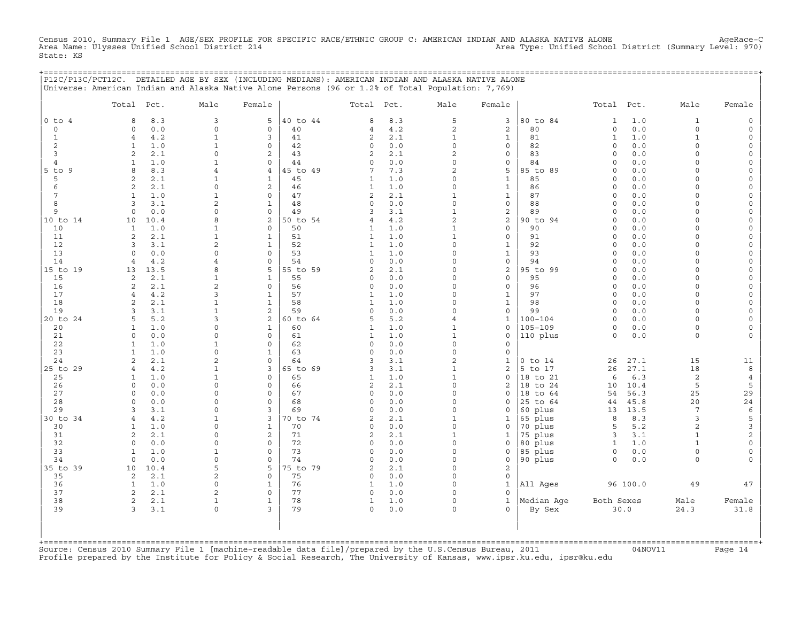Census 2010, Summary File 1 AGE/SEX PROFILE FOR SPECIFIC RACE/ETHNIC GROUP C: AMERICAN INDIAN AND ALASKA NATIVE ALONE AgeRace−C Area Name: Ulysses Unified School District 214 Area Type: Unified School District (Summary Level: 970) State: KS

+===================================================================================================================================================+

|                 | Total Pct.                        | Male                           | Female                         |                | Total Pct.        |            | Male                       | Female                     |                      | Total Pct.          |              | Male                    | Female                             |
|-----------------|-----------------------------------|--------------------------------|--------------------------------|----------------|-------------------|------------|----------------------------|----------------------------|----------------------|---------------------|--------------|-------------------------|------------------------------------|
| $0$ to $4$      | 8<br>8.3                          | 3                              | 5                              | 40 to 44       | 8                 | 8.3        | 5                          | 3                          | 80 to 84             | $\mathbf{1}$        | $1.0\,$      | $\mathbf{1}$            | $\mathsf{O}\xspace$                |
| $\mathbf 0$     | 0.0<br>$\Omega$                   | $\Omega$                       | $\mathbf 0$                    | 40             | 4                 | 4.2        | $\overline{c}$             | 2                          | 80                   | $\circ$             | 0.0          | $\circ$                 | $\mathsf{O}$                       |
| $\mathbf{1}$    | 4.2<br>$\overline{4}$             | $\mathbf{1}$                   | 3                              | 41             | $\overline{c}$    | 2.1        | $\mathbf{1}$               | $\mathbf{1}$               | 81                   | $\mathbf{1}$        | 1.0          | $\mathbf{1}$            | $\mathsf{O}\xspace$                |
| 2               | $\mathbf{1}$<br>1.0               | $\mathbf{1}$                   | $\mathsf{O}$                   | 42             | 0                 | $0.0$      | $\Omega$                   | $\mathsf{O}\xspace$        | 82                   | $\circ$             | 0.0          | 0                       | 0                                  |
| 3               | 2<br>2.1                          | $\Omega$                       | 2                              | 43             | $\overline{c}$    | 2.1        | $\overline{a}$             | $\mathbf 0$                | 83                   | $\circ$             | 0.0          | $\Omega$                | $\mathsf O$                        |
| $\overline{4}$  | 1.0<br>$\mathbf{1}$               | $\mathbf{1}$                   | $\mathbf 0$                    | 44             | $\circ$           | 0.0        | $\overline{O}$             | $\mathsf{O}\xspace$        | 84                   | $\circ$             | 0.0          | $\Omega$                | $\mathsf{O}\xspace$                |
| $5$ to $9$<br>5 | 8<br>8.3<br>2.1<br>$\overline{2}$ | $\overline{4}$<br>1            | $\overline{4}$<br>$\mathbf{1}$ | 45 to 49<br>45 | 7<br>1            | 7.3<br>1.0 | $\overline{a}$<br>$\Omega$ | 5<br>$\mathbf{1}$          | 85 to 89<br>85       | $\circ$<br>$\circ$  | $0.0$<br>0.0 | $\Omega$<br>$\Omega$    | $\mathsf{O}\xspace$<br>0           |
| 6               | 2<br>2.1                          | $\Omega$                       | 2                              | 46             | $\mathbf{1}$      | 1.0        | $\mathbf 0$                | $\mathbf 1$                | 86                   | $\circ$             | 0.0          | $\Omega$                | $\mathsf{O}\xspace$                |
| $\overline{7}$  | $\mathbf{1}$<br>1.0               | $\mathbf{1}$                   | $\mathbf 0$                    | 47             | $\mathbf{2}$      | 2.1        | $\mathbf 1$                | $\mathbf 1$                | 87                   | $\circ$             | $0.0$        | $\circ$                 | $\mathsf{O}\xspace$                |
| 8               | 3.1<br>3                          | 2                              | $\mathbf{1}$                   | 48             | 0                 | 0.0        | $\Omega$                   | $\mathsf{O}\xspace$        | 88                   | $\Omega$            | 0.0          | $\Omega$                | $\mathsf{O}\xspace$                |
| 9               | $\circ$<br>0.0                    | $\Omega$                       | $\mathbf 0$                    | 49             | 3                 | 3.1        | $\mathbf{1}$               | $\sqrt{2}$                 | 89                   | $\circ$             | 0.0          | $\Omega$                | 0                                  |
| 10 to 14        | 10<br>10.4                        | 8                              | 2                              | 50 to 54       | $\overline{4}$    | 4.2        | $\overline{a}$             | $\sqrt{2}$                 | 90 to 94             | $\circ$             | 0.0          | $\Omega$                | $\mathsf O$                        |
| 10              | $\mathbf{1}$<br>1.0               | $\mathbf{1}$                   | 0                              | 50             | $\mathbf{1}$      | 1.0        | $\mathbf{1}$               | $\mathbf 0$                | 90                   | $\Omega$            | 0.0          | $\Omega$                | $\mathsf{O}\xspace$                |
| 11              | 2<br>2.1                          | $\mathbf{1}$                   | $\mathbf{1}$                   | 51             | $\mathbf{1}$      | 1.0        | $\mathbf{1}$               | $\mathsf{O}$               | 91                   | $\circ$             | 0.0          | $\Omega$                | 0                                  |
| 12              | 3<br>3.1                          | $\overline{2}$                 | $\mathbf{1}$                   | 52             | $\mathbf{1}$      | $1.0$      | $\mathbf 0$                | $1\,$                      | 92                   | $\circ$             | 0.0          | $\Omega$                | $\mathsf{O}\xspace$                |
| 13              | 0.0<br>$\Omega$                   | $\Omega$                       | $\mathbf 0$                    | 53             | $\mathbf{1}$      | 1.0        | $\Omega$                   | $\mathbf{1}$               | 93                   | $\Omega$            | 0.0          | $\Omega$                | $\mathsf{O}\xspace$                |
| 14              | 4.2<br>$\overline{4}$             | $\overline{4}$                 | $\Omega$                       | 54             | $\Omega$          | 0.0        | $\Omega$                   | $\mathbf 0$                | 94                   | $\Omega$            | 0.0          | $\Omega$                | 0                                  |
| 15 to 19        | 13.5<br>13                        | 8                              | 5                              | 55 to 59       | $\overline{c}$    | 2.1        | $\mathbf 0$                | $\mathbf 2$                | 95 to 99             | $\mathsf{O}\xspace$ | 0.0          | $\circ$                 | $\mathsf{O}\xspace$                |
| 15              | 2.1<br>2                          | $\mathbf{1}$<br>$\overline{2}$ | $\mathbf{1}$<br>$\Omega$       | 55             | 0                 | 0.0        | $\Omega$<br>$\Omega$       | $\mathbf 0$<br>$\mathbf 0$ | 95                   | $\circ$             | $0.0$        | $\Omega$<br>$\Omega$    | $\mathsf{O}\xspace$                |
| 16<br>17        | 2.1<br>2<br>4.2<br>$\overline{4}$ | 3                              | $\mathbf{1}$                   | 56<br>57       | 0<br>$\mathbf{1}$ | 0.0<br>1.0 | $\mathbf 0$                | $\mathbf{1}$               | 96<br>97             | $\circ$<br>$\circ$  | 0.0<br>0.0   | $\Omega$                | $\mathsf O$<br>$\mathsf{O}\xspace$ |
| 18              | $\overline{a}$<br>2.1             | $\mathbf{1}$                   | $\mathbf{1}$                   | 58             | $\mathbf{1}$      | 1.0        | $\mathbf 0$                | $\mathbf{1}$               | 98                   | $\mathsf{O}\xspace$ | 0.0          | $\circ$                 | $\mathsf{O}\xspace$                |
| 19              | 3.1<br>κ                          | $\mathbf{1}$                   | $\overline{c}$                 | 59             | $\Omega$          | 0.0        | $\Omega$                   | $\mathbf 0$                | 99                   | $\Omega$            | 0.0          | $\Omega$                | $\mathsf{O}\xspace$                |
| 20 to 24        | 5.2<br>5                          | 3                              | $\overline{c}$                 | 60 to 64       | 5                 | 5.2        | $\overline{4}$             | $\mathbf{1}$               | $100 - 104$          | $\circ$             | 0.0          | $\Omega$                | $\mathsf{O}\xspace$                |
| 20              | 1.0<br>$\mathbf{1}$               | $\Omega$                       | $\mathbf{1}$                   | 60             | $\mathbf{1}$      | 1.0        | $\mathbf{1}$               | $\mathbf 0$                | $105 - 109$          | $\mathsf O$         | 0.0          | 0                       | $\mathsf{O}\xspace$                |
| 21              | 0.0<br>$\Omega$                   | $\Omega$                       | $\mathbf 0$                    | 61             | $\mathbf{1}$      | 1.0        | $\mathbf{1}$               | $\mathbf 0$                | 110 plus             | $\circ$             | 0.0          | $\circ$                 | $\mathbf 0$                        |
| 22              | $\mathbf{1}$<br>1.0               | $\mathbf{1}$                   | $\mathbf 0$                    | 62             | 0                 | 0.0        | $\mathbf 0$                | $\mathbf 0$                |                      |                     |              |                         |                                    |
| 23              | $\mathbf{1}$<br>1.0               | $\mathbf 0$                    | $\mathbf{1}$                   | 63             | $\circ$           | 0.0        | $\mathbf 0$                | $\mathbf 0$                |                      |                     |              |                         |                                    |
| 24              | 2.1<br>$\overline{2}$             | $\overline{2}$                 | $\mathbf 0$                    | 64             | 3                 | 3.1        | $\overline{a}$             | $\mathbf{1}$               | $0$ to $14$          | 26                  | 27.1         | 15                      | 11                                 |
| 25 to 29        | 4.2<br>$\overline{4}$             | $\mathbf{1}$                   | 3                              | 65 to 69       | 3                 | 3.1        | $\mathbf{1}$               | 2                          | 5 to 17              | 26                  | 27.1         | 18                      | 8                                  |
| 25              | 1.0<br>$\mathbf{1}$               | $\mathbf{1}$                   | $\circ$                        | 65             | $\mathbf{1}$      | 1.0        | $\mathbf{1}$               | $\mathbf 0$                | 18 to 21             | 6                   | 6.3          | $\sqrt{2}$              | $\overline{4}$                     |
| 26              | $\Omega$<br>0.0                   | $\Omega$                       | $\Omega$                       | 66             | 2                 | 2.1        | $\Omega$<br>$\Omega$       | 2                          | 18 to 24             | 10                  | 10.4         | 5                       | 5                                  |
| 27<br>28        | $\Omega$<br>0.0<br>$\circ$<br>0.0 | $\Omega$<br>$\Omega$           | $\Omega$<br>$\mathbf 0$        | 67<br>68       | 0<br>$\circ$      | 0.0<br>0.0 | $\mathbf 0$                | $\Omega$<br>$\mathbf 0$    | 18 to 64<br>25 to 64 | 54<br>44            | 56.3<br>45.8 | 25<br>20                | 29<br>$2\sqrt{4}$                  |
| 29              | 3.1<br>3                          | $\Omega$                       | 3                              | 69             | $\Omega$          | 0.0        | $\Omega$                   | $\mathbf 0$                | 60 plus              | 13                  | 13.5         | 7                       | $\epsilon$                         |
| 30 to 34        | 4.2<br>$\overline{4}$             | 1                              | 3                              | 70 to 74       | 2                 | 2.1        | $\mathbf{1}$               | 1                          | 65 plus              | 8                   | 8.3          | 3                       | 5                                  |
| 30              | 1.0<br>$\mathbf{1}$               | $\Omega$                       | $\mathbf{1}$                   | 70             | 0                 | 0.0        | $\mathbf 0$                | $\mathsf{O}\xspace$        | 70 plus              | 5                   | 5.2          | $\overline{\mathbf{c}}$ | 3                                  |
| 31              | $\overline{2}$<br>2.1             | 0                              | $\mathbf{2}$                   | 71             | 2                 | 2.1        | $\mathbf{1}$               | 1                          | 75 plus              | 3                   | 3.1          | $\mathbf{1}$            | $\overline{c}$                     |
| 32              | 0.0<br>$\Omega$                   | $\Omega$                       | $\Omega$                       | 72             | $\Omega$          | 0.0        | $\Omega$                   | $\Omega$                   | 80 plus              | $\mathbf{1}$        | 1.0          | $\mathbf{1}$            | $\mathsf{O}\xspace$                |
| 33              | $\mathbf{1}$<br>1.0               | $\mathbf{1}$                   | $\mathbf 0$                    | 73             | $\circ$           | 0.0        | $\mathbf 0$                | $\mathsf{O}\xspace$        | 85 plus              | $\mathsf{O}$        | 0.0          | $\circ$                 | $\mathsf{O}\xspace$                |
| 34              | 0.0<br>$\mathbf 0$                | $\mathsf{O}\xspace$            | $\mathbf 0$                    | 74             | 0                 | 0.0        | $\mathbf 0$                | $\mathsf{O}$               | 90 plus              | $\mathsf O$         | 0.0          | $\circ$                 | $\mathbf 0$                        |
| 35 to 39        | 10.4<br>10                        | 5                              | 5                              | 75 to 79       | 2                 | 2.1        | $\Omega$                   | 2                          |                      |                     |              |                         |                                    |
| 35              | 2<br>2.1                          | $\overline{2}$                 | $\mathbf 0$                    | 75             | 0                 | 0.0        | $\mathbf 0$                | $\mathsf{O}\xspace$        |                      |                     |              |                         |                                    |
| 36              | 1.0<br>$\mathbf{1}$               | $\mathsf{O}\xspace$            | $\mathbf{1}$                   | 76             | $\mathbf{1}$      | 1.0        | $\mathbf 0$                | $\mathbf{1}$               | All Ages             |                     | 96 100.0     | 49                      | 47                                 |
| 37              | 2<br>2.1                          | 2                              | $\mathbf 0$                    | 77             | 0                 | 0.0        | $\Omega$                   | $\Omega$                   |                      |                     |              |                         |                                    |
| 38              | 2<br>2.1                          | $\mathbf{1}$<br>$\circ$        | 1                              | 78             | 1                 | 1.0        | $\mathbf 0$                | $\mathbf{1}$<br>$\Omega$   | Median Age           | Both Sexes          |              | Male                    | Female                             |
| 39              | 3.1<br>3                          |                                | 3                              | 79             | 0                 | $0.0$      | $\circ$                    |                            | By Sex               |                     | 30.0         | 24.3                    | 31.8                               |

+===================================================================================================================================================+Source: Census 2010 Summary File 1 [machine−readable data file]/prepared by the U.S.Census Bureau, 2011 04NOV11 Page 14 Profile prepared by the Institute for Policy & Social Research, The University of Kansas, www.ipsr.ku.edu, ipsr@ku.edu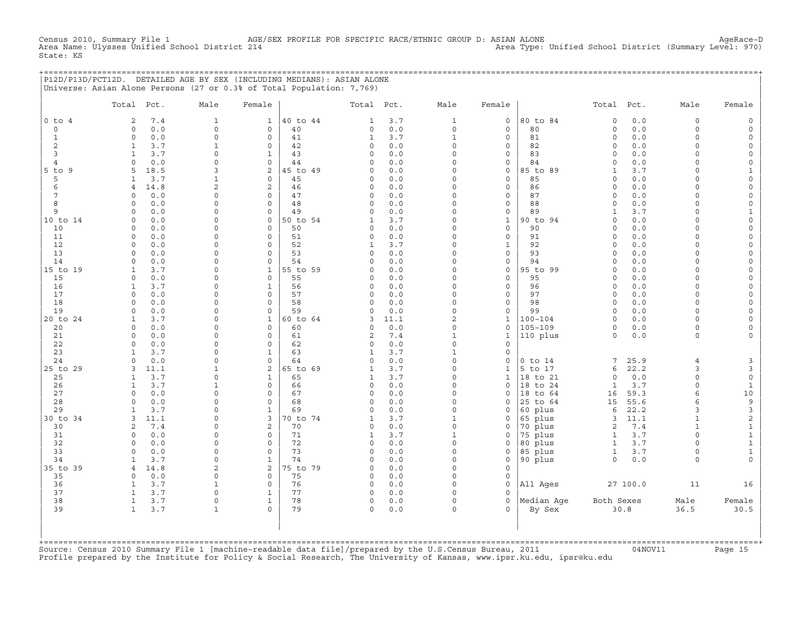Census 2010, Summary File 1 AGE/SEX PROFILE FOR SPECIFIC RACE/ETHNIC GROUP D: ASIAN ALONE AgeRace-D<br>Area Name: Ulysses Unified School District 214 Area Type: Unified School District (Summary Level: 970) Area Type: Unified School District (Summary Level: 970) State: KS

+===================================================================================================================================================+ |P12D/P13D/PCT12D. DETAILED AGE BY SEX (INCLUDING MEDIANS): ASIAN ALONE | |Universe: Asian Alone Persons (27 or 0.3% of Total Population: 7,769) |

|                | Total                        | Pct.        | Male                | Female              |          | Total Pct.              |            | Male                 | Female                     |                      | Total Pct.              |            | Male                 | Female                                     |
|----------------|------------------------------|-------------|---------------------|---------------------|----------|-------------------------|------------|----------------------|----------------------------|----------------------|-------------------------|------------|----------------------|--------------------------------------------|
| $0$ to $4$     | 2                            | 7.4         | $\mathbf{1}$        | $\mathbf 1$         | 40 to 44 | $\mathbf{1}$            | 3.7        | $\mathbf{1}$         | $\mathbf 0$                | 80 to 84             | $\circ$                 | 0.0        | $\circ$              | $\mathbb O$                                |
| $\circ$        | 0                            | 0.0         | $\circ$             | 0                   | 40       | $\circ$                 | $0.0$      | $\circ$              | $\mathbf 0$                | 80                   | $\mathbf 0$             | 0.0        | $\circ$              | $\mathsf{O}\xspace$                        |
| $\mathbf{1}$   | $\mathbf{0}$                 | 0.0         | $\mathsf{O}\xspace$ | 0                   | 41       | $\mathbf{1}$            | 3.7        | $\mathbf{1}$         | $\mathbf 0$                | 81                   | $\circ$                 | 0.0        | $\circ$              | $\mathsf{O}\xspace$                        |
| 2              | $\mathbf{1}$                 | 3.7         | $\mathbf{1}$        | $\Omega$            | 42       | $\circ$                 | 0.0        | $\Omega$             | $\mathbf 0$                | 82                   | $\mathbf 0$             | 0.0        | $\circ$              | $\circ$                                    |
| 3              | $\mathbf{1}$                 | 3.7         | $\circ$             | $\mathbf{1}$        | 43       | $\Omega$                | 0.0        | $\Omega$             | $\mathbf 0$                | 83                   | $\Omega$                | 0.0        | $\Omega$             | $\mathsf{O}\xspace$                        |
| $\overline{4}$ | $\cap$                       | 0.0         | $\Omega$            | $\Omega$            | 44       | $\cap$                  | 0.0        | $\Omega$             | $\mathbf 0$                | 84                   | $\Omega$                | 0.0        | $\Omega$             | $\mathsf{O}\xspace$                        |
| $5$ to $9$     | 5                            | 18.5        | 3                   | $\overline{a}$      | 45 to 49 | $\circ$                 | 0.0        | $\Omega$             | $\mathbf 0$                | 85 to 89             | $\mathbf{1}$            | 3.7        | $\Omega$             | $\mathbf{1}$                               |
| 5<br>6         | 1<br>$\overline{4}$          | 3.7         | $\mathbf{1}$<br>2   | 0<br>$\overline{a}$ | 45<br>46 | $\circ$<br>$\circ$      | 0.0<br>0.0 | $\Omega$<br>$\Omega$ | $\mathbf 0$<br>$\mathbf 0$ | 85<br>86             | $\Omega$<br>$\Omega$    | 0.0<br>0.0 | $\Omega$<br>$\Omega$ | $\mathsf{O}\xspace$<br>$\mathsf{O}\xspace$ |
| 7              | $\cap$                       | 14.8<br>0.0 | 0                   | $\Omega$            | 47       | $\Omega$                | 0.0        | $\Omega$             | $\Omega$                   | 87                   | $\Omega$                | 0.0        | $\Omega$             | $\circ$                                    |
| 8              | $\Omega$                     | 0.0         | $\Omega$            | $\Omega$            | 48       | $\Omega$                | 0.0        | $\Omega$             | $\mathbf 0$                | 88                   | $\Omega$                | 0.0        | $\Omega$             | $\mathsf O$                                |
| 9              | $\Omega$                     | 0.0         | $\Omega$            | $\Omega$            | 49       | $\Omega$                | 0.0        | $\Omega$             | $\mathsf{O}\xspace$        | 89                   | $\mathbf{1}$            | 3.7        | $\Omega$             | $1\,$                                      |
| 10 to 14       | $\Omega$                     | 0.0         | 0                   | 0                   | 50 to 54 | $\mathbf{1}$            | 3.7        | $\Omega$             | $\mathbf{1}$               | 90 to 94             | $\Omega$                | 0.0        | $\Omega$             | $\mathsf{O}\xspace$                        |
| 10             | $\Omega$                     | 0.0         | 0                   | $\Omega$            | 50       | $\Omega$                | 0.0        | $\Omega$             | $\mathbf 0$                | 90                   | $\mathbf 0$             | 0.0        | $\Omega$             | $\mathsf{O}\xspace$                        |
| 11             | $\circ$                      | 0.0         | 0                   | $\circ$             | 51       | $\circ$                 | 0.0        | $\mathbf 0$          | $\mathsf{O}\xspace$        | 91                   | $\mathsf O$             | 0.0        | $\Omega$             | $\mathsf{O}\xspace$                        |
| 12             | $\Omega$                     | 0.0         | 0                   | $\Omega$            | 52       | $\mathbf{1}$            | 3.7        | $\Omega$             | 1                          | 92                   | $\Omega$                | 0.0        | $\Omega$             | $\mathsf{O}\xspace$                        |
| 13             | $\Omega$                     | 0.0         | $\Omega$            | $\Omega$            | 53       | $\Omega$                | 0.0        | $\Omega$             | $\mathbf 0$                | 93                   | $\Omega$                | 0.0        | $\Omega$             | $\circ$                                    |
| 14             | $\Omega$                     | 0.0         | $\Omega$            | $\Omega$            | 54       | $\Omega$                | 0.0        | $\Omega$             | $\mathbf 0$                | 94                   | $\mathbf 0$             | 0.0        | $\Omega$             | $\mathsf{O}$                               |
| 15 to 19       | 1                            | 3.7         | 0                   | $\mathbf{1}$        | 55 to 59 | $\circ$                 | 0.0        | $\Omega$             | $\circ$                    | 95 to 99             | $\Omega$                | 0.0        | $\Omega$             | $\mathsf{O}$                               |
| 15<br>16       | $\circ$                      | 0.0         | 0<br>0              | $\circ$             | 55<br>56 | $\Omega$<br>$\circ$     | 0.0        | $\Omega$<br>$\Omega$ | $\mathbf 0$<br>$\mathbf 0$ | 95<br>96             | $\Omega$<br>$\mathbf 0$ | 0.0        | $\Omega$<br>$\Omega$ | $\mathsf{O}\xspace$                        |
| 17             | 1<br>$\Omega$                | 3.7<br>0.0  | $\Omega$            | 1<br>$\Omega$       | 57       | $\Omega$                | 0.0<br>0.0 | $\Omega$             | $\Omega$                   | 97                   | $\Omega$                | 0.0<br>0.0 | $\Omega$             | 0<br>$\mathsf{O}\xspace$                   |
| 18             | $\Omega$                     | 0.0         | $\Omega$            | $\Omega$            | 58       | $\circ$                 | 0.0        | $\Omega$             | $\mathbf 0$                | 98                   | $\circ$                 | 0.0        | $\Omega$             | $\circ$                                    |
| 19             | $\Omega$                     | 0.0         | $\Omega$            | $\Omega$            | 59       | $\circ$                 | 0.0        | $\Omega$             | $\circ$                    | 99                   | $\Omega$                | 0.0        | $\Omega$             | $\mathsf{O}\xspace$                        |
| 20 to 24       | $\mathbf{1}$                 | 3.7         | $\Omega$            | $\mathbf{1}$        | 60 to 64 | 3                       | 11.1       | $\overline{c}$       | $\mathbf{1}$               | $100 - 104$          | $\Omega$                | 0.0        | $\Omega$             | $\mathsf{O}\xspace$                        |
| 20             | $\circ$                      | 0.0         | $\Omega$            | $\circ$             | 60       | $\circ$                 | 0.0        | $\Omega$             | $\circ$                    | $105 - 109$          | $\circ$                 | 0.0        | $\circ$              | $\mathsf{O}\xspace$                        |
| 21             | 0                            | 0.0         | 0                   | 0                   | 61       | $\mathbf{2}$            | 7.4        | $\mathbf{1}$         | $\mathbf{1}$               | 110 plus             | $\circ$                 | 0.0        | 0                    | 0                                          |
| 22             | $\Omega$                     | 0.0         | $\Omega$            | $\Omega$            | 62       | $\Omega$                | 0.0        | $\Omega$             | $\Omega$                   |                      |                         |            |                      |                                            |
| 23             | $\mathbf{1}$                 | 3.7         | $\Omega$            | $\mathbf{1}$        | 63       | $\mathbf{1}$            | 3.7        | $\mathbf{1}$         | $\circ$                    |                      |                         |            |                      |                                            |
| 24             | $\Omega$                     | 0.0         | $\circ$             | $\circ$             | 64       | $\Omega$                | 0.0        | $\Omega$             | $\circ$                    | $0$ to $14$          | 7                       | 25.9       | $\overline{4}$       | $\mathbf{3}$                               |
| 25 to 29       | 3                            | 11.1        | $\mathbf{1}$        | $\overline{a}$      | 65 to 69 | $\mathbf{1}$            | 3.7        | $\Omega$             | $\mathbf{1}$               | 5 to 17              | 6                       | 22.2       | 3                    | $\mathbf{3}$                               |
| 25             | 1<br>1                       | 3.7<br>3.7  | 0<br>$\mathbf{1}$   | 1<br>0              | 65<br>66 | $\mathbf{1}$<br>$\circ$ | 3.7<br>0.0 | $\Omega$<br>$\Omega$ | $\mathbf{1}$<br>$\Omega$   | 18 to 21             | $\circ$<br>$\mathbf{1}$ | 0.0<br>3.7 | $\circ$<br>$\circ$   | $\mathsf{O}$                               |
| 26<br>27       | $\Omega$                     | 0.0         | $\Omega$            | $\Omega$            | 67       | $\circ$                 | 0.0        | $\Omega$             | $\Omega$                   | 18 to 24<br>18 to 64 | 16                      | 59.3       | 6                    | $\mathbf{1}$<br>10                         |
| 28             | $\cap$                       | 0.0         | $\Omega$            | 0                   | 68       | $\Omega$                | 0.0        | $\Omega$             | $\circ$                    | 25 to 64             | 15                      | 55.6       | 6                    | $\mathsf 9$                                |
| 29             |                              | 3.7         | $\Omega$            | $\mathbf{1}$        | 69       | $\Omega$                | 0.0        | $\Omega$             | $\circ$                    | 60 plus              | 6                       | 22.2       | 3                    | $\mathsf 3$                                |
| 30 to 34       | 3                            | 11.1        | 0                   | 3                   | 70 to 74 | $\mathbf 1$             | 3.7        | $\mathbf{1}$         | $\mathbf 0$                | 65 plus              | 3                       | 11.1       | $\mathbf{1}$         | $\sqrt{2}$                                 |
| 30             | $\overline{2}$               | 7.4         | 0                   | $\overline{c}$      | 70       | $\circ$                 | 0.0        | $\Omega$             | $\mathsf O$                | 70 plus              | $\overline{c}$          | 7.4        | $\mathbf{1}$         | $\mathbf{1}$                               |
| 31             | $\mathbf 0$                  | 0.0         | 0                   | 0                   | 71       | $\mathbf 1$             | 3.7        | $\mathbf{1}$         | $\mathsf O$                | 75 plus              | $\mathbf{1}$            | 3.7        | $\Omega$             | $\mathbf 1$                                |
| 32             | $\Omega$                     | 0.0         | $\Omega$            | $\Omega$            | 72       | $\Omega$                | 0.0        | $\Omega$             | $\circ$                    | 80 plus              | $\mathbf{1}$            | 3.7        | $\cap$               | $\mathbf{1}$                               |
| 33             | $\Omega$                     | 0.0         | $\Omega$            | $\Omega$            | 73       | $\Omega$                | 0.0        | $\Omega$             | $\circ$                    | 85 plus              | $\mathbf{1}$            | 3.7        | $\Omega$             | $\mathbf{1}$                               |
| 34             | $\mathbf{1}$                 | 3.7         | $\circ$             | $\mathbf{1}$        | 74       | $\circ$                 | 0.0        | $\Omega$             | $\circ$                    | 90 plus              | $\circ$                 | 0.0        | $\Omega$             | $\circ$                                    |
| 35 to 39       | $\overline{4}$               | 14.8        | 2                   | 2                   | 75 to 79 | $\circ$                 | 0.0        | $\Omega$             | $\mathbf 0$                |                      |                         |            |                      |                                            |
| 35             | $\Omega$                     | 0.0<br>3.7  | $\mathsf{O}\xspace$ | 0<br>0              | 75       | $\circ$<br>$\circ$      | 0.0<br>0.0 | $\Omega$<br>$\Omega$ | 0<br>$\mathbf 0$           |                      |                         |            |                      |                                            |
| 36<br>37       | $\mathbf{1}$<br>$\mathbf{1}$ | 3.7         | $1\,$<br>$\circ$    | 1                   | 76<br>77 | $\circ$                 | 0.0        | $\Omega$             | $\Omega$                   | All Ages             |                         | 27 100.0   | 11                   | 16                                         |
| 38             | $\mathbf{1}$                 | 3.7         | $\Omega$            | $\mathbf{1}$        | 78       | $\circ$                 | $0.0$      | $\Omega$             | $\Omega$                   | Median Age           | Both Sexes              |            | Male                 | Female                                     |
| 39             | $\mathbf{1}$                 | 3.7         | $\mathbf{1}$        | $\Omega$            | 79       | $\Omega$                | 0.0        | $\Omega$             | $\Omega$                   | By Sex               |                         | 30.8       | 36.5                 | 30.5                                       |
|                |                              |             |                     |                     |          |                         |            |                      |                            |                      |                         |            |                      |                                            |

+===================================================================================================================================================+Source: Census 2010 Summary File 1 [machine−readable data file]/prepared by the U.S.Census Bureau, 2011 04NOV11 Page 15 Profile prepared by the Institute for Policy & Social Research, The University of Kansas, www.ipsr.ku.edu, ipsr@ku.edu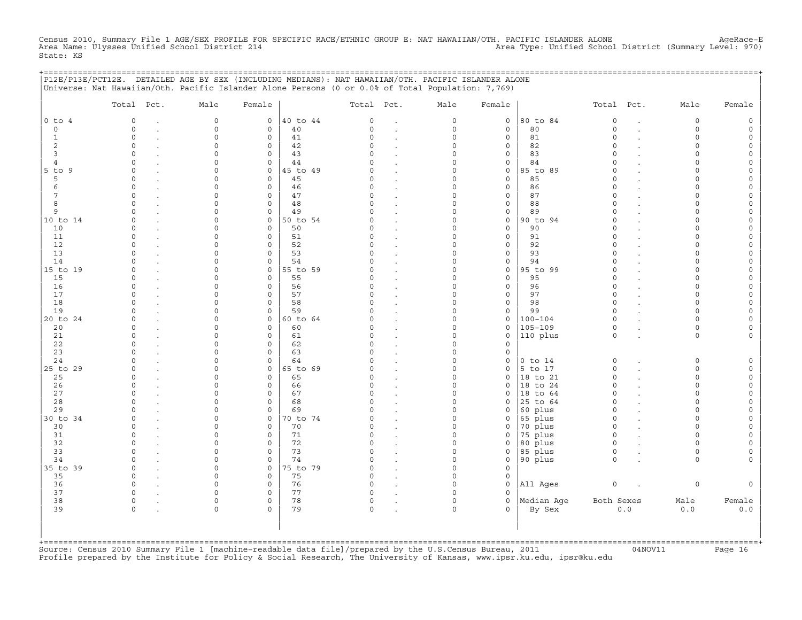Census 2010, Summary File 1 AGE/SEX PROFILE FOR SPECIFIC RACE/ETHNIC GROUP E: NAT HAWAIIAN/OTH. PACIFIC ISLANDER ALONE AgeRace-E<br>Area Name: Ulysses Unified School District 214 State: KS

|                              | P12E/P13E/PCT12E. DETAILED AGE BY SEX (INCLUDING MEDIANS): NAT HAWAIIAN/OTH. PACIFIC ISLANDER ALONE<br>Universe: Nat Hawaiian/Oth. Pacific Islander Alone Persons (0 or 0.0% of Total Population: 7,769) |                      |                             |                |               |                                 |                      |                            | ========================= |                      |        |                    |        |
|------------------------------|----------------------------------------------------------------------------------------------------------------------------------------------------------------------------------------------------------|----------------------|-----------------------------|----------------|---------------|---------------------------------|----------------------|----------------------------|---------------------------|----------------------|--------|--------------------|--------|
|                              | Total Pct.                                                                                                                                                                                               | Male                 | Female                      |                | Total Pct.    |                                 | Male                 | Female                     |                           | Total Pct.           |        | Male               | Female |
| $0$ to $4$                   | $\circ$                                                                                                                                                                                                  | $\mathbf 0$          | 0                           | 40 to 44       | $\circ$       | $\ddot{\phantom{a}}$            | $\circ$              | $\circ$                    | 80 to 84                  | $\circ$              |        | $\circ$            |        |
| $\circ$                      | $\Omega$                                                                                                                                                                                                 | $\mathbf 0$          | $\mathbf{0}$                | 40             | $\Omega$      | $\cdot$                         | 0                    | $\mathbf 0$                | 80                        | $\circ$              | $\sim$ | $\circ$            | $\cap$ |
| 1                            | $\Omega$                                                                                                                                                                                                 | $\Omega$             | $\mathbf 0$                 | 41             | $\Omega$      | $\cdot$                         | $\Omega$             | $\mathbf 0$                | 81                        | $\Omega$             |        | $\Omega$           |        |
| 2                            | $\Omega$                                                                                                                                                                                                 | $\Omega$             | $\mathbf 0$                 | 42             | $\Omega$      |                                 | $\Omega$             | 0                          | 82                        | $\Omega$             |        | $\Omega$           |        |
| 3                            | $\Omega$<br>$\Omega$                                                                                                                                                                                     | n                    | $\Omega$                    | 43             | $\cap$        |                                 | $\Omega$             | 0                          | 83                        | $\cap$<br>$\Omega$   |        | $\Omega$<br>$\cap$ |        |
| $\overline{4}$<br>$5$ to $9$ | $\Omega$                                                                                                                                                                                                 |                      | $\mathbf{0}$<br>$\mathbf 0$ | 44<br>45 to 49 | $\Omega$      | $\cdot$                         | $\Omega$<br>$\Omega$ | 0<br>0                     | 84<br>85 to 89            | $\Omega$             |        |                    |        |
| 5                            | $\Omega$                                                                                                                                                                                                 |                      | $\mathbf 0$                 | 45             | $\Omega$      | $\cdot$<br>$\bullet$            | $\Omega$             | $\mathbf 0$                | 85                        | $\Omega$             |        |                    |        |
| 6                            | $\Omega$                                                                                                                                                                                                 |                      | $\mathbf 0$                 | 46             | $\Omega$      | $\bullet$                       | $\Omega$             | 0                          | 86                        | $\Omega$             |        | $\Omega$           |        |
| 7                            | $\Omega$                                                                                                                                                                                                 | $\Omega$             | $\mathbf 0$                 | 47             | $\Omega$      |                                 | $\Omega$             | $\mathbf 0$                | 87                        | $\Omega$             |        | $\cap$             |        |
| 8                            | $\circ$                                                                                                                                                                                                  | $\Omega$             | $\mathsf{O}$                | 48             | $\circ$       | $\cdot$                         | $\Omega$             | 0                          | 88                        | $\circ$              |        | $\Omega$           |        |
| 9                            | $\Omega$                                                                                                                                                                                                 | $\Omega$             | 0                           | 49             | $\Omega$      | $\cdot$                         | $\Omega$             | 0                          | 89                        | $\Omega$             |        | $\cap$             |        |
| 10 to 14                     | $\Omega$                                                                                                                                                                                                 | $\Omega$             | $\mathbf 0$                 | 50 to 54       |               | $\ddot{\phantom{a}}$            | $\Omega$             | $\mathbf 0$                | 90 to 94                  | $\Omega$             |        | $\Omega$           |        |
| 10                           | $\Omega$                                                                                                                                                                                                 | $\Omega$             | $\mathbf 0$                 | 50             | 0             |                                 | $\Omega$             | 0                          | 90                        | $\Omega$             |        | $\Omega$           |        |
| 11                           | $\Omega$                                                                                                                                                                                                 |                      | $\mathbf 0$                 | 51             | $\Omega$      | $\bullet$                       | $\cap$               | 0                          | 91                        | $\cap$               |        | $\cap$             |        |
| 12                           | $\cap$                                                                                                                                                                                                   |                      | $\mathbf 0$                 | 52             | <sup>o</sup>  | $\ddot{\phantom{a}}$            | O                    | $\circ$                    | 92                        | $\Omega$             |        |                    |        |
| 13                           | $\cap$                                                                                                                                                                                                   |                      | $\mathbf 0$                 | 53             | $\Omega$      | $\ddot{\phantom{a}}$            | $\Omega$             | $\Omega$                   | 93                        | $\Omega$             |        |                    |        |
| 14                           |                                                                                                                                                                                                          |                      | $\mathbf 0$                 | 54             |               | $\cdot$                         | $\Omega$             | 0                          | 94                        | $\Omega$             |        |                    |        |
| 15 to 19                     | $\cap$                                                                                                                                                                                                   | $\cap$               | $\mathbf{0}$                | 55 to 59       | U             |                                 | $\Omega$             | 0                          | 95 to 99                  | $\Omega$             |        | $\cap$<br>$\cap$   |        |
| 15<br>16                     | $\Omega$<br>$\Omega$                                                                                                                                                                                     | $\Omega$<br>$\Omega$ | $\Omega$<br>$\mathbf 0$     | 55<br>56       | $\cap$<br>0   | $\cdot$                         | $\Omega$<br>$\Omega$ | $\mathbf 0$<br>$\mathbf 0$ | 95<br>96                  | $\Omega$<br>$\circ$  |        | $\cap$             |        |
| 17                           | $\Omega$                                                                                                                                                                                                 |                      | $\mathbf{0}$                | 57             | $\Omega$      | $\cdot$                         | 0                    | $\circ$                    | 97                        | $\circ$              |        | $\Omega$           |        |
| 18                           | $\cap$                                                                                                                                                                                                   | $\cap$               | $\mathbf{0}$                | 58             | C)            |                                 | $\Omega$             | 0                          | 98                        | $\Omega$             |        | $\Omega$           |        |
| 19                           | $\Omega$                                                                                                                                                                                                 | $\Omega$             | $\mathbf 0$                 | 59             | $\Omega$      |                                 | $\Omega$             | 0                          | 99                        | $\circ$              |        | $\Omega$           |        |
| 20 to 24                     | $\cap$                                                                                                                                                                                                   | $\cap$               | $\mathsf{O}$                | 60 to 64       | $\cap$        |                                 | $\Omega$             | 0                          | $100 - 104$               | $\circ$              |        | $\Omega$           |        |
| 20                           | $\Omega$                                                                                                                                                                                                 |                      | $\mathbf 0$                 | 60             | C)            | $\ddot{\phantom{a}}$            | $\Omega$             | 0                          | $105 - 109$               | $\mathsf O$          |        | $\Omega$           |        |
| 21                           | $\Omega$                                                                                                                                                                                                 |                      | $\mathbf 0$                 | 61             | $\Omega$      |                                 | $\Omega$             | 0                          | 110 plus                  | $\circ$              |        | $\circ$            |        |
| 22                           | $\Omega$                                                                                                                                                                                                 |                      | $\mathbf 0$                 | 62             | $\Omega$      |                                 | $\Omega$             | $\Omega$                   |                           |                      |        |                    |        |
| 23                           | $\Omega$                                                                                                                                                                                                 |                      | $\mathbf 0$                 | 63             | O             |                                 | $\Omega$             | 0                          |                           |                      |        |                    |        |
| 24                           | $\cap$                                                                                                                                                                                                   |                      | $\circ$                     | 64             |               |                                 | $\Omega$             | 0                          | $0$ to $14$               | 0                    |        | $\Omega$           |        |
| 25 to 29                     | $\circ$                                                                                                                                                                                                  | $\cap$               | $\mathsf{O}$                | 65 to 69       | 0             | $\cdot$                         | $\Omega$             | 0                          | $5$ to 17                 | $\circ$              |        | $\Omega$           |        |
| 25                           | $\Omega$                                                                                                                                                                                                 |                      | 0                           | 65             | O             | $\ddot{\phantom{a}}$            | $\Omega$             | 0                          | 18 to 21                  | 0                    |        | $\Omega$           |        |
| 26                           | $\cap$                                                                                                                                                                                                   |                      | $\Omega$                    | 66             | U             | $\cdot$                         | $\Omega$             | $\Omega$                   | 18 to 24                  | $\Omega$             |        | $\cap$             |        |
| 27                           | $\Omega$                                                                                                                                                                                                 | $\cap$               | $\mathbf 0$                 | 67             | $\Omega$      |                                 | $\Omega$             | 0                          | $ 18$ to $64$             | $\Omega$             |        | $\cap$             |        |
| 28                           | $\cap$<br>$\cap$                                                                                                                                                                                         | $\cap$<br>$\Omega$   | $\mathbf 0$<br>$\mathbf 0$  | 68<br>69       | $\Omega$<br>O | $\cdot$                         | $\Omega$<br>$\Omega$ | $\circ$<br>$\Omega$        | 25 to 64                  | $\Omega$<br>$\Omega$ |        | $\cap$<br>$\Omega$ |        |
| 29<br>30 to 34               | $\Omega$                                                                                                                                                                                                 | $\Omega$             | $\mathbf{0}$                | 70 to 74       | $\Omega$      | $\cdot$                         | $\Omega$             | 0                          | 60 plus<br>65 plus        | $\Omega$             |        | $\Omega$           |        |
| 30                           | $\Omega$                                                                                                                                                                                                 | $\Omega$             | 0                           | 70             | $\Omega$      | $\cdot$<br>$\ddot{\phantom{a}}$ | $\Omega$             | 0                          | 70 plus                   | $\circ$              |        | $\Omega$           |        |
| 31                           | $\Omega$                                                                                                                                                                                                 | ∩                    | $\mathbf 0$                 | 71             | $\Omega$      | $\bullet$                       | 0                    | 0                          | 75 plus                   | $\circ$              |        | $\Omega$           |        |
| 32                           | $\cap$                                                                                                                                                                                                   | $\Omega$             | $\mathbf 0$                 | 72             | $\Omega$      | $\ddot{\phantom{a}}$            | $\Omega$             | $\mathbf 0$                | 80 plus                   | $\Omega$             |        | $\cap$             |        |
| 33                           | $\Omega$                                                                                                                                                                                                 | $\Omega$             | $\mathbf 0$                 | 73             | $\Omega$      | $\ddot{\phantom{a}}$            | $\Omega$             | $\mathbf 0$                | 85 plus                   | $\circ$              |        | $\Omega$           |        |
| 34                           | $\Omega$                                                                                                                                                                                                 | $\Omega$             | $\mathbf 0$                 | 74             | $\Omega$      | $\ddot{\phantom{a}}$            | $\Omega$             | 0                          | 90 plus                   | $\circ$              |        | $\Omega$           |        |
| 35 to 39                     | $\Omega$                                                                                                                                                                                                 | $\Omega$             | $\mathbf 0$                 | 75 to 79       | $\Omega$      |                                 | $\Omega$             | $\Omega$                   |                           |                      |        |                    |        |
| 35                           | $\circ$                                                                                                                                                                                                  | $\Omega$             | $\mathbf 0$                 | 75             | $\mathsf{O}$  |                                 | $\Omega$             | 0                          |                           |                      |        |                    |        |
| 36                           | $\circ$                                                                                                                                                                                                  | $\Omega$             | $\mathsf{O}$                | 76             | $\mathsf{O}$  | $\cdot$                         | $\Omega$             | 0                          | All Ages                  | $\mathsf O$          |        | 0                  |        |
| 37                           | $\circ$                                                                                                                                                                                                  | $\Omega$             | $\mathbf 0$                 | 77             | 0             | $\cdot$                         | $\Omega$             | 0                          |                           |                      |        |                    |        |
| 38                           | $\circ$                                                                                                                                                                                                  | $\Omega$             | 0                           | 78             | 0             |                                 | $\Omega$             | 0                          | Median Age                | Both Sexes           |        | Male               | Female |
| 39                           | $\Omega$                                                                                                                                                                                                 | $\Omega$             | $\Omega$                    | 79             | $\Omega$      |                                 | $\cap$               | $\Omega$                   | By Sex                    |                      | $0.0$  | 0.0                | 0.0    |
|                              |                                                                                                                                                                                                          |                      |                             |                |               |                                 |                      |                            |                           |                      |        |                    |        |
|                              |                                                                                                                                                                                                          |                      |                             |                |               |                                 |                      |                            |                           |                      |        |                    |        |
|                              |                                                                                                                                                                                                          |                      |                             |                |               |                                 |                      |                            |                           |                      |        |                    |        |

+===================================================================================================================================================+Source: Census 2010 Summary File 1 [machine−readable data file]/prepared by the U.S.Census Bureau, 2011 04NOV11 Page 16 Profile prepared by the Institute for Policy & Social Research, The University of Kansas, www.ipsr.ku.edu, ipsr@ku.edu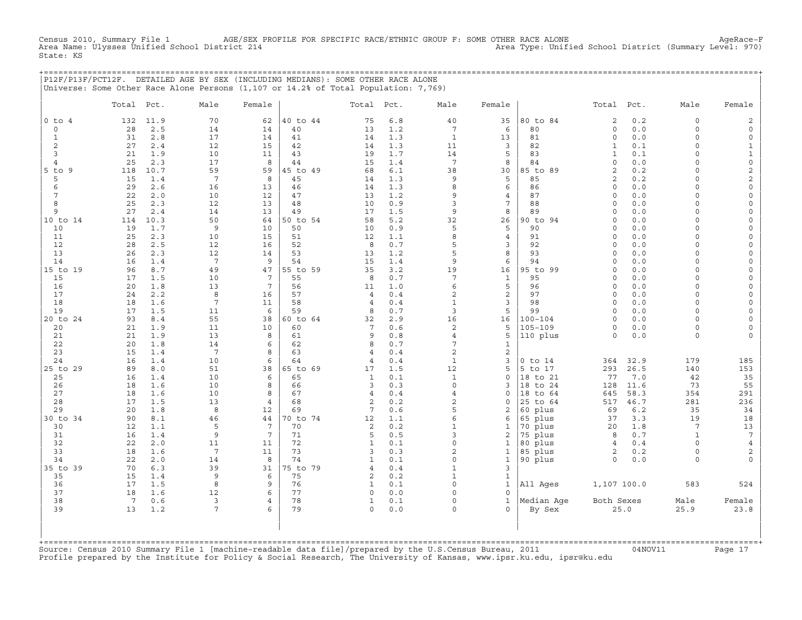Census 2010, Summary File 1 AGE/SEX PROFILE FOR SPECIFIC RACE/ETHNIC GROUP F: SOME OTHER RACE ALONE AgeRace−F Area Name: Ulysses Unified School District 214 Area Type: Unified School District (Summary Level: 970) State: KS

+===================================================================================================================================================+

|                |                               |             | P12F/P13F/PCT12F. DETAILED AGE BY SEX (INCLUDING MEDIANS): SOME OTHER RACE ALONE<br>Universe: Some Other Race Alone Persons (1,107 or 14.2% of Total Population: 7,769) |                       |                |                   |            |                                  |                     |                      |                              |              |                      |                                 |
|----------------|-------------------------------|-------------|-------------------------------------------------------------------------------------------------------------------------------------------------------------------------|-----------------------|----------------|-------------------|------------|----------------------------------|---------------------|----------------------|------------------------------|--------------|----------------------|---------------------------------|
|                | Total Pct.                    |             | Male                                                                                                                                                                    | Female                |                | Total             | Pct.       | Male                             | Female              |                      | Total Pct.                   |              | Male                 | Female                          |
| $0$ to $4$     | 132                           | 11.9        | 70                                                                                                                                                                      | 62                    | 40 to 44       | 75                | 6.8        | 40                               | 35                  | 80 to 84             | $\mathbf{2}$                 | 0.2          | $\circ$              | 2                               |
| 0              | 28                            | 2.5         | 14                                                                                                                                                                      | 14                    | 40             | 13                | 1.2        | $7\overline{ }$                  | 6                   | 80                   | $\mathsf O$                  | 0.0          | $\circ$              | $\mathsf O$                     |
| $\mathbf{1}$   | 31                            | 2.8         | 17                                                                                                                                                                      | 14                    | 41             | 14                | 1.3        | $\mathbf{1}$                     | 13                  | 81                   | $\circ$                      | 0.0          | $\Omega$             | $\circ$                         |
| 2<br>3         | 27<br>21                      | 2.4<br>1.9  | 12<br>10                                                                                                                                                                | 15<br>11              | 42<br>43       | 14<br>19          | 1.3<br>1.7 | 11<br>14                         | 3<br>5              | 82<br>83             | $\mathbf{1}$<br>$\mathbf{1}$ | 0.1<br>0.1   | $\Omega$<br>$\Omega$ | $\mathbf{1}$<br>$\mathbf 1$     |
| 4              | 25                            | 2.3         | 17                                                                                                                                                                      | 8                     | 44             | 15                | 1.4        | $7\phantom{.0}$                  | 8                   | 84                   | $\mathsf{O}\xspace$          | 0.0          | $\Omega$             | $\mathsf{O}\xspace$             |
| $5$ to $9$     | 118                           | 10.7        | 59                                                                                                                                                                      | 59                    | 45 to 49       | 68                | 6.1        | 38                               | 30                  | 85 to 89             | $\overline{2}$               | 0.2          | $\Omega$             | $\sqrt{2}$                      |
| 5              | 15                            | 1.4         | $7\phantom{.0}$                                                                                                                                                         | 8                     | 45             | 14                | 1.3        | 9                                | 5                   | 85                   | $\overline{2}$               | 0.2          | $\cap$               | $\sqrt{2}$                      |
| 6              | 29                            | 2.6         | 16                                                                                                                                                                      | 13                    | 46             | 14                | 1.3        | 8                                | 6                   | 86                   | $\circ$                      | 0.0          | $\Omega$             | $\mathsf{O}\xspace$             |
| 7              | 22                            | 2.0         | 10                                                                                                                                                                      | 12                    | 47             | 13                | 1.2        | 9                                | 4                   | 87                   | $\Omega$                     | 0.0          | $\Omega$             | $\mathsf{O}\xspace$             |
| 8              | 25                            | 2.3         | 12                                                                                                                                                                      | 13                    | 48             | 10                | 0.9        | 3                                | 7                   | 88                   | $\Omega$                     | 0.0          | $\Omega$             | $\Omega$                        |
| 9<br>10 to 14  | 27<br>114                     | 2.4<br>10.3 | 14<br>50                                                                                                                                                                | 13<br>64              | 49<br>50 to 54 | 17<br>58          | 1.5<br>5.2 | 9<br>32                          | 8<br>26             | 89<br>90 to 94       | $\Omega$<br>$\Omega$         | 0.0<br>0.0   | $\Omega$<br>$\Omega$ | $\Omega$<br>$\mathsf{O}\xspace$ |
| 10             | 19                            | 1.7         | 9                                                                                                                                                                       | 10                    | 50             | 10                | 0.9        | 5                                | 5                   | 90                   | $\Omega$                     | 0.0          | $\Omega$             | $\Omega$                        |
| 11             | 25                            | 2.3         | 10                                                                                                                                                                      | 15                    | 51             | 12                | 1.1        | 8                                | $\overline{4}$      | 91                   | $\Omega$                     | 0.0          | $\Omega$             | $\Omega$                        |
| 12             | 28                            | 2.5         | 12                                                                                                                                                                      | 16                    | 52             | 8                 | 0.7        | 5                                | 3                   | 92                   | $\Omega$                     | 0.0          | $\Omega$             | $\mathsf{O}\xspace$             |
| 13             | 26                            | 2.3         | 12                                                                                                                                                                      | 14                    | 53             | 13                | 1.2        | 5                                | 8                   | 93                   | $\Omega$                     | 0.0          | $\Omega$             | $\mathsf O$                     |
| 14             | 16                            | 1.4         | 7                                                                                                                                                                       | 9                     | 54             | 15                | 1.4        | 9                                | 6                   | 94                   | $\Omega$                     | 0.0          | $\Omega$             | $\Omega$                        |
| 15 to 19       | 96                            | 8.7         | 49                                                                                                                                                                      | 47<br>$7\phantom{.0}$ | 55 to 59       | 35                | 3.2        | 19<br>7                          | 16                  | 95 to 99             | $\Omega$<br>$\Omega$         | 0.0          | $\Omega$<br>$\Omega$ | $\Omega$<br>$\circ$             |
| 15<br>16       | 17<br>20                      | 1.5<br>1.8  | 10<br>13                                                                                                                                                                | $7\phantom{.0}$       | 55<br>56       | 8<br>11           | 0.7<br>1.0 | 6                                | $\mathbf{1}$<br>5   | 95<br>96             | $\Omega$                     | 0.0<br>0.0   | $\Omega$             | $\mathsf O$                     |
| 17             | 24                            | 2.2         | 8                                                                                                                                                                       | 16                    | 57             | $\overline{4}$    | 0.4        | $\overline{2}$                   | $\mathbf{2}$        | 97                   | $\circ$                      | 0.0          | $\Omega$             | $\Omega$                        |
| 18             | 18                            | 1.6         | $7\phantom{.0}$                                                                                                                                                         | 11                    | 58             | $\overline{4}$    | 0.4        | $\mathbf{1}$                     | 3                   | 98                   | $\Omega$                     | 0.0          | $\Omega$             | $\Omega$                        |
| 19             | 17                            | 1.5         | 11                                                                                                                                                                      | 6                     | 59             | 8                 | 0.7        | $\overline{3}$                   | 5                   | 99                   | $\Omega$                     | 0.0          | $\Omega$             | $\circ$                         |
| 20 to 24       | 93                            | 8.4         | 55                                                                                                                                                                      | 38                    | 60 to 64       | 32                | 2.9        | 16                               | 16                  | 100-104              | $\circ$                      | 0.0          | $\Omega$             | $\mathbf 0$                     |
| 20             | 21                            | 1.9         | 11                                                                                                                                                                      | 10                    | 60             | 7                 | 0.6        | $\overline{2}$                   | 5                   | $105 - 109$          | $\Omega$                     | 0.0          | $\Omega$             | $\Omega$                        |
| 21<br>22       | 21<br>20                      | 1.9<br>1.8  | 13<br>14                                                                                                                                                                | 8<br>6                | 61<br>62       | 9<br>8            | 0.8<br>0.7 | 4<br>7                           | 5<br>$\mathbf{1}$   | 110 plus             | $\Omega$                     | 0.0          | $\Omega$             | $\Omega$                        |
| 23             | 15                            | 1.4         | 7                                                                                                                                                                       | 8                     | 63             | $\overline{4}$    | 0.4        | $\overline{a}$                   | 2                   |                      |                              |              |                      |                                 |
| 24             | 16                            | 1.4         | 10                                                                                                                                                                      | 6                     | 64             | $\overline{4}$    | 0.4        | $\mathbf{1}$                     | 3                   | $0$ to $14$          | 364                          | 32.9         | 179                  | 185                             |
| 25 to 29       | 89                            | 8.0         | 51                                                                                                                                                                      | 38                    | 65 to 69       | 17                | 1.5        | 12                               | 5                   | 5 to 17              | 293                          | 26.5         | 140                  | 153                             |
| 25             | 16                            | 1.4         | 10                                                                                                                                                                      | 6                     | 65             | $\mathbf{1}$      | 0.1        | $\mathbf{1}$                     | $\mathsf{O}\xspace$ | 18 to 21             | 77                           | 7.0          | 42                   | 35                              |
| 26             | 18                            | 1.6         | 10                                                                                                                                                                      | 8                     | 66             | 3                 | 0.3        | $\Omega$                         | 3                   | 18 to 24             | 128                          | 11.6         | 73                   | 55                              |
| 27<br>28       | 18<br>17                      | 1.6<br>1.5  | 10<br>13                                                                                                                                                                | 8<br>$\overline{4}$   | 67<br>68       | 4<br>$\mathbf{2}$ | 0.4<br>0.2 | $\overline{4}$<br>$\overline{2}$ | 0<br>0              | 18 to 64<br>25 to 64 | 645<br>517                   | 58.3<br>46.7 | 354<br>281           | 291<br>236                      |
| 29             | 20                            | 1.8         | 8                                                                                                                                                                       | 12                    | 69             | 7                 | 0.6        | 5                                | 2                   | 60 plus              | 69                           | 6.2          | 35                   | 34                              |
| 30 to 34       | 90                            | 8.1         | 46                                                                                                                                                                      | 44                    | 70 to 74       | 12                | 1.1        | 6                                | 6                   | 65 plus              | 37                           | 3.3          | 19                   | 18                              |
| 30             | 12                            | 1.1         | 5                                                                                                                                                                       | 7                     | 70             | $\overline{c}$    | 0.2        | $\mathbf{1}$                     | 1                   | 70 plus              | 20                           | 1.8          | $7\phantom{.0}$      | 13                              |
| 31             | 16                            | 1.4         | 9                                                                                                                                                                       | $7\phantom{.0}$       | 71             | 5                 | 0.5        | 3                                | $\mathbf{2}$        | 75 plus              | 8                            | 0.7          | $\mathbf{1}$         | $7\phantom{.0}$                 |
| 32             | 22                            | 2.0         | 11                                                                                                                                                                      | 11                    | 72             | $\mathbf{1}$      | 0.1        | 0                                | $\mathbf{1}$        | 80 plus              | $\overline{4}$               | 0.4          | $\Omega$             | $\,4$                           |
| 33             | 18<br>22                      | 1.6         | $7\phantom{.0}$                                                                                                                                                         | 11<br>8               | 73             | 3<br>$\mathbf{1}$ | 0.3        | $\overline{a}$<br>0              | $\mathbf{1}$        | 85 plus              | $\mathbf{2}$<br>$\Omega$     | $0.2$        | $\Omega$<br>$\Omega$ | 2                               |
| 34<br>35 to 39 | 70                            | 2.0<br>6.3  | 14<br>39                                                                                                                                                                | 31                    | 74<br>75 to 79 | $\overline{4}$    | 0.1<br>0.4 | $\mathbf{1}$                     | $\mathbf{1}$<br>3   | 90 plus              |                              | 0.0          |                      |                                 |
| 35             | 15                            | 1.4         | 9                                                                                                                                                                       | 6                     | 75             | 2                 | 0.2        | $\mathbf{1}$                     | $\mathbf{1}$        |                      |                              |              |                      |                                 |
| 36             | 17                            | 1.5         | 8                                                                                                                                                                       | 9                     | 76             | $\mathbf{1}$      | 0.1        | $\Omega$                         | $\mathbf{1}$        | All Aqes             | 1,107 100.0                  |              | 583                  | 524                             |
| 37             | 18                            | 1.6         | 12                                                                                                                                                                      | 6                     | 77             | 0                 | 0.0        | $\Omega$                         | $\Omega$            |                      |                              |              |                      |                                 |
| 38             | $7\overline{ }$               | 0.6         | 3                                                                                                                                                                       | $\overline{4}$        | 78             | $\mathbf{1}$      | 0.1        | $\mathbf 0$                      | $\mathbf{1}$        | Median Aqe           | Both Sexes                   |              | Male                 | Female                          |
| 39             | 13                            | 1.2         | 7                                                                                                                                                                       | 6                     | 79             | $\Omega$          | 0.0        | $\Omega$                         | $\Omega$            | By Sex               |                              | 25.0         | 25.9                 | 23.8                            |
|                |                               |             |                                                                                                                                                                         |                       |                |                   |            |                                  |                     |                      |                              |              |                      |                                 |
|                |                               |             |                                                                                                                                                                         |                       |                |                   |            |                                  |                     |                      |                              |              |                      |                                 |
|                | +============================ |             |                                                                                                                                                                         |                       |                |                   |            |                                  |                     |                      |                              |              |                      |                                 |

Source: Census 2010 Summary File 1 [machine-readable data file]/prepared by the U.S.Census Bureau, 2011 Page 17<br>Profile prepared by the Institute for Policy & Social Research, The University of Kansas, www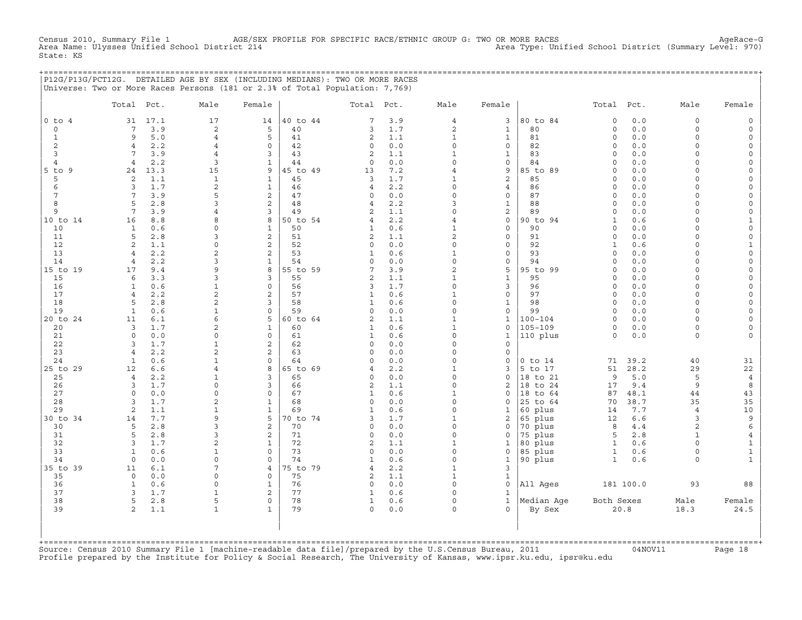Census 2010, Summary File 1 AGE/SEX PROFILE FOR SPECIFIC RACE/ETHNIC GROUP G: TWO OR MORE RACES AgeRace−G<br>Area Name: Ulysses Unified School District 214 Area Nove: Unified School District (Summary Level: 970) Area Name: Ulysses Unified School District 214 State: KS

+===================================================================================================================================================+

|P12G/P13G/PCT12G. DETAILED AGE BY SEX (INCLUDING MEDIANS): TWO OR MORE RACES | |Universe: Two or More Races Persons (181 or 2.3% of Total Population: 7,769) | | | | Total Pct. Male Female | Total Pct. Male Female | Total Pct. Male Female | | | | | |0 to 4 31 17.1 17 14 |40 to 44 7 3.9 4 3 |80 to 84 0 0.0 0 0 0 0 | | 0 7 3.9 2 5 | 40 3 1.7 2 1 | 80 0 0.0 0 0 | | 1 9 5.0 4 5 | 41 2 1.1 1 1 | 81 0 0.0 0 0 | | 2 4 2.2 4 0 | 42 0 0.0 0 0 | 82 0 0.0 0 0 | | 3 7 3.9 4 3 | 43 2 1.1 1 1 | 83 0 0.0 0 0 | | 4 4 2.2 3 1 | 44 0 0.0 0 0 | 84 0 0.0 0 0 | |5 to 9 24 13.3 15 9 |45 to 49 13 7.2 4 9 |85 to 89 0 0.0 0 0 | | 5 2 1.1 1 1 | 45 3 1.7 1 2 | 85 0 0.0 0 0 | | 6 3 1.7 2 1 | 46 4 2.2 0 4 | 86 0 0.0 0 0 | | 7 7 3.9 5 2 | 47 0 0.0 0 0 | 87 0 0.0 0 0 | | 8 5 2.8 3 2 | 48 4 2.2 3 1 | 88 0 0.0 0 0 | | 9 7 3.9 4 3 | 49 2 1.1 0 2 | 89 0 0.0 0 0 | |10 to 14 16 8.8 8 8 |50 to 54 4 2.2 4 0 |90 to 94 1 0.6 0 1 | | 10 1 0.6 0 1 | 50 1 0.6 1 0 | 90 0 0.0 0 0 | | 11 5 2.8 3 2 | 51 2 1.1 2 0 | 91 0 0.0 0 0 | | 12 2 1.1 0 2 | 52 0 0.0 0 0 | 92 1 0.6 0 1 | | 13 4 2.2 2 2 | 53 1 0.6 1 0 | 93 0 0.0 0 0 | | 14 4 2.2 3 1 | 54 0 0.0 0 0 | 94 0 0.0 0 0 | |15 to 19 17 9.4 9 8 |55 to 59 7 3.9 2 5 |95 to 99 0 0.0 0 0 | | 15 6 3.3 3 3 | 55 2 1.1 1 1 | 95 0 0.0 0 0 | | 16 1 0.6 1 0 | 56 3 1.7 0 3 | 96 0 0.0 0 0 | | 17 4 2.2 2 2 | 57 1 0.6 1 0 | 97 0 0.0 0 0 | | 18 5 2.8 2 3 | 58 1 0.6 0 1 | 98 0 0.0 0 0 | | 19 1 0.6 1 0 | 59 0 0.0 0 0 | 99 0 0.0 0 0 | |20 to 24 11 6.1 6 5 |60 to 64 2 1.1 1 1 1 |100−104 0 0.0 0 0 0 0 | 20 3 1.7 2 1 | 60 1 0.6 1 0 | 105−109 0 0.0 0 0 0 | 21 0 0.0 0 0 | 61 1 0.6 0 1 |110 plus 0 0.0 0 0 | | 22 3 1.7 1 2 | 62 0 0.0 0 0 | | | 23 4 2.2 2 2 | 63 0 0.0 0 0 | | | 24 1 0.6 1 0 | 64 0 0.0 0 0 |0 to 14 71 39.2 40 31 | |25 to 29 12 6.6 4 8 |65 to 69 4 2.2 1 3 |5 to 17 51 28.2 29 22 | | 25 4 2.2 1 3 | 65 0 0.0 0 0 |18 to 21 9 5.0 5 4 | | 26 3 1.7 0 3 | 66 2 1.1 0 2 |18 to 24 17 9.4 9 8 | | 27 0 0.0 0 0 | 67 1 0.6 1 0 |18 to 64 87 48.1 44 43 | | 28 3 1.7 2 1 | 68 0 0.0 0 0 |25 to 64 70 38.7 35 35 | | 29 2 1.1 1 1 | 69 1 0.6 0 1 |60 plus 14 7.7 4 10 | |30 to 34 14 7.7 9 5 |70 to 74 3 1.7 1 2 |65 plus 12 6.6 3 9 | | 30 5 2.8 3 2 | 70 0 0.0 0 0 |70 plus 8 4.4 2 6 | | 31 5 2.8 3 2 | 71 0 0.0 0 0 |75 plus 5 2.8 1 4 | | 32 3 1.7 2 1 | 72 2 1.1 1 1 |80 plus 1 0.6 0 1 | | 33 1 0.6 1 0 | 73 0 0.0 0 0 |85 plus 1 0.6 0 1 | | 34 0 0.0 0 0 | 74 1 0.6 0 1 | 90 plus 1 0.6 0 1 |  $|35 \text{ to } 39 \qquad 11 \quad 6.1 \qquad 7 \qquad 4 \quad |75 \text{ to } 79 \qquad 4 \quad 2.2 \qquad 1 \qquad 3 \qquad |$ | 35 0 0.0 0 0 | 75 2 1.1 1 1 | | | 36 1 0.6 0 1 | 76 0 0.0 0 0 |All Ages 181 100.0 93 88 | | 37 3 1.7 1 2 77 1 0.6 0 1 | 38 5 2.8 5 0 | 78 1 0.6 0 1 |Median Age Both Sexes Male Female | | 39 2 1.1 1 1 | 79 0 0.0 0 0 | By Sex 20.8 18.3 24.5 | | | | |

| | +===================================================================================================================================================+Source: Census 2010 Summary File 1 [machine−readable data file]/prepared by the U.S.Census Bureau, 2011 04NOV11 Page 18 Profile prepared by the Institute for Policy & Social Research, The University of Kansas, www.ipsr.ku.edu, ipsr@ku.edu

| | | |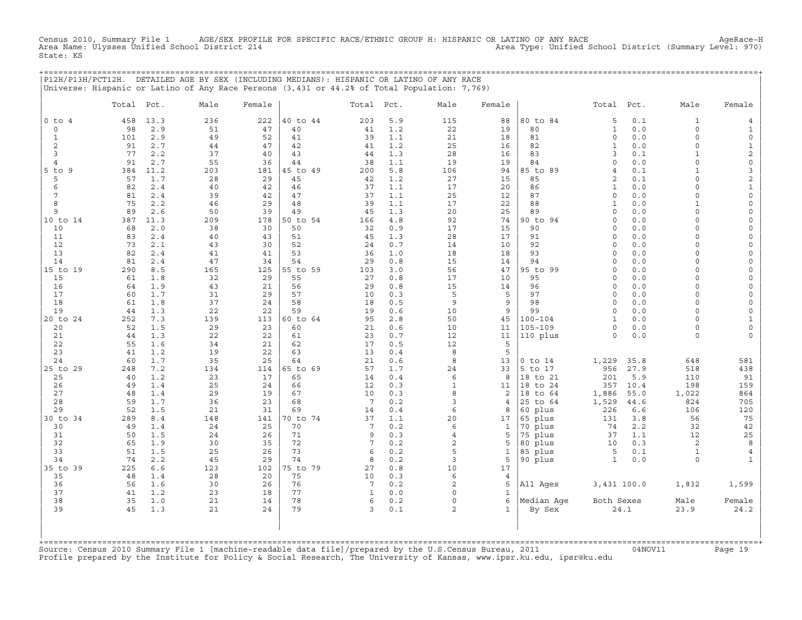Census 2010, Summary File 1 AGE/SEX PROFILE FOR SPECIFIC RACE/ETHNIC GROUP H: HISPANIC OR LATINO OF ANY RACE<br>Area Name: Ulysses Unified School District 214 Area Type: Unified School District (Summary Level: 970) State: KS

+===================================================================================================================================================+

| P12H/P13H/PCT12H. | Universe: Hispanic or Latino of Any Race Persons (3,431 or 44.2% of Total Population: 7,769) |           |           |                |                       |            | DETAILED AGE BY SEX (INCLUDING MEDIANS): HISPANIC OR LATINO OF ANY RACE |                |                      |                           |             |                          |                                            |
|-------------------|----------------------------------------------------------------------------------------------|-----------|-----------|----------------|-----------------------|------------|-------------------------------------------------------------------------|----------------|----------------------|---------------------------|-------------|--------------------------|--------------------------------------------|
|                   | Total<br>Pct.                                                                                | Male      | Female    |                | Total                 | Pct.       | Male                                                                    | Female         |                      | Total                     | Pct.        | Male                     | Female                                     |
| $0$ to $4$<br>0   | 458<br>13.3<br>2.9<br>98                                                                     | 236<br>51 | 222<br>47 | 40 to 44<br>40 | 203<br>41             | 5.9<br>1.2 | 115<br>22                                                               | 88<br>19       | 80 to 84<br>80       | 5<br>$\mathbf{1}$         | 0.1<br>0.0  | $\mathbf{1}$<br>$\Omega$ | 4<br>$\mathbf{1}$                          |
| $\mathbf{1}$      | 101<br>2.9                                                                                   | 49        | 52        | 41             | 39                    | 1.1        | 21                                                                      | 18             | 81                   | $\mathbf 0$               | 0.0         | $\circ$                  | 0                                          |
| 2                 | 91<br>2.7                                                                                    | 44        | 47        | 42             | 41                    | 1.2        | 25                                                                      | 16             | 82                   | $\mathbf{1}$              | 0.0         | $\circ$                  | $\mathbf{1}$                               |
| 3                 | 77<br>2.2                                                                                    | 37        | 40        | 43             | 44                    | 1.3        | 28                                                                      | 16             | 83                   | 3                         | 0.1         | $\mathbf{1}$             | $\overline{c}$                             |
| 4<br>5 to 9       | 2.7<br>91<br>11.2                                                                            | 55<br>203 | 36        | 44<br>45 to 49 | 38<br>200             | 1.1<br>5.8 | 19                                                                      | 19             | 84<br>85 to 89       | $\circ$<br>$\overline{4}$ | 0.0<br>0.1  | 0<br>$\mathbf{1}$        | $\mathsf{O}\xspace$<br>3                   |
| 5                 | 384<br>57<br>1.7                                                                             | 28        | 181<br>29 | 45             | 42                    | 1.2        | 106<br>27                                                               | 94<br>15       | 85                   | 2                         | 0.1         | $\Omega$                 | 2                                          |
| 6                 | 82<br>2.4                                                                                    | 40        | 42        | 46             | 37                    | 1.1        | 17                                                                      | 20             | 86                   | $\mathbf{1}$              | 0.0         | $\Omega$                 | $\mathbf{1}$                               |
| 7                 | 81<br>2.4                                                                                    | 39        | 42        | 47             | 37                    | 1.1        | 25                                                                      | 12             | 87                   | $\circ$                   | 0.0         | $\circ$                  | $\mathsf{O}\xspace$                        |
| 8                 | 75<br>2.2                                                                                    | 46        | 29        | 48             | 39                    | 1.1        | 17                                                                      | 22             | 88                   | $\mathbf{1}$              | 0.0         | $\mathbf{1}$             | $\mathbf 0$                                |
| 9                 | 89<br>2.6                                                                                    | 50        | 39        | 49             | 45                    | 1.3        | 20                                                                      | 25             | 89                   | $\Omega$                  | 0.0         | $\Omega$                 | 0                                          |
| 10 to 14          | 11.3<br>387                                                                                  | 209       | 178       | 50 to 54       | 166                   | $4.8$      | 92                                                                      | 74             | 90 to 94             | $\Omega$                  | 0.0         | $\Omega$                 | $\mathsf{O}\xspace$                        |
| 10                | 2.0<br>68                                                                                    | 38        | 30        | 50             | 32                    | 0.9        | 17                                                                      | 15             | 90                   | $\Omega$                  | $0.0$       | $\Omega$                 | 0                                          |
| 11                | 83<br>2.4                                                                                    | 40        | 43        | 51             | 45                    | 1.3        | 28                                                                      | 17             | 91                   | $\Omega$                  | 0.0         | $\Omega$                 | $\mathbf 0$                                |
| 12                | 73<br>2.1                                                                                    | 43        | 30        | 52             | 24                    | 0.7        | 14                                                                      | 10             | 92                   | $\Omega$                  | 0.0         | $\Omega$                 | $\mathsf{O}\xspace$                        |
| 13                | 82<br>2.4                                                                                    | 41        | 41        | 53             | 36                    | 1.0        | 18                                                                      | 18             | 93                   | $\Omega$                  | 0.0         | $\Omega$                 | 0                                          |
| 14                | 81<br>2.4                                                                                    | 47        | 34        | 54             | 29                    | 0.8        | 15                                                                      | 14             | 94                   | $\Omega$<br>$\Omega$      | 0.0         | $\Omega$                 | $\mathbf 0$                                |
| 15 to 19<br>15    | 290<br>8.5<br>1.8<br>61                                                                      | 165<br>32 | 125<br>29 | 55 to 59<br>55 | 103<br>27             | 3.0<br>0.8 | 56<br>17                                                                | 47<br>10       | 95 to 99<br>95       | $\Omega$                  | 0.0<br>0.0  | $\circ$<br>$\Omega$      | $\mathsf{O}\xspace$<br>$\mathsf{O}\xspace$ |
| 16                | 1.9<br>64                                                                                    | 43        | 21        | 56             | 29                    | 0.8        | 15                                                                      | 14             | 96                   | $\Omega$                  | 0.0         | $\Omega$                 | 0                                          |
| 17                | 60<br>1.7                                                                                    | 31        | 29        | 57             | 10                    | 0.3        | 5                                                                       | 5              | 97                   | $\Omega$                  | 0.0         | 0                        | 0                                          |
| 18                | 1.8<br>61                                                                                    | 37        | 24        | 58             | 18                    | 0.5        | 9                                                                       | 9              | 98                   | $\circ$                   | 0.0         | $\circ$                  | $\mathsf{O}\xspace$                        |
| 19                | 44<br>1.3                                                                                    | 22        | 22        | 59             | 19                    | 0.6        | 10                                                                      | 9              | 99                   | $\Omega$                  | 0.0         | $\Omega$                 | 0                                          |
| 20 to 24          | 7.3<br>252                                                                                   | 139       | 113       | 60 to 64       | 95                    | 2.8        | 50                                                                      | 45             | $100 - 104$          | $\mathbf{1}$              | 0.0         | $\Omega$                 | $\mathbf{1}$                               |
| 20                | 1.5<br>52                                                                                    | 29        | 23        | 60             | 21                    | 0.6        | 10                                                                      | 11             | $105 - 109$          | $\mathsf{O}\xspace$       | 0.0         | $\circ$                  | $\mathsf{O}\xspace$                        |
| 21                | 1.3<br>44                                                                                    | 22        | 22        | 61             | 23                    | 0.7        | 12                                                                      | 11             | 110 plus             | $\circ$                   | 0.0         | $\Omega$                 | $\mathbf 0$                                |
| 22                | 55<br>1.6                                                                                    | 34        | 21        | 62             | 17                    | 0.5        | 12                                                                      | 5              |                      |                           |             |                          |                                            |
| 23                | 41<br>1.2                                                                                    | 19        | 22        | 63             | 13                    | 0.4        | 8                                                                       | 5              |                      |                           |             |                          |                                            |
| 24                | 1.7<br>60                                                                                    | 35        | 25        | 64             | 21                    | 0.6        | 8                                                                       | 13             | $0$ to $14$          | 1,229                     | 35.8        | 648                      | 581                                        |
| 25 to 29          | 7.2<br>248                                                                                   | 134       | 114       | 65 to 69       | 57                    | 1.7        | 24                                                                      | 33             | 5 to 17              | 956                       | 27.9        | 518                      | 438                                        |
| 25<br>26          | 1.2<br>40<br>49<br>1.4                                                                       | 23<br>25  | 17<br>24  | 65<br>66       | 14<br>12              | 0.4<br>0.3 | 6<br>$\mathbf{1}$                                                       | 8<br>11        | 18 to 21<br>18 to 24 | 201<br>357                | 5.9<br>10.4 | 110<br>198               | 91<br>159                                  |
| 27                | 48<br>1.4                                                                                    | 29        | 19        | 67             | 10                    | 0.3        | 8                                                                       | 2              | 18 to 64             | 1,886                     | 55.0        | 1,022                    | 864                                        |
| 28                | 1.7<br>59                                                                                    | 36        | 23        | 68             | $7\phantom{.0}$       | 0.2        | 3                                                                       | $\overline{4}$ | 25 to 64             | 1,529                     | 44.6        | 824                      | 705                                        |
| 29                | 52<br>1.5                                                                                    | 21        | 31        | 69             | 14                    | 0.4        | 6                                                                       | 8              | 60 plus              | 226                       | 6.6         | 106                      | 120                                        |
| 30 to 34          | 8.4<br>289                                                                                   | 148       | 141       | 70 to 74       | 37                    | 1.1        | 20                                                                      | 17             | 65 plus              | 131                       | 3.8         | 56                       | 75                                         |
| 30                | 49<br>1.4                                                                                    | 24        | 25        | 70             | $7\phantom{.0}$       | 0.2        | 6                                                                       | $\mathbf{1}$   | 70 plus              | 74                        | 2.2         | 32                       | 42                                         |
| 31                | 50<br>1.5                                                                                    | 24        | 26        | 71             | 9                     | 0.3        | $\overline{4}$                                                          | 5              | 75 plus              | 37                        | 1.1         | 12                       | 25                                         |
| 32                | 65<br>1.9                                                                                    | 30        | 35        | 72             | 7                     | 0.2        | $\overline{2}$                                                          | 5              | 80 plus              | 10                        | 0.3         | 2                        | 8                                          |
| 33                | 51<br>1.5                                                                                    | 25        | 26        | 73             | 6                     | 0.2        | 5                                                                       | 1              | 85 plus              | 5                         | 0.1         | 1                        | 4                                          |
| 34                | 74<br>2.2                                                                                    | 45        | 29        | 74             | 8                     | 0.2        | 3                                                                       | 5              | 90 plus              | $\mathbf{1}$              | 0.0         | 0                        | $\mathbf{1}$                               |
| 35 to<br>39       | 225<br>6.6                                                                                   | 123       | 102       | 75 to 79       | 27                    | 0.8        | 10                                                                      | 17             |                      |                           |             |                          |                                            |
| 35<br>36          | 48<br>1.4<br>56<br>1.6                                                                       | 28<br>30  | 20<br>26  | 75<br>76       | 10<br>$7\phantom{.0}$ | 0.3<br>0.2 | 6<br>$\overline{2}$                                                     | 4<br>5         | All Ages             | 3,431 100.0               |             | 1,832                    | 1,599                                      |
| 37                | 1.2<br>41                                                                                    | 23        | 18        | 77             | 1                     | 0.0        | $\Omega$                                                                | 1              |                      |                           |             |                          |                                            |
| 38                | 35<br>1.0                                                                                    | 21        | 14        | 78             | 6                     | 0.2        | $\Omega$                                                                | 6              | Median Age           | Both Sexes                |             | Male                     | Female                                     |
| 39                | 45<br>1.3                                                                                    | 21        | 24        | 79             | 3                     | 0.1        | $\overline{2}$                                                          | $\mathbf{1}$   | By Sex               |                           | 24.1        | 23.9                     | 24.2                                       |
|                   | +============================                                                                |           |           |                |                       |            |                                                                         |                |                      |                           |             |                          |                                            |

+===================================================================================================================================================+Source: Census 2010 Summary File 1 [machine−readable data file]/prepared by the U.S.Census Bureau, 2011 04NOV11 Page 19 Profile prepared by the Institute for Policy & Social Research, The University of Kansas, www.ipsr.ku.edu, ipsr@ku.edu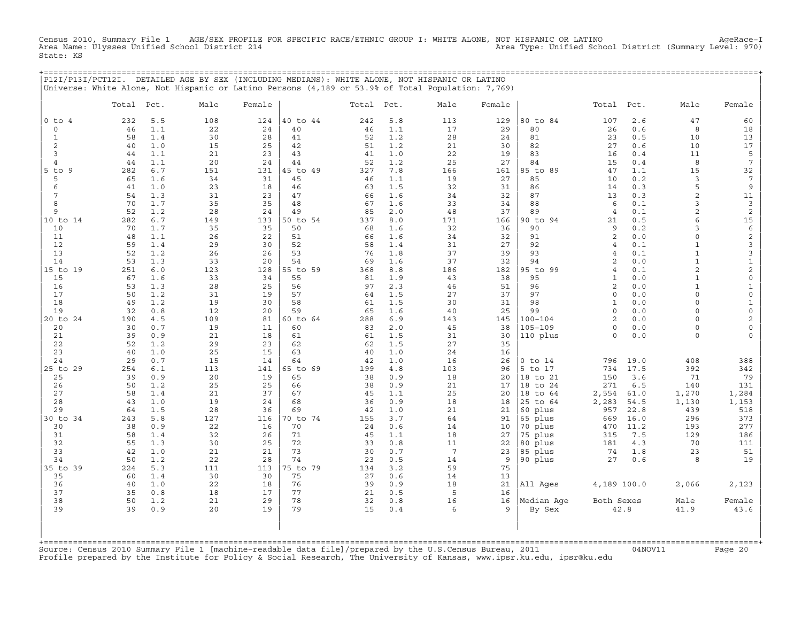Census 2010, Summary File 1 AGE/SEX PROFILE FOR SPECIFIC RACE/ETHNIC GROUP I: WHITE ALONE, NOT HISPANIC OR LATINO AgeRace−I Area Name: Ulysses Unified School District 214 Area Type: Unified School District (Summary Level: 970) State: KS

|                       |            |            | P12I/P13I/PCT12I. DETAILED AGE BY SEX (INCLUDING MEDIANS): WHITE ALONE, NOT HISPANIC OR LATINO<br>Universe: White Alone, Not Hispanic or Latino Persons (4,189 or 53.9% of Total Population: 7,769) |           |                |            |            |                       |           | ================     |                   |              |                              |                          |
|-----------------------|------------|------------|-----------------------------------------------------------------------------------------------------------------------------------------------------------------------------------------------------|-----------|----------------|------------|------------|-----------------------|-----------|----------------------|-------------------|--------------|------------------------------|--------------------------|
|                       | Total Pct. |            | Male                                                                                                                                                                                                | Female    |                | Total Pct. |            | Male                  | Female    |                      | Total Pct.        |              | Male                         | Female                   |
| $0$ to $4$<br>$\circ$ | 232<br>46  | 5.5<br>1.1 | 108<br>22                                                                                                                                                                                           | 124<br>24 | 40 to 44<br>40 | 242<br>46  | 5.8<br>1.1 | 113<br>17             | 129<br>29 | 80 to 84<br>80       | 107<br>26         | 2.6<br>0.6   | 47<br>8                      | 60<br>18                 |
| 1                     | 58         | 1.4        | 30                                                                                                                                                                                                  | 28        | 41             | 52         | 1.2        | 28                    | 24        | 81                   | 23                | 0.5          | 10                           | 13                       |
| $\overline{c}$        | 40         | 1.0        | 15                                                                                                                                                                                                  | 25        | 42             | 51         | 1.2        | 21                    | 30        | 82                   | 27                | 0.6          | 10                           | 17                       |
| 3                     | 44         | 1.1        | 21                                                                                                                                                                                                  | 23        | 43             | 41         | 1.0        | 22                    | 19        | 83                   | 16                | 0.4          | 11                           | 5                        |
| $\overline{4}$        | 44         | 1.1        | 20                                                                                                                                                                                                  | 24        | 44             | 52         | 1.2        | 25                    | 27        | 84                   | 15                | 0.4          | 8                            | $\overline{7}$           |
| - 9<br>5 to<br>5      | 282<br>65  | 6.7<br>1.6 | 151<br>34                                                                                                                                                                                           | 131<br>31 | 45 to 49<br>45 | 327<br>46  | 7.8<br>1.1 | 166<br>19             | 161<br>27 | 85 to 89<br>85       | 47<br>10          | 1.1<br>0.2   | 15<br>3                      | 32<br>7                  |
| 6                     | 41         | 1.0        | 23                                                                                                                                                                                                  | 18        | 46             | 63         | 1.5        | 32                    | 31        | 86                   | 14                | 0.3          | 5                            | 9                        |
| 7                     | 54         | 1.3        | 31                                                                                                                                                                                                  | 23        | 47             | 66         | 1.6        | 34                    | 32        | 87                   | 13                | 0.3          | 2                            | 11                       |
| 8                     | 70         | 1.7        | 35                                                                                                                                                                                                  | 35        | 48             | 67         | 1.6        | 33                    | 34        | 88                   | 6                 | 0.1          | 3                            | 3                        |
| 9                     | 52         | 1.2        | 28                                                                                                                                                                                                  | 24        | 49             | 85         | 2.0        | 48                    | 37        | 89                   | $\overline{4}$    | 0.1          | $\mathbf{2}$                 | 2                        |
| 10 to 14              | 282        | 6.7        | 149                                                                                                                                                                                                 | 133       | 50 to 54       | 337        | 8.0        | 171                   | 166       | 90 to 94             | 21                | 0.5          | $\epsilon$                   | 15                       |
| 10<br>11              | 70<br>48   | 1.7<br>1.1 | 35<br>26                                                                                                                                                                                            | 35<br>22  | 50<br>51       | 68<br>66   | 1.6<br>1.6 | 32<br>34              | 36<br>32  | 90<br>91             | 9<br>2            | 0.2<br>0.0   | 3<br>$\Omega$                | 6<br>$\sqrt{2}$          |
| 12                    | 59         | 1.4        | 29                                                                                                                                                                                                  | 30        | 52             | 58         | 1.4        | 31                    | 27        | 92                   | 4                 | 0.1          |                              | 3                        |
| 13                    | 52         | 1.2        | 26                                                                                                                                                                                                  | 26        | 53             | 76         | 1.8        | 37                    | 39        | 93                   | 4                 | 0.1          | $\mathbf{1}$                 | $\mathsf 3$              |
| 14                    | 53         | 1.3        | 33                                                                                                                                                                                                  | 20        | 54             | 69         | 1.6        | 37                    | 32        | 94                   | $\overline{2}$    | 0.0          | $\mathbf{1}$                 | $\mathbf{1}$             |
| 15 to 19              | 251        | 6.0        | 123                                                                                                                                                                                                 | 128       | 55 to 59       | 368        | 8.8        | 186                   | 182       | 95 to 99             | 4                 | 0.1          | 2                            | $\overline{2}$           |
| 15<br>16              | 67<br>53   | 1.6<br>1.3 | 33<br>28                                                                                                                                                                                            | 34<br>25  | 55<br>56       | 81<br>97   | 1.9<br>2.3 | 43<br>46              | 38<br>51  | 95<br>96             | $\mathbf{1}$<br>2 | 0.0<br>0.0   | $\mathbf{1}$<br>$\mathbf{1}$ | $\mathsf{O}\xspace$<br>1 |
| 17                    | 50         | 1.2        | 31                                                                                                                                                                                                  | 19        | 57             | 64         | 1.5        | 27                    | 37        | 97                   | $\Omega$          | 0.0          | $\Omega$                     | $\circ$                  |
| 18                    | 49         | 1.2        | 19                                                                                                                                                                                                  | 30        | 58             | 61         | 1.5        | 30                    | 31        | 98                   | $\mathbf{1}$      | 0.0          | $\Omega$                     | 1                        |
| 19                    | 32         | 0.8        | 12                                                                                                                                                                                                  | 20        | 59             | 65         | 1.6        | 40                    | 25        | 99                   | $\mathbf 0$       | 0.0          | $\Omega$                     | $\mathbf 0$              |
| 20 to 24              | 190        | 4.5        | 109                                                                                                                                                                                                 | 81        | 60 to 64       | 288        | 6.9        | 143                   | 145       | $100 - 104$          | 2                 | 0.0          | $\cap$                       | 2                        |
| 20                    | 30         | 0.7        | 19                                                                                                                                                                                                  | 11        | 60             | 83         | 2.0        | 45                    | 38        | $105 - 109$          | $\Omega$          | 0.0          | $\Omega$                     |                          |
| 21<br>22              | 39<br>52   | 0.9<br>1.2 | 21<br>29                                                                                                                                                                                            | 18<br>23  | 61<br>62       | 61<br>62   | 1.5<br>1.5 | 31<br>27              | 30<br>35  | 110 plus             | $\Omega$          | 0.0          | $\cap$                       |                          |
| 23                    | 40         | 1.0        | 25                                                                                                                                                                                                  | 15        | 63             | 40         | 1.0        | 24                    | 16        |                      |                   |              |                              |                          |
| 24                    | 29         | 0.7        | 15                                                                                                                                                                                                  | 14        | 64             | 42         | 1.0        | 16                    | 26        | $0$ to $14$          | 796               | 19.0         | 408                          | 388                      |
| 25 to 29              | 254        | 6.1        | 113                                                                                                                                                                                                 | 141       | 65 to 69       | 199        | 4.8        | 103                   | 96        | 5 to 17              | 734               | 17.5         | 392                          | 342                      |
| 25                    | 39         | 0.9        | 20                                                                                                                                                                                                  | 19        | 65             | 38         | 0.9        | 18                    | 20        | 18 to 21             | 150               | 3.6          | 71                           | 79                       |
| 26<br>27              | 50         | 1.2<br>1.4 | 25                                                                                                                                                                                                  | 25<br>37  | 66<br>67       | 38         | 0.9<br>1.1 | 21                    | 17        | 18 to 24             | 271               | 6.5          | 140                          | 131                      |
| 28                    | 58<br>43   | 1.0        | 21<br>19                                                                                                                                                                                            | 24        | 68             | 45<br>36   | 0.9        | 25<br>18              | 20<br>18  | 18 to 64<br>25 to 64 | 2,554<br>2,283    | 61.0<br>54.5 | 1,270<br>1,130               | 1,284<br>1,153           |
| 29                    | 64         | 1.5        | 28                                                                                                                                                                                                  | 36        | 69             | 42         | 1.0        | 21                    | 21        | 60 plus              | 957               | 22.8         | 439                          | 518                      |
| 30 to 34              | 243        | 5.8        | 127                                                                                                                                                                                                 | 116       | 70 to 74       | 155        | 3.7        | 64                    | 91        | 65 plus              | 669               | 16.0         | 296                          | 373                      |
| 30                    | 38         | 0.9        | 22                                                                                                                                                                                                  | 16        | 70             | 24         | 0.6        | 14                    | 10        | 70 plus              | 470               | 11.2         | 193                          | 277                      |
| 31                    | 58         | 1.4        | 32                                                                                                                                                                                                  | 26        | 71             | 45         | 1.1        | 18                    | 27        | 75 plus              | 315               | 7.5          | 129                          | 186                      |
| 32                    | 55         | 1.3        | 30                                                                                                                                                                                                  | 25        | 72             | 33         | 0.8        | 11                    | 22        | 80 plus              | 181               | 4.3          | 70                           | 111                      |
| 33<br>34              | 42<br>50   | 1.0<br>1.2 | 21<br>22                                                                                                                                                                                            | 21<br>28  | 73<br>74       | 30<br>23   | 0.7<br>0.5 | $7\phantom{.0}$<br>14 | 23<br>9   | 85 plus<br>90 plus   | 74<br>27          | 1.8<br>0.6   | 23<br>8                      | 51<br>19                 |
| 35 to 39              | 224        | 5.3        | 111                                                                                                                                                                                                 | 113       | 75 to 79       | 134        | 3.2        | 59                    | 75        |                      |                   |              |                              |                          |
| 35                    | 60         | 1.4        | 30                                                                                                                                                                                                  | 30        | 75             | 27         | 0.6        | 14                    | 13        |                      |                   |              |                              |                          |
| 36                    | 40         | 1.0        | 22                                                                                                                                                                                                  | 18        | 76             | 39         | 0.9        | 18                    | 21        | All Ages             | 4,189 100.0       |              | 2,066                        | 2,123                    |
| 37                    | 35         | 0.8        | 18                                                                                                                                                                                                  | 17        | 77             | 21         | 0.5        | 5                     | 16        |                      |                   |              |                              |                          |
| 38<br>39              | 50<br>39   | 1.2<br>0.9 | 21<br>20                                                                                                                                                                                            | 29<br>19  | 78<br>79       | 32<br>15   | 0.8<br>0.4 | 16<br>6               | 16<br>9   | Median Age<br>By Sex | Both Sexes        | 42.8         | Male<br>41.9                 | Female<br>43.6           |
|                       |            |            |                                                                                                                                                                                                     |           |                |            |            |                       |           |                      |                   |              |                              |                          |

Source: Census 2010 Summary File 1 [machine-readable data file]/prepared by the U.S.Census Bureau, 2011 Page 20<br>Profile prepared by the Institute for Policy & Social Research, The University of Kansas, www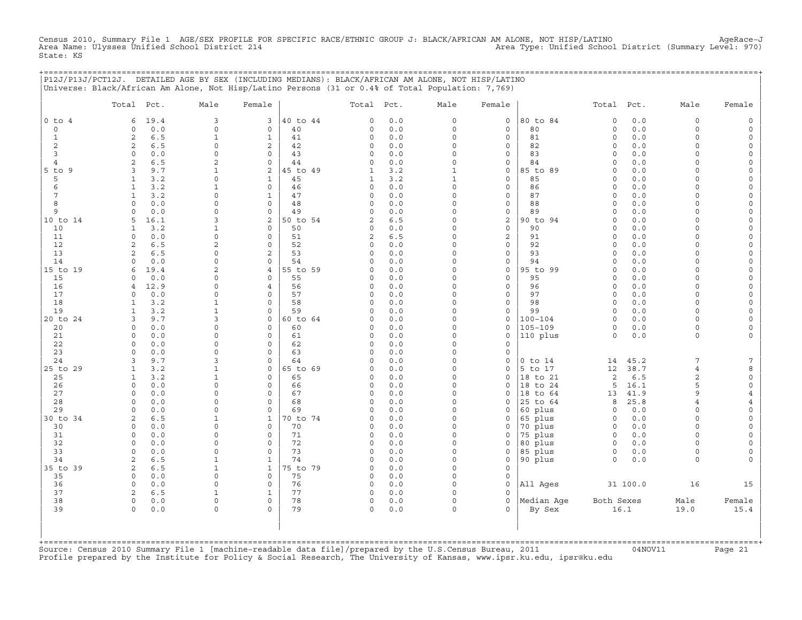Census 2010, Summary File 1 AGE/SEX PROFILE FOR SPECIFIC RACE/ETHNIC GROUP J: BLACK/AFRICAN AM ALONE, NOT HISP/LATINO<br>Area Name: Ulysses Unified School District 214 State: KS

|                | P12J/P13J/PCT12J. DETAILED AGE BY SEX (INCLUDING MEDIANS): BLACK/AFRICAN AM ALONE, NOT HISP/LATINO<br>Universe: Black/African Am Alone, Not Hisp/Latino Persons (31 or 0.4% of Total Population: 7,769) |                      |                                    |                |                |            |                              |                             |                    |                        |              |                      |                      |
|----------------|---------------------------------------------------------------------------------------------------------------------------------------------------------------------------------------------------------|----------------------|------------------------------------|----------------|----------------|------------|------------------------------|-----------------------------|--------------------|------------------------|--------------|----------------------|----------------------|
|                | Total Pct.                                                                                                                                                                                              | Male                 | Female                             |                | Total Pct.     |            | Male                         | Female                      |                    | Total Pct.             |              | Male                 | Female               |
| $0$ to $4$     | 6<br>19.4                                                                                                                                                                                               | $\overline{3}$       | $\mathbf{3}$                       | 40 to 44       | 0              | 0.0        | $\circ$                      | $\mathbf 0$                 | 80 to 84           | $\circ$                | 0.0          | $\mathbf 0$          |                      |
| $\circ$        | 0.0<br>0                                                                                                                                                                                                | $\circ$              | 0                                  | 40             | 0              | 0.0        | $\circ$                      | 0                           | 80                 | 0                      | 0.0          | $\mathbf 0$          | $\Omega$             |
| $\mathbf{1}$   | 2<br>6.5                                                                                                                                                                                                | $\mathbf{1}$         | $\mathbf{1}$                       | 41             | 0              | 0.0        | $\circ$                      | $\mathbf 0$                 | 81                 | $\mathbf 0$            | 0.0          | $\Omega$             | $\Omega$             |
| 2              | 2<br>6.5                                                                                                                                                                                                | $\mathsf{O}\xspace$  | 2                                  | 42             | 0              | 0.0        | 0                            | $\circ$                     | 82                 | $\circ$                | 0.0          | $\Omega$             | $\Omega$             |
| 3              | $\circ$<br>0.0                                                                                                                                                                                          | 0                    | $\mathbf 0$                        | 43             | $\Omega$       | 0.0        | $\circ$                      | $\mathbf 0$                 | 83                 | $\Omega$               | 0.0          | $\Omega$             | $\Omega$             |
| $\overline{4}$ | 2<br>6.5                                                                                                                                                                                                | 2                    | $\Omega$                           | 44             | $\Omega$       | 0.0        | $\circ$                      | $\mathbf 0$                 | 84                 | $\Omega$               | 0.0          | $\Omega$             |                      |
| 5 to 9<br>5    | 3<br>9.7<br>3.2<br>$\mathbf{1}$                                                                                                                                                                         | $\mathbf{1}$<br>0    | 2<br>$\mathbf{1}$                  | 45 to 49<br>45 | 1<br>1         | 3.2<br>3.2 | $\mathbf{1}$<br>$\mathbf{1}$ | $\mathsf{O}$<br>$\mathbf 0$ | 85 to 89<br>85     | $\mathbf 0$<br>$\circ$ | 0.0<br>0.0   | $\Omega$<br>$\Omega$ | $\Omega$<br>$\Omega$ |
| 6              | 3.2<br>$\mathbf{1}$                                                                                                                                                                                     | $\mathbf 1$          | $\mathsf{O}\xspace$                | 46             | 0              | 0.0        | $\mathsf O$                  | $\mathsf{O}$                | 86                 | $\Omega$               | 0.0          | $\Omega$             |                      |
| 7              | 3.2<br>1                                                                                                                                                                                                | 0                    | $\mathbf{1}$                       | 47             | 0              | 0.0        | $\Omega$                     | $\mathbf 0$                 | 87                 | $\Omega$               | 0.0          | $\Omega$             |                      |
| 8              | $\Omega$<br>0.0                                                                                                                                                                                         | $\Omega$             | $\circ$                            | 48             | 0              | 0.0        | $\circ$                      | $\mathbf 0$                 | 88                 | $\circ$                | 0.0          | $\Omega$             | $\Omega$             |
| 9              | $\Omega$<br>0.0                                                                                                                                                                                         | 0                    | $\mathsf{O}\xspace$                | 49             | 0              | 0.0        | 0                            | $\mathsf{O}$                | 89                 | $\Omega$               | 0.0          | $\Omega$             | $\Omega$             |
| 10 to 14       | 5<br>16.1                                                                                                                                                                                               | 3                    | 2                                  | 50 to 54       | $\overline{2}$ | 6.5        | $\circ$                      | 2                           | 90 to 94           | $\Omega$               | 0.0          | $\Omega$             |                      |
| 10             | 3.2<br>1                                                                                                                                                                                                | 1                    | $\mathbf 0$                        | 50             | 0              | 0.0        | $\circ$                      | $\mathbf 0$                 | 90                 | $\Omega$               | 0.0          | $\Omega$             | $\Omega$             |
| 11             | $\mathbf 0$<br>0.0                                                                                                                                                                                      | 0                    | $\mathbf{0}$                       | 51             | 2              | 6.5        | $\circ$                      | 2                           | 91                 | $\circ$                | 0.0          | $\Omega$             | $\Omega$             |
| 12             | 2<br>6.5                                                                                                                                                                                                | $\overline{2}$       | $\mathbf 0$                        | 52             | 0              | 0.0        | $\circ$                      | $\circ$                     | 92                 | $\circ$                | 0.0          | $\Omega$<br>$\Omega$ | $\Omega$             |
| 13<br>14       | 2<br>6.5<br>0.0<br>$\Omega$                                                                                                                                                                             | 0<br>$\Omega$        | 2<br>$\mathsf{O}$                  | 53<br>54       | 0<br>$\Omega$  | 0.0<br>0.0 | 0<br>$\Omega$                | $\circ$<br>0                | 93<br>94           | $\circ$<br>$\Omega$    | 0.0<br>0.0   | $\Omega$             | $\Omega$             |
| 15 to 19       | 19.4<br>6                                                                                                                                                                                               | 2                    | $\overline{4}$                     | 55 to 59       | $\Omega$       | 0.0        | $\Omega$                     | $\mathbf 0$                 | 95 to 99           | $\Omega$               | 0.0          | $\cap$               | $\Omega$             |
| 15             | 0.0<br>0                                                                                                                                                                                                | $\Omega$             | $\mathbf 0$                        | 55             | 0              | 0.0        | $\circ$                      | $\mathbf 0$                 | 95                 | $\Omega$               | 0.0          | $\Omega$             |                      |
| 16             | 12.9<br>4                                                                                                                                                                                               | 0                    | $\overline{4}$                     | 56             | 0              | 0.0        | $\Omega$                     | $\mathsf{O}$                | 96                 | $\circ$                | 0.0          | $\Omega$             | $\Omega$             |
| 17             | $\circ$<br>0.0                                                                                                                                                                                          | $\Omega$             | $\mathbf{0}$                       | 57             | $\Omega$       | 0.0        | $\Omega$                     | $\mathsf{O}$                | 97                 | $\Omega$               | 0.0          | $\Omega$             |                      |
| 18             | 3.2<br>1                                                                                                                                                                                                | $\mathbf{1}$         | $\mathbf 0$                        | 58             | $\Omega$       | 0.0        | $\circ$                      | $\mathbf 0$                 | 98                 | $\circ$                | 0.0          | $\Omega$             | $\Omega$             |
| 19             | 3.2<br>1                                                                                                                                                                                                | $\mathbf{1}$         | $\circ$                            | 59             | 0              | 0.0        | $\circ$                      | $\mathbf 0$                 | 99                 | $\circ$                | 0.0          | $\Omega$             | $\circ$              |
| 20 to 24       | 9.7<br>3                                                                                                                                                                                                | 3                    | $\mathsf{O}$                       | 60 to 64       | 0              | 0.0        | $\circ$                      | $\mathsf{O}$                | $100 - 104$        | $\circ$                | 0.0          | $\Omega$             |                      |
| 20             | $\mathbf 0$<br>0.0                                                                                                                                                                                      | 0                    | $\mathbf 0$                        | 60             | $\Omega$       | 0.0        | $\Omega$                     | $\mathbf 0$                 | $105 - 109$        | $\circ$                | $0.0$        | $\mathbf 0$          |                      |
| 21<br>22       | $\Omega$<br>0.0<br>0.0<br>$\mathbf 0$                                                                                                                                                                   | $\Omega$<br>$\Omega$ | $\mathbf 0$<br>$\circ$             | 61<br>62       | 0<br>0         | 0.0<br>0.0 | $\Omega$<br>$\circ$          | $\mathbf 0$<br>$\mathbf 0$  | 110 plus           | $\circ$                | 0.0          | $\mathbf 0$          | $\Omega$             |
| 23             | $\circ$<br>0.0                                                                                                                                                                                          | $\Omega$             | $\circ$                            | 63             | 0              | 0.0        | $\circ$                      | $\mathbf 0$                 |                    |                        |              |                      |                      |
| 24             | 9.7<br>3                                                                                                                                                                                                | 3                    | $\mathbf 0$                        | 64             | $\Omega$       | 0.0        | $\mathsf O$                  | $\mathsf{O}\xspace$         | $0$ to $14$        | 14                     | 45.2         | $7\phantom{.0}$      |                      |
| 25 to 29       | 3.2<br>1                                                                                                                                                                                                | $\mathbf 1$          | 0                                  | 65 to 69       | $\Omega$       | 0.0        | 0                            | $\mathsf{O}$                | 5 to 17            | 12                     | 38.7         | $\overline{4}$       | R                    |
| 25             | $\mathbf{1}$<br>3.2                                                                                                                                                                                     | $\mathbf 1$          | $\Omega$                           | 65             | $\Omega$       | 0.0        | $\circ$                      | $\Omega$                    | 18 to 21           | 2                      | 6.5          | 2                    | $\circ$              |
| 26             | 0<br>0.0                                                                                                                                                                                                | 0                    | $\circ$                            | 66             | 0              | 0.0        | 0                            | 0                           | 18 to 24           | 5                      | 16.1         | 5                    | $\Omega$             |
| 27             | $\circ$<br>0.0                                                                                                                                                                                          | $\Omega$             | $\mathbf{0}$                       | 67             | 0              | 0.0        | $\Omega$                     | $\mathbf 0$                 | 18 to 64           | 13                     | 41.9         | 9                    |                      |
| 28             | $\circ$<br>0.0                                                                                                                                                                                          | $\Omega$             | $\circ$                            | 68             | $\cap$         | 0.0        | $\Omega$                     | $\cap$                      | 25 to 64           | 8                      | 25.8         | $\overline{4}$       |                      |
| 29             | $\circ$<br>0.0                                                                                                                                                                                          | $\Omega$             | $\mathbf 0$                        | 69             | $\Omega$       | 0.0        | $\circ$<br>$\circ$           | $\mathbf 0$                 | 60 plus            | $\circ$                | 0.0          | $\Omega$<br>$\Omega$ | $\Omega$             |
| 30 to 34<br>30 | 6.5<br>2<br>0.0<br>$\mathbf 0$                                                                                                                                                                          | 1<br>$\Omega$        | $\mathbf{1}$<br>$\mathbf 0$        | 70 to 74<br>70 | 0<br>$\Omega$  | 0.0<br>0.0 | $\circ$                      | $\mathbf 0$<br>$\mathbf 0$  | 65 plus<br>70 plus | $\mathbf 0$<br>$\circ$ | 0.0<br>$0.0$ | $\Omega$             |                      |
| 31             | $\circ$<br>0.0                                                                                                                                                                                          | 0                    | $\mathsf O$                        | 71             | 0              | 0.0        | 0                            | $\mathsf{O}\xspace$         | 75 plus            | $\circ$                | 0.0          | $\Omega$             |                      |
| 32             | $\circ$<br>0.0                                                                                                                                                                                          | $\Omega$             | $\circ$                            | 72             | 0              | 0.0        | $\circ$                      | $\mathbf 0$                 | 80 plus            | $\circ$                | 0.0          | $\Omega$             | $\Omega$             |
| 33             | $\circ$<br>0.0                                                                                                                                                                                          | 0                    | $\circ$                            | 73             | $\Omega$       | 0.0        | $\circ$                      | $\mathbf 0$                 | 85 plus            | $\circ$                | 0.0          | $\mathbf 0$          |                      |
| 34             | 2<br>6.5                                                                                                                                                                                                | $\mathbf{1}$         | $\mathbf{1}$                       | 74             | 0              | 0.0        | $\circ$                      | $\mathbf 0$                 | 90 plus            | $\circ$                | 0.0          | $\mathbf 0$          |                      |
| 35 to 39       | 2<br>6.5                                                                                                                                                                                                | $\mathbf{1}$         | $\mathbf{1}$                       | 75 to 79       | 0              | 0.0        | $\circ$                      | $\mathbf 0$                 |                    |                        |              |                      |                      |
| 35             | $\circ$<br>0.0                                                                                                                                                                                          | 0                    | $\mathsf{O}\xspace$                | 75             | 0              | 0.0        | 0                            | $\mathsf{O}$                |                    |                        |              |                      |                      |
| 36             | $\mathbf 0$<br>0.0                                                                                                                                                                                      | 0                    | $\mathbf 0$                        | 76             | $\Omega$       | 0.0        | $\Omega$                     | $\mathbf 0$                 | All Ages           |                        | 31 100.0     | 16                   | 15                   |
| 37             | 2<br>6.5                                                                                                                                                                                                | 1                    | $\mathbf{1}$                       | 77             | 0              | 0.0        | $\circ$                      | $\mathbf 0$                 |                    |                        |              |                      |                      |
| 38<br>39       | $\circ$<br>0.0<br>$\circ$                                                                                                                                                                               | 0<br>$\circ$         | $\mathsf{O}\xspace$<br>$\mathbf 0$ | 78<br>79       | 0<br>$\circ$   | 0.0        | $\Omega$<br>$\circ$          | $\mathbf 0$<br>$\Omega$     | Median Age         | Both Sexes             | 16.1         | Male                 | Female<br>15.4       |
|                | 0.0                                                                                                                                                                                                     |                      |                                    |                |                | 0.0        |                              |                             | By Sex             |                        |              | 19.0                 |                      |
|                |                                                                                                                                                                                                         |                      |                                    |                |                |            |                              |                             |                    |                        |              |                      |                      |
|                |                                                                                                                                                                                                         |                      |                                    |                |                |            |                              |                             |                    |                        |              |                      |                      |
|                |                                                                                                                                                                                                         |                      |                                    |                |                |            |                              |                             |                    |                        |              |                      |                      |

+===================================================================================================================================================+Source: Census 2010 Summary File 1 [machine−readable data file]/prepared by the U.S.Census Bureau, 2011 04NOV11 Page 21 Profile prepared by the Institute for Policy & Social Research, The University of Kansas, www.ipsr.ku.edu, ipsr@ku.edu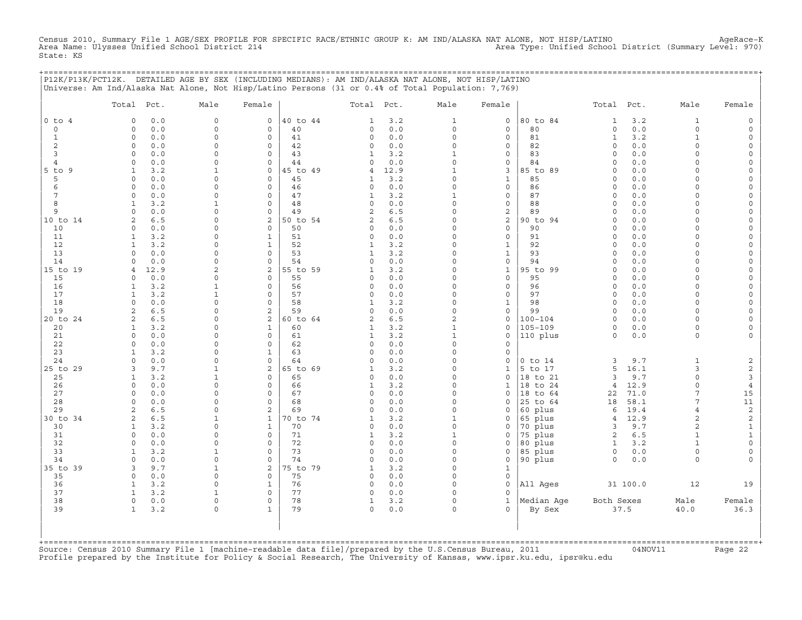Census 2010, Summary File 1 AGE/SEX PROFILE FOR SPECIFIC RACE/ETHNIC GROUP K: AM IND/ALASKA NAT ALONE, NOT HISP/LATINO<br>Area Name: Ulysses Unified School District 214 (Summary Level: 970) State: KS

+===================================================================================================================================================+

|                          | P12K/P13K/PCT12K. DETAILED AGE BY SEX (INCLUDING MEDIANS): AM IND/ALASKA NAT ALONE, NOT HISP/LATINO <br>Universe: Am Ind/Alaska Nat Alone, Not Hisp/Latino Persons (31 or 0.4% of Total Population: 7,769) |                         |                         |                |                   |              |                         |                                            |                         |                     |              |                      |                          |
|--------------------------|------------------------------------------------------------------------------------------------------------------------------------------------------------------------------------------------------------|-------------------------|-------------------------|----------------|-------------------|--------------|-------------------------|--------------------------------------------|-------------------------|---------------------|--------------|----------------------|--------------------------|
|                          | Total Pct.                                                                                                                                                                                                 | Male                    | Female                  |                | Total Pct.        |              | Male                    | Female                                     |                         | Total Pct.          |              | Male                 | Female                   |
| $0$ to<br>$\overline{4}$ | 0.0<br>$\Omega$                                                                                                                                                                                            | $\Omega$                | $\circ$                 | 40 to 44       | 1                 | 3.2          | 1                       | 0                                          | 80 to 84                | 1                   | 3.2          | 1                    | $\mathsf{O}$             |
| $\circ$                  | $0.0$<br>$\circ$                                                                                                                                                                                           | $\Omega$                | $\circ$                 | 40             | 0                 | $0.0$        | $\circ$                 | $\mathsf{O}\xspace$                        | 80                      | $\circ$             | 0.0          | 0                    | $\mathsf{O}$             |
| $\mathbf{1}$             | $\circ$<br>0.0                                                                                                                                                                                             | $\Omega$                | $\mathbf 0$             | 41             | 0                 | 0.0          | $\mathsf{O}\xspace$     | 0                                          | 81                      | $\mathbf{1}$        | 3.2          | $\mathbf{1}$         | $\mathsf{O}$             |
| $\overline{c}$           | 0<br>0.0                                                                                                                                                                                                   | $\Omega$                | $\circ$                 | 42             | 0                 | 0.0          | 0                       | $\mathsf{O}\xspace$                        | 82                      | $\mathbf 0$         | 0.0          | $\Omega$             | $\mathsf{O}\xspace$      |
| 3                        | 0.0<br>$\Omega$                                                                                                                                                                                            | $\Omega$                | $\Omega$                | 43             | 1                 | 3.2          | $\mathbf{1}$            | 0                                          | 83                      | $\Omega$            | 0.0          | $\Omega$             | $\mathsf{O}$             |
| 4<br>$5$ to<br>9         | 0.0<br>$\Omega$<br>3.2<br>$\mathbf{1}$                                                                                                                                                                     | $\Omega$                | $\circ$<br>$\mathsf O$  | 44<br>45 to 49 | $\Omega$<br>4     | 0.0<br>12.9  | $\circ$<br>$\mathbf{1}$ | 0<br>3                                     | 84<br>85 to 89          | $\circ$<br>$\Omega$ | 0.0<br>0.0   | $\Omega$<br>0        | 0<br>$\mathsf{O}\xspace$ |
| 5                        | 0.0<br>0                                                                                                                                                                                                   | $\Omega$                | $\mathbf 0$             | 45             | 1                 | 3.2          | $\Omega$                | $\mathbf{1}$                               | 85                      | $\Omega$            | 0.0          | $\Omega$             | $\mathsf{O}\xspace$      |
| 6                        | $\mathbf 0$<br>0.0                                                                                                                                                                                         | $\Omega$                | $\circ$                 | 46             | 0                 | 0.0          | $\Omega$                | 0                                          | 86                      | $\Omega$            | 0.0          | 0                    | 0                        |
| 7                        | $\circ$<br>0.0                                                                                                                                                                                             | $\Omega$                | $\circ$                 | 47             | $\mathbf{1}$      | 3.2          | $\mathbf{1}$            | $\mathsf{O}\xspace$                        | 87                      | $\circ$             | 0.0          | $\Omega$             | $\mathsf{O}\xspace$      |
| 8                        | 3.2<br>$\mathbf{1}$                                                                                                                                                                                        | $\mathbf{1}$            | $\mathbf 0$             | 48             | $\Omega$          | 0.0          | $\Omega$                | $\mathsf{O}\xspace$                        | 88                      | $\circ$             | 0.0          | $\Omega$             | $\mathsf{O}\xspace$      |
| 9                        | 0.0<br>$\Omega$                                                                                                                                                                                            | $\Omega$                | $\mathsf{O}\xspace$     | 49             | $\overline{2}$    | 6.5          | $\Omega$                | $\boldsymbol{2}$                           | 89                      | $\circ$             | 0.0          | 0                    | $\mathsf{O}\xspace$      |
| 10 to 14                 | 2<br>6.5                                                                                                                                                                                                   | $\Omega$                | $\mathbf{2}$            | 50 to 54       | 2                 | 6.5          | $\Omega$                | $\mathbf 2$                                | 90 to 94                | $\Omega$            | 0.0          | $\Omega$             | 0                        |
| 10                       | 0.0<br>$\mathbf 0$                                                                                                                                                                                         | $\Omega$                | $\mathbf 0$             | 50             | 0                 | 0.0          | $\Omega$                | 0                                          | 90                      | $\mathbf 0$         | 0.0          | $\Omega$             | 0                        |
| 11                       | 3.2<br>$\mathbf{1}$<br>$\mathbf{1}$                                                                                                                                                                        | $\Omega$<br>$\Omega$    | $\mathbf{1}$            | 51             | 0                 | 0.0          | 0<br>$\Omega$           | $\mathsf{O}\xspace$                        | 91                      | $\circ$<br>$\circ$  | 0.0          | $\Omega$<br>$\Omega$ | $\mathsf{O}\xspace$      |
| 12<br>13                 | 3.2<br>0.0<br>0                                                                                                                                                                                            | $\Omega$                | $\mathbf{1}$<br>$\circ$ | 52<br>53       | $\mathbf{1}$<br>1 | 3.2<br>3.2   | $\Omega$                | $\mathbf{1}$<br>$\mathbf{1}$               | 92<br>93                | $\mathbf 0$         | 0.0<br>0.0   | $\Omega$             | 0<br>0                   |
| 14                       | $\Omega$<br>0.0                                                                                                                                                                                            | $\Omega$                | $\mathbf 0$             | 54             | $\Omega$          | $0.0$        | $\Omega$                | $\mathsf{O}\xspace$                        | 94                      | $\circ$             | 0.0          | $\Omega$             | $\mathsf{O}\xspace$      |
| 15 to 19                 | 12.9<br>$\overline{4}$                                                                                                                                                                                     | 2                       | 2                       | 55 to 59       | 1                 | 3.2          | $\Omega$                | $\mathbf{1}$                               | 95 to 99                | $\mathbf 0$         | 0.0          | $\Omega$             | 0                        |
| 15                       | 0.0<br>$\circ$                                                                                                                                                                                             | $\mathbf 0$             | 0                       | 55             | 0                 | 0.0          | $\Omega$                | $\mathsf{O}\xspace$                        | 95                      | $\circ$             | 0.0          | $\Omega$             | $\mathsf{O}\xspace$      |
| 16                       | 3.2<br>1                                                                                                                                                                                                   | $\mathbf{1}$            | $\Omega$                | 56             | $\Omega$          | 0.0          | $\Omega$                | 0                                          | 96                      | $\circ$             | 0.0          | $\Omega$             | 0                        |
| 17                       | $\mathbf{1}$<br>3.2                                                                                                                                                                                        | $\mathbf{1}$            | $\circ$                 | 57             | 0                 | 0.0          | $\Omega$                | 0                                          | 97                      | $\mathbf 0$         | 0.0          | $\Omega$             | $\mathsf{O}$             |
| 18                       | 0.0<br>$\Omega$                                                                                                                                                                                            | $\mathbf 0$             | $\mathbf 0$             | 58             | $\mathbf{1}$      | 3.2          | 0                       | $\mathbf{1}$                               | 98                      | $\circ$             | 0.0          | $\Omega$             | $\mathsf{O}\xspace$      |
| 19<br>20 to 24           | 6.5<br>$\overline{a}$<br>6.5<br>2                                                                                                                                                                          | $\Omega$<br>$\Omega$    | 2<br>2                  | 59<br>60 to 64 | $\Omega$<br>2     | 0.0<br>$6.5$ | $\Omega$<br>2           | 0<br>$\mathsf{O}\xspace$                   | 99<br>$100 - 104$       | $\circ$<br>$\circ$  | 0.0<br>0.0   | $\Omega$<br>$\Omega$ | 0<br>$\mathsf{O}\xspace$ |
| 20                       | 3.2<br>1                                                                                                                                                                                                   | $\Omega$                | 1                       | 60             | 1                 | 3.2          | $\mathbf{1}$            | 0                                          | $105 - 109$             | $\circ$             | 0.0          | $\Omega$             | 0                        |
| 21                       | 0.0<br>0                                                                                                                                                                                                   | $\Omega$                | $\circ$                 | 61             | 1                 | 3.2          | $\mathbf{1}$            | 0                                          | 110 plus                | $\Omega$            | 0.0          | $\circ$              | 0                        |
| 22                       | $\circ$<br>0.0                                                                                                                                                                                             | $\Omega$                | $\mathsf{O}\xspace$     | 62             | 0                 | 0.0          | $\mathsf{O}\xspace$     | $\mathsf{O}\xspace$                        |                         |                     |              |                      |                          |
| 23                       | 3.2<br>1                                                                                                                                                                                                   | $\Omega$                | 1                       | 63             | $\Omega$          | 0.0          | $\Omega$                | $\mathsf O$                                |                         |                     |              |                      |                          |
| 24                       | 0.0<br>$\Omega$                                                                                                                                                                                            | $\Omega$                | $\Omega$                | 64             | $\Omega$          | 0.0          | $\Omega$                | $\Omega$                                   | $0$ to $14$             | 3                   | 9.7          | $\mathbf{1}$         | $\mathbf 2$              |
| 25 to 29                 | 3<br>9.7                                                                                                                                                                                                   | $\mathbf{1}$            | $\sqrt{2}$              | 65 to 69       | $\mathbf{1}$      | 3.2          | 0                       | $\mathbf{1}$                               | 5 to 17                 | 5                   | 16.1         | 3                    | $\overline{c}$           |
| 25                       | 3.2<br>1                                                                                                                                                                                                   | 1                       | $\mathbf 0$             | 65             | 0                 | 0.0          | $\Omega$                | $\mathbf 0$                                | 18 to 21                | 3                   | 9.7          | $\Omega$             | $\mathbf{3}$             |
| 26                       | $\Omega$<br>0.0                                                                                                                                                                                            | $\Omega$                | $\Omega$<br>$\Omega$    | 66             | 1                 | 3.2          | $\Omega$<br>$\Omega$    | $\mathbf 1$                                | 18 to 24                | $\overline{4}$      | 12.9         | $\Omega$<br>7        | $\,4\,$                  |
| 27<br>28                 | 0.0<br>$\mathbf 0$<br>0.0<br>$\circ$                                                                                                                                                                       | $\Omega$<br>$\Omega$    | $\circ$                 | 67<br>68       | 0<br>$\Omega$     | 0.0<br>0.0   | $\Omega$                | 0<br>0                                     | 18<br>to 64<br>25 to 64 | 22<br>18            | 71.0<br>58.1 | 7                    | 15<br>11                 |
| 29                       | 6.5<br>2                                                                                                                                                                                                   | $\Omega$                | $\sqrt{2}$              | 69             | $\Omega$          | 0.0          | $\Omega$                | $\Omega$                                   | 60 plus                 | 6                   | 19.4         | $\overline{4}$       | $\mathbf{2}$             |
| 30 to 34                 | 2<br>6.5                                                                                                                                                                                                   | $\mathbf{1}$            | 1                       | 70 to 74       | 1                 | 3.2          | $\mathbf{1}$            | 0                                          | 65 plus                 | $\overline{4}$      | 12.9         | $\overline{c}$       | $\overline{c}$           |
| 30                       | 3.2<br>$\mathbf{1}$                                                                                                                                                                                        | $\Omega$                | $\mathbf{1}$            | 70             | 0                 | $0.0$        | $\mathsf{O}\xspace$     | 0                                          | 70 plus                 | 3                   | 9.7          | 2                    | $\mathbf 1$              |
| 31                       | 0<br>0.0                                                                                                                                                                                                   | $\Omega$                | $\Omega$                | 71             | $\mathbf{1}$      | 3.2          | $\mathbf{1}$            | $\Omega$                                   | 75 plus                 | $\overline{c}$      | 6.5          | $\mathbf{1}$         | $\mathbf 1$              |
| 32                       | 0.0<br>$\mathbf 0$                                                                                                                                                                                         | $\Omega$                | $\Omega$                | 72             | 0                 | 0.0          | $\Omega$                | 0                                          | 80 plus                 | 1                   | 3.2          | $\mathbf{1}$         | $\mathsf{O}\xspace$      |
| 33                       | 3.2<br>$\mathbf{1}$                                                                                                                                                                                        | $\mathbf{1}$            | $\circ$                 | 73             | 0                 | $0.0$        | 0                       | $\mathsf{O}\xspace$                        | 85 plus                 | $\circ$             | 0.0          | $\mathbf 0$          | $\mathsf{O}\xspace$      |
| 34                       | 0.0<br>0                                                                                                                                                                                                   | $\Omega$                | $\circ$                 | 74             | $\Omega$          | 0.0          | $\Omega$                | $\mathsf{O}\xspace$                        | 90 plus                 | $\circ$             | 0.0          | $\circ$              | $\mathbf 0$              |
| 35 to<br>39              | 3<br>9.7                                                                                                                                                                                                   | $\mathbf{1}$            | $\overline{c}$          | 75 to 79       | 1                 | 3.2          | $\Omega$<br>$\Omega$    | $\mathbf{1}$                               |                         |                     |              |                      |                          |
| 35<br>36                 | 0<br>0.0<br>3.2<br>1                                                                                                                                                                                       | $\mathbf 0$<br>$\Omega$ | $\mathsf O$<br>1        | 75<br>76       | 0<br>0            | 0.0<br>0.0   | $\Omega$                | $\mathsf{O}\xspace$<br>$\mathsf{O}\xspace$ | All Ages                |                     | 31 100.0     | 12                   | 19                       |
| 37                       | 3.2<br>$\mathbf{1}$                                                                                                                                                                                        | $\mathbf{1}$            | $\mathsf{O}\xspace$     | 77             | 0                 | $0.0$        | $\Omega$                | $\Omega$                                   |                         |                     |              |                      |                          |
| 38                       | $\circ$<br>0.0                                                                                                                                                                                             | $\Omega$                | $\circ$                 | 78             | $\mathbf{1}$      | 3.2          | $\circ$                 | $\mathbf{1}$                               | Median Age              | Both Sexes          |              | Male                 | Female                   |
| 39                       | $\mathbf{1}$<br>3.2                                                                                                                                                                                        | $\Omega$                | 1                       | 79             | 0                 | 0.0          | $\circ$                 | $\Omega$                                   | By Sex                  |                     | 37.5         | 40.0                 | 36.3                     |
|                          |                                                                                                                                                                                                            |                         |                         |                |                   |              |                         |                                            |                         |                     |              |                      |                          |

+===================================================================================================================================================+Source: Census 2010 Summary File 1 [machine−readable data file]/prepared by the U.S.Census Bureau, 2011 04NOV11 Page 22 Profile prepared by the Institute for Policy & Social Research, The University of Kansas, www.ipsr.ku.edu, ipsr@ku.edu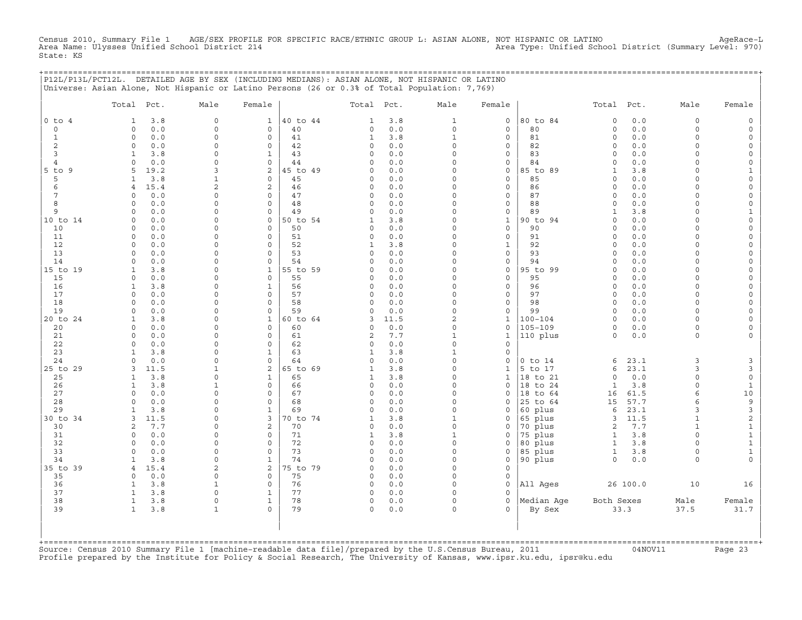Census 2010, Summary File 1 AGE/SEX PROFILE FOR SPECIFIC RACE/ETHNIC GROUP L: ASIAN ALONE, NOT HISPANIC OR LATINO AgeRace−L Area Name: Ulysses Unified School District 214 Area Type: Unified School District (Summary Level: 970) State: KS

+===================================================================================================================================================+

|                                | P12L/P13L/PCT12L. DETAILED AGE BY SEX (INCLUDING MEDIANS): ASIAN ALONE, NOT HISPANIC OR LATINO<br>Universe: Asian Alone, Not Hispanic or Latino Persons (26 or 0.3% of Total Population: 7,769) |                            |                                    |                |                          |                |                          |                     |                     |                             |              |                      |                                          |
|--------------------------------|-------------------------------------------------------------------------------------------------------------------------------------------------------------------------------------------------|----------------------------|------------------------------------|----------------|--------------------------|----------------|--------------------------|---------------------|---------------------|-----------------------------|--------------|----------------------|------------------------------------------|
|                                | Total Pct.                                                                                                                                                                                      | Male                       | Female                             |                | Total Pct.               |                | Male                     | Female              |                     | Total Pct.                  |              | Male                 | Female                                   |
| $0$ to $4$                     | 3.8<br>1                                                                                                                                                                                        | $\Omega$                   | $\mathbf{1}$                       | 40 to 44       | 1                        | 3.8            | 1                        | $\mathsf{O}\xspace$ | 80 to 84            | $\mathbf 0$                 | 0.0          | $\mathbf 0$          |                                          |
| $\mathbf 0$                    | 0.0<br>$\mathbf 0$                                                                                                                                                                              | $\mathbf 0$                | $\mathbf 0$                        | 40             | $\Omega$                 | 0.0            | $\mathbf 0$              | 0                   | 80                  | $\mathbf 0$                 | 0.0          | $\Omega$             | $\Omega$                                 |
| $\mathbf{1}$<br>$\overline{c}$ | $\mathsf O$<br>0.0<br>$\mathbf 0$<br>0.0                                                                                                                                                        | $\mathbf 0$<br>$\Omega$    | $\mathsf{O}\xspace$<br>$\mathbf 0$ | 41<br>42       | $\mathbf{1}$<br>$\Omega$ | 3.8<br>0.0     | $\mathbf{1}$<br>$\Omega$ | $\circ$<br>0        | 81<br>82            | $\mathsf O$<br>$\circ$      | 0.0<br>0.0   | $\Omega$<br>$\Omega$ | $\Omega$<br>$\Omega$                     |
| 3                              | 3.8<br>1                                                                                                                                                                                        | $\Omega$                   | $\mathbf 1$                        | 43             | $\Omega$                 | 0.0            | $\Omega$                 | 0                   | 83                  | $\circ$                     | 0.0          | $\Omega$             |                                          |
| $\overline{4}$                 | $\mathsf O$<br>0.0                                                                                                                                                                              | $\Omega$                   | $\mathbf 0$                        | 44             | $\circ$                  | 0.0            | $\Omega$                 | 0                   | 84                  | 0                           | 0.0          | $\Omega$             | $\Omega$                                 |
| $5$ to<br>9                    | 5<br>19.2                                                                                                                                                                                       | 3                          | 2                                  | 45 to 49       | $\cap$                   | 0.0            | $\Omega$                 | 0                   | 85 to 89            | $\mathbf{1}$                | 3.8          | $\Omega$             | $\mathbf{1}$                             |
| 5                              | 3.8<br>1                                                                                                                                                                                        | $\mathbf{1}$               | $\mathbf 0$                        | 45             | $\circ$                  | 0.0            | $\Omega$                 | 0                   | 85                  | 0                           | 0.0          | $\Omega$             | $\Omega$                                 |
| 6                              | 15.4<br>$\overline{4}$                                                                                                                                                                          | $\overline{c}$             | $\overline{c}$                     | 46             | $\circ$                  | 0.0            | $\Omega$                 | $\circ$             | 86                  | $\circ$                     | 0.0          | $\Omega$             | $\Omega$                                 |
| 7                              | $\mathbf 0$<br>0.0                                                                                                                                                                              | $\circ$                    | $\Omega$                           | 47             | $\Omega$                 | 0.0            | $\Omega$                 | 0                   | 87                  | $\mathbf 0$                 | 0.0          | $\Omega$             | $\Omega$                                 |
| 8<br>9                         | 0.0<br>$\mathbf 0$<br>0.0<br>$\mathsf{O}$                                                                                                                                                       | $\mathbf 0$<br>$\mathbf 0$ | $\mathbf 0$<br>$\mathbf 0$         | 48<br>49       | $\circ$<br>$\Omega$      | 0.0<br>0.0     | $\Omega$<br>$\Omega$     | 0<br>0              | 88<br>89            | $\mathbf 0$<br>$\mathbf{1}$ | 0.0<br>3.8   | $\Omega$<br>$\Omega$ | $\Omega$<br>$\mathbf{1}$                 |
| 10 to 14                       | 0.0<br>$\mathbf 0$                                                                                                                                                                              | $\Omega$                   | $\Omega$                           | 50 to 54       | 1                        | 3.8            | $\Omega$                 | $\mathbf{1}$        | 90 to 94            | $\mathbf 0$                 | $0.0$        | $\Omega$             | $\circ$                                  |
| 10                             | 0.0<br>0                                                                                                                                                                                        | 0                          | $\mathbf 0$                        | 50             | $\circ$                  | 0.0            | $\Omega$                 | 0                   | 90                  | 0                           | 0.0          | $\Omega$             | $\Omega$                                 |
| 11                             | $\mathsf O$<br>0.0                                                                                                                                                                              | $\mathbf 0$                | $\mathbf 0$                        | 51             | $\circ$                  | $0.0$          | $\Omega$                 | $\circ$             | 91                  | $\mathbf 0$                 | 0.0          | $\Omega$             | $\mathbf 0$                              |
| 12                             | $\mathbf 0$<br>0.0                                                                                                                                                                              | $\Omega$                   | $\Omega$                           | 52             | 1                        | 3.8            | $\Omega$                 | $\mathbf{1}$        | 92                  | $\mathbf 0$                 | 0.0          | $\Omega$             | $\Omega$                                 |
| 13                             | $\circ$<br>0.0                                                                                                                                                                                  | $\Omega$                   | $\Omega$                           | 53             | $\circ$                  | 0.0            | 0                        | 0                   | 93                  | 0                           | 0.0          | $\Omega$             | $\Omega$                                 |
| 14                             | 0.0<br>$\mathbf 0$                                                                                                                                                                              | $\mathbf 0$                | $\mathbf 0$                        | 54             | $\Omega$                 | 0.0            | $\Omega$                 | 0                   | 94                  | $\mathbf 0$                 | 0.0          | $\Omega$             | $\Omega$                                 |
| 15 to 19                       | $\mathbf{1}$<br>3.8<br>$\mathbf 0$<br>0.0                                                                                                                                                       | $\Omega$<br>0              | $\mathbf{1}$<br>$\mathbf 0$        | 55 to 59<br>55 | $\Omega$<br>$\Omega$     | 0.0            | $\Omega$<br>0            | $\circ$             | 95 to 99<br>95      | $\mathbf 0$<br>$\Omega$     | 0.0<br>0.0   | $\Omega$<br>$\Omega$ | $\Omega$<br>$\Omega$                     |
| 15<br>16                       | $\mathbf{1}$<br>3.8                                                                                                                                                                             | $\mathbf 0$                | $\mathbf 1$                        | 56             | $\Omega$                 | 0.0<br>0.0     | $\Omega$                 | 0<br>0              | 96                  | $\Omega$                    | 0.0          | $\Omega$             | $\Omega$                                 |
| 17                             | $\mathbf 0$<br>0.0                                                                                                                                                                              | $\mathbf 0$                | $\mathbf 0$                        | 57             | $\circ$                  | 0.0            | $\Omega$                 | 0                   | 97                  | $\mathbf 0$                 | 0.0          | $\Omega$             | $\Omega$                                 |
| 18                             | $\mathbf 0$<br>0.0                                                                                                                                                                              | $\Omega$                   | $\mathbf 0$                        | 58             | $\Omega$                 | 0.0            | $\Omega$                 | 0                   | 98                  | $\mathbf 0$                 | 0.0          | $\Omega$             | $\Omega$                                 |
| 19                             | 0.0<br>$\Omega$                                                                                                                                                                                 | $\Omega$                   | $\mathbf 0$                        | 59             | $\Omega$                 | 0.0            | $\Omega$                 | 0                   | 99                  | $\Omega$                    | 0.0          | $\Omega$             | $\Omega$                                 |
| 20 to 24                       | $\mathbf{1}$<br>3.8                                                                                                                                                                             | $\mathbf 0$                | $\mathbf{1}$                       | 60 to 64       | 3                        | 11.5           | 2                        | $\mathbf{1}$        | $100 - 104$         | $\mathbf 0$                 | 0.0          | $\Omega$             | $\Omega$                                 |
| 20                             | $\mathbf 0$<br>0.0                                                                                                                                                                              | 0                          | $\mathbf 0$                        | 60             | $\Omega$                 | $0.0$          | $\mathbf 0$              | 0                   | $105 - 109$         | $\mathbf 0$                 | 0.0          | $\circ$              | $\Omega$                                 |
| 21<br>22                       | 0.0<br>$\mathbf 0$<br>$\mathsf{O}$<br>0.0                                                                                                                                                       | $\Omega$<br>$\mathbf 0$    | $\mathbf 0$<br>$\mathbf 0$         | 61<br>62       | 2<br>$\circ$             | $7.7\,$<br>0.0 | $\mathbf{1}$<br>$\Omega$ | $1\,$<br>0          | 110 plus            | $\circ$                     | 0.0          | $\Omega$             |                                          |
| 23                             | $\mathbf{1}$<br>3.8                                                                                                                                                                             | 0                          | $\mathbf{1}$                       | 63             | 1                        | 3.8            | $\mathbf{1}$             | 0                   |                     |                             |              |                      |                                          |
| 24                             | $0.0$<br>$\mathsf{O}$                                                                                                                                                                           | $\mathbf 0$                | $\mathbf 0$                        | 64             | $\Omega$                 | 0.0            | $\Omega$                 | 0                   | $0$ to $14$         | 6                           | 23.1         | 3                    | 3                                        |
| 25 to 29                       | 3<br>11.5                                                                                                                                                                                       | $\mathbf{1}$               | 2                                  | 65 to 69       | 1                        | 3.8            | $\Omega$                 | 1                   | 5 to 17             | 6                           | 23.1         | 3                    | $\mathsf 3$                              |
| 25                             | $\mathbf{1}$<br>3.8                                                                                                                                                                             | 0                          | $\mathbf 1$                        | 65             | 1                        | 3.8            | $\Omega$                 | $\mathbf{1}$        | 18 to 21            | $\mathbf 0$                 | 0.0          | $\circ$              | $\mathsf{O}\xspace$                      |
| 26                             | 3.8<br>$\mathbf{1}$                                                                                                                                                                             | $\mathbf{1}$               | $\mathsf{O}$                       | 66             | $\circ$                  | $0.0$          | $\Omega$                 | 0                   | 18 to 24            | $\mathbf{1}$                | 3.8          | $\mathbf 0$          | $\mathbf{1}$                             |
| 27                             | $\mathbf 0$<br>0.0                                                                                                                                                                              | $\mathbf 0$                | $\mathbf 0$                        | 67             | $\Omega$                 | 0.0            | $\Omega$                 | $\Omega$            | 18 to 64            | 16                          | 61.5         | 6                    | $10$                                     |
| 28<br>29                       | $\mathbf 0$<br>0.0<br>3.8<br>$\mathbf{1}$                                                                                                                                                       | $\Omega$<br>$\Omega$       | $\mathbf 0$<br>$\mathbf{1}$        | 68<br>69       | $\Omega$<br>$\Omega$     | 0.0<br>$0.0$   | $\Omega$<br>$\Omega$     | 0<br>0              | 25 to 64<br>60 plus | 15<br>6                     | 57.7<br>23.1 | 6<br>3               | $\mathsf 9$<br>$\ensuremath{\mathsf{3}}$ |
| 30 to 34                       | 3<br>11.5                                                                                                                                                                                       | $\Omega$                   | 3                                  | 0 to 74        | 1                        | 3.8            | $\mathbf{1}$             | $\Omega$            | 65 plus             | 3                           | 11.5         | $\mathbf{1}$         | $\overline{\mathbf{c}}$                  |
| 30                             | 7.7<br>2                                                                                                                                                                                        | $\Omega$                   | 2                                  | 70             | $\circ$                  | 0.0            | $\Omega$                 | 0                   | 70 plus             | $\mathbf{2}$                | 7.7          | $\mathbf{1}$         | $\mathbf 1$                              |
| 31                             | 0.0<br>$\mathsf{O}$                                                                                                                                                                             | $\Omega$                   | $\mathbf 0$                        | 71             | 1                        | 3.8            | $\mathbf{1}$             | 0                   | 75 plus             | $\mathbf{1}$                | 3.8          | $\Omega$             | $\mathbf 1$                              |
| 32                             | $\circ$<br>0.0                                                                                                                                                                                  | $\mathbf 0$                | $\Omega$                           | 72             | $\Omega$                 | 0.0            | $\Omega$                 | $\Omega$            | 80 plus             | $\mathbf{1}$                | 3.8          | $\Omega$             | $\mathbf{1}$                             |
| 33                             | $\circ$<br>0.0                                                                                                                                                                                  | $\Omega$                   | $\mathbf 0$                        | 73             | $\circ$                  | 0.0            | $\Omega$                 | $\Omega$            | 85 plus             | $\mathbf{1}$                | 3.8          | $\Omega$             | $\mathbf 1$                              |
| 34                             | 3.8<br>$\mathbf{1}$                                                                                                                                                                             | $\mathbf 0$                | $\mathbf{1}$                       | 74             | $\circ$                  | 0.0            | $\mathbf 0$              | 0                   | 90 plus             | $\circ$                     | $0.0$        | $\Omega$             | $\Omega$                                 |
| 35 to 39                       | 15.4<br>$\overline{4}$                                                                                                                                                                          | 2                          | 2<br>$\mathbf 0$                   | 75 to 79       | $\Omega$                 | 0.0            | $\Omega$<br>$\mathbf 0$  | $\Omega$            |                     |                             |              |                      |                                          |
| 35<br>36                       | $\circ$<br>0.0<br>3.8<br>$\mathbf{1}$                                                                                                                                                           | 0<br>$\mathbf{1}$          | $\mathsf{O}$                       | 75<br>76       | $\circ$<br>$\circ$       | 0.0<br>0.0     | $\Omega$                 | 0<br>0              | All Ages            |                             | 26 100.0     | 10                   | 16                                       |
| 37                             | 3.8<br>$\mathbf{1}$                                                                                                                                                                             | $\Omega$                   | $\mathbf{1}$                       | 77             | $\Omega$                 | 0.0            | $\Omega$                 | 0                   |                     |                             |              |                      |                                          |
| 38                             | $\mathbf{1}$<br>3.8                                                                                                                                                                             | 0                          | $\mathbf{1}$                       | 78             | $\circ$                  | 0.0            | $\Omega$                 | 0                   | Median Age          | Both Sexes                  |              | Male                 | Female                                   |
| 39                             | $\mathbf{1}$<br>3.8                                                                                                                                                                             | $\mathbf{1}$               | $\Omega$                           | 79             | $\mathbf 0$              | 0.0            | $\Omega$                 | $\Omega$            | By Sex              |                             | 33.3         | 37.5                 | 31.7                                     |
|                                |                                                                                                                                                                                                 |                            |                                    |                |                          |                |                          |                     |                     |                             |              |                      |                                          |

Source: Census 2010 Summary File 1 [machine-readable data file]/prepared by the U.S.Census Bureau, 2011 Page 23<br>Profile prepared by the Institute for Policy & Social Research, The University of Kansas, www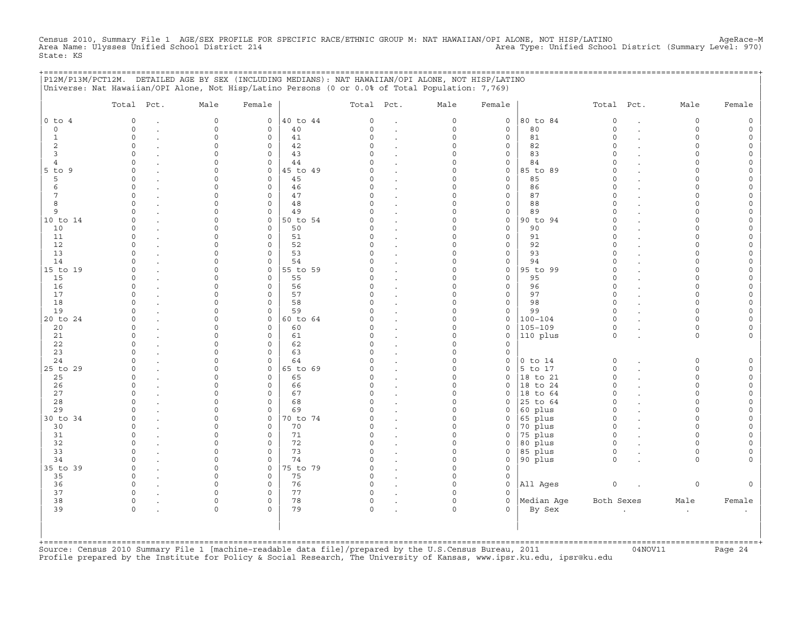Census 2010, Summary File 1 AGE/SEX PROFILE FOR SPECIFIC RACE/ETHNIC GROUP M: NAT HAWAIIAN/OPI ALONE, NOT HISP/LATINO<br>Area Name: Ulysses Unified School District 214 State: KS

|                | P12M/P13M/PCT12M. DETAILED AGE BY SEX (INCLUDING MEDIANS): NAT HAWAIIAN/OPI ALONE, NOT HISP/LATINO<br>Universe: Nat Hawaiian/OPI Alone, Not Hisp/Latino Persons (0 or 0.0% of Total Population: 7,769) |                     |                     |                |                      |                      |          |              | ;====================== |                      |                      |        |
|----------------|--------------------------------------------------------------------------------------------------------------------------------------------------------------------------------------------------------|---------------------|---------------------|----------------|----------------------|----------------------|----------|--------------|-------------------------|----------------------|----------------------|--------|
|                | Total Pct.                                                                                                                                                                                             | Male                | Female              |                | Total Pct.           |                      | Male     | Female       |                         | Total Pct.           | Male                 | Female |
| $0$ to $4$     | $\circ$                                                                                                                                                                                                | $\mathsf{O}\xspace$ | $\circ$             | 40 to 44       | 0                    |                      | 0        | $\circ$      | 80 to 84                | $\mathsf O$          | $\circ$              |        |
| $\circ$        | $\Omega$                                                                                                                                                                                               | $\circ$             | $\circ$             | 40             | 0                    | $\ddot{\phantom{0}}$ | $\circ$  | 0            | 80                      | $\mathbf 0$          | $\circ$              |        |
| 1              | $\circ$                                                                                                                                                                                                | $\Omega$            | $\circ$             | 41             | $\Omega$             |                      | $\Omega$ | 0            | 81                      | $\Omega$             | $\Omega$             |        |
| 2              | $\Omega$                                                                                                                                                                                               | <sup>n</sup>        | $\mathsf{O}$        | 42             | $\Omega$             |                      | $\Omega$ | 0            | 82                      | $\Omega$             | $\cap$               |        |
| 3              | $\cap$                                                                                                                                                                                                 |                     | $\mathbf 0$         | 43             |                      |                      | U        | 0            | 83                      | $\Omega$             |                      |        |
| 4              |                                                                                                                                                                                                        |                     | $\circ$             | 44             |                      |                      | O        | 0            | 84                      | $\Omega$             |                      |        |
| 5 to 9<br>5    | $\Omega$<br>$\Omega$                                                                                                                                                                                   |                     | $\circ$<br>$\circ$  | 45 to 49<br>45 | $\Omega$<br>$\Omega$ |                      | U<br>O   | 0<br>0       | 85 to 89<br>85          | $\Omega$<br>$\Omega$ |                      |        |
| 6              | $\Omega$                                                                                                                                                                                               | ∩                   | $\circ$             | 46             | $\Omega$             |                      | 0        | 0            | 86                      | $\Omega$             | $\cap$               |        |
| 7              | $\Omega$                                                                                                                                                                                               |                     | $\mathsf{O}\xspace$ | 47             | 0                    |                      | 0        | 0            | 87                      | $\Omega$             |                      |        |
| 8              | $\Omega$                                                                                                                                                                                               |                     | $\circ$             | 48             | $\Omega$             |                      | U        | 0            | 88                      | $\Omega$             |                      |        |
| 9              |                                                                                                                                                                                                        |                     | $\mathbf 0$         | 49             | 0                    |                      | U        | 0            | 89                      | $\Omega$             | ∩                    |        |
| 10 to 14       | $\Omega$                                                                                                                                                                                               |                     | $\mathbf 0$         | 50 to 54       | ∩                    |                      | O        | 0            | 90 to 94                | $\Omega$             | ∩                    |        |
| 10             | $\Omega$                                                                                                                                                                                               |                     | $\mathsf O$         | 50             | $\Omega$             |                      | 0        | $\circ$      | 90                      | $\Omega$             | ∩                    |        |
| 11             | $\Omega$                                                                                                                                                                                               |                     | $\mathsf{O}$        | 51             | $\Omega$             | $\overline{a}$       | 0        | 0            | 91                      | $\Omega$             | $\cap$               |        |
| 12             | $\Omega$                                                                                                                                                                                               |                     | $\mathbf 0$         | 52             | $\Omega$             |                      | O        | 0            | 92                      | $\Omega$             | $\cap$               |        |
| 13             | $\Omega$                                                                                                                                                                                               | ∩                   | $\mathsf{O}$        | 53             | $\Omega$             |                      | $\Omega$ | 0            | 93                      | $\Omega$             | $\cap$               |        |
| 14             | $\Omega$                                                                                                                                                                                               |                     | $\mathbf 0$         | 54             | $\Omega$             |                      | O        | 0            | 94                      | $\Omega$             | $\cap$               |        |
| 15 to 19       | $\Omega$                                                                                                                                                                                               |                     | $\circ$             | 55 to 59       |                      |                      | O        | $\mathbf{0}$ | 95 to 99                | $\Omega$             |                      |        |
| 15             | $\Omega$                                                                                                                                                                                               |                     | $\mathbf 0$         | 55             | $\Omega$             |                      | U        | 0            | 95                      | $\Omega$             |                      |        |
| 16             | $\Omega$                                                                                                                                                                                               |                     | $\circ$             | 56             | 0                    |                      | U        | 0            | 96                      | $\Omega$             | ∩                    |        |
| 17             |                                                                                                                                                                                                        |                     | $\mathsf{O}$        | 57             |                      |                      | 0        | 0            | 97                      | $\Omega$             | $\cap$               |        |
| 18             | $\Omega$                                                                                                                                                                                               |                     | $\mathsf{O}$        | 58             | $\Omega$<br>$\cap$   |                      | O        | 0            | 98                      | $\Omega$             |                      |        |
| 19<br>20 to 24 |                                                                                                                                                                                                        |                     | $\mathsf{O}$<br>0   | 59<br>60 to 64 |                      |                      | ∩<br>U   | 0<br>0       | 99<br>$100 - 104$       | $\Omega$<br>$\Omega$ |                      |        |
| 20             | $\Omega$                                                                                                                                                                                               |                     | $\Omega$            | 60             | $\Omega$             |                      | U        | $\mathbf{0}$ | $105 - 109$             | $\Omega$             | $\cap$               |        |
| 21             | $\Omega$                                                                                                                                                                                               | ∩                   | $\mathbf 0$         | 61             | $\Omega$             |                      | 0        | 0            | $ 110\rangle$ plus      | $\mathbf 0$          | $\Omega$             |        |
| 22             | $\Omega$                                                                                                                                                                                               |                     | $\mathsf{O}$        | 62             | 0                    | $\ddot{\phantom{a}}$ | 0        | 0            |                         |                      |                      |        |
| 23             | $\Omega$                                                                                                                                                                                               |                     | $\circ$             | 63             | $\Omega$             |                      | 0        | 0            |                         |                      |                      |        |
| 24             | $\Omega$                                                                                                                                                                                               | U                   | $\mathsf{O}$        | 64             | $\Omega$             |                      | 0        | 0            | $0$ to $14$             | $\circ$              | $\Omega$             |        |
| 25 to 29       | $\Omega$                                                                                                                                                                                               |                     | $\mathsf{O}$        | 65 to 69       | $\Omega$             |                      | O        | 0            | 5 to 17                 | $\circ$              | $\cap$               |        |
| 25             | $\Omega$                                                                                                                                                                                               |                     | $\circ$             | 65             | O                    |                      | O        | $\Omega$     | 18 to 21                | $\Omega$             | $\cap$               |        |
| 26             | $\Omega$                                                                                                                                                                                               |                     | $\circ$             | 66             | $\Omega$             |                      | O        | 0            | 18 to 24                | $\Omega$             | $\cap$               |        |
| 27             | $\Omega$                                                                                                                                                                                               |                     | $\circ$             | 67             | $\Omega$             |                      | U        | 0            | 18 to 64                | $\Omega$             | ∩                    |        |
| 28             | $\Omega$                                                                                                                                                                                               | U                   | $\mathbf 0$         | 68             | $\Omega$             |                      | 0        | 0            | 25 to 64                | $\Omega$             | $\cap$               |        |
| 29             | $\Omega$                                                                                                                                                                                               |                     | $\mathsf O$         | 69             | $\Omega$             |                      | 0        | $\mathbf{0}$ | 60 plus                 | $\circ$              | $\cap$               |        |
| 30 to 34       | $\Omega$                                                                                                                                                                                               |                     | $\mathsf{O}$        | 70 to 74       | $\Omega$             |                      | 0        | 0            | 65 plus                 | $\circ$              | $\cap$               |        |
| 30             | $\Omega$                                                                                                                                                                                               |                     | $\mathsf{O}$        | 70             | $\Omega$             |                      | U        | 0            | 70 plus                 | $\circ$              | $\cap$               |        |
| 31             | $\Omega$                                                                                                                                                                                               | ∩                   | $\mathbf 0$         | 71             | $\Omega$             |                      | $\Omega$ | $\mathbf{0}$ | 75 plus                 | $\Omega$             | $\cap$               |        |
| 32             | $\Omega$                                                                                                                                                                                               | ∩                   | $\mathsf{O}$        | 72             | $\Omega$             |                      | 0        | 0            | 80 plus                 | $\circ$              | $\cap$               |        |
| 33             |                                                                                                                                                                                                        |                     | $\circ$             | 73             | $\Omega$             | $\ddot{\phantom{a}}$ | 0        | 0            | 85 plus                 | $\circ$<br>$\Omega$  | $\Omega$<br>$\Omega$ |        |
| 34             | $\Omega$<br>$\Omega$                                                                                                                                                                                   | ∩                   | $\mathbf 0$         | 74             |                      |                      | 0<br>O   | $\mathbf 0$  | 90 plus                 |                      |                      |        |
| 35 to 39       | $\Omega$                                                                                                                                                                                               |                     | $\circ$             | 75 to 79       | $\Omega$<br>$\Omega$ |                      | O        | $\mathbf{0}$ |                         |                      |                      |        |
| 35<br>36       | $\Omega$                                                                                                                                                                                               |                     | $\circ$<br>$\circ$  | 75<br>76       | $\Omega$             |                      | O        | 0<br>0       | All Ages                | $\circ$              | $\Omega$             |        |
| 37             | $\Omega$                                                                                                                                                                                               |                     | $\circ$             | 77             | 0                    |                      | O        | $\Omega$     |                         |                      |                      |        |
| 38             | 0                                                                                                                                                                                                      | $\Omega$            | $\circ$             | 78             | 0                    |                      | $\Omega$ | $\mathbf{0}$ | Median Aqe              | Both Sexes           | Male                 | Female |
| 39             | $\Omega$                                                                                                                                                                                               | $\Omega$            | $\Omega$            | 79             | $\circ$              |                      | $\Omega$ | $\Omega$     | By Sex                  |                      | $\ddot{\phantom{a}}$ |        |
|                |                                                                                                                                                                                                        |                     |                     |                |                      |                      |          |              |                         |                      |                      |        |

+===================================================================================================================================================+Source: Census 2010 Summary File 1 [machine−readable data file]/prepared by the U.S.Census Bureau, 2011 04NOV11 Page 24 Profile prepared by the Institute for Policy & Social Research, The University of Kansas, www.ipsr.ku.edu, ipsr@ku.edu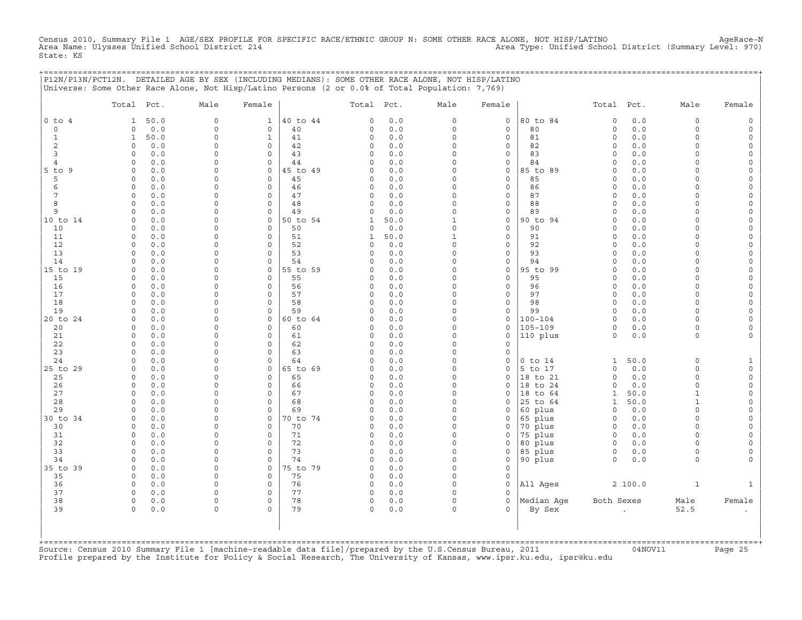Census 2010, Summary File 1 AGE/SEX PROFILE FOR SPECIFIC RACE/ETHNIC GROUP N: SOME OTHER RACE ALONE, NOT HISP/LATINO<br>Area Name: Ulysses Unified School District 214 (Summary Level: 970) State: KS

+===================================================================================================================================================+

|                 | Total Pct.          |            | Male                 | Female                             |                | Total Pct.        |            | Male                    | Female                      |                      | Total Pct.                     |              | Male                 | Female                             |
|-----------------|---------------------|------------|----------------------|------------------------------------|----------------|-------------------|------------|-------------------------|-----------------------------|----------------------|--------------------------------|--------------|----------------------|------------------------------------|
| $0$ to $4$      | 1                   | 50.0       | $\circ$              | $\mathbf{1}$                       | 40 to 44       | 0                 | 0.0        | $\circ$                 | $\mathbf 0$                 | 80 to 84             | $\Omega$                       | 0.0          | $\circ$              | $\mathsf{O}\xspace$                |
| $\mathbf 0$     | $\Omega$            | 0.0        | $\Omega$             | $\mathbf 0$                        | 40             | $\Omega$          | 0.0        | $\Omega$                | $\mathbf 0$                 | 80                   | $\circ$                        | 0.0          | $\circ$              | $\circ$                            |
| $\mathbf{1}$    | $\mathbf{1}$        | 50.0       | $\Omega$             | $\mathbf{1}$                       | 41             | 0                 | 0.0        | $\mathbf 0$             | $\mathsf{O}\xspace$         | 81                   | $\mathsf{O}\xspace$            | 0.0          | $\circ$              | $\mathsf{O}\xspace$                |
| 2               | $\Omega$            | 0.0        | $\Omega$             | $\mathsf{O}\xspace$                | 42             | 0                 | 0.0        | $\Omega$                | $\mathsf{O}\xspace$         | 82                   | $\circ$                        | 0.0          | $\Omega$             | 0                                  |
| 3               | 0                   | 0.0        | $\Omega$             | $\mathbf 0$                        | 43             | $\Omega$          | 0.0        | $\Omega$                | $\mathbf 0$                 | 83                   | $\circ$                        | 0.0          | $\Omega$             | $\mathsf O$                        |
| $\overline{4}$  | $\Omega$            | 0.0        | $\Omega$<br>$\Omega$ | $\mathsf{O}\xspace$                | 44             | 0                 | 0.0        | $\mathbf 0$<br>$\Omega$ | $\mathsf{O}\xspace$         | 84                   | $\circ$                        | $0.0$        | $\Omega$<br>$\Omega$ | $\mathsf{O}\xspace$                |
| $5$ to $9$<br>5 | $\circ$<br>0        | 0.0<br>0.0 | $\Omega$             | $\mathsf{O}\xspace$<br>$\mathbf 0$ | 45 to 49<br>45 | 0<br>0            | 0.0<br>0.0 | $\Omega$                | $\mathsf O$<br>$\mathbf 0$  | 85 to 89<br>85       | $\circ$<br>$\circ$             | $0.0$<br>0.0 | $\circ$              | $\mathsf{O}\xspace$<br>0           |
| 6               | $\Omega$            | 0.0        | $\Omega$             | $\mathbf 0$                        | 46             | 0                 | 0.0        | $\Omega$                | $\mathsf{O}\xspace$         | 86                   | $\circ$                        | 0.0          | $\Omega$             | $\mathsf{O}\xspace$                |
| 7               | $\circ$             | 0.0        | $\Omega$             | $\mathbf 0$                        | 47             | 0                 | $0.0$      | $\mathbf 0$             | $\mathsf{O}\xspace$         | 87                   | $\mathbf 0$                    | 0.0          | $\circ$              | $\mathsf{O}\xspace$                |
| 8               | $\Omega$            | 0.0        | $\Omega$             | $\mathbf 0$                        | 48             | 0                 | 0.0        | $\Omega$                | $\mathbf 0$                 | 88                   | $\circ$                        | 0.0          | $\Omega$             | 0                                  |
| 9               | $\Omega$            | 0.0        | $\Omega$             | $\mathbf 0$                        | 49             | 0                 | 0.0        | $\Omega$                | $\mathsf{O}$                | 89                   | $\circ$                        | 0.0          | $\Omega$             | 0                                  |
| 10 to 14        | $\circ$             | 0.0        | $\Omega$             | $\mathsf{O}\xspace$                | 50 to 54       | $\mathbf{1}$      | 50.0       | $1\,$                   | $\mathsf{O}$                | 90 to 94             | $\circ$                        | 0.0          | $\Omega$             | $\mathsf{O}\xspace$                |
| 10              | $\Omega$            | 0.0        | $\Omega$             | 0                                  | 50             | 0                 | 0.0        | $\Omega$                | $\mathbf 0$                 | 90                   | $\Omega$                       | 0.0          | $\Omega$             | 0                                  |
| 11              | $\circ$             | 0.0        | $\Omega$             | $\mathbf 0$                        | 51             | 1                 | 50.0       | $\mathbf{1}$            | $\mathsf{O}$                | 91                   | $\circ$                        | 0.0          | $\circ$              | 0                                  |
| 12              | $\circ$             | 0.0        | $\Omega$             | $\mathbf 0$                        | 52             | 0                 | 0.0        | $\mathbf 0$             | $\mathsf{O}\xspace$         | 92                   | $\circ$                        | 0.0          | $\Omega$             | $\mathsf{O}\xspace$                |
| 13              | $\Omega$            | 0.0        | $\Omega$             | $\mathbf 0$                        | 53             | $\Omega$          | 0.0        | $\Omega$                | $\mathbf 0$                 | 93                   | $\Omega$                       | 0.0          | $\Omega$             | 0                                  |
| 14              | $\Omega$            | 0.0        | $\Omega$             | $\Omega$                           | 54             | <sup>o</sup>      | 0.0        | $\Omega$                | $\mathbf 0$                 | 94                   | $\Omega$                       | 0.0          | $\Omega$             | 0                                  |
| 15 to 19        | $\circ$<br>$\Omega$ | 0.0        | $\Omega$<br>$\Omega$ | $\mathsf{O}\xspace$<br>$\mathbf 0$ | 55 to 59<br>55 | 0<br><sup>o</sup> | 0.0<br>0.0 | $\mathbf 0$<br>$\Omega$ | $\mathsf{O}$<br>$\mathbf 0$ | 95 to 99<br>95       | $\mathsf{O}\xspace$<br>$\circ$ | 0.0          | $\circ$<br>$\Omega$  | $\mathsf{O}\xspace$                |
| 15<br>16        | $\Omega$            | 0.0<br>0.0 | $\Omega$             | $\mathbf 0$                        | 56             | 0                 | 0.0        | $\Omega$                | $\mathbf 0$                 | 96                   | $\circ$                        | $0.0$<br>0.0 | $\Omega$             | $\mathsf{O}\xspace$<br>0           |
| 17              | $\mathbf 0$         | 0.0        | $\Omega$             | $\mathsf{O}\xspace$                | 57             | 0                 | 0.0        | $\mathbf 0$             | $\mathsf{O}\xspace$         | 97                   | $\circ$                        | 0.0          | $\circ$              | $\mathsf{O}\xspace$                |
| 18              | $\Omega$            | 0.0        | 0                    | 0                                  | 58             | 0                 | 0.0        | $\mathbf 0$             | $\mathsf{O}$                | 98                   | $\circ$                        | 0.0          | $\circ$              | $\mathsf{O}\xspace$                |
| 19              | $\Omega$            | 0.0        | $\Omega$             | $\Omega$                           | 59             | O                 | 0.0        | $\Omega$                | $\mathbf 0$                 | 99                   | $\Omega$                       | 0.0          | $\Omega$             | $\mathsf{O}\xspace$                |
| 20 to 24        | $\Omega$            | 0.0        | 0                    | 0                                  | 60 to 64       | 0                 | 0.0        | $\mathbf 0$             | $\mathsf{O}\xspace$         | $100 - 104$          | $\circ$                        | 0.0          | $\Omega$             | $\mathsf{O}\xspace$                |
| 20              | $\circ$             | 0.0        | $\Omega$             | $\mathbf 0$                        | 60             | 0                 | 0.0        | $\mathbf 0$             | $\mathsf{O}$                | $105 - 109$          | 0                              | 0.0          | 0                    | $\mathsf{O}\xspace$                |
| 21              | 0                   | 0.0        | $\Omega$             | $\mathbf 0$                        | 61             | 0                 | 0.0        | $\Omega$                | $\mathbf 0$                 | 110 plus             | $\circ$                        | 0.0          | $\circ$              | $\mathbf 0$                        |
| 22              | $\Omega$            | 0.0        | $\Omega$             | $\mathsf{O}$                       | 62             | 0                 | 0.0        | $\mathbf 0$             | $\mathbf 0$                 |                      |                                |              |                      |                                    |
| 23              | $\Omega$            | 0.0        | $\Omega$             | $\mathbf 0$                        | 63             | 0                 | 0.0        | $\mathbf 0$             | $\mathbf 0$                 |                      |                                |              |                      |                                    |
| 24              | $\Omega$            | 0.0        | $\Omega$             | $\mathbf 0$                        | 64             | 0                 | 0.0        | $\Omega$                | $\mathbf 0$                 | $0$ to $14$          | 1                              | 50.0         | $\circ$              | $\mathbf{1}$                       |
| 25 to 29        | 0                   | 0.0        | $\Omega$             | $\mathbf 0$                        | 65 to 69       | 0                 | 0.0        | $\Omega$<br>$\mathbf 0$ | $\mathbf 0$                 | 5 to 17              | $\circ$                        | 0.0          | $\circ$              | $\mathsf{O}\xspace$                |
| 25<br>26        | $\circ$<br>$\Omega$ | 0.0<br>0.0 | $\Omega$<br>$\Omega$ | $\mathbf 0$<br>$\Omega$            | 65<br>66       | 0<br>0            | 0.0<br>0.0 | $\Omega$                | $\mathbf 0$<br>$\Omega$     | 18 to 21<br>18 to 24 | $\circ$<br>$\Omega$            | 0.0<br>0.0   | 0<br>$\circ$         | $\mathsf O$<br>$\mathsf{O}\xspace$ |
| 27              | $\Omega$            | 0.0        | $\Omega$             | $\mathbf 0$                        | 67             | 0                 | 0.0        | $\Omega$                | $\mathbf 0$                 | 18 to 64             | $\mathbf{1}$                   | 50.0         | $\mathbf{1}$         | 0                                  |
| 28              | $\circ$             | 0.0        | $\Omega$             | $\mathbf 0$                        | 68             | 0                 | 0.0        | $\mathbf 0$             | $\mathbf 0$                 | 25 to 64             | $\mathbf{1}$                   | 50.0         | $\mathbf 1$          | $\mathsf{O}\xspace$                |
| 29              | $\Omega$            | 0.0        | $\Omega$             | $\Omega$                           | 69             | C)                | 0.0        | $\Omega$                | $\mathbf 0$                 | 60 plus              | $\circ$                        | 0.0          | $\circ$              | $\mathsf{O}\xspace$                |
| 30 to 34        | $\Omega$            | 0.0        | $\Omega$             | $\mathbf 0$                        | 70 to 74       | $\Omega$          | 0.0        | $\Omega$                | $\mathbf 0$                 | 65 plus              | $\circ$                        | 0.0          | $\Omega$             | 0                                  |
| 30              | $\circ$             | 0.0        | $\Omega$             | $\mathsf{O}\xspace$                | 70             | 0                 | 0.0        | $\mathbf 0$             | $\mathsf{O}$                | 70 plus              | $\mathsf{O}$                   | 0.0          | $\circ$              | $\mathsf{O}\xspace$                |
| 31              | $\Omega$            | 0.0        | 0                    | $\Omega$                           | 71             | 0                 | 0.0        | $\Omega$                | $\Omega$                    | 75 plus              | $\circ$                        | 0.0          | $\Omega$             | $\mathsf{O}\xspace$                |
| 32              | $\Omega$            | 0.0        | $\Omega$             | $\Omega$                           | 72             | $\Omega$          | 0.0        | $\Omega$                | $\Omega$                    | 80 plus              | $\Omega$                       | 0.0          | $\Omega$             | 0                                  |
| 33              | $\circ$             | 0.0        | $\Omega$             | $\mathsf{O}\xspace$                | 73             | $\circ$           | 0.0        | $\mathbf 0$             | $\mathsf{O}\xspace$         | 85 plus              | $\mathsf{O}$                   | 0.0          | $\circ$              | $\mathsf{O}\xspace$                |
| 34              | $\Omega$            | 0.0        | 0                    | $\mathbf 0$                        | 74             | 0                 | 0.0        | $\mathbf 0$             | $\mathsf{O}$                | 90 plus              | 0                              | 0.0          | $\circ$              | $\mathbf 0$                        |
| 35 to 39        | $\Omega$            | 0.0        | $\Omega$             | $\Omega$                           | 75 to 79       | $\Omega$          | $0.0$      | $\Omega$                | $\mathbf 0$                 |                      |                                |              |                      |                                    |
| 35              | $\circ$             | 0.0        | $\Omega$             | $\mathbf 0$                        | 75             | 0                 | 0.0        | $\mathbf 0$             | $\mathbf 0$                 |                      |                                |              |                      |                                    |
| 36              | $\circ$             | 0.0        | $\Omega$             | 0                                  | 76             | 0                 | 0.0        | $\mathbf 0$             | $\mathsf{O}\xspace$         | All Ages             |                                | 2 100.0      | $\mathbf{1}$         | $\mathbf{1}$                       |
| 37<br>38        | 0<br>$\circ$        | 0.0        | $\Omega$<br>$\Omega$ | $\mathbf 0$<br>$\mathbf 0$         | 77<br>78       | 0<br>0            | 0.0        | $\Omega$<br>$\mathbf 0$ | $\Omega$<br>$\mathbf 0$     | Median Age           | Both Sexes                     |              | Male                 | Female                             |
| 39              | $\circ$             | 0.0<br>0.0 | $\circ$              | $\Omega$                           | 79             | 0                 | 0.0<br>0.0 | $\circ$                 | $\Omega$                    | By Sex               |                                |              | 52.5                 | $\sim$                             |
|                 |                     |            |                      |                                    |                |                   |            |                         |                             |                      |                                |              |                      |                                    |

+===================================================================================================================================================+Source: Census 2010 Summary File 1 [machine−readable data file]/prepared by the U.S.Census Bureau, 2011 04NOV11 Page 25 Profile prepared by the Institute for Policy & Social Research, The University of Kansas, www.ipsr.ku.edu, ipsr@ku.edu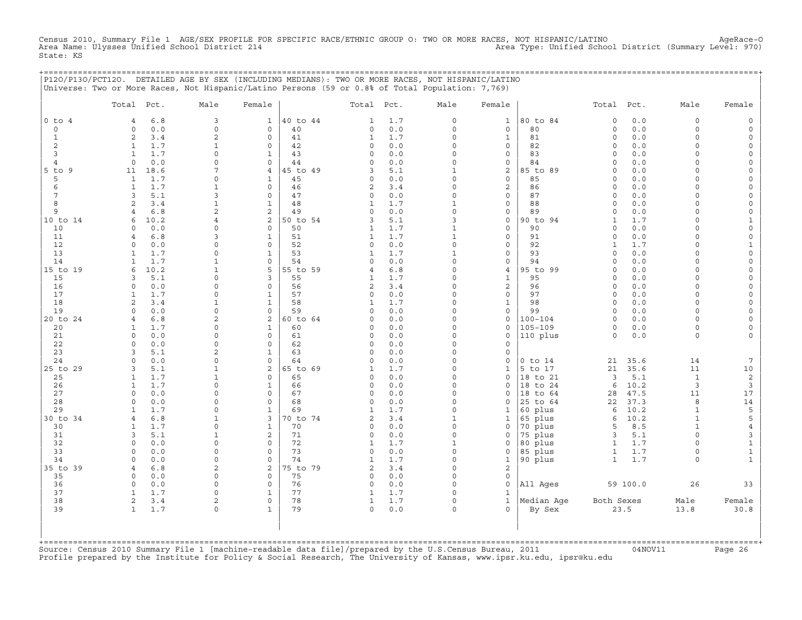Census 2010, Summary File 1 AGE/SEX PROFILE FOR SPECIFIC RACE/ETHNIC GROUP O: TWO OR MORE RACES, NOT HISPANIC/LATINO AgeRace-O<br>Area Name: Ulysses Unified School District 214 State: KS

|                     | P120/P130/PCT120. DETAILED AGE BY SEX (INCLUDING MEDIANS): TWO OR MORE RACES, NOT HISPANIC/LATINO<br>Universe: Two or More Races, Not Hispanic/Latino Persons (59 or 0.8% of Total Population: 7,769) |                      |                             |                |                     |              |                         |                              | ================================= |                              |              |                         |                              |
|---------------------|-------------------------------------------------------------------------------------------------------------------------------------------------------------------------------------------------------|----------------------|-----------------------------|----------------|---------------------|--------------|-------------------------|------------------------------|-----------------------------------|------------------------------|--------------|-------------------------|------------------------------|
|                     | Total Pct.                                                                                                                                                                                            | Male                 | Female                      |                | Total Pct.          |              | Male                    | Female                       |                                   | Total Pct.                   |              | Male                    | Female                       |
| $0$ to $4$          | 6.8<br>$\overline{4}$                                                                                                                                                                                 | 3                    | $\mathbf{1}$                | 40 to 44       | 1                   | 1.7          | 0                       | $\mathbf{1}$                 | 80 to 84                          | $\mathsf O$                  | 0.0          | $\mathbf 0$             |                              |
| $\circ$             | 0.0<br>$\mathbf 0$                                                                                                                                                                                    | $\mathsf O$          | 0                           | 40             | 0                   | 0.0          | 0                       | 0                            | 80                                | $\circ$                      | 0.0          | $\mathbf 0$             |                              |
| 1                   | 2<br>3.4                                                                                                                                                                                              | 2                    | $\Omega$                    | 41             | 1                   | 1.7          | $\Omega$                | $\mathbf{1}$                 | 81                                | $\Omega$                     | 0.0          | $\Omega$                |                              |
| 2                   | 1.7<br>1                                                                                                                                                                                              | 1                    | $\mathbf 0$                 | 42             | 0                   | 0.0          | 0<br>$\Omega$           | 0                            | 82<br>83                          | $\mathbf 0$<br>$\Omega$      | 0.0          | $\Omega$<br>∩           |                              |
| 3<br>$\overline{4}$ | 1.7<br>1<br>0.0<br>$\Omega$                                                                                                                                                                           | $\Omega$<br>$\Omega$ | $\mathbf{1}$<br>$\circ$     | 43<br>44       | $\circ$<br>$\Omega$ | 0.0<br>0.0   | $\Omega$                | $\mathbf{0}$<br>$\mathbf{0}$ | 84                                | $\Omega$                     | 0.0<br>0.0   | $\Omega$                |                              |
| 5 to 9              | 11<br>18.6                                                                                                                                                                                            | 7                    | $\overline{4}$              | 45 to 49       | 3                   | 5.1          | $\mathbf{1}$            | 2                            | 85 to 89                          | $\Omega$                     | 0.0          | $\Omega$                |                              |
| 5                   | $\mathbf{1}$<br>1.7                                                                                                                                                                                   | $\Omega$             | $\mathbf{1}$                | 45             | 0                   | 0.0          | $\Omega$                | $\mathbf{0}$                 | 85                                | $\Omega$                     | 0.0          | ∩                       | $\cap$                       |
| 6                   | $\mathbf{1}$<br>1.7                                                                                                                                                                                   | 1                    | $\circ$                     | 46             | 2                   | 3.4          | $\Omega$                | 2                            | 86                                | $\Omega$                     | 0.0          | $\Omega$                |                              |
| 7                   | 5.1<br>3                                                                                                                                                                                              | 3                    | $\circ$                     | 47             | 0                   | 0.0          | 0                       | $\mathbf{0}$                 | 87                                | $\Omega$                     | 0.0          | $\cap$                  |                              |
| 8                   | 2<br>3.4                                                                                                                                                                                              | 1                    | $\mathbf{1}$                | 48             | $\mathbf{1}$        | 1.7          | $\mathbf{1}$            | 0                            | 88                                | $\mathbf 0$                  | 0.0          | $\Omega$<br>$\Omega$    | $\Omega$                     |
| 9<br>10 to 14       | 6.8<br>$\overline{4}$<br>10.2<br>6                                                                                                                                                                    | 2<br>$\overline{4}$  | 2<br>2                      | 49<br>50 to 54 | 0<br>3              | 0.0<br>5.1   | 0<br>3                  | 0<br>0                       | 89<br>90 to 94                    | $\mathbf 0$<br>$\mathbf{1}$  | 0.0<br>1.7   | $\cap$                  | $\Omega$<br>1                |
| 10                  | 0.0<br>$\Omega$                                                                                                                                                                                       | $\Omega$             | $\mathbf 0$                 | 50             | 1                   | 1.7          | 1                       | $\mathbf{0}$                 | 90                                | $\Omega$                     | 0.0          | $\cap$                  | $\Omega$                     |
| 11                  | 6.8<br>$\overline{4}$                                                                                                                                                                                 | 3                    | 1                           | 51             | 1                   | 1.7          | 1                       | 0                            | 91                                | $\Omega$                     | 0.0          |                         | $\Omega$                     |
| 12                  | $\Omega$<br>0.0                                                                                                                                                                                       | $\Omega$             | $\Omega$                    | 52             | $\Omega$            | 0.0          | $\Omega$                | $\circ$                      | 92                                | 1                            | 1.7          | ∩                       | 1                            |
| 13                  | 1.7<br>1                                                                                                                                                                                              | $\Omega$             | $\mathbf{1}$                | 53             | 1                   | 1.7          | $\mathbf{1}$            | 0                            | 93                                | $\circ$                      | 0.0          | $\Omega$                | $\Omega$                     |
| 14                  | 1.7<br>1                                                                                                                                                                                              | $\mathbf{1}$         | 0                           | 54             | $\circ$             | 0.0          | $\Omega$                | 0                            | 94                                | $\mathbf 0$                  | 0.0          | $\Omega$                | $\Omega$                     |
| 15 to 19<br>15      | 10.2<br>6<br>5.1<br>3                                                                                                                                                                                 | 1<br>$\Omega$        | 5<br>3                      | 55 to 59<br>55 | 4<br>1              | 6.8<br>1.7   | $\Omega$<br>0           | 4<br>$\mathbf{1}$            | 95 to 99<br>95                    | $\Omega$<br>$\mathbf 0$      | 0.0<br>0.0   | $\cap$<br>$\cap$        | $\Omega$                     |
| 16                  | 0.0<br>$\Omega$                                                                                                                                                                                       | $\Omega$             | 0                           | 56             | 2                   | 3.4          | $\Omega$                | 2                            | 96                                | $\mathbf 0$                  | $0.0$        | $\Omega$                | $\Omega$                     |
| 17                  | 1.7<br>1                                                                                                                                                                                              | $\Omega$             | $\mathbf{1}$                | 57             | $\circ$             | 0.0          | $\Omega$                | $\circ$                      | 97                                | $\Omega$                     | 0.0          | $\Omega$                | $\Omega$                     |
| 18                  | 2<br>3.4                                                                                                                                                                                              | 1                    | $\mathbf{1}$                | 58             | 1                   | 1.7          | $\Omega$                | 1                            | 98                                | $\Omega$                     | 0.0          | $\Omega$                |                              |
| 19                  | 0.0<br>$\Omega$                                                                                                                                                                                       | $\Omega$             | $\mathbf 0$                 | 59             | 0                   | 0.0          | $\Omega$                | 0                            | 99                                | $\circ$                      | 0.0          | $\Omega$                | $\Omega$                     |
| 20 to 24            | 6.8                                                                                                                                                                                                   | 2                    | 2                           | 60 to 64       | $\Omega$            | 0.0          | $\Omega$                | $\mathsf{O}$                 | $100 - 104$                       | 0                            | 0.0          | $\cap$                  | $\cap$                       |
| 20<br>21            | 1.7<br>$\mathbf{1}$<br>0.0<br>$\mathbf 0$                                                                                                                                                             | $\Omega$<br>$\Omega$ | $\mathbf{1}$<br>$\mathbf 0$ | 60<br>61       | $\Omega$<br>0       | 0.0<br>$0.0$ | $\Omega$<br>$\Omega$    | $\mathbf{0}$<br>$\mathbf 0$  | $105 - 109$<br>110 plus           | $\circ$<br>$\mathbf 0$       | 0.0<br>0.0   | $\Omega$<br>$\mathbf 0$ |                              |
| 22                  | 0.0<br>$\Omega$                                                                                                                                                                                       | $\Omega$             | $\circ$                     | 62             | 0                   | 0.0          | $\Omega$                | $\mathbf 0$                  |                                   |                              |              |                         |                              |
| 23                  | 5.1<br>3                                                                                                                                                                                              | $\overline{2}$       | $\mathbf{1}$                | 63             | $\Omega$            | 0.0          | $\Omega$                | 0                            |                                   |                              |              |                         |                              |
| 24                  | $\Omega$<br>0.0                                                                                                                                                                                       | $\Omega$             | 0                           | 64             | 0                   | 0.0          | 0                       | 0                            | $0$ to $14$                       | 21                           | 35.6         | 14                      | 7                            |
| 25 to 29            | 5.1<br>3                                                                                                                                                                                              | 1                    | 2                           | 65 to 69       | 1                   | 1.7          | $\Omega$                | 1                            | 5 to 17                           | 21                           | 35.6         | 11                      | 10                           |
| 25                  | 1.7<br>1                                                                                                                                                                                              | 1<br>$\Omega$        | $\Omega$                    | 65             | $\Omega$            | 0.0          | $\Omega$<br>$\Omega$    | $\Omega$                     | 18 to 21                          | 3                            | 5.1          | 1                       | 2                            |
| 26<br>27            | 1.7<br>1<br>$\Omega$<br>0.0                                                                                                                                                                           | $\Omega$             | $\mathbf{1}$<br>$\mathbf 0$ | 66<br>67       | 0<br>0              | 0.0<br>0.0   | $\Omega$                | 0<br>0                       | 18 to 24<br>18 to 64              | 6<br>28                      | 10.2<br>47.5 | 3<br>11                 | 3<br>17                      |
| 28                  | 0.0<br>$\Omega$                                                                                                                                                                                       | $\Omega$             | $\mathbf 0$                 | 68             | $\circ$             | 0.0          | $\Omega$                | 0                            | 25 to 64                          | 22                           | 37.3         | 8                       | 14                           |
| 29                  | 1.7<br>-1                                                                                                                                                                                             | $\Omega$             | 1                           | 69             | $\mathbf{1}$        | 1.7          | $\Omega$                | 1                            | 60 plus                           | 6                            | 10.2         | $\mathbf{1}$            | 5                            |
| 30 to 34            | 6.8<br>$\overline{4}$                                                                                                                                                                                 | 1                    | 3                           | 70 to 74       | 2                   | 3.4          | 1                       | $\mathbf{1}$                 | 65 plus                           | 6                            | 10.2         | 1                       | 5                            |
| 30                  | 1.7<br>$\mathbf{1}$                                                                                                                                                                                   | $\Omega$             | $\mathbf{1}$                | 70             | 0                   | 0.0          | 0                       | 0                            | 70 plus                           | 5                            | 8.5          | 1                       | $\overline{4}$               |
| 31<br>32            | 5.1<br>3<br>$\mathbf 0$<br>0.0                                                                                                                                                                        | 1<br>$\Omega$        | 2<br>$\mathbf 0$            | 71<br>72       | $\circ$             | 0.0<br>1.7   | $\circ$<br>$\mathbf{1}$ | $\mathbf 0$                  | 75 plus<br>80 plus                | 3                            | 5.1<br>1.7   | $\Omega$<br>$\Omega$    | 3                            |
| 33                  | 0.0<br>$\mathbf 0$                                                                                                                                                                                    | $\Omega$             | 0                           | 73             | 1<br>0              | 0.0          | 0                       | 0<br>0                       | 85 plus                           | $\mathbf{1}$<br>$\mathbf{1}$ | 1.7          | $\Omega$                | $\mathbf{1}$<br>$\mathbf{1}$ |
| 34                  | 0.0<br>$\Omega$                                                                                                                                                                                       | $\Omega$             | $\Omega$                    | 74             | 1                   | 1.7          | $\Omega$                | $\mathbf{1}$                 | 90 plus                           | $\mathbf{1}$                 | 1.7          | $\Omega$                | $\mathbf{1}$                 |
| 35 to 39            | 6.8<br>$\overline{4}$                                                                                                                                                                                 | 2                    | 2                           | 75 to 79       | 2                   | 3.4          | $\circ$                 | 2                            |                                   |                              |              |                         |                              |
| 35                  | 0.0<br>0                                                                                                                                                                                              | $\Omega$             | $\circ$                     | 75             | $\circ$             | 0.0          | $\Omega$                | $\mathbf 0$                  |                                   |                              |              |                         |                              |
| 36                  | $\Omega$<br>0.0                                                                                                                                                                                       | $\Omega$             | $\circ$                     | 76             | $\mathbf 0$         | 0.0          | $\Omega$                | $\mathbf 0$                  | All Ages                          |                              | 59 100.0     | 26                      | 33                           |
| 37                  | 1.7<br>1                                                                                                                                                                                              | $\Omega$             | $\mathbf{1}$<br>$\circ$     | 77<br>78       | 1<br>$\mathbf{1}$   | 1.7          | 0<br>$\Omega$           | 1<br>$\mathbf{1}$            |                                   |                              |              |                         |                              |
| 38<br>39            | 2<br>3.4<br>$\mathbf{1}$<br>1.7                                                                                                                                                                       | 2<br>$\mathbf 0$     | $\mathbf{1}$                | 79             | $\Omega$            | 1.7<br>0.0   | $\Omega$                | $\Omega$                     | Median Aqe<br>By Sex              | Both Sexes                   | 23.5         | Male<br>13.8            | Female<br>30.8               |
|                     |                                                                                                                                                                                                       |                      |                             |                |                     |              |                         |                              |                                   |                              |              |                         |                              |

+===================================================================================================================================================+Source: Census 2010 Summary File 1 [machine−readable data file]/prepared by the U.S.Census Bureau, 2011 04NOV11 Page 26 Profile prepared by the Institute for Policy & Social Research, The University of Kansas, www.ipsr.ku.edu, ipsr@ku.edu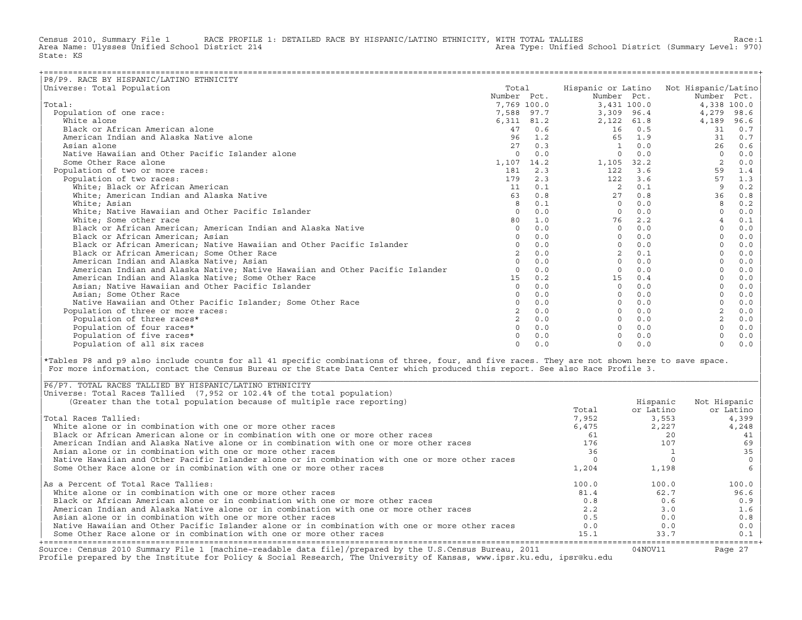Census 2010, Summary File 1 RACE PROFILE 1: DETAILED RACE BY HISPANIC/LATINO ETHNICITY, WITH TOTAL TALLIES Race:1<br>Area Name: Ulysses Unified School District 214 area Type: Unified School District (Summary Level: 970) Area Type: Unified School District (Summary Level: 970) State: KS

| P8/P9. RACE BY HISPANIC/LATINO ETHNICITY                                      |                |            |                    |      |                     |       |
|-------------------------------------------------------------------------------|----------------|------------|--------------------|------|---------------------|-------|
| Universe: Total Population                                                    | Total          |            | Hispanic or Latino |      | Not Hispanic/Latino |       |
|                                                                               | Number Pct.    |            | Number Pct.        |      | Number Pct.         |       |
| Total:                                                                        | 7,769 100.0    |            | 3,431 100.0        |      | 4,338 100.0         |       |
| Population of one race:                                                       |                | 7,588 97.7 | 3,309 96.4         |      | 4,279               | 98.6  |
| White alone                                                                   | 6,311 81.2     |            | 2,122 61.8         |      | 4,189               | 96.6  |
| Black or African American alone                                               | 47             | 0.6        | 16                 | 0.5  | 31                  | 0.7   |
| American Indian and Alaska Native alone                                       | 96             | 1.2        | 65                 | 1.9  | 31                  | 0.7   |
| Asian alone                                                                   | 27             | 0.3        | 1                  | 0.0  | 26                  | 0.6   |
| Native Hawaiian and Other Pacific Islander alone                              | $\Omega$       | 0.0        | $\Omega$           | 0.0  | $\Omega$            | 0.0   |
| Some Other Race alone                                                         | 1,107 14.2     |            | 1,105              | 32.2 | $\overline{2}$      | 0.0   |
| Population of two or more races:                                              | 181            | 2.3        | 122                | 3.6  | 59                  | 1.4   |
| Population of two races:                                                      | 179            | 2.3        | 122                | 3.6  | 57                  | 1.3   |
| White; Black or African American                                              | 11             | 0.1        | 2                  | 0.1  | 9                   | 0.2   |
| White; American Indian and Alaska Native                                      | 63             | 0.8        | 27                 | 0.8  | 36                  | 0.8   |
| White: Asian                                                                  | 8              | 0.1        | $\Omega$           | 0.0  | 8                   | 0.2   |
| White; Native Hawaiian and Other Pacific Islander                             | $\Omega$       | 0.0        | $\Omega$           | 0.0  | $\cap$              | $0.0$ |
| White; Some other race                                                        | 80             | 1.0        | 76                 | 2.2  | $\overline{4}$      | 0.1   |
| Black or African American; American Indian and Alaska Native                  | $\circ$        | 0.0        | $\Omega$           | 0.0  | $\Omega$            | 0.0   |
| Black or African American; Asian                                              | $\Omega$       | 0.0        | $\Omega$           | 0.0  | $\Omega$            | 0.0   |
| Black or African American; Native Hawaiian and Other Pacific Islander         | $\Omega$       | 0.0        | $\Omega$           | 0.0  |                     | 0.0   |
| Black or African American; Some Other Race                                    |                | 0.0        | $\overline{2}$     | 0.1  |                     | 0.0   |
| American Indian and Alaska Native; Asian                                      |                | 0.0        | $\Omega$           | 0.0  |                     | 0.0   |
| American Indian and Alaska Native; Native Hawaiian and Other Pacific Islander |                | 0.0        | $\Omega$           | 0.0  |                     | 0.0   |
| American Indian and Alaska Native; Some Other Race                            | 1.5            | 0.2        | 15                 | 0.4  |                     | 0.0   |
| Asian; Native Hawaiian and Other Pacific Islander                             | $\Omega$       | 0.0        | $\Omega$           | 0.0  |                     | 0.0   |
| Asian; Some Other Race                                                        |                | 0.0        |                    | 0.0  |                     | 0.0   |
| Native Hawaiian and Other Pacific Islander; Some Other Race                   |                | 0.0        |                    | 0.0  |                     | 0.0   |
| Population of three or more races:                                            | $\overline{a}$ | 0.0        | $\Omega$           | 0.0  | $\overline{2}$      | 0.0   |
| Population of three races*                                                    |                | 0.0        | $\Omega$           | 0.0  | $\overline{a}$      | 0.0   |
| Population of four races*                                                     | $\Omega$       | 0.0        |                    | 0.0  | $\cap$              | 0.0   |
| Population of five races*                                                     |                | 0.0        |                    | 0.0  |                     | 0.0   |
| Population of all six races                                                   | $\Omega$       | 0.0        | $\cap$             | 0.0  | $\Omega$            | 0.0   |

|\*Tables P8 and p9 also include counts for all 41 specific combinations of three, four, and five races. They are not shown here to save space. | For more information, contact the Census Bureau or the State Data Center which produced this report. See also Race Profile 3.

| |

|\_\_\_\_\_\_\_\_\_\_\_\_\_\_\_\_\_\_\_\_\_\_\_\_\_\_\_\_\_\_\_\_\_\_\_\_\_\_\_\_\_\_\_\_\_\_\_\_\_\_\_\_\_\_\_\_\_\_\_\_\_\_\_\_\_\_\_\_\_\_\_\_\_\_\_\_\_\_\_\_\_\_\_\_\_\_\_\_\_\_\_\_\_\_\_\_\_\_\_\_\_\_\_\_\_\_\_\_\_\_\_\_\_\_\_\_\_\_\_\_\_\_\_\_\_\_\_\_\_\_\_\_\_\_\_\_\_\_\_\_\_\_\_\_\_\_\_|

| Source: Census 2010 Summary File 1 [machine-readable data file]/prepared by the U.S.Census Bureau, 2011<br>Profile prepared by the Institute for Policy & Social Research, The University of Kansas, www.ipsr.ku.edu, ipsr@ku.edu |       | 04NOV11   | Page 27      |
|-----------------------------------------------------------------------------------------------------------------------------------------------------------------------------------------------------------------------------------|-------|-----------|--------------|
| Some Other Race alone or in combination with one or more other races                                                                                                                                                              | 15.1  | 33.7      | 0.1          |
| Native Hawaiian and Other Pacific Islander alone or in combination with one or more other races                                                                                                                                   | 0.0   | 0.0       | 0.0          |
| Asian alone or in combination with one or more other races                                                                                                                                                                        | 0.5   | 0.0       | 0.8          |
| American Indian and Alaska Native alone or in combination with one or more other races                                                                                                                                            | 2.2   | 3.0       | 1.6          |
| Black or African American alone or in combination with one or more other races                                                                                                                                                    | 0.8   | 0.6       | 0.9          |
| White alone or in combination with one or more other races                                                                                                                                                                        | 81.4  | 62.7      | 96.6         |
| As a Percent of Total Race Tallies:                                                                                                                                                                                               | 100.0 | 100.0     | 100.0        |
| Some Other Race alone or in combination with one or more other races                                                                                                                                                              | 1,204 | 1,198     |              |
| Native Hawaiian and Other Pacific Islander alone or in combination with one or more other races                                                                                                                                   |       |           |              |
| Asian alone or in combination with one or more other races                                                                                                                                                                        | 36    |           | 35           |
| American Indian and Alaska Native alone or in combination with one or more other races                                                                                                                                            | 176   | 107       | 69           |
| Black or African American alone or in combination with one or more other races                                                                                                                                                    | 61    | 20        | 41           |
| White alone or in combination with one or more other races                                                                                                                                                                        | 6,475 | 2,227     | 4,248        |
| Total Races Tallied:                                                                                                                                                                                                              | 7,952 | 3,553     | 4,399        |
|                                                                                                                                                                                                                                   | Total | or Latino | or Latino    |
| (Greater than the total population because of multiple race reporting)                                                                                                                                                            |       | Hispanic  | Not Hispanic |
| Universe: Total Races Tallied (7,952 or 102.4% of the total population)                                                                                                                                                           |       |           |              |
| P6/P7. TOTAL RACES TALLIED BY HISPANIC/LATINO ETHNICITY                                                                                                                                                                           |       |           |              |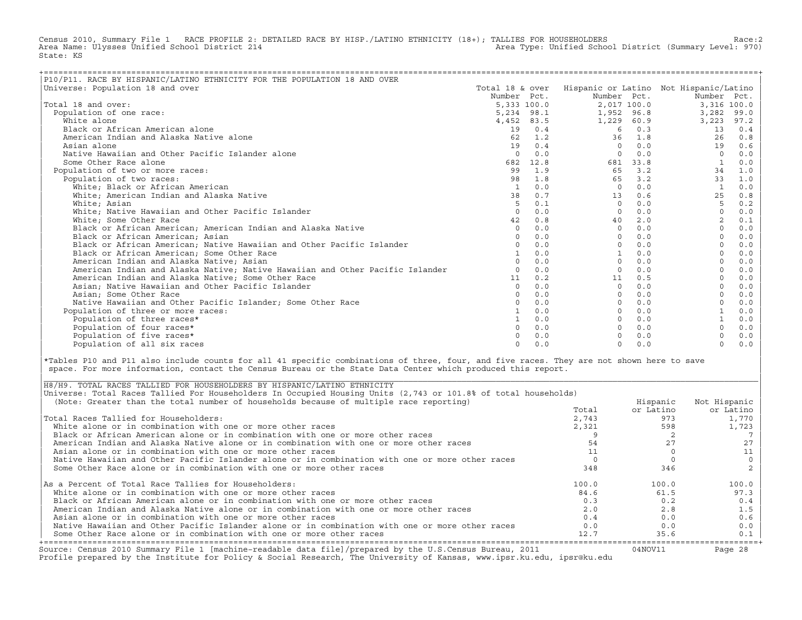Census 2010, Summary File 1 RACE PROFILE 2: DETAILED RACE BY HISP./LATINO ETHNICITY (18+); TALLIES FOR HOUSEHOLDERS Race:2<br>Area Name: Ulysses Unified School District 214 Area Type: Unified School District (Summary Level: 970) State: KS

| P10/P11. RACE BY HISPANIC/LATINO ETHNICITY FOR THE POPULATION 18 AND OVER     |                 |      |             |          |                                        |       |
|-------------------------------------------------------------------------------|-----------------|------|-------------|----------|----------------------------------------|-------|
| Universe: Population 18 and over                                              | Total 18 & over |      |             |          | Hispanic or Latino Not Hispanic/Latino |       |
|                                                                               | Number Pct.     |      | Number Pct. |          | Number Pct.                            |       |
| Total 18 and over:                                                            | 5,333 100.0     |      | 2,017 100.0 |          | 3,316 100.0                            |       |
| Population of one race:                                                       | 5,234 98.1      |      | 1,952 96.8  |          | 3,282                                  | 99.0  |
| White alone                                                                   | 4,452 83.5      |      | 1,229       | 60.9     | 3,223                                  | 97.2  |
| Black or African American alone                                               | 19              | 0.4  | 6           | 0.3      | 13                                     | 0.4   |
| American Indian and Alaska Native alone                                       | 62              | 1.2  | 36          | 1.8      | 26                                     | 0.8   |
| Asian alone                                                                   | 19              | 0.4  | $\Omega$    | 0.0      | 19                                     | 0.6   |
| Native Hawaiian and Other Pacific Islander alone                              | $\Omega$        | 0.0  | $\Omega$    | 0.0      | $\Omega$                               | 0.0   |
| Some Other Race alone                                                         | 682             | 12.8 |             | 681 33.8 |                                        | 0.0   |
| Population of two or more races:                                              | 99              | 1.9  | 65          | 3.2      | 34                                     | 1.0   |
| Population of two races:                                                      | 98              | 1.8  | 65          | 3.2      | 33                                     | 1.0   |
| White; Black or African American                                              | 1               | 0.0  | $\Omega$    | 0.0      |                                        | 0.0   |
| White; American Indian and Alaska Native                                      | 38              | 0.7  | 13          | 0.6      | 25                                     | 0.8   |
| White; Asian                                                                  | -5              | 0.1  | $\Omega$    | 0.0      | 5                                      | 0.2   |
| White; Native Hawaiian and Other Pacific Islander                             | $\cap$          | 0.0  | $\Omega$    | 0.0      | $\Omega$                               | 0.0   |
| White; Some Other Race                                                        | 42              | 0.8  | 40          | 2.0      |                                        | 0.1   |
| Black or African American; American Indian and Alaska Native                  | $\Omega$        | 0.0  | $\Omega$    | 0.0      | $\mathbf 0$                            | 0.0   |
| Black or African American; Asian                                              |                 | 0.0  | $\Omega$    | 0.0      |                                        | 0.0   |
| Black or African American; Native Hawaiian and Other Pacific Islander         |                 | 0.0  | $\Omega$    | 0.0      |                                        | 0.0   |
| Black or African American; Some Other Race                                    |                 | 0.0  |             | 0.0      |                                        | 0.0   |
| American Indian and Alaska Native; Asian                                      |                 | 0.0  | $\Omega$    | 0.0      |                                        | 0.0   |
| American Indian and Alaska Native; Native Hawaiian and Other Pacific Islander |                 | 0.0  | $\Omega$    | 0.0      |                                        | 0.0   |
| American Indian and Alaska Native; Some Other Race                            | 11              | 0.2  | 11          | 0.5      |                                        | 0.0   |
| Asian; Native Hawaiian and Other Pacific Islander                             | $\Omega$        | 0.0  | $\Omega$    | 0.0      | $\Omega$                               | 0.0   |
| Asian; Some Other Race                                                        |                 | 0.0  | $\Omega$    | 0.0      |                                        | 0.0   |
| Native Hawaiian and Other Pacific Islander: Some Other Race                   |                 | 0.0  | $\Omega$    | 0.0      |                                        | 0.0   |
| Population of three or more races:                                            |                 | 0.0  | $\Omega$    | 0.0      |                                        | 0.0   |
| Population of three races*                                                    |                 | 0.0  | $\Omega$    | 0.0      |                                        | 0.0   |
| Population of four races*                                                     |                 | 0.0  | $\Omega$    | 0.0      |                                        | 0.0   |
| Population of five races*                                                     |                 | 0.0  |             | 0.0      |                                        | $0.0$ |
| Population of all six races                                                   | $\cap$          | 0.0  | $\Omega$    | 0.0      | $\Omega$                               | 0.0   |

|\*Tables P10 and P11 also include counts for all 41 specific combinations of three, four, and five races. They are not shown here to save | space. For more information, contact the Census Bureau or the State Data Center which produced this report.

| Source: Census 2010 Summary File 1 [machine-readable data file]/prepared by the U.S.Census Bureau, 2011<br>Profile prepared by the Institute for Policy & Social Research, The University of Kansas, www.ipsr.ku.edu, ipsr@ku.edu |       | 04NOV11   | Page 28      |
|-----------------------------------------------------------------------------------------------------------------------------------------------------------------------------------------------------------------------------------|-------|-----------|--------------|
| Some Other Race alone or in combination with one or more other races                                                                                                                                                              | 12.7  | 35.6      | 0.1          |
| Native Hawaiian and Other Pacific Islander alone or in combination with one or more other races                                                                                                                                   | 0.0   | 0.0       | 0.0          |
| Asian alone or in combination with one or more other races                                                                                                                                                                        | 0.4   | 0.0       | 0.6          |
| American Indian and Alaska Native alone or in combination with one or more other races                                                                                                                                            | 2.0   | 2.8       | 1.5          |
| Black or African American alone or in combination with one or more other races                                                                                                                                                    | 0.3   | 0.2       | 0.4          |
| White alone or in combination with one or more other races                                                                                                                                                                        | 84.6  | 61.5      | 97.3         |
| As a Percent of Total Race Tallies for Householders:                                                                                                                                                                              | 100.0 | 100.0     | 100.0        |
| Some Other Race alone or in combination with one or more other races                                                                                                                                                              | 348   | 346       |              |
| Native Hawaiian and Other Pacific Islander alone or in combination with one or more other races                                                                                                                                   |       |           |              |
| Asian alone or in combination with one or more other races                                                                                                                                                                        |       |           |              |
| American Indian and Alaska Native alone or in combination with one or more other races                                                                                                                                            |       |           |              |
| Black or African American alone or in combination with one or more other races                                                                                                                                                    |       |           |              |
| White alone or in combination with one or more other races                                                                                                                                                                        | 2,321 | 598       | 1,723        |
| Total Races Tallied for Householders:                                                                                                                                                                                             | 2,743 | 973       | 1,770        |
|                                                                                                                                                                                                                                   | Total | or Latino | or Latino    |
| (Note: Greater than the total number of households because of multiple race reporting)                                                                                                                                            |       | Hispanic  | Not Hispanic |
| Universe: Total Races Tallied For Householders In Occupied Housing Units (2,743 or 101.8% of total households)                                                                                                                    |       |           |              |
| H8/H9. TOTAL RACES TALLIED FOR HOUSEHOLDERS BY HISPANIC/LATINO ETHNICITY                                                                                                                                                          |       |           |              |

| |

|\_\_\_\_\_\_\_\_\_\_\_\_\_\_\_\_\_\_\_\_\_\_\_\_\_\_\_\_\_\_\_\_\_\_\_\_\_\_\_\_\_\_\_\_\_\_\_\_\_\_\_\_\_\_\_\_\_\_\_\_\_\_\_\_\_\_\_\_\_\_\_\_\_\_\_\_\_\_\_\_\_\_\_\_\_\_\_\_\_\_\_\_\_\_\_\_\_\_\_\_\_\_\_\_\_\_\_\_\_\_\_\_\_\_\_\_\_\_\_\_\_\_\_\_\_\_\_\_\_\_\_\_\_\_\_\_\_\_\_\_\_\_\_\_\_\_\_|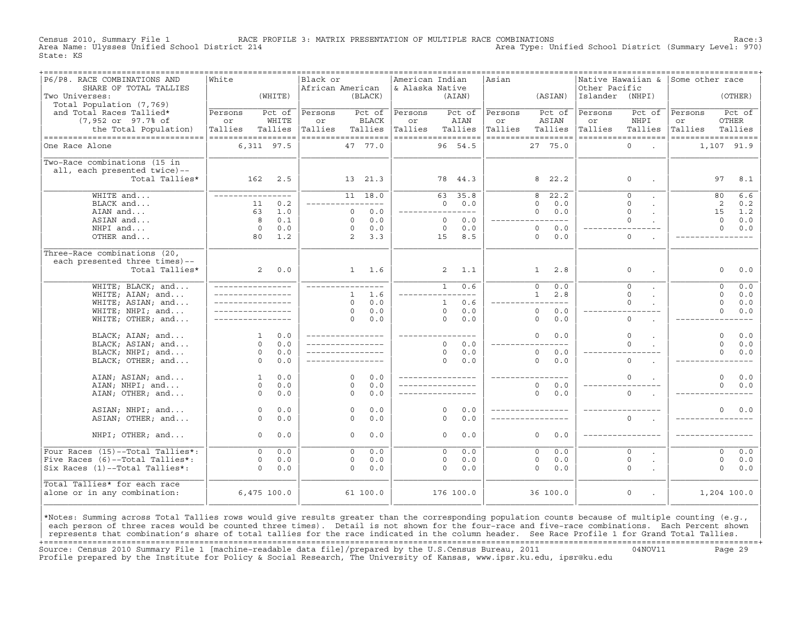Census 2010, Summary File 1 RACE PROFILE 3: MATRIX PRESENTATION OF MULTIPLE RACE COMBINATIONS Race:3 Area Type: Unified School District (Summary Level: 970) State: KS

| P6/P8. RACE COMBINATIONS AND<br>SHARE OF TOTAL TALLIES | White                                |         | Black or<br>African American |              |               | American Indian<br>& Alaska Native |              |           | Asian   | =================================== | Other Pacific   | Native Hawaiian &                   | Some other race    |             |              |
|--------------------------------------------------------|--------------------------------------|---------|------------------------------|--------------|---------------|------------------------------------|--------------|-----------|---------|-------------------------------------|-----------------|-------------------------------------|--------------------|-------------|--------------|
| Two Universes:<br>Total Population (7,769)             |                                      | (WHITE) |                              |              | (BLACK)       |                                    |              | (AIAN)    |         | (ASIAN)                             | Islander (NHPI) |                                     |                    |             | (OTHER)      |
| and Total Races Tallied*                               | Persons                              | Pct of  | Persons                      |              | Pct of        | Persons                            |              | Pct of    | Persons | Pct of                              | Persons         | Pct of                              | Persons            |             | Pct of       |
| $(7,952 \text{ or } 97.7\text{* of})$                  | or                                   | WHITE   | or                           |              | <b>BLACK</b>  | or                                 |              | AIAN      | or      | ASIAN                               | or              | NHPI                                | or                 |             | <b>OTHER</b> |
| the Total Population)                                  | Tallies                              | Tallies | Tallies                      |              | Tallies       | Tallies                            |              | Tallies   | Tallies | Tallies                             | Tallies         | Tallies                             | Tallies            |             | Tallies      |
| ----------------------------------                     | ==================                   |         | ==================           |              |               | ------------------                 |              |           |         | ------------------                  |                 | ==================                  | ================== |             |              |
| One Race Alone                                         | 6,311 97.5                           |         |                              |              | 47 77.0       |                                    |              | 96 54.5   |         | 27 75.0                             |                 | $\Omega$<br>$\Delta$                |                    | 1,107 91.9  |              |
| Two-Race combinations (15 in                           |                                      |         |                              |              |               |                                    |              |           |         |                                     |                 |                                     |                    |             |              |
| all, each presented twice)--                           |                                      |         |                              |              |               |                                    |              |           |         |                                     |                 |                                     |                    |             |              |
| Total Tallies*                                         | 162                                  | 2.5     |                              |              | 13 21.3       |                                    |              | 78 44.3   |         | 8 22.2                              |                 | $\mathbf 0$                         |                    | 97          | 8.1          |
| WHITE and                                              | ________________                     |         |                              |              | 11 18.0       |                                    | 63           | 35.8      |         | 22.2<br>8                           |                 | $\Omega$                            |                    | 80          | 6.6          |
| BLACK and                                              | 11                                   | 0.2     |                              |              | $---$         |                                    | $\circ$      | 0.0       |         | $\Omega$<br>0.0                     |                 | $\Omega$                            |                    | 2           | 0.2          |
| AIAN and                                               | 63                                   | 1.0     |                              | $\Omega$     | $0.0$         |                                    |              | $- - - -$ |         | $\Omega$<br>0.0                     |                 | $\Omega$                            |                    | 15          | 1.2          |
| ASIAN and                                              | 8                                    | 0.1     |                              | $\Omega$     | 0.0           |                                    | $\Omega$     | 0.0       |         | $\frac{1}{2}$                       |                 | $\Omega$                            |                    | $\Omega$    | 0.0          |
| NHPI and                                               | $\circ$                              | 0.0     |                              | $\circ$      | 0.0           |                                    | $\circ$      | 0.0       |         | $\circ$<br>0.0                      |                 |                                     |                    | $\Omega$    | 0.0          |
| OTHER and                                              | 80                                   | 1.2     |                              | 2            | 3.3           |                                    | 15           | 8.5       |         | $\Omega$<br>0.0                     |                 | $\Omega$                            |                    |             |              |
| Three-Race combinations (20,                           |                                      |         |                              |              |               |                                    |              |           |         |                                     |                 |                                     |                    |             |              |
| each presented three times)--                          |                                      |         |                              |              |               |                                    |              |           |         |                                     |                 |                                     |                    |             |              |
| Total Tallies*                                         | $2^{\circ}$                          | 0.0     |                              |              | $1 \quad 1.6$ |                                    |              | 2, 1.1    |         | $\mathbf{1}$<br>2.8                 |                 | $\mathbf 0$                         |                    | $\Omega$    | 0.0          |
| WHITE; BLACK; and                                      | _________________                    |         | ________________             |              |               |                                    | $\mathbf{1}$ | 0.6       |         | 0.0<br>$\Omega$                     |                 | $\Omega$                            |                    | $\Omega$    | 0.0          |
| WHITE; AIAN; and                                       | _________________                    |         |                              | $\mathbf{1}$ | 1.6           |                                    |              |           |         | 2.8<br>$\mathbf{1}$                 |                 | $\circ$                             |                    | $\Omega$    | 0.0          |
| WHITE; ASIAN; and                                      |                                      |         |                              | $\Omega$     | 0.0           |                                    | $\mathbf{1}$ | 0.6       |         | $---$                               |                 | $\Omega$                            |                    | $\Omega$    | 0.0          |
| WHITE; NHPI; and                                       |                                      |         |                              | $\circ$      | 0.0           |                                    | $\circ$      | 0.0       |         | $\circ$<br>0.0                      |                 |                                     |                    | $\Omega$    | 0.0          |
| WHITE; OTHER; and                                      | <u> Liberal Liberal Liberal Libe</u> |         |                              | $\Omega$     | 0.0           |                                    | $\Omega$     | 0.0       |         | $\Omega$<br>0.0                     |                 | $\circ$                             |                    |             |              |
| BLACK; AIAN; and                                       | $\mathbf{1}$                         | 0.0     |                              |              |               | -----------------                  |              |           |         | $\Omega$<br>0.0                     |                 | $\Omega$                            |                    | $\Omega$    | 0.0          |
| BLACK; ASIAN; and                                      | $\Omega$                             | 0.0     |                              |              |               |                                    | $\Omega$     | 0.0       |         | $- - -$                             |                 | $\Omega$                            |                    | $\Omega$    | 0.0          |
| BLACK; NHPI; and                                       | $\circ$                              | 0.0     |                              |              |               |                                    | $\circ$      | 0.0       |         | $\circ$<br>0.0                      |                 |                                     |                    | $\Omega$    | 0.0          |
| BLACK; OTHER; and                                      | $\Omega$                             | 0.0     |                              |              |               |                                    | $\Omega$     | 0.0       |         | 0.0<br>$\Omega$                     |                 | $\Omega$                            |                    |             |              |
| AIAN; ASIAN; and                                       | $\mathbf{1}$                         | 0.0     |                              | $\Omega$     | 0.0           | _________________                  |              |           |         |                                     |                 | $\Omega$                            |                    | $\Omega$    | 0.0          |
| AIAN; NHPI; and                                        | $\circ$                              | 0.0     |                              | $\Omega$     | 0.0           |                                    |              |           |         | $\circ$<br>0.0                      |                 |                                     |                    | $\Omega$    | 0.0          |
| AIAN; OTHER; and                                       | $\Omega$                             | 0.0     |                              | $\Omega$     | 0.0           |                                    |              |           |         | $\Omega$<br>0.0                     |                 | $\Omega$                            |                    |             |              |
| ASIAN; NHPI; and                                       | $\circ$                              | 0.0     |                              | $\Omega$     | 0.0           |                                    | $\Omega$     | 0.0       |         |                                     |                 |                                     |                    | $\Omega$    | 0.0          |
| ASIAN; OTHER; and                                      | $\circ$                              | 0.0     |                              | $\Omega$     | 0.0           |                                    | $\Omega$     | 0.0       |         |                                     |                 | $\Omega$                            |                    |             |              |
| NHPI; OTHER; and                                       | $\Omega$                             | 0.0     |                              | $\Omega$     | 0.0           |                                    | $\Omega$     | 0.0       |         | $\Omega$<br>0.0                     |                 |                                     |                    |             |              |
|                                                        |                                      |         |                              |              |               |                                    |              |           |         |                                     |                 |                                     |                    |             |              |
| Four Races (15)--Total Tallies*:                       | $\Omega$                             | 0.0     |                              | $\Omega$     | 0.0           |                                    | $\Omega$     | 0.0       |         | $\Omega$<br>0.0                     |                 | $\Omega$                            |                    | $\Omega$    | 0.0          |
| Five Races (6)--Total Tallies*:                        | $\circ$<br>$\Omega$                  | 0.0     |                              | $\circ$      | 0.0           |                                    | 0            | 0.0       |         | 0.0<br>$\circ$                      |                 | $\mathsf O$                         |                    | $\circ$     | 0.0          |
| Six Races (1)--Total Tallies*:                         |                                      | 0.0     |                              | $\Omega$     | 0.0           |                                    | $\Omega$     | 0.0       |         | 0.0<br>$\Omega$                     |                 | $\Omega$                            |                    | $\Omega$    | 0.0          |
| Total Tallies* for each race                           |                                      |         |                              |              |               |                                    |              |           |         |                                     |                 |                                     |                    |             |              |
| alone or in any combination:                           | 6,475,100.0                          |         |                              |              | 61 100.0      |                                    |              | 176 100.0 |         | 36 100.0                            |                 | $\mathsf O$<br>$\ddot{\phantom{a}}$ |                    | 1,204 100.0 |              |
|                                                        |                                      |         |                              |              |               |                                    |              |           |         |                                     |                 |                                     |                    |             |              |

|\*Notes: Summing across Total Tallies rows would give results greater than the corresponding population counts because of multiple counting (e.g., | each person of three races would be counted three times). Detail is not shown for the four-race and five-race combinations. Each Percent shown represents that combination's share of total tallies for the race indicated in the column header. See Race Profile 1 for Grand Total Tallies. +===================================================================================================================================================+ Source: Census 2010 Summary File 1 [machine−readable data file]/prepared by the U.S.Census Bureau, 2011 04NOV11 Page 29 Profile prepared by the Institute for Policy & Social Research, The University of Kansas, www.ipsr.ku.edu, ipsr@ku.edu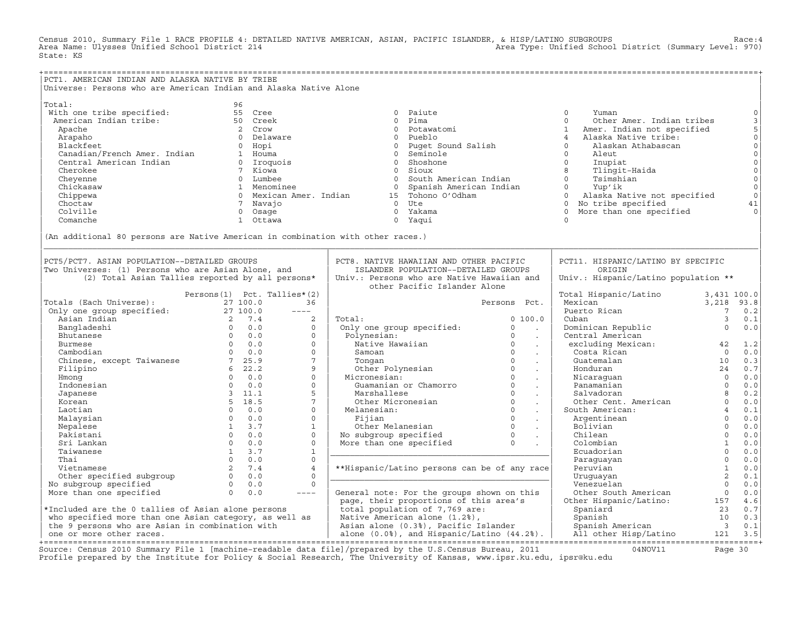Census 2010, Summary File 1 RACE PROFILE 4: DETAILED NATIVE AMERICAN, ASIAN, PACIFIC ISLANDER, & HISP/LATINO SUBGROUPS Race:4 Area Type: Unified School District (Summary Level: 970) State: KS

| PCT1. AMERICAN INDIAN AND ALASKA NATIVE BY TRIBE<br>Universe: Persons who are American Indian and Alaska Native Alone                                                                                            |                             |                                                                                                                                                                                                                                                                                                                                                                                              |                                                                                                                                                                                                                                                     |              |                                                                                                                                                                                                                                                                                                     |                         |                                      |
|------------------------------------------------------------------------------------------------------------------------------------------------------------------------------------------------------------------|-----------------------------|----------------------------------------------------------------------------------------------------------------------------------------------------------------------------------------------------------------------------------------------------------------------------------------------------------------------------------------------------------------------------------------------|-----------------------------------------------------------------------------------------------------------------------------------------------------------------------------------------------------------------------------------------------------|--------------|-----------------------------------------------------------------------------------------------------------------------------------------------------------------------------------------------------------------------------------------------------------------------------------------------------|-------------------------|--------------------------------------|
|                                                                                                                                                                                                                  |                             |                                                                                                                                                                                                                                                                                                                                                                                              |                                                                                                                                                                                                                                                     |              |                                                                                                                                                                                                                                                                                                     |                         |                                      |
|                                                                                                                                                                                                                  |                             |                                                                                                                                                                                                                                                                                                                                                                                              |                                                                                                                                                                                                                                                     |              |                                                                                                                                                                                                                                                                                                     |                         |                                      |
|                                                                                                                                                                                                                  |                             |                                                                                                                                                                                                                                                                                                                                                                                              |                                                                                                                                                                                                                                                     |              |                                                                                                                                                                                                                                                                                                     |                         | $\mathsf{O}\xspace$                  |
|                                                                                                                                                                                                                  |                             |                                                                                                                                                                                                                                                                                                                                                                                              |                                                                                                                                                                                                                                                     |              |                                                                                                                                                                                                                                                                                                     |                         | 3<br>5<br>0<br>0<br>0<br>0<br>0<br>0 |
|                                                                                                                                                                                                                  |                             |                                                                                                                                                                                                                                                                                                                                                                                              |                                                                                                                                                                                                                                                     |              |                                                                                                                                                                                                                                                                                                     |                         |                                      |
|                                                                                                                                                                                                                  |                             |                                                                                                                                                                                                                                                                                                                                                                                              |                                                                                                                                                                                                                                                     |              |                                                                                                                                                                                                                                                                                                     |                         |                                      |
|                                                                                                                                                                                                                  |                             |                                                                                                                                                                                                                                                                                                                                                                                              |                                                                                                                                                                                                                                                     |              |                                                                                                                                                                                                                                                                                                     |                         |                                      |
|                                                                                                                                                                                                                  |                             |                                                                                                                                                                                                                                                                                                                                                                                              |                                                                                                                                                                                                                                                     |              |                                                                                                                                                                                                                                                                                                     |                         |                                      |
|                                                                                                                                                                                                                  |                             |                                                                                                                                                                                                                                                                                                                                                                                              |                                                                                                                                                                                                                                                     |              |                                                                                                                                                                                                                                                                                                     |                         |                                      |
|                                                                                                                                                                                                                  |                             |                                                                                                                                                                                                                                                                                                                                                                                              |                                                                                                                                                                                                                                                     |              |                                                                                                                                                                                                                                                                                                     |                         |                                      |
|                                                                                                                                                                                                                  |                             |                                                                                                                                                                                                                                                                                                                                                                                              |                                                                                                                                                                                                                                                     |              |                                                                                                                                                                                                                                                                                                     |                         |                                      |
|                                                                                                                                                                                                                  |                             |                                                                                                                                                                                                                                                                                                                                                                                              |                                                                                                                                                                                                                                                     |              |                                                                                                                                                                                                                                                                                                     |                         | $\circ$                              |
|                                                                                                                                                                                                                  |                             |                                                                                                                                                                                                                                                                                                                                                                                              |                                                                                                                                                                                                                                                     |              |                                                                                                                                                                                                                                                                                                     |                         | $\circ$                              |
|                                                                                                                                                                                                                  |                             |                                                                                                                                                                                                                                                                                                                                                                                              |                                                                                                                                                                                                                                                     |              |                                                                                                                                                                                                                                                                                                     |                         | 41                                   |
|                                                                                                                                                                                                                  |                             |                                                                                                                                                                                                                                                                                                                                                                                              |                                                                                                                                                                                                                                                     |              |                                                                                                                                                                                                                                                                                                     |                         | $\Omega$                             |
|                                                                                                                                                                                                                  |                             |                                                                                                                                                                                                                                                                                                                                                                                              |                                                                                                                                                                                                                                                     |              |                                                                                                                                                                                                                                                                                                     |                         |                                      |
| (An additional 80 persons are Native American in combination with other races.)                                                                                                                                  |                             |                                                                                                                                                                                                                                                                                                                                                                                              |                                                                                                                                                                                                                                                     |              |                                                                                                                                                                                                                                                                                                     |                         |                                      |
| PCT5/PCT7. ASIAN POPULATION--DETAILED GROUPS                                                                                                                                                                     |                             |                                                                                                                                                                                                                                                                                                                                                                                              | PCT8. NATIVE HAWAIIAN AND OTHER PACIFIC                                                                                                                                                                                                             |              | PCT11. HISPANIC/LATINO BY SPECIFIC                                                                                                                                                                                                                                                                  |                         |                                      |
| Two Universes: (1) Persons who are Asian Alone, and                                                                                                                                                              |                             |                                                                                                                                                                                                                                                                                                                                                                                              | ISLANDER POPULATION--DETAILED GROUPS                                                                                                                                                                                                                |              | ORIGIN                                                                                                                                                                                                                                                                                              |                         |                                      |
| (2) Total Asian Tallies reported by all persons*                                                                                                                                                                 |                             |                                                                                                                                                                                                                                                                                                                                                                                              | Univ.: Persons who are Native Hawaiian and<br>other Pacific Islander Alone                                                                                                                                                                          |              | Univ.: Hispanic/Latino population **                                                                                                                                                                                                                                                                |                         |                                      |
|                                                                                                                                                                                                                  | Persons(1) Pct. Tallies*(2) |                                                                                                                                                                                                                                                                                                                                                                                              |                                                                                                                                                                                                                                                     |              | Total Hispanic/Latino 3,431 100.0                                                                                                                                                                                                                                                                   |                         |                                      |
|                                                                                                                                                                                                                  |                             | 36                                                                                                                                                                                                                                                                                                                                                                                           |                                                                                                                                                                                                                                                     | Persons Pct. |                                                                                                                                                                                                                                                                                                     |                         |                                      |
|                                                                                                                                                                                                                  |                             | $\frac{1}{2} \frac{1}{2} \frac{1}{2} \frac{1}{2} \frac{1}{2} \frac{1}{2} \frac{1}{2} \frac{1}{2} \frac{1}{2} \frac{1}{2} \frac{1}{2} \frac{1}{2} \frac{1}{2} \frac{1}{2} \frac{1}{2} \frac{1}{2} \frac{1}{2} \frac{1}{2} \frac{1}{2} \frac{1}{2} \frac{1}{2} \frac{1}{2} \frac{1}{2} \frac{1}{2} \frac{1}{2} \frac{1}{2} \frac{1}{2} \frac{1}{2} \frac{1}{2} \frac{1}{2} \frac{1}{2} \frac{$ |                                                                                                                                                                                                                                                     |              | Mexican<br>Puerto Rican                                                                                                                                                                                                                                                                             | $3,218$ 93.8<br>7 0.2   |                                      |
|                                                                                                                                                                                                                  |                             | 2                                                                                                                                                                                                                                                                                                                                                                                            | Total:                                                                                                                                                                                                                                              | 0, 100, 0    | Cuban                                                                                                                                                                                                                                                                                               | $\overline{\mathbf{3}}$ | 0.1                                  |
|                                                                                                                                                                                                                  |                             | $\Omega$                                                                                                                                                                                                                                                                                                                                                                                     | Total: 0 100.0<br>Only one group specified: 0 100.0<br>Polynesian: 0 .<br>Native Hawaiian 0 .<br>Samoan 0 .<br>Samoan 0 .<br>Other Polynesian 0 .<br>Micronesian: 0 .<br>Micronesian: 0 .<br>Micronesian: 0 .<br>Micronesian: 0 .<br>Micronesian: 0 |              | Dominican Republic<br>Central American 0 0.0                                                                                                                                                                                                                                                        |                         |                                      |
|                                                                                                                                                                                                                  |                             | $\Omega$                                                                                                                                                                                                                                                                                                                                                                                     |                                                                                                                                                                                                                                                     |              | Central American<br>Central American<br>excluding Mexican: $\begin{array}{ccc} 42 & 1.2 \\ \text{Costa Rican} & 0 & 0.0 \\ \text{Guetemalan} & 10 & 0.3 \\ \text{Honduran} & 24 & 0.7 \\ \text{Nicaraguan} & 0 & 0.0 \\ \text{Pamamantian} & 0 & 0.0 \\ \text{Salvadoran} & 0 & 0.0 \\ \end{array}$ |                         |                                      |
|                                                                                                                                                                                                                  |                             | $\circ$                                                                                                                                                                                                                                                                                                                                                                                      |                                                                                                                                                                                                                                                     |              |                                                                                                                                                                                                                                                                                                     |                         |                                      |
|                                                                                                                                                                                                                  |                             | $\circ$                                                                                                                                                                                                                                                                                                                                                                                      |                                                                                                                                                                                                                                                     |              |                                                                                                                                                                                                                                                                                                     |                         |                                      |
|                                                                                                                                                                                                                  |                             | $7\overline{ }$                                                                                                                                                                                                                                                                                                                                                                              |                                                                                                                                                                                                                                                     |              | Guatemalan<br>Honduran 24 0.7<br>Nicaraguan 24 0.7<br>Panamanian 0 0.0<br>Salvadoran 8 0.2<br>Other Cent. American 0 0.0<br>4 0.1                                                                                                                                                                   |                         |                                      |
|                                                                                                                                                                                                                  |                             | 9                                                                                                                                                                                                                                                                                                                                                                                            |                                                                                                                                                                                                                                                     |              |                                                                                                                                                                                                                                                                                                     |                         |                                      |
|                                                                                                                                                                                                                  |                             | $\Omega$                                                                                                                                                                                                                                                                                                                                                                                     |                                                                                                                                                                                                                                                     |              |                                                                                                                                                                                                                                                                                                     |                         |                                      |
|                                                                                                                                                                                                                  |                             | $\circ$                                                                                                                                                                                                                                                                                                                                                                                      |                                                                                                                                                                                                                                                     |              |                                                                                                                                                                                                                                                                                                     |                         |                                      |
|                                                                                                                                                                                                                  |                             | $5^{\circ}$                                                                                                                                                                                                                                                                                                                                                                                  |                                                                                                                                                                                                                                                     |              |                                                                                                                                                                                                                                                                                                     |                         |                                      |
|                                                                                                                                                                                                                  |                             | $7^{\circ}$                                                                                                                                                                                                                                                                                                                                                                                  |                                                                                                                                                                                                                                                     |              |                                                                                                                                                                                                                                                                                                     |                         |                                      |
| Laotian                                                                                                                                                                                                          | $0 \qquad 0.0$              | $\Omega$                                                                                                                                                                                                                                                                                                                                                                                     |                                                                                                                                                                                                                                                     |              |                                                                                                                                                                                                                                                                                                     |                         |                                      |
| Malaysian                                                                                                                                                                                                        | $0 \qquad 0.0$              | $\Omega$                                                                                                                                                                                                                                                                                                                                                                                     | Marshallese 0<br>Other Micronesian 0<br>Melanesian: 0<br>Fijian 0<br>Other Melanesian 0<br>No subgroup specified 0<br>More than one specified 0<br>$\blacksquare$                                                                                   |              | Fourier and terms.<br>South American:<br>Argentinean de 0.1<br>Argentinean de 0.1<br>Bolivian 0.000<br>Chilean 0.0000<br>Colombian 1.0000001<br>Ecuadorian Paraguayan 0.0000000001                                                                                                                  |                         |                                      |
|                                                                                                                                                                                                                  |                             | $\mathbf{1}$                                                                                                                                                                                                                                                                                                                                                                                 |                                                                                                                                                                                                                                                     |              |                                                                                                                                                                                                                                                                                                     |                         |                                      |
|                                                                                                                                                                                                                  |                             | $\Omega$                                                                                                                                                                                                                                                                                                                                                                                     |                                                                                                                                                                                                                                                     |              |                                                                                                                                                                                                                                                                                                     |                         |                                      |
|                                                                                                                                                                                                                  |                             | $\Omega$                                                                                                                                                                                                                                                                                                                                                                                     |                                                                                                                                                                                                                                                     |              |                                                                                                                                                                                                                                                                                                     |                         |                                      |
|                                                                                                                                                                                                                  |                             | $\mathbf{1}$<br>$\Omega$                                                                                                                                                                                                                                                                                                                                                                     |                                                                                                                                                                                                                                                     |              |                                                                                                                                                                                                                                                                                                     |                         |                                      |
|                                                                                                                                                                                                                  |                             |                                                                                                                                                                                                                                                                                                                                                                                              |                                                                                                                                                                                                                                                     |              |                                                                                                                                                                                                                                                                                                     |                         |                                      |
|                                                                                                                                                                                                                  |                             | $\overline{4}$                                                                                                                                                                                                                                                                                                                                                                               | **Hispanic/Latino persons can be of any race                                                                                                                                                                                                        |              |                                                                                                                                                                                                                                                                                                     |                         |                                      |
| mataysian<br>Nepalese 13.7<br>Pakistani 00.0<br>Sri Lankan 00.0<br>Taiwanese 13.7<br>Thai 00.0<br>Vietnamese 13.7<br>Other specified subgroup 00.0<br>No subgroup specified 00.0<br>Nore than one specified 00.0 |                             | $\Omega$                                                                                                                                                                                                                                                                                                                                                                                     |                                                                                                                                                                                                                                                     |              | Colombian<br>Ecuadorian<br>Paraguayan<br>Peruvian<br>Uruguayan<br>Colombian<br>Colombian<br>Colombian<br>Colombian<br>Colombian<br>Colombian<br>Colombian<br>Colombian<br>Colombian<br>Colombian<br>Colombian<br>Colombian<br>Colombian<br>Colombian<br>Colombian<br>                               |                         |                                      |
|                                                                                                                                                                                                                  |                             | $\circ$                                                                                                                                                                                                                                                                                                                                                                                      |                                                                                                                                                                                                                                                     |              |                                                                                                                                                                                                                                                                                                     |                         |                                      |
|                                                                                                                                                                                                                  |                             |                                                                                                                                                                                                                                                                                                                                                                                              |                                                                                                                                                                                                                                                     |              |                                                                                                                                                                                                                                                                                                     |                         |                                      |
|                                                                                                                                                                                                                  |                             |                                                                                                                                                                                                                                                                                                                                                                                              |                                                                                                                                                                                                                                                     |              |                                                                                                                                                                                                                                                                                                     |                         |                                      |
|                                                                                                                                                                                                                  |                             |                                                                                                                                                                                                                                                                                                                                                                                              |                                                                                                                                                                                                                                                     |              |                                                                                                                                                                                                                                                                                                     |                         |                                      |
|                                                                                                                                                                                                                  |                             |                                                                                                                                                                                                                                                                                                                                                                                              |                                                                                                                                                                                                                                                     |              |                                                                                                                                                                                                                                                                                                     |                         |                                      |
|                                                                                                                                                                                                                  |                             |                                                                                                                                                                                                                                                                                                                                                                                              |                                                                                                                                                                                                                                                     |              |                                                                                                                                                                                                                                                                                                     |                         |                                      |
|                                                                                                                                                                                                                  |                             |                                                                                                                                                                                                                                                                                                                                                                                              |                                                                                                                                                                                                                                                     |              |                                                                                                                                                                                                                                                                                                     |                         |                                      |

Source: Census 2010 Summary File 1 [machine-readable data file]/prepared by the U.S.Census Bureau, 2011 Page 30<br>Profile prepared by the Institute for Policy & Social Research, The University of Kansas, www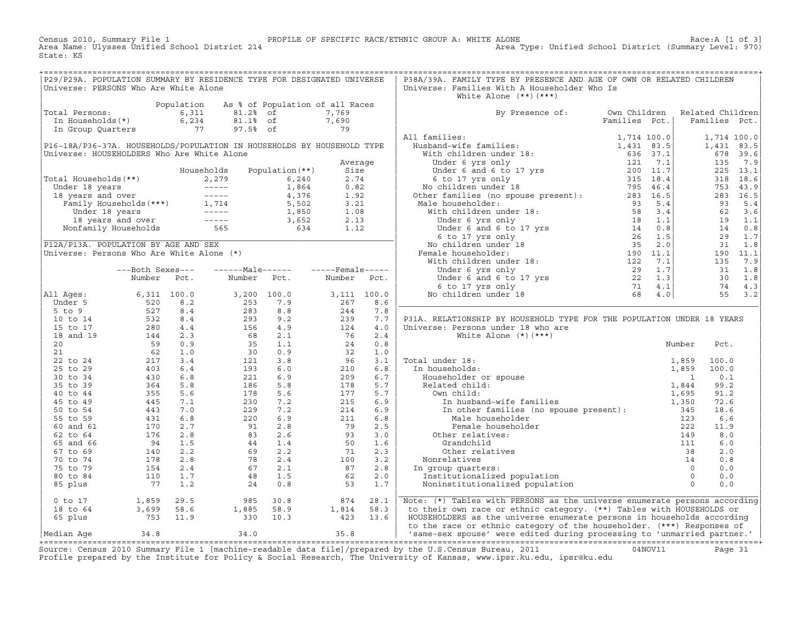Census 2010, Summary File 1 PROFILE OF SPECIFIC RACE/ETHNIC GROUP A: WHITE ALONE Race:A [1 of 3] Area Name: Ulysses Unified School District 214 Area Type: Unified School District (Summary Level: 970) State: KS

| P29/P29A. POPULATION SUMMARY BY RESIDENCE TYPE FOR DESIGNATED UNIVERSE                                                                                         |  |                                                                                                                                                                                                                                                                    |  | P38A/39A. FAMILY TYPE BY PRESENCE AND AGE OF OWN OR RELATED CHILDREN           |                               |  |  |
|----------------------------------------------------------------------------------------------------------------------------------------------------------------|--|--------------------------------------------------------------------------------------------------------------------------------------------------------------------------------------------------------------------------------------------------------------------|--|--------------------------------------------------------------------------------|-------------------------------|--|--|
| Universe: PERSONS Who Are White Alone                                                                                                                          |  |                                                                                                                                                                                                                                                                    |  | Universe: Families With A Householder Who Is                                   |                               |  |  |
|                                                                                                                                                                |  |                                                                                                                                                                                                                                                                    |  | White Alone $(**)$ $(***)$                                                     |                               |  |  |
|                                                                                                                                                                |  |                                                                                                                                                                                                                                                                    |  |                                                                                |                               |  |  |
| Population As % of Population of all Races<br>Total Persons: 6,311 81.2% of 7,769<br>In Households(*) 6,234 81.1% of 7,690<br>In Group Quarters 77 97.5% of 79 |  |                                                                                                                                                                                                                                                                    |  |                                                                                |                               |  |  |
|                                                                                                                                                                |  |                                                                                                                                                                                                                                                                    |  | By Presence of: Own Children Related Children<br>Families Pct.   Families Pct. |                               |  |  |
|                                                                                                                                                                |  |                                                                                                                                                                                                                                                                    |  |                                                                                | Families Pct.   Families Pct. |  |  |
|                                                                                                                                                                |  |                                                                                                                                                                                                                                                                    |  |                                                                                |                               |  |  |
|                                                                                                                                                                |  |                                                                                                                                                                                                                                                                    |  |                                                                                |                               |  |  |
|                                                                                                                                                                |  |                                                                                                                                                                                                                                                                    |  |                                                                                |                               |  |  |
|                                                                                                                                                                |  |                                                                                                                                                                                                                                                                    |  |                                                                                |                               |  |  |
|                                                                                                                                                                |  |                                                                                                                                                                                                                                                                    |  |                                                                                |                               |  |  |
|                                                                                                                                                                |  |                                                                                                                                                                                                                                                                    |  |                                                                                |                               |  |  |
|                                                                                                                                                                |  |                                                                                                                                                                                                                                                                    |  |                                                                                |                               |  |  |
|                                                                                                                                                                |  |                                                                                                                                                                                                                                                                    |  |                                                                                |                               |  |  |
|                                                                                                                                                                |  |                                                                                                                                                                                                                                                                    |  |                                                                                |                               |  |  |
|                                                                                                                                                                |  |                                                                                                                                                                                                                                                                    |  |                                                                                |                               |  |  |
|                                                                                                                                                                |  |                                                                                                                                                                                                                                                                    |  |                                                                                |                               |  |  |
|                                                                                                                                                                |  |                                                                                                                                                                                                                                                                    |  |                                                                                |                               |  |  |
|                                                                                                                                                                |  |                                                                                                                                                                                                                                                                    |  |                                                                                |                               |  |  |
|                                                                                                                                                                |  |                                                                                                                                                                                                                                                                    |  |                                                                                |                               |  |  |
|                                                                                                                                                                |  |                                                                                                                                                                                                                                                                    |  |                                                                                |                               |  |  |
|                                                                                                                                                                |  |                                                                                                                                                                                                                                                                    |  |                                                                                |                               |  |  |
|                                                                                                                                                                |  |                                                                                                                                                                                                                                                                    |  |                                                                                |                               |  |  |
|                                                                                                                                                                |  |                                                                                                                                                                                                                                                                    |  |                                                                                |                               |  |  |
|                                                                                                                                                                |  |                                                                                                                                                                                                                                                                    |  |                                                                                |                               |  |  |
|                                                                                                                                                                |  |                                                                                                                                                                                                                                                                    |  |                                                                                |                               |  |  |
|                                                                                                                                                                |  |                                                                                                                                                                                                                                                                    |  |                                                                                |                               |  |  |
|                                                                                                                                                                |  |                                                                                                                                                                                                                                                                    |  |                                                                                |                               |  |  |
|                                                                                                                                                                |  |                                                                                                                                                                                                                                                                    |  |                                                                                |                               |  |  |
|                                                                                                                                                                |  |                                                                                                                                                                                                                                                                    |  |                                                                                |                               |  |  |
|                                                                                                                                                                |  |                                                                                                                                                                                                                                                                    |  |                                                                                |                               |  |  |
|                                                                                                                                                                |  |                                                                                                                                                                                                                                                                    |  |                                                                                |                               |  |  |
|                                                                                                                                                                |  |                                                                                                                                                                                                                                                                    |  | P31A. RELATIONSHIP BY HOUSEHOLD TYPE FOR THE POPULATION UNDER 18 YEARS         |                               |  |  |
|                                                                                                                                                                |  |                                                                                                                                                                                                                                                                    |  |                                                                                |                               |  |  |
|                                                                                                                                                                |  |                                                                                                                                                                                                                                                                    |  |                                                                                |                               |  |  |
|                                                                                                                                                                |  |                                                                                                                                                                                                                                                                    |  |                                                                                |                               |  |  |
|                                                                                                                                                                |  |                                                                                                                                                                                                                                                                    |  |                                                                                |                               |  |  |
|                                                                                                                                                                |  |                                                                                                                                                                                                                                                                    |  |                                                                                |                               |  |  |
|                                                                                                                                                                |  |                                                                                                                                                                                                                                                                    |  |                                                                                |                               |  |  |
|                                                                                                                                                                |  |                                                                                                                                                                                                                                                                    |  |                                                                                |                               |  |  |
|                                                                                                                                                                |  |                                                                                                                                                                                                                                                                    |  |                                                                                |                               |  |  |
|                                                                                                                                                                |  |                                                                                                                                                                                                                                                                    |  |                                                                                |                               |  |  |
|                                                                                                                                                                |  |                                                                                                                                                                                                                                                                    |  |                                                                                |                               |  |  |
|                                                                                                                                                                |  |                                                                                                                                                                                                                                                                    |  |                                                                                |                               |  |  |
|                                                                                                                                                                |  |                                                                                                                                                                                                                                                                    |  |                                                                                |                               |  |  |
|                                                                                                                                                                |  |                                                                                                                                                                                                                                                                    |  |                                                                                |                               |  |  |
|                                                                                                                                                                |  |                                                                                                                                                                                                                                                                    |  |                                                                                |                               |  |  |
|                                                                                                                                                                |  |                                                                                                                                                                                                                                                                    |  |                                                                                |                               |  |  |
|                                                                                                                                                                |  |                                                                                                                                                                                                                                                                    |  |                                                                                |                               |  |  |
|                                                                                                                                                                |  |                                                                                                                                                                                                                                                                    |  |                                                                                |                               |  |  |
|                                                                                                                                                                |  |                                                                                                                                                                                                                                                                    |  |                                                                                |                               |  |  |
|                                                                                                                                                                |  |                                                                                                                                                                                                                                                                    |  |                                                                                |                               |  |  |
|                                                                                                                                                                |  |                                                                                                                                                                                                                                                                    |  |                                                                                |                               |  |  |
|                                                                                                                                                                |  |                                                                                                                                                                                                                                                                    |  |                                                                                |                               |  |  |
|                                                                                                                                                                |  |                                                                                                                                                                                                                                                                    |  |                                                                                |                               |  |  |
|                                                                                                                                                                |  |                                                                                                                                                                                                                                                                    |  |                                                                                |                               |  |  |
|                                                                                                                                                                |  |                                                                                                                                                                                                                                                                    |  |                                                                                |                               |  |  |
|                                                                                                                                                                |  |                                                                                                                                                                                                                                                                    |  |                                                                                |                               |  |  |
|                                                                                                                                                                |  | $\begin{tabular}{lllllllllllllllllllll} \hline 0 & t_0 & 17 & & & 1,859 & 29.5 & & 985 & 30.8 & & 874 & 28.1 \\ 18 & t_0 & 64 & & 3,699 & 58.6 & & 1,885 & 58.9 & & 1,814 & 58.3 \\ 65 & \text{plus} & & & 753 & 11.9 & & 330 & 10.3 & & 423 & 13.6 \end{tabular}$ |  | Note: (*) Tables with PERSONS as the universe enumerate persons according      |                               |  |  |
|                                                                                                                                                                |  |                                                                                                                                                                                                                                                                    |  | to their own race or ethnic category. (**) Tables with HOUSEHOLDS or           |                               |  |  |
|                                                                                                                                                                |  |                                                                                                                                                                                                                                                                    |  | HOUSEHOLDERS as the universe enumerate persons in households according         |                               |  |  |
|                                                                                                                                                                |  |                                                                                                                                                                                                                                                                    |  | to the race or ethnic category of the householder. (***) Responses of          |                               |  |  |
|                                                                                                                                                                |  |                                                                                                                                                                                                                                                                    |  | 'same-sex spouse' were edited during processing to 'unmarried partner.'        |                               |  |  |

|Median Age 34.8 34.0 35.8 | 'same−sex spouse' were edited during processing to 'unmarried partner.' | +===================================================================================================================================================+ Source: Census 2010 Summary File 1 [machine−readable data file]/prepared by the U.S.Census Bureau, 2011 04NOV11 Page 31 Profile prepared by the Institute for Policy & Social Research, The University of Kansas, www.ipsr.ku.edu, ipsr@ku.edu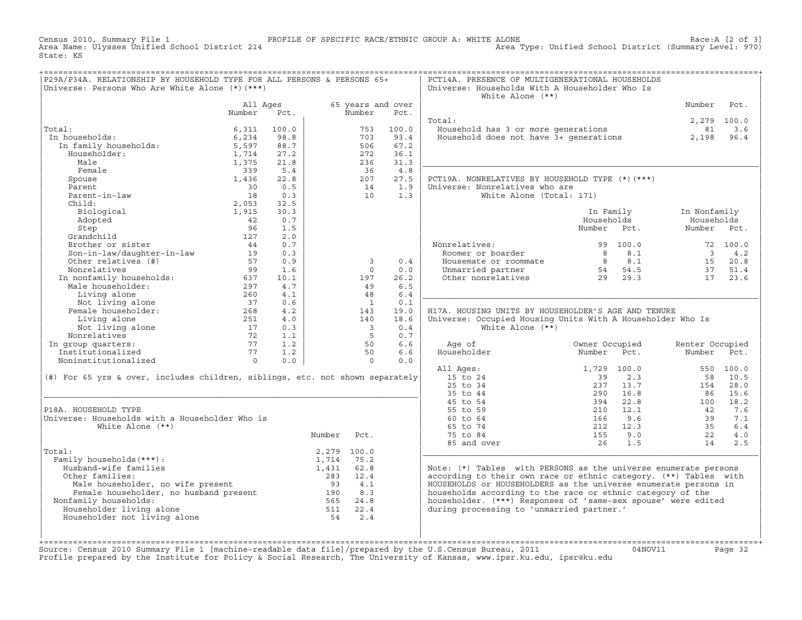Census 2010, Summary File 1 PROFILE OF SPECIFIC RACE/ETHNIC GROUP A: WHITE ALONE Race:A [2 of 3] Area Type: Unified School District (Summary Level: 970) State: KS

| P29A/P34A. RELATIONSHIP BY HOUSEHOLD TYPE FOR ALL PERSONS & PERSONS 65+<br>Universe: Persons Who Are White Alone $(*)$ $(***)$                                                                                                      |                    |       |            |                             |       | PCT14A. PRESENCE OF MULTIGENERATIONAL HOUSEHOLDS<br>Universe: Households With A Householder Who Is<br>White Alone $(**)$   |                  |                                                         |                 |             |
|-------------------------------------------------------------------------------------------------------------------------------------------------------------------------------------------------------------------------------------|--------------------|-------|------------|-----------------------------|-------|----------------------------------------------------------------------------------------------------------------------------|------------------|---------------------------------------------------------|-----------------|-------------|
|                                                                                                                                                                                                                                     | All Ages<br>Number | Pct.  |            | 65 years and over<br>Number | Pct.  |                                                                                                                            |                  |                                                         | Number          | Pct.        |
|                                                                                                                                                                                                                                     |                    |       |            |                             |       | Total:                                                                                                                     |                  |                                                         |                 | 2,279 100.0 |
| Total:                                                                                                                                                                                                                              | 6,311              | 100.0 |            | 753                         | 100.0 |                                                                                                                            |                  |                                                         | 81              | 3.6         |
| :al:<br>1 households:<br>In family households:<br>Householder:<br>In households:                                                                                                                                                    | 6,234              | 98.8  |            | 703                         | 93.4  | Jousehold has 3 or more generations<br>Household does not have 3+ generations                                              |                  |                                                         | 2,198           | 96.4        |
|                                                                                                                                                                                                                                     | 5,597              | 88.7  |            | 506                         | 67.2  |                                                                                                                            |                  |                                                         |                 |             |
|                                                                                                                                                                                                                                     | 1,714              | 27.2  |            | 272                         | 36.1  |                                                                                                                            |                  |                                                         |                 |             |
|                                                                                                                                                                                                                                     | 1,375              | 21.8  |            | 236                         | 31.3  |                                                                                                                            |                  |                                                         |                 |             |
| Female                                                                                                                                                                                                                              | 339                | 5.4   |            | 36                          | 4.8   |                                                                                                                            |                  |                                                         |                 |             |
| Spouse                                                                                                                                                                                                                              | 1,436              | 22.8  |            | 207                         | 27.5  | PCT19A. NONRELATIVES BY HOUSEHOLD TYPE (*) (***)                                                                           |                  |                                                         |                 |             |
| Parent                                                                                                                                                                                                                              | 30                 | 0.5   |            | 14                          | 1.9   | Universe: Nonrelatives who are                                                                                             |                  |                                                         |                 |             |
|                                                                                                                                                                                                                                     |                    |       |            |                             |       |                                                                                                                            |                  |                                                         |                 |             |
| Parent-in-law                                                                                                                                                                                                                       | 18                 | 0.3   |            | 10                          | 1.3   | White Alone (Total: 171)                                                                                                   |                  |                                                         |                 |             |
| Child:                                                                                                                                                                                                                              | 2,053              | 32.5  |            |                             |       |                                                                                                                            |                  |                                                         |                 |             |
| Biological                                                                                                                                                                                                                          | 1,915              | 30.3  |            |                             |       |                                                                                                                            | In Family        |                                                         | In Nonfamily    |             |
| Adopted                                                                                                                                                                                                                             | 42                 | 0.7   |            |                             |       |                                                                                                                            | Households       |                                                         | Households      |             |
| Step                                                                                                                                                                                                                                | 96                 | 1.5   |            |                             |       |                                                                                                                            | Number Pct.      |                                                         | Number Pct.     |             |
| Grandchild                                                                                                                                                                                                                          | 127                | 2.0   |            |                             |       |                                                                                                                            |                  |                                                         |                 |             |
| Brother or sister                                                                                                                                                                                                                   | 44                 | 0.7   |            |                             |       | Nonrelatives:                                                                                                              |                  | 99 100.0                                                |                 | 72 100.0    |
| Son-in-law/daughter-in-law                                                                                                                                                                                                          | 19                 | 0.3   |            |                             |       | Roomer or boarder                                                                                                          |                  | $\begin{array}{ccc} 8 & & 8.1 \\ 8 & & 8.1 \end{array}$ |                 | $3 \t 4.2$  |
| Other relatives (#)                                                                                                                                                                                                                 | 57                 | 0.9   |            | 3                           | 0.4   | Housemate or roommate                                                                                                      |                  |                                                         |                 | 15 20.8     |
| Nonrelatives                                                                                                                                                                                                                        | 99                 | 1.6   |            | $\Omega$                    | 0.0   | Housemate or roommate $\begin{array}{cccc} 8 & 8.1 & 15 \\ 54 & 54.5 & 37 \\ 0$ ther nonrelatives $\end{array}$ 29 29.3 17 |                  |                                                         | 37              | 51.4        |
| 99<br>In nonfamily households: 637<br>Male householder: 297<br>This is the completed of the set of the set of the set of the set of the set of the set of the set of the set of the set of the set of the set of the set of the set |                    | 10.1  |            | 197                         | 26.2  |                                                                                                                            |                  |                                                         |                 | 23.6        |
|                                                                                                                                                                                                                                     |                    | 4.7   |            | 49                          | 6.5   |                                                                                                                            |                  |                                                         |                 |             |
| Living alone<br>Not living alone<br>emale householder:                                                                                                                                                                              | 260                | 4.1   |            | 48                          | 6.4   |                                                                                                                            |                  |                                                         |                 |             |
|                                                                                                                                                                                                                                     | 37                 | 0.6   |            | $\overline{1}$              | 0.1   |                                                                                                                            |                  |                                                         |                 |             |
| Female householder:                                                                                                                                                                                                                 | 268                | 4.2   |            | 143                         | 19.0  | H17A. HOUSING UNITS BY HOUSEHOLDER'S AGE AND TENURE                                                                        |                  |                                                         |                 |             |
| Living alone                                                                                                                                                                                                                        |                    | 4.0   |            | 140                         | 18.6  | Universe: Occupied Housing Units With A Householder Who Is                                                                 |                  |                                                         |                 |             |
|                                                                                                                                                                                                                                     |                    | 0.3   |            | $\overline{\mathbf{3}}$     | 0.4   | White Alone $(**)$                                                                                                         |                  |                                                         |                 |             |
|                                                                                                                                                                                                                                     |                    | 1.1   |            | $5^{\circ}$                 | 0.7   |                                                                                                                            |                  |                                                         |                 |             |
| In group quarters:                                                                                                                                                                                                                  |                    | 1.2   |            | 50                          | 6.6   | Age of                                                                                                                     | Owner Occupied   |                                                         | Renter Occupied |             |
| Alving alone and the method of the Monte Captive State of the Monte Captive Control of the Monte Captive Control of the Monte Control of the Monte Control of the Monte Control of the Monte Control of the Monte Control of t      |                    | 1.2   |            | 50                          | 6.6   | Householder                                                                                                                | Number           | Pct.                                                    | Number Pct.     |             |
| Noninstitutionalized by the contract of the contract of the contract of the contract of the contract of the contract of the contract of the contract of the contract of the contract of the contract of the contract of the co      |                    | 0.0   |            | $\circ$                     | 0.0   |                                                                                                                            |                  |                                                         |                 |             |
|                                                                                                                                                                                                                                     |                    |       |            |                             |       | All Ages:                                                                                                                  | 1,729 100.0      |                                                         |                 | 550 100.0   |
| (#) For 65 yrs & over, includes children, siblings, etc. not shown separately                                                                                                                                                       |                    |       |            |                             |       | 15 to 24                                                                                                                   | 39               | 2.3                                                     |                 | 58 10.5     |
|                                                                                                                                                                                                                                     |                    |       |            |                             |       | 25 to 34                                                                                                                   | 237              | 13.7                                                    | 154             | 28.0        |
|                                                                                                                                                                                                                                     |                    |       |            |                             |       | 35 to 44                                                                                                                   | 290              | 16.8                                                    | 86              | 15.6        |
|                                                                                                                                                                                                                                     |                    |       |            |                             |       | 45 to 54                                                                                                                   | 394              | 22.8                                                    | 100             | 18.2        |
| P18A. HOUSEHOLD TYPE                                                                                                                                                                                                                |                    |       |            |                             |       | 55 to 59                                                                                                                   | 210              | 12.1                                                    | 42              | 7.6         |
| Universe: Households with a Householder Who is                                                                                                                                                                                      |                    |       |            |                             |       | 60 to 64                                                                                                                   | 166              | 9.6                                                     | 39              | 7.1         |
| White Alone $(**)$                                                                                                                                                                                                                  |                    |       |            |                             |       | 65 to 74                                                                                                                   |                  | 212 12.3                                                | 35              | 6.4         |
|                                                                                                                                                                                                                                     |                    |       | Number     | Pct.                        |       | 75 to 84                                                                                                                   |                  | 155 9.0                                                 | $\frac{35}{22}$ | 4.0         |
|                                                                                                                                                                                                                                     |                    |       |            |                             |       | 85 and over                                                                                                                | $\frac{155}{26}$ | 1.5                                                     |                 | 2.5         |
| Total:                                                                                                                                                                                                                              |                    |       |            | 2,279 100.0                 |       |                                                                                                                            |                  |                                                         |                 |             |
| Family households (***) :                                                                                                                                                                                                           |                    |       | 1,714 75.2 |                             |       |                                                                                                                            |                  |                                                         |                 |             |
| Husband-wife families                                                                                                                                                                                                               |                    |       | 1,431 62.8 |                             |       | Note: $(*)$ Tables with PERSONS as the universe enumerate persons                                                          |                  |                                                         |                 |             |
| Other families:                                                                                                                                                                                                                     |                    |       | 283 12.4   |                             |       | according to their own race or ethnic category. (**) Tables with                                                           |                  |                                                         |                 |             |
| دفة للمصدر Eher families:<br>Male householder, no wife present and the semale householder, no husband present<br>190                                                                                                                |                    |       |            | 4.1                         |       | HOUSEHOLDS or HOUSEHOLDERS as the universe enumerate persons in                                                            |                  |                                                         |                 |             |
|                                                                                                                                                                                                                                     |                    |       |            | 8.3                         |       | households according to the race or ethnic category of the                                                                 |                  |                                                         |                 |             |
| Nonfamily households:                                                                                                                                                                                                               |                    |       | 565        | 24.8                        |       | householder. (***) Responses of 'same-sex spouse' were edited                                                              |                  |                                                         |                 |             |
| Householder living alone                                                                                                                                                                                                            |                    |       | 511 22.4   |                             |       | during processing to 'unmarried partner.'                                                                                  |                  |                                                         |                 |             |
|                                                                                                                                                                                                                                     |                    |       |            |                             |       |                                                                                                                            |                  |                                                         |                 |             |
|                                                                                                                                                                                                                                     |                    |       |            |                             |       |                                                                                                                            |                  |                                                         |                 |             |
| Householder not living alone                                                                                                                                                                                                        |                    |       | 54         | 2.4                         |       |                                                                                                                            |                  |                                                         |                 |             |

| | | +===================================================================================================================================================+Source: Census 2010 Summary File 1 [machine−readable data file]/prepared by the U.S.Census Bureau, 2011 04NOV11 Page 32 Profile prepared by the Institute for Policy & Social Research, The University of Kansas, www.ipsr.ku.edu, ipsr@ku.edu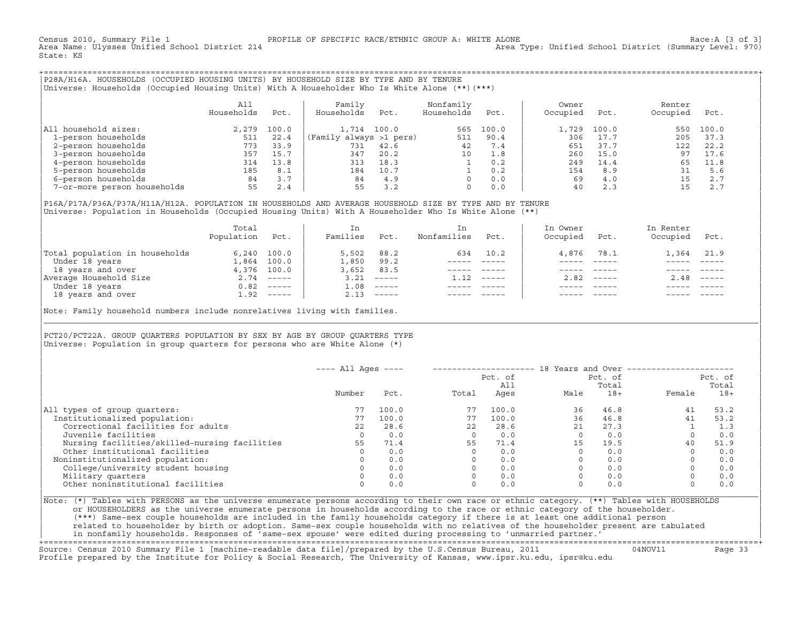Census 2010, Summary File 1 PROFILE OF SPECIFIC RACE/ETHNIC GROUP A: WHITE ALONE Race:A [3 of 3] Area Type: Unified School District (Summary Level: 970) State: KS

+===================================================================================================================================================+|P28A/H16A. HOUSEHOLDS (OCCUPIED HOUSING UNITS) BY HOUSEHOLD SIZE BY TYPE AND BY TENURE | |Universe: Households (Occupied Housing Units) With A Householder Who Is White Alone (\*\*)(\*\*\*) |

|                             | All<br>Households | Pct.  | Family<br>Households    | Pct.  | Nonfamily<br>Households | Pct.  | Owner<br>Occupied | Pct.  | Renter<br>Occupied | Pct.  |
|-----------------------------|-------------------|-------|-------------------------|-------|-------------------------|-------|-------------------|-------|--------------------|-------|
| household sizes:<br>All     | 2,279             | 100.0 | 1,714                   | 100.0 | 565                     | 100.0 | 1,729             | 100.0 | 550                | 100.0 |
| 1-person households         | 511               | 22.4  | (Family always >1 pers) |       | 511                     | 90.4  | 306               | 17.7  | 205                | 37.3  |
| 2-person households         | 773               | 33.9  | 731                     | 42.6  | 42                      | 7.4   | 651               | 37.7  | 122                | 22.2  |
| 3-person households         | 357               | 15.7  | 347                     | 20.2  | 10                      | 1.8   | 260               | 15.0  | 97                 | 17.6  |
| 4-person households         | 314               | 13.8  | 313                     | 18.3  |                         | 0.2   | 249               | 14.4  | 65                 | 11.8  |
| 5-person households         | 185               | 8.1   | 184                     | 10.7  |                         | 0.2   | 154               | 8.9   | 31                 | 5.6   |
| 6-person households         | 84                | 3.7   | 84                      | 4.9   | $\Omega$                | 0.0   | 69                | 4.0   |                    | 2.7   |
| 7-or-more person households | 55                | 2.4   | 55                      | 3.2   | $\Omega$                | 0.0   | 40                | 2.3   |                    | 2.7   |

|P16A/P17A/P36A/P37A/H11A/H12A. POPULATION IN HOUSEHOLDS AND AVERAGE HOUSEHOLD SIZE BY TYPE AND BY TENURE | |Universe: Population in Households (Occupied Housing Units) With A Householder Who Is White Alone (\*\*) |

|                                | Total<br>Population | Pct.          | In<br>Families | Pct.     | In.<br>Nonfamilies | Pct.     | In Owner<br>Occupied | Pct.                      | In Renter<br>Occupied | Pct.                      |
|--------------------------------|---------------------|---------------|----------------|----------|--------------------|----------|----------------------|---------------------------|-----------------------|---------------------------|
| Total population in households |                     | $6,240$ 100.0 | 5,502          | 88.2     | 634                | 10.2     | 4,876                | 78.1                      | 1,364 21.9            |                           |
| Under 18 years                 | 1,864               | 100.0         | 1,850          | 99.2     |                    |          |                      |                           |                       |                           |
| 18 years and over              |                     | 4,376 100.0   | 3,652          | 83.5     |                    |          |                      |                           |                       |                           |
| Average Household Size         |                     | $2.74$ -----  | 3.21           | $------$ | 1.12               | $------$ | 2.82                 | $\qquad \qquad - - - - -$ | 2.48                  | $\qquad \qquad - - - - -$ |
| Under 18 years                 | 0.82                | $------$      | 1.08           | $------$ |                    |          |                      |                           |                       |                           |
| 18 years and over              |                     | $1.92$ -----  | 2.13           |          |                    |          |                      | $- - - - -$               |                       | $- - - - -$               |
|                                |                     |               |                |          |                    |          |                      |                           |                       |                           |

Note: Family household numbers include nonrelatives living with families.

| | PCT20/PCT22A. GROUP OUARTERS POPULATION BY SEX BY AGE BY GROUP OUARTERS TYPE Universe: Population in group quarters for persons who are White Alone  $(*)$ 

|                                               | Number |       |       | Pct. of<br>All |      | Pct. of |        | Pct. of |
|-----------------------------------------------|--------|-------|-------|----------------|------|---------|--------|---------|
|                                               |        |       |       |                |      | Total   |        | Total   |
|                                               |        | Pct.  | Total | Ages           | Male | $18+$   | Female | $18+$   |
| All types of group quarters:                  |        | 100.0 | 77    | 100.0          | 36   | 46.8    | 41     | 53.2    |
| Institutionalized population:                 | 77     | 100.0 | 77    | 100.0          | 36   | 46.8    | 41     | 53.2    |
| Correctional facilities for adults            | 2.2    | 28.6  | 22.2  | 28.6           | 21   | 27.3    |        | 1.3     |
| Juvenile facilities                           |        | 0.0   |       | 0.0            |      | 0.0     |        | 0.0     |
| Nursing facilities/skilled-nursing facilities | 55     | 71.4  | 55    | 71.4           | 15   | 19.5    | 40     | 51.9    |
| Other institutional facilities                |        | 0.0   |       | 0.0            |      | 0.0     |        | 0.0     |
| Noninstitutionalized population:              |        | 0.0   |       | 0.0            |      | 0.0     |        | 0.0     |
| College/university student housing            |        | 0.0   |       | 0.0            |      | 0.0     |        | 0.0     |
| Military quarters                             |        | 0.0   |       | 0.0            |      | 0.0     |        | 0.0     |
| Other noninstitutional facilities             |        | 0.0   |       | 0.0            |      | 0.0     |        | 0.0     |

|\_\_\_\_\_\_\_\_\_\_\_\_\_\_\_\_\_\_\_\_\_\_\_\_\_\_\_\_\_\_\_\_\_\_\_\_\_\_\_\_\_\_\_\_\_\_\_\_\_\_\_\_\_\_\_\_\_\_\_\_\_\_\_\_\_\_\_\_\_\_\_\_\_\_\_\_\_\_\_\_\_\_\_\_\_\_\_\_\_\_\_\_\_\_\_\_\_\_\_\_\_\_\_\_\_\_\_\_\_\_\_\_\_\_\_\_\_\_\_\_\_\_\_\_\_\_\_\_\_\_\_\_\_\_\_\_\_\_\_\_\_\_\_\_\_\_\_|

| |

|Note: (\*) Tables with PERSONS as the universe enumerate persons according to their own race or ethnic category. (\*\*) Tables with HOUSEHOLDS | or HOUSEHOLDERS as the universe enumerate persons in households according to the race or ethnic category of the householder. | (\*\*\*) Same−sex couple households are included in the family households category if there is at least one additional person | | related to householder by birth or adoption. Same−sex couple households with no relatives of the householder present are tabulated | | in nonfamily households. Responses of 'same−sex spouse' were edited during processing to 'unmarried partner.' |

+===================================================================================================================================================+ Source: Census 2010 Summary File 1 [machine−readable data file]/prepared by the U.S.Census Bureau, 2011 04NOV11 Page 33 Profile prepared by the Institute for Policy & Social Research, The University of Kansas, www.ipsr.ku.edu, ipsr@ku.edu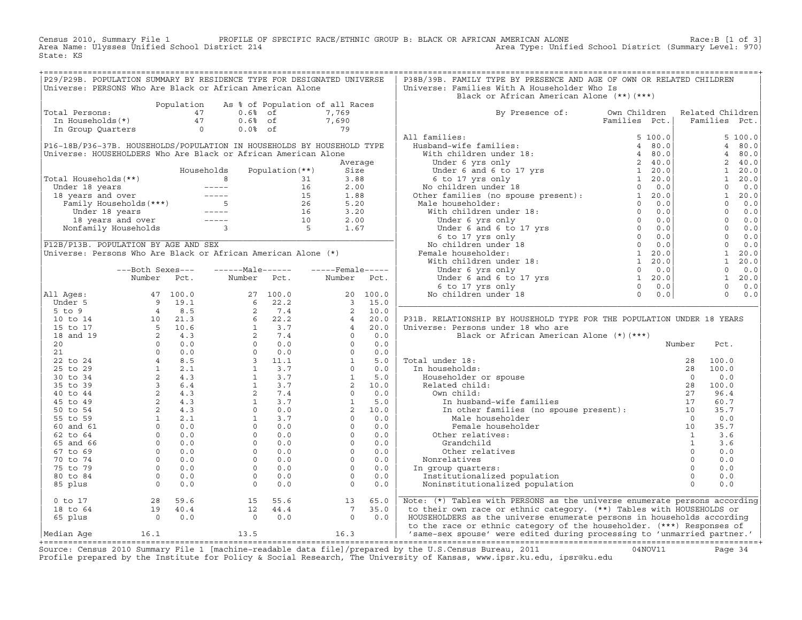Census 2010, Summary File 1 PROFILE OF SPECIFIC RACE/ETHNIC GROUP B: BLACK OR AFRICAN AMERICAN ALONE Race:B [1 of 3]<br>Area Name: Ulysses Unified School District 214 Area Type: Unified School District (Summary Level: 970) Area Type: Unified School District (Summary Level: 970) State: KS

| P29/P29B. POPULATION SUMMARY BY RESIDENCE TYPE FOR DESIGNATED UNIVERSE<br>Universe: PERSONS Who Are Black or African American Alone<br>Universe: Families With A Householder Who Is<br>Black or African American Alone (**)(***)<br>Population<br>As % of Population of all Races<br>Cotal Persons: $\begin{array}{ccc} 47 & 0.68 & 6 \end{array}$<br>In Households (*) $\begin{array}{ccc} 47 & 0.68 & 6 \end{array}$ of<br>In Group Quarters $\begin{array}{ccc} 0.68 & 6 \end{array}$<br>By Presence of: Own Children Related Children<br>Families Pot   Families Pot<br>Total Persons:<br>7,769<br>$\begin{array}{c} 7,690 \\ 79 \end{array}$<br>Families Pct. Families Pct.<br>$\begin{tabular}{l c c c} & & & & & & \text{Families} & & \\ \hline \text{All families:} & & & & & & 5 & 100.0 \\ \text{Hubband-wife families:} & & & & 5 & 100.0 \\ \text{With children under 18:} & & & 4 & 80.0 \\ \text{Under 6 and 6 to 17 yrs} & & 2 & 40.0 \\ \text{Under 6 and 6 to 17 yrs} & & 1 & 20.0 \\ \text{So, the ramiles (no space present):} & & 1 & 20.0 \\ \text{No children under 18:} & & 0 & 0.0 \\ \text{Male householder:} & & 1 & 20.0 \\ \$<br>5, 100.0<br>P16-18B/P36-37B. HOUSEHOLDS/POPULATION IN HOUSEHOLDS BY HOUSEHOLD TYPE<br>4 80.0<br>Universe: HOUSEHOLDERS Who Are Black or African American Alone<br>80.0<br>4<br>2, 40.0<br>Average<br>Households<br>Population $(**)$<br>Size<br>1 20.0<br>$\begin{bmatrix} 1 & 20.0 \ 1 & 20.0 \ 0 & 0.0 \ 0 & 0.0 \ 0 & 0.0 \ 0 & 0.0 \ 0 & 0.0 \ 0 & 0.0 \ 0 & 0.0 \ 0 & 0.0 \ 0 & 0.0 \ 1 & 20.0 \ 1 & 20.0 \ 0 & 0.0 \end{bmatrix}$<br>Total Households(**)<br>Votal Households (**)<br>Under 18 years<br>18 years and over<br>18 years and over<br>18 years and over<br>15 1.88<br>Under 18 years<br>15 1.88<br>Under 18 years<br>15 1.88<br>Under 18 years<br>15 1.88<br>15 1.88<br>26 5.20<br>16 3.20<br>16 3.20<br>16 3.2<br>P12B/P13B. POPULATION BY AGE AND SEX<br>Universe: Persons Who Are Black or African American Alone (*)<br>$0 \quad 0.0$<br>---Both Sexes---<br>------Male------<br>$---$ Female-----<br>$1 \quad 20.0$<br>Number<br>Pct.<br>Number Pct.<br>Number Pct.<br>$0 \t 0.0$<br>$\begin{array}{ccc} & & 0 & 0 & 0 \end{array}$<br>All Ages:<br>P31B. RELATIONSHIP BY HOUSEHOLD TYPE FOR THE POPULATION UNDER 18 YEARS<br>Universe: Persons under 18 who are<br>Black or African American Alone (*) (***)<br>Number<br>Pct.<br>100.0<br>100.0<br>0.0<br>100.0<br>96.4<br>60.7<br>35.7<br>$0 \qquad 0.0$<br>35.7<br>3.6<br>3.6<br>Other relatives<br>0.0<br>Nonrelatives<br>0.0<br>0.0<br>In group quarters:<br>Institutionalized population<br>0.0<br>Noninstitutionalized population<br>0.0<br>$\begin{array}{cc} 28 & 59.6 \\ 19 & 40.4 \\ 0 & 0.0 \end{array}$<br>15<br>13<br>Note: (*) Tables with PERSONS as the universe enumerate persons according<br>$0$ to $17$<br>55.6<br>65.0<br>$12$ $44.4$<br>0 0.0<br>$\begin{bmatrix} 7 & 35.0 \\ 0 & 0.0 \end{bmatrix}$<br>to their own race or ethnic category. (**) Tables with HOUSEHOLDS or<br>18 to 64<br>HOUSEHOLDERS as the universe enumerate persons in households according<br>65 plus<br>to the race or ethnic category of the householder. (***) Responses of<br>Median Age $16.1$ $13.5$ $16.3$<br>'same-sex spouse' were edited during processing to 'unmarried partner.'<br>$\sim$ . The state of the state of the state of the state of the state of the state of the state of the state of the state of the state of the state of the state of the state of the state of the state of the state of the st |  |  |  | P38B/39B. FAMILY TYPE BY PRESENCE AND AGE OF OWN OR RELATED CHILDREN |  |  |
|----------------------------------------------------------------------------------------------------------------------------------------------------------------------------------------------------------------------------------------------------------------------------------------------------------------------------------------------------------------------------------------------------------------------------------------------------------------------------------------------------------------------------------------------------------------------------------------------------------------------------------------------------------------------------------------------------------------------------------------------------------------------------------------------------------------------------------------------------------------------------------------------------------------------------------------------------------------------------------------------------------------------------------------------------------------------------------------------------------------------------------------------------------------------------------------------------------------------------------------------------------------------------------------------------------------------------------------------------------------------------------------------------------------------------------------------------------------------------------------------------------------------------------------------------------------------------------------------------------------------------------------------------------------------------------------------------------------------------------------------------------------------------------------------------------------------------------------------------------------------------------------------------------------------------------------------------------------------------------------------------------------------------------------------------------------------------------------------------------------------------------------------------------------------------------------------------------------------------------------------------------------------------------------------------------------------------------------------------------------------------------------------------------------------------------------------------------------------------------------------------------------------------------------------------------------------------------------------------------------------------------------------------------------------------------------------------------------------------------------------------------------------------------------------------------------------------------------------------------------------------------------------------------------------------------------------------------------------------------------------------------------------------------------------------------------------------------------------------------------------------------------------------------------------------------------------------------------------------------------------------------------------------------------------------------------------------------------------------------------------------------------------------------------------------------------------------------------------------------------------------------------------------------------------------------------------|--|--|--|----------------------------------------------------------------------|--|--|
|                                                                                                                                                                                                                                                                                                                                                                                                                                                                                                                                                                                                                                                                                                                                                                                                                                                                                                                                                                                                                                                                                                                                                                                                                                                                                                                                                                                                                                                                                                                                                                                                                                                                                                                                                                                                                                                                                                                                                                                                                                                                                                                                                                                                                                                                                                                                                                                                                                                                                                                                                                                                                                                                                                                                                                                                                                                                                                                                                                                                                                                                                                                                                                                                                                                                                                                                                                                                                                                                                                                                                                      |  |  |  |                                                                      |  |  |
|                                                                                                                                                                                                                                                                                                                                                                                                                                                                                                                                                                                                                                                                                                                                                                                                                                                                                                                                                                                                                                                                                                                                                                                                                                                                                                                                                                                                                                                                                                                                                                                                                                                                                                                                                                                                                                                                                                                                                                                                                                                                                                                                                                                                                                                                                                                                                                                                                                                                                                                                                                                                                                                                                                                                                                                                                                                                                                                                                                                                                                                                                                                                                                                                                                                                                                                                                                                                                                                                                                                                                                      |  |  |  |                                                                      |  |  |
|                                                                                                                                                                                                                                                                                                                                                                                                                                                                                                                                                                                                                                                                                                                                                                                                                                                                                                                                                                                                                                                                                                                                                                                                                                                                                                                                                                                                                                                                                                                                                                                                                                                                                                                                                                                                                                                                                                                                                                                                                                                                                                                                                                                                                                                                                                                                                                                                                                                                                                                                                                                                                                                                                                                                                                                                                                                                                                                                                                                                                                                                                                                                                                                                                                                                                                                                                                                                                                                                                                                                                                      |  |  |  |                                                                      |  |  |
|                                                                                                                                                                                                                                                                                                                                                                                                                                                                                                                                                                                                                                                                                                                                                                                                                                                                                                                                                                                                                                                                                                                                                                                                                                                                                                                                                                                                                                                                                                                                                                                                                                                                                                                                                                                                                                                                                                                                                                                                                                                                                                                                                                                                                                                                                                                                                                                                                                                                                                                                                                                                                                                                                                                                                                                                                                                                                                                                                                                                                                                                                                                                                                                                                                                                                                                                                                                                                                                                                                                                                                      |  |  |  |                                                                      |  |  |
|                                                                                                                                                                                                                                                                                                                                                                                                                                                                                                                                                                                                                                                                                                                                                                                                                                                                                                                                                                                                                                                                                                                                                                                                                                                                                                                                                                                                                                                                                                                                                                                                                                                                                                                                                                                                                                                                                                                                                                                                                                                                                                                                                                                                                                                                                                                                                                                                                                                                                                                                                                                                                                                                                                                                                                                                                                                                                                                                                                                                                                                                                                                                                                                                                                                                                                                                                                                                                                                                                                                                                                      |  |  |  |                                                                      |  |  |
|                                                                                                                                                                                                                                                                                                                                                                                                                                                                                                                                                                                                                                                                                                                                                                                                                                                                                                                                                                                                                                                                                                                                                                                                                                                                                                                                                                                                                                                                                                                                                                                                                                                                                                                                                                                                                                                                                                                                                                                                                                                                                                                                                                                                                                                                                                                                                                                                                                                                                                                                                                                                                                                                                                                                                                                                                                                                                                                                                                                                                                                                                                                                                                                                                                                                                                                                                                                                                                                                                                                                                                      |  |  |  |                                                                      |  |  |
|                                                                                                                                                                                                                                                                                                                                                                                                                                                                                                                                                                                                                                                                                                                                                                                                                                                                                                                                                                                                                                                                                                                                                                                                                                                                                                                                                                                                                                                                                                                                                                                                                                                                                                                                                                                                                                                                                                                                                                                                                                                                                                                                                                                                                                                                                                                                                                                                                                                                                                                                                                                                                                                                                                                                                                                                                                                                                                                                                                                                                                                                                                                                                                                                                                                                                                                                                                                                                                                                                                                                                                      |  |  |  |                                                                      |  |  |
|                                                                                                                                                                                                                                                                                                                                                                                                                                                                                                                                                                                                                                                                                                                                                                                                                                                                                                                                                                                                                                                                                                                                                                                                                                                                                                                                                                                                                                                                                                                                                                                                                                                                                                                                                                                                                                                                                                                                                                                                                                                                                                                                                                                                                                                                                                                                                                                                                                                                                                                                                                                                                                                                                                                                                                                                                                                                                                                                                                                                                                                                                                                                                                                                                                                                                                                                                                                                                                                                                                                                                                      |  |  |  |                                                                      |  |  |
|                                                                                                                                                                                                                                                                                                                                                                                                                                                                                                                                                                                                                                                                                                                                                                                                                                                                                                                                                                                                                                                                                                                                                                                                                                                                                                                                                                                                                                                                                                                                                                                                                                                                                                                                                                                                                                                                                                                                                                                                                                                                                                                                                                                                                                                                                                                                                                                                                                                                                                                                                                                                                                                                                                                                                                                                                                                                                                                                                                                                                                                                                                                                                                                                                                                                                                                                                                                                                                                                                                                                                                      |  |  |  |                                                                      |  |  |
|                                                                                                                                                                                                                                                                                                                                                                                                                                                                                                                                                                                                                                                                                                                                                                                                                                                                                                                                                                                                                                                                                                                                                                                                                                                                                                                                                                                                                                                                                                                                                                                                                                                                                                                                                                                                                                                                                                                                                                                                                                                                                                                                                                                                                                                                                                                                                                                                                                                                                                                                                                                                                                                                                                                                                                                                                                                                                                                                                                                                                                                                                                                                                                                                                                                                                                                                                                                                                                                                                                                                                                      |  |  |  |                                                                      |  |  |
|                                                                                                                                                                                                                                                                                                                                                                                                                                                                                                                                                                                                                                                                                                                                                                                                                                                                                                                                                                                                                                                                                                                                                                                                                                                                                                                                                                                                                                                                                                                                                                                                                                                                                                                                                                                                                                                                                                                                                                                                                                                                                                                                                                                                                                                                                                                                                                                                                                                                                                                                                                                                                                                                                                                                                                                                                                                                                                                                                                                                                                                                                                                                                                                                                                                                                                                                                                                                                                                                                                                                                                      |  |  |  |                                                                      |  |  |
|                                                                                                                                                                                                                                                                                                                                                                                                                                                                                                                                                                                                                                                                                                                                                                                                                                                                                                                                                                                                                                                                                                                                                                                                                                                                                                                                                                                                                                                                                                                                                                                                                                                                                                                                                                                                                                                                                                                                                                                                                                                                                                                                                                                                                                                                                                                                                                                                                                                                                                                                                                                                                                                                                                                                                                                                                                                                                                                                                                                                                                                                                                                                                                                                                                                                                                                                                                                                                                                                                                                                                                      |  |  |  |                                                                      |  |  |
|                                                                                                                                                                                                                                                                                                                                                                                                                                                                                                                                                                                                                                                                                                                                                                                                                                                                                                                                                                                                                                                                                                                                                                                                                                                                                                                                                                                                                                                                                                                                                                                                                                                                                                                                                                                                                                                                                                                                                                                                                                                                                                                                                                                                                                                                                                                                                                                                                                                                                                                                                                                                                                                                                                                                                                                                                                                                                                                                                                                                                                                                                                                                                                                                                                                                                                                                                                                                                                                                                                                                                                      |  |  |  |                                                                      |  |  |
|                                                                                                                                                                                                                                                                                                                                                                                                                                                                                                                                                                                                                                                                                                                                                                                                                                                                                                                                                                                                                                                                                                                                                                                                                                                                                                                                                                                                                                                                                                                                                                                                                                                                                                                                                                                                                                                                                                                                                                                                                                                                                                                                                                                                                                                                                                                                                                                                                                                                                                                                                                                                                                                                                                                                                                                                                                                                                                                                                                                                                                                                                                                                                                                                                                                                                                                                                                                                                                                                                                                                                                      |  |  |  |                                                                      |  |  |
|                                                                                                                                                                                                                                                                                                                                                                                                                                                                                                                                                                                                                                                                                                                                                                                                                                                                                                                                                                                                                                                                                                                                                                                                                                                                                                                                                                                                                                                                                                                                                                                                                                                                                                                                                                                                                                                                                                                                                                                                                                                                                                                                                                                                                                                                                                                                                                                                                                                                                                                                                                                                                                                                                                                                                                                                                                                                                                                                                                                                                                                                                                                                                                                                                                                                                                                                                                                                                                                                                                                                                                      |  |  |  |                                                                      |  |  |
|                                                                                                                                                                                                                                                                                                                                                                                                                                                                                                                                                                                                                                                                                                                                                                                                                                                                                                                                                                                                                                                                                                                                                                                                                                                                                                                                                                                                                                                                                                                                                                                                                                                                                                                                                                                                                                                                                                                                                                                                                                                                                                                                                                                                                                                                                                                                                                                                                                                                                                                                                                                                                                                                                                                                                                                                                                                                                                                                                                                                                                                                                                                                                                                                                                                                                                                                                                                                                                                                                                                                                                      |  |  |  |                                                                      |  |  |
|                                                                                                                                                                                                                                                                                                                                                                                                                                                                                                                                                                                                                                                                                                                                                                                                                                                                                                                                                                                                                                                                                                                                                                                                                                                                                                                                                                                                                                                                                                                                                                                                                                                                                                                                                                                                                                                                                                                                                                                                                                                                                                                                                                                                                                                                                                                                                                                                                                                                                                                                                                                                                                                                                                                                                                                                                                                                                                                                                                                                                                                                                                                                                                                                                                                                                                                                                                                                                                                                                                                                                                      |  |  |  |                                                                      |  |  |
|                                                                                                                                                                                                                                                                                                                                                                                                                                                                                                                                                                                                                                                                                                                                                                                                                                                                                                                                                                                                                                                                                                                                                                                                                                                                                                                                                                                                                                                                                                                                                                                                                                                                                                                                                                                                                                                                                                                                                                                                                                                                                                                                                                                                                                                                                                                                                                                                                                                                                                                                                                                                                                                                                                                                                                                                                                                                                                                                                                                                                                                                                                                                                                                                                                                                                                                                                                                                                                                                                                                                                                      |  |  |  |                                                                      |  |  |
|                                                                                                                                                                                                                                                                                                                                                                                                                                                                                                                                                                                                                                                                                                                                                                                                                                                                                                                                                                                                                                                                                                                                                                                                                                                                                                                                                                                                                                                                                                                                                                                                                                                                                                                                                                                                                                                                                                                                                                                                                                                                                                                                                                                                                                                                                                                                                                                                                                                                                                                                                                                                                                                                                                                                                                                                                                                                                                                                                                                                                                                                                                                                                                                                                                                                                                                                                                                                                                                                                                                                                                      |  |  |  |                                                                      |  |  |
|                                                                                                                                                                                                                                                                                                                                                                                                                                                                                                                                                                                                                                                                                                                                                                                                                                                                                                                                                                                                                                                                                                                                                                                                                                                                                                                                                                                                                                                                                                                                                                                                                                                                                                                                                                                                                                                                                                                                                                                                                                                                                                                                                                                                                                                                                                                                                                                                                                                                                                                                                                                                                                                                                                                                                                                                                                                                                                                                                                                                                                                                                                                                                                                                                                                                                                                                                                                                                                                                                                                                                                      |  |  |  |                                                                      |  |  |
|                                                                                                                                                                                                                                                                                                                                                                                                                                                                                                                                                                                                                                                                                                                                                                                                                                                                                                                                                                                                                                                                                                                                                                                                                                                                                                                                                                                                                                                                                                                                                                                                                                                                                                                                                                                                                                                                                                                                                                                                                                                                                                                                                                                                                                                                                                                                                                                                                                                                                                                                                                                                                                                                                                                                                                                                                                                                                                                                                                                                                                                                                                                                                                                                                                                                                                                                                                                                                                                                                                                                                                      |  |  |  |                                                                      |  |  |
|                                                                                                                                                                                                                                                                                                                                                                                                                                                                                                                                                                                                                                                                                                                                                                                                                                                                                                                                                                                                                                                                                                                                                                                                                                                                                                                                                                                                                                                                                                                                                                                                                                                                                                                                                                                                                                                                                                                                                                                                                                                                                                                                                                                                                                                                                                                                                                                                                                                                                                                                                                                                                                                                                                                                                                                                                                                                                                                                                                                                                                                                                                                                                                                                                                                                                                                                                                                                                                                                                                                                                                      |  |  |  |                                                                      |  |  |
|                                                                                                                                                                                                                                                                                                                                                                                                                                                                                                                                                                                                                                                                                                                                                                                                                                                                                                                                                                                                                                                                                                                                                                                                                                                                                                                                                                                                                                                                                                                                                                                                                                                                                                                                                                                                                                                                                                                                                                                                                                                                                                                                                                                                                                                                                                                                                                                                                                                                                                                                                                                                                                                                                                                                                                                                                                                                                                                                                                                                                                                                                                                                                                                                                                                                                                                                                                                                                                                                                                                                                                      |  |  |  |                                                                      |  |  |
|                                                                                                                                                                                                                                                                                                                                                                                                                                                                                                                                                                                                                                                                                                                                                                                                                                                                                                                                                                                                                                                                                                                                                                                                                                                                                                                                                                                                                                                                                                                                                                                                                                                                                                                                                                                                                                                                                                                                                                                                                                                                                                                                                                                                                                                                                                                                                                                                                                                                                                                                                                                                                                                                                                                                                                                                                                                                                                                                                                                                                                                                                                                                                                                                                                                                                                                                                                                                                                                                                                                                                                      |  |  |  |                                                                      |  |  |
|                                                                                                                                                                                                                                                                                                                                                                                                                                                                                                                                                                                                                                                                                                                                                                                                                                                                                                                                                                                                                                                                                                                                                                                                                                                                                                                                                                                                                                                                                                                                                                                                                                                                                                                                                                                                                                                                                                                                                                                                                                                                                                                                                                                                                                                                                                                                                                                                                                                                                                                                                                                                                                                                                                                                                                                                                                                                                                                                                                                                                                                                                                                                                                                                                                                                                                                                                                                                                                                                                                                                                                      |  |  |  |                                                                      |  |  |
|                                                                                                                                                                                                                                                                                                                                                                                                                                                                                                                                                                                                                                                                                                                                                                                                                                                                                                                                                                                                                                                                                                                                                                                                                                                                                                                                                                                                                                                                                                                                                                                                                                                                                                                                                                                                                                                                                                                                                                                                                                                                                                                                                                                                                                                                                                                                                                                                                                                                                                                                                                                                                                                                                                                                                                                                                                                                                                                                                                                                                                                                                                                                                                                                                                                                                                                                                                                                                                                                                                                                                                      |  |  |  |                                                                      |  |  |
|                                                                                                                                                                                                                                                                                                                                                                                                                                                                                                                                                                                                                                                                                                                                                                                                                                                                                                                                                                                                                                                                                                                                                                                                                                                                                                                                                                                                                                                                                                                                                                                                                                                                                                                                                                                                                                                                                                                                                                                                                                                                                                                                                                                                                                                                                                                                                                                                                                                                                                                                                                                                                                                                                                                                                                                                                                                                                                                                                                                                                                                                                                                                                                                                                                                                                                                                                                                                                                                                                                                                                                      |  |  |  |                                                                      |  |  |
|                                                                                                                                                                                                                                                                                                                                                                                                                                                                                                                                                                                                                                                                                                                                                                                                                                                                                                                                                                                                                                                                                                                                                                                                                                                                                                                                                                                                                                                                                                                                                                                                                                                                                                                                                                                                                                                                                                                                                                                                                                                                                                                                                                                                                                                                                                                                                                                                                                                                                                                                                                                                                                                                                                                                                                                                                                                                                                                                                                                                                                                                                                                                                                                                                                                                                                                                                                                                                                                                                                                                                                      |  |  |  |                                                                      |  |  |
|                                                                                                                                                                                                                                                                                                                                                                                                                                                                                                                                                                                                                                                                                                                                                                                                                                                                                                                                                                                                                                                                                                                                                                                                                                                                                                                                                                                                                                                                                                                                                                                                                                                                                                                                                                                                                                                                                                                                                                                                                                                                                                                                                                                                                                                                                                                                                                                                                                                                                                                                                                                                                                                                                                                                                                                                                                                                                                                                                                                                                                                                                                                                                                                                                                                                                                                                                                                                                                                                                                                                                                      |  |  |  |                                                                      |  |  |
|                                                                                                                                                                                                                                                                                                                                                                                                                                                                                                                                                                                                                                                                                                                                                                                                                                                                                                                                                                                                                                                                                                                                                                                                                                                                                                                                                                                                                                                                                                                                                                                                                                                                                                                                                                                                                                                                                                                                                                                                                                                                                                                                                                                                                                                                                                                                                                                                                                                                                                                                                                                                                                                                                                                                                                                                                                                                                                                                                                                                                                                                                                                                                                                                                                                                                                                                                                                                                                                                                                                                                                      |  |  |  |                                                                      |  |  |
|                                                                                                                                                                                                                                                                                                                                                                                                                                                                                                                                                                                                                                                                                                                                                                                                                                                                                                                                                                                                                                                                                                                                                                                                                                                                                                                                                                                                                                                                                                                                                                                                                                                                                                                                                                                                                                                                                                                                                                                                                                                                                                                                                                                                                                                                                                                                                                                                                                                                                                                                                                                                                                                                                                                                                                                                                                                                                                                                                                                                                                                                                                                                                                                                                                                                                                                                                                                                                                                                                                                                                                      |  |  |  |                                                                      |  |  |
|                                                                                                                                                                                                                                                                                                                                                                                                                                                                                                                                                                                                                                                                                                                                                                                                                                                                                                                                                                                                                                                                                                                                                                                                                                                                                                                                                                                                                                                                                                                                                                                                                                                                                                                                                                                                                                                                                                                                                                                                                                                                                                                                                                                                                                                                                                                                                                                                                                                                                                                                                                                                                                                                                                                                                                                                                                                                                                                                                                                                                                                                                                                                                                                                                                                                                                                                                                                                                                                                                                                                                                      |  |  |  |                                                                      |  |  |
|                                                                                                                                                                                                                                                                                                                                                                                                                                                                                                                                                                                                                                                                                                                                                                                                                                                                                                                                                                                                                                                                                                                                                                                                                                                                                                                                                                                                                                                                                                                                                                                                                                                                                                                                                                                                                                                                                                                                                                                                                                                                                                                                                                                                                                                                                                                                                                                                                                                                                                                                                                                                                                                                                                                                                                                                                                                                                                                                                                                                                                                                                                                                                                                                                                                                                                                                                                                                                                                                                                                                                                      |  |  |  |                                                                      |  |  |
|                                                                                                                                                                                                                                                                                                                                                                                                                                                                                                                                                                                                                                                                                                                                                                                                                                                                                                                                                                                                                                                                                                                                                                                                                                                                                                                                                                                                                                                                                                                                                                                                                                                                                                                                                                                                                                                                                                                                                                                                                                                                                                                                                                                                                                                                                                                                                                                                                                                                                                                                                                                                                                                                                                                                                                                                                                                                                                                                                                                                                                                                                                                                                                                                                                                                                                                                                                                                                                                                                                                                                                      |  |  |  |                                                                      |  |  |
|                                                                                                                                                                                                                                                                                                                                                                                                                                                                                                                                                                                                                                                                                                                                                                                                                                                                                                                                                                                                                                                                                                                                                                                                                                                                                                                                                                                                                                                                                                                                                                                                                                                                                                                                                                                                                                                                                                                                                                                                                                                                                                                                                                                                                                                                                                                                                                                                                                                                                                                                                                                                                                                                                                                                                                                                                                                                                                                                                                                                                                                                                                                                                                                                                                                                                                                                                                                                                                                                                                                                                                      |  |  |  |                                                                      |  |  |
|                                                                                                                                                                                                                                                                                                                                                                                                                                                                                                                                                                                                                                                                                                                                                                                                                                                                                                                                                                                                                                                                                                                                                                                                                                                                                                                                                                                                                                                                                                                                                                                                                                                                                                                                                                                                                                                                                                                                                                                                                                                                                                                                                                                                                                                                                                                                                                                                                                                                                                                                                                                                                                                                                                                                                                                                                                                                                                                                                                                                                                                                                                                                                                                                                                                                                                                                                                                                                                                                                                                                                                      |  |  |  |                                                                      |  |  |
|                                                                                                                                                                                                                                                                                                                                                                                                                                                                                                                                                                                                                                                                                                                                                                                                                                                                                                                                                                                                                                                                                                                                                                                                                                                                                                                                                                                                                                                                                                                                                                                                                                                                                                                                                                                                                                                                                                                                                                                                                                                                                                                                                                                                                                                                                                                                                                                                                                                                                                                                                                                                                                                                                                                                                                                                                                                                                                                                                                                                                                                                                                                                                                                                                                                                                                                                                                                                                                                                                                                                                                      |  |  |  |                                                                      |  |  |
|                                                                                                                                                                                                                                                                                                                                                                                                                                                                                                                                                                                                                                                                                                                                                                                                                                                                                                                                                                                                                                                                                                                                                                                                                                                                                                                                                                                                                                                                                                                                                                                                                                                                                                                                                                                                                                                                                                                                                                                                                                                                                                                                                                                                                                                                                                                                                                                                                                                                                                                                                                                                                                                                                                                                                                                                                                                                                                                                                                                                                                                                                                                                                                                                                                                                                                                                                                                                                                                                                                                                                                      |  |  |  |                                                                      |  |  |
|                                                                                                                                                                                                                                                                                                                                                                                                                                                                                                                                                                                                                                                                                                                                                                                                                                                                                                                                                                                                                                                                                                                                                                                                                                                                                                                                                                                                                                                                                                                                                                                                                                                                                                                                                                                                                                                                                                                                                                                                                                                                                                                                                                                                                                                                                                                                                                                                                                                                                                                                                                                                                                                                                                                                                                                                                                                                                                                                                                                                                                                                                                                                                                                                                                                                                                                                                                                                                                                                                                                                                                      |  |  |  |                                                                      |  |  |
|                                                                                                                                                                                                                                                                                                                                                                                                                                                                                                                                                                                                                                                                                                                                                                                                                                                                                                                                                                                                                                                                                                                                                                                                                                                                                                                                                                                                                                                                                                                                                                                                                                                                                                                                                                                                                                                                                                                                                                                                                                                                                                                                                                                                                                                                                                                                                                                                                                                                                                                                                                                                                                                                                                                                                                                                                                                                                                                                                                                                                                                                                                                                                                                                                                                                                                                                                                                                                                                                                                                                                                      |  |  |  |                                                                      |  |  |
|                                                                                                                                                                                                                                                                                                                                                                                                                                                                                                                                                                                                                                                                                                                                                                                                                                                                                                                                                                                                                                                                                                                                                                                                                                                                                                                                                                                                                                                                                                                                                                                                                                                                                                                                                                                                                                                                                                                                                                                                                                                                                                                                                                                                                                                                                                                                                                                                                                                                                                                                                                                                                                                                                                                                                                                                                                                                                                                                                                                                                                                                                                                                                                                                                                                                                                                                                                                                                                                                                                                                                                      |  |  |  |                                                                      |  |  |
|                                                                                                                                                                                                                                                                                                                                                                                                                                                                                                                                                                                                                                                                                                                                                                                                                                                                                                                                                                                                                                                                                                                                                                                                                                                                                                                                                                                                                                                                                                                                                                                                                                                                                                                                                                                                                                                                                                                                                                                                                                                                                                                                                                                                                                                                                                                                                                                                                                                                                                                                                                                                                                                                                                                                                                                                                                                                                                                                                                                                                                                                                                                                                                                                                                                                                                                                                                                                                                                                                                                                                                      |  |  |  |                                                                      |  |  |
|                                                                                                                                                                                                                                                                                                                                                                                                                                                                                                                                                                                                                                                                                                                                                                                                                                                                                                                                                                                                                                                                                                                                                                                                                                                                                                                                                                                                                                                                                                                                                                                                                                                                                                                                                                                                                                                                                                                                                                                                                                                                                                                                                                                                                                                                                                                                                                                                                                                                                                                                                                                                                                                                                                                                                                                                                                                                                                                                                                                                                                                                                                                                                                                                                                                                                                                                                                                                                                                                                                                                                                      |  |  |  |                                                                      |  |  |
|                                                                                                                                                                                                                                                                                                                                                                                                                                                                                                                                                                                                                                                                                                                                                                                                                                                                                                                                                                                                                                                                                                                                                                                                                                                                                                                                                                                                                                                                                                                                                                                                                                                                                                                                                                                                                                                                                                                                                                                                                                                                                                                                                                                                                                                                                                                                                                                                                                                                                                                                                                                                                                                                                                                                                                                                                                                                                                                                                                                                                                                                                                                                                                                                                                                                                                                                                                                                                                                                                                                                                                      |  |  |  |                                                                      |  |  |
|                                                                                                                                                                                                                                                                                                                                                                                                                                                                                                                                                                                                                                                                                                                                                                                                                                                                                                                                                                                                                                                                                                                                                                                                                                                                                                                                                                                                                                                                                                                                                                                                                                                                                                                                                                                                                                                                                                                                                                                                                                                                                                                                                                                                                                                                                                                                                                                                                                                                                                                                                                                                                                                                                                                                                                                                                                                                                                                                                                                                                                                                                                                                                                                                                                                                                                                                                                                                                                                                                                                                                                      |  |  |  |                                                                      |  |  |
|                                                                                                                                                                                                                                                                                                                                                                                                                                                                                                                                                                                                                                                                                                                                                                                                                                                                                                                                                                                                                                                                                                                                                                                                                                                                                                                                                                                                                                                                                                                                                                                                                                                                                                                                                                                                                                                                                                                                                                                                                                                                                                                                                                                                                                                                                                                                                                                                                                                                                                                                                                                                                                                                                                                                                                                                                                                                                                                                                                                                                                                                                                                                                                                                                                                                                                                                                                                                                                                                                                                                                                      |  |  |  |                                                                      |  |  |
|                                                                                                                                                                                                                                                                                                                                                                                                                                                                                                                                                                                                                                                                                                                                                                                                                                                                                                                                                                                                                                                                                                                                                                                                                                                                                                                                                                                                                                                                                                                                                                                                                                                                                                                                                                                                                                                                                                                                                                                                                                                                                                                                                                                                                                                                                                                                                                                                                                                                                                                                                                                                                                                                                                                                                                                                                                                                                                                                                                                                                                                                                                                                                                                                                                                                                                                                                                                                                                                                                                                                                                      |  |  |  |                                                                      |  |  |
|                                                                                                                                                                                                                                                                                                                                                                                                                                                                                                                                                                                                                                                                                                                                                                                                                                                                                                                                                                                                                                                                                                                                                                                                                                                                                                                                                                                                                                                                                                                                                                                                                                                                                                                                                                                                                                                                                                                                                                                                                                                                                                                                                                                                                                                                                                                                                                                                                                                                                                                                                                                                                                                                                                                                                                                                                                                                                                                                                                                                                                                                                                                                                                                                                                                                                                                                                                                                                                                                                                                                                                      |  |  |  |                                                                      |  |  |
|                                                                                                                                                                                                                                                                                                                                                                                                                                                                                                                                                                                                                                                                                                                                                                                                                                                                                                                                                                                                                                                                                                                                                                                                                                                                                                                                                                                                                                                                                                                                                                                                                                                                                                                                                                                                                                                                                                                                                                                                                                                                                                                                                                                                                                                                                                                                                                                                                                                                                                                                                                                                                                                                                                                                                                                                                                                                                                                                                                                                                                                                                                                                                                                                                                                                                                                                                                                                                                                                                                                                                                      |  |  |  |                                                                      |  |  |
|                                                                                                                                                                                                                                                                                                                                                                                                                                                                                                                                                                                                                                                                                                                                                                                                                                                                                                                                                                                                                                                                                                                                                                                                                                                                                                                                                                                                                                                                                                                                                                                                                                                                                                                                                                                                                                                                                                                                                                                                                                                                                                                                                                                                                                                                                                                                                                                                                                                                                                                                                                                                                                                                                                                                                                                                                                                                                                                                                                                                                                                                                                                                                                                                                                                                                                                                                                                                                                                                                                                                                                      |  |  |  |                                                                      |  |  |
|                                                                                                                                                                                                                                                                                                                                                                                                                                                                                                                                                                                                                                                                                                                                                                                                                                                                                                                                                                                                                                                                                                                                                                                                                                                                                                                                                                                                                                                                                                                                                                                                                                                                                                                                                                                                                                                                                                                                                                                                                                                                                                                                                                                                                                                                                                                                                                                                                                                                                                                                                                                                                                                                                                                                                                                                                                                                                                                                                                                                                                                                                                                                                                                                                                                                                                                                                                                                                                                                                                                                                                      |  |  |  |                                                                      |  |  |
|                                                                                                                                                                                                                                                                                                                                                                                                                                                                                                                                                                                                                                                                                                                                                                                                                                                                                                                                                                                                                                                                                                                                                                                                                                                                                                                                                                                                                                                                                                                                                                                                                                                                                                                                                                                                                                                                                                                                                                                                                                                                                                                                                                                                                                                                                                                                                                                                                                                                                                                                                                                                                                                                                                                                                                                                                                                                                                                                                                                                                                                                                                                                                                                                                                                                                                                                                                                                                                                                                                                                                                      |  |  |  |                                                                      |  |  |
|                                                                                                                                                                                                                                                                                                                                                                                                                                                                                                                                                                                                                                                                                                                                                                                                                                                                                                                                                                                                                                                                                                                                                                                                                                                                                                                                                                                                                                                                                                                                                                                                                                                                                                                                                                                                                                                                                                                                                                                                                                                                                                                                                                                                                                                                                                                                                                                                                                                                                                                                                                                                                                                                                                                                                                                                                                                                                                                                                                                                                                                                                                                                                                                                                                                                                                                                                                                                                                                                                                                                                                      |  |  |  |                                                                      |  |  |
|                                                                                                                                                                                                                                                                                                                                                                                                                                                                                                                                                                                                                                                                                                                                                                                                                                                                                                                                                                                                                                                                                                                                                                                                                                                                                                                                                                                                                                                                                                                                                                                                                                                                                                                                                                                                                                                                                                                                                                                                                                                                                                                                                                                                                                                                                                                                                                                                                                                                                                                                                                                                                                                                                                                                                                                                                                                                                                                                                                                                                                                                                                                                                                                                                                                                                                                                                                                                                                                                                                                                                                      |  |  |  |                                                                      |  |  |
|                                                                                                                                                                                                                                                                                                                                                                                                                                                                                                                                                                                                                                                                                                                                                                                                                                                                                                                                                                                                                                                                                                                                                                                                                                                                                                                                                                                                                                                                                                                                                                                                                                                                                                                                                                                                                                                                                                                                                                                                                                                                                                                                                                                                                                                                                                                                                                                                                                                                                                                                                                                                                                                                                                                                                                                                                                                                                                                                                                                                                                                                                                                                                                                                                                                                                                                                                                                                                                                                                                                                                                      |  |  |  |                                                                      |  |  |

+===================================================================================================================================================+Source: Census 2010 Summary File 1 [machine−readable data file]/prepared by the U.S.Census Bureau, 2011 04NOV11 Page 34 Profile prepared by the Institute for Policy & Social Research, The University of Kansas, www.ipsr.ku.edu, ipsr@ku.edu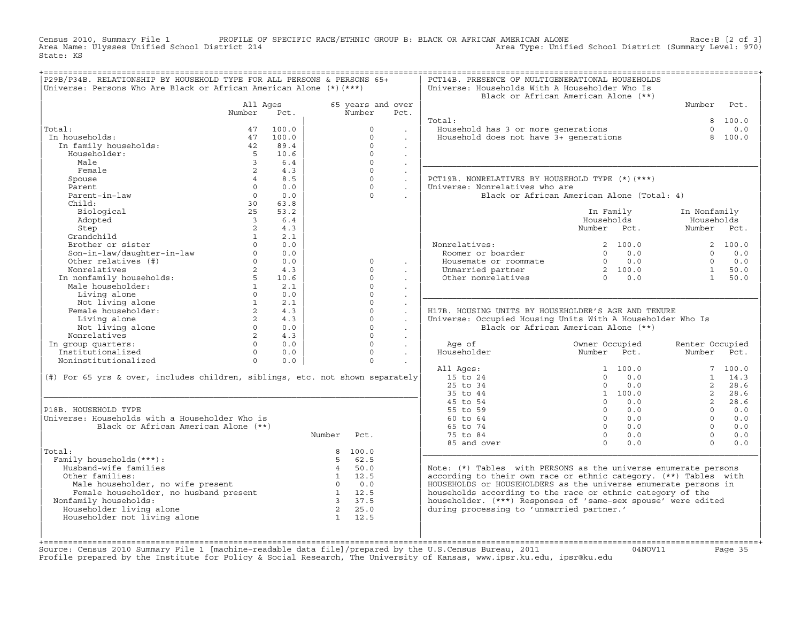Census 2010, Summary File 1 PROFILE OF SPECIFIC RACE/ETHNIC GROUP B: BLACK OR AFRICAN AMERICAN ALONE Race:B [2 of 3] Area Name: Ulysses Unified School District 214 Area Type: Unified School District (Summary Level: 970) State: KS

| Universe: Persons Who Are Black or African American Alone (*) (***)           | P29B/P34B. RELATIONSHIP BY HOUSEHOLD TYPE FOR ALL PERSONS & PERSONS 65+ |                 |                |                   |                                        | PCT14B. PRESENCE OF MULTIGENERATIONAL HOUSEHOLDS<br>Universe: Households With A Householder Who Is |                                                       |                 |                 |                 |
|-------------------------------------------------------------------------------|-------------------------------------------------------------------------|-----------------|----------------|-------------------|----------------------------------------|----------------------------------------------------------------------------------------------------|-------------------------------------------------------|-----------------|-----------------|-----------------|
|                                                                               |                                                                         |                 |                |                   |                                        | Black or African American Alone (**)                                                               |                                                       |                 |                 |                 |
|                                                                               | All Ages                                                                |                 |                | 65 years and over |                                        |                                                                                                    |                                                       |                 | Number          | Pct.            |
|                                                                               | Number                                                                  | Pct.            |                | Number            | Pct.                                   |                                                                                                    |                                                       |                 |                 |                 |
|                                                                               |                                                                         |                 |                |                   |                                        | Total:                                                                                             |                                                       |                 |                 | 8 100.0         |
| Total:                                                                        | 47                                                                      | 100.0           |                | $\Omega$          |                                        | Household has 3 or more generations                                                                |                                                       |                 | $\Omega$        | 0.0             |
| In households:                                                                | 47                                                                      | 100.0           |                | $\Omega$          | $\ddot{\phantom{0}}$                   | Household does not have 3+ generations                                                             |                                                       |                 | 8               | 100.0           |
| In family households:                                                         | 42                                                                      | 89.4            |                | $\Omega$          | $\blacksquare$                         |                                                                                                    |                                                       |                 |                 |                 |
| Householder:                                                                  | $-5$                                                                    | 10.6            |                | $\Omega$          | $\ddot{\phantom{a}}$                   |                                                                                                    |                                                       |                 |                 |                 |
| Male                                                                          | $\overline{3}$                                                          | 6.4             |                | $\Omega$          | $\ddot{\phantom{a}}$                   |                                                                                                    |                                                       |                 |                 |                 |
| Female                                                                        | $\overline{2}$                                                          | 4.3             |                | $\circ$           | $\sim$                                 |                                                                                                    |                                                       |                 |                 |                 |
| Spouse                                                                        | $4\overline{ }$                                                         | 8.5             |                | $\circ$           | $\mathcal{L}^{\mathcal{L}}$            | PCT19B. NONRELATIVES BY HOUSEHOLD TYPE (*)(***)                                                    |                                                       |                 |                 |                 |
| Parent                                                                        | $\Omega$                                                                | 0.0             |                | $\Omega$          | $\sim$                                 | Universe: Nonrelatives who are                                                                     |                                                       |                 |                 |                 |
| Parent-in-law                                                                 | $\Omega$                                                                | 0.0             |                | $\Omega$          | $\ddot{\phantom{a}}$                   | Black or African American Alone (Total: 4)                                                         |                                                       |                 |                 |                 |
| Child:                                                                        | 30                                                                      | 63.8            |                |                   |                                        |                                                                                                    |                                                       |                 |                 |                 |
| Biological                                                                    | 25                                                                      | 53.2            |                |                   |                                        |                                                                                                    | In Family                                             |                 | In Nonfamily    |                 |
| Adopted                                                                       | $\overline{3}$                                                          | 6.4             |                |                   |                                        |                                                                                                    | Households                                            |                 | Households      |                 |
| Step                                                                          | $\overline{2}$                                                          | 4.3             |                |                   |                                        |                                                                                                    | Number Pct.                                           |                 | Number Pct.     |                 |
| Grandchild                                                                    | $\overline{1}$<br>$\Omega$                                              | 2.1             |                |                   |                                        |                                                                                                    |                                                       |                 |                 |                 |
| Brother or sister<br>Son-in-law/daughter-in-law                               | $\Omega$                                                                | 0.0<br>0.0      |                |                   |                                        | Nonrelatives:<br>Roomer or boarder                                                                 | $\Omega$                                              | 2, 100.0<br>0.0 | $\Omega$        | 2 100.0         |
| Other relatives (#)                                                           |                                                                         | $\Omega$<br>0.0 |                | $\Omega$          |                                        | Housemate or roommate                                                                              |                                                       | $0 \t 0.0$      | $\Omega$        | 0.0<br>0.0      |
| Nonrelatives                                                                  | $\overline{2}$                                                          | 4.3             |                | $\Omega$          | $\cdot$                                | Unmarried partner                                                                                  |                                                       |                 | $\mathbf{1}$    | 50.0            |
|                                                                               | 5                                                                       | 10.6            |                | $\Omega$          |                                        | Other nonrelatives                                                                                 | $\begin{array}{ccc} 2 & 100.0 \\ 0 & 0.0 \end{array}$ |                 | $\mathbf{1}$    | 50.0            |
| In nonfamily households:<br>Male householder:                                 | 1                                                                       | 2.1             |                | $\circ$           | $\ddot{\phantom{0}}$                   |                                                                                                    |                                                       |                 |                 |                 |
| Living alone                                                                  | $\Omega$                                                                | 0.0             |                | $\Omega$          | $\sim$                                 |                                                                                                    |                                                       |                 |                 |                 |
| Not living alone                                                              | 1                                                                       | 2.1             |                | $\Omega$          | $\ddot{\phantom{a}}$<br>$\mathbb{Z}^2$ |                                                                                                    |                                                       |                 |                 |                 |
|                                                                               |                                                                         |                 |                |                   |                                        |                                                                                                    |                                                       |                 |                 |                 |
|                                                                               |                                                                         |                 |                |                   |                                        |                                                                                                    |                                                       |                 |                 |                 |
| Female householder:                                                           | $2^{\circ}$                                                             | 4.3             |                | $\circ$           | $\ddot{\phantom{a}}$                   | H17B. HOUSING UNITS BY HOUSEHOLDER'S AGE AND TENURE                                                |                                                       |                 |                 |                 |
| Living alone                                                                  | $\overline{2}$                                                          | 4.3             |                | $\Omega$          | $\ddot{\phantom{a}}$                   | Universe: Occupied Housing Units With A Householder Who Is                                         |                                                       |                 |                 |                 |
| Not living alone                                                              | $\circ$                                                                 | 0.0             |                | $\circ$           | $\sim$                                 | Black or African American Alone (**)                                                               |                                                       |                 |                 |                 |
| Nonrelatives                                                                  | $2^{\circ}$                                                             | 4.3             |                | $\Omega$          | $\Box$                                 |                                                                                                    |                                                       |                 |                 |                 |
| In group quarters:                                                            | $\Omega$                                                                | 0.0             |                | $\Omega$          | $\Box$                                 | Age of                                                                                             | Owner Occupied                                        |                 | Renter Occupied |                 |
| Institutionalized                                                             | $\Omega$                                                                | 0.0             |                | $\Omega$          |                                        | Householder                                                                                        | Number Pct.                                           |                 | Number          | Pct.            |
| Noninstitutionalized                                                          | $\Omega$                                                                | 0.0             |                | $\Omega$          | $\sim$                                 |                                                                                                    |                                                       |                 |                 |                 |
|                                                                               |                                                                         |                 |                |                   |                                        | All Ages:                                                                                          | $\Omega$                                              | 1 100.0<br>0.0  | $\mathbf{1}$    | 7 100.0<br>14.3 |
| (#) For 65 yrs & over, includes children, siblings, etc. not shown separately |                                                                         |                 |                |                   |                                        | 15 to 24                                                                                           | $\Omega$                                              | 0.0             | 2               | 28.6            |
|                                                                               |                                                                         |                 |                |                   |                                        | 25 to 34<br>35 to 44                                                                               |                                                       | 1 100.0         | $2^{\circ}$     | 28.6            |
|                                                                               |                                                                         |                 |                |                   |                                        | 45 to 54                                                                                           | $\cap$                                                | 0.0             | $2^{\circ}$     | 28.6            |
| P18B. HOUSEHOLD TYPE                                                          |                                                                         |                 |                |                   |                                        | 55 to 59                                                                                           | $\Omega$                                              | 0.0             | $\Omega$        | 0.0             |
| Universe: Households with a Householder Who is                                |                                                                         |                 |                |                   |                                        | 60 to 64                                                                                           | $\Omega$                                              | 0.0             | $\Omega$        | 0.0             |
| Black or African American Alone (**)                                          |                                                                         |                 |                |                   |                                        | 65 to 74                                                                                           | $\Omega$                                              | 0.0             | $\Omega$        | 0.0             |
|                                                                               |                                                                         |                 | Number         | Pct.              |                                        | 75 to 84                                                                                           | $\Omega$                                              | 0.0             | $\Omega$        | 0.0             |
|                                                                               |                                                                         |                 |                |                   |                                        | 85 and over                                                                                        | $\Omega$                                              | 0.0             | $\Omega$        | 0.0             |
| Total:                                                                        |                                                                         |                 |                | 8 100.0           |                                        |                                                                                                    |                                                       |                 |                 |                 |
| Family households (***) :                                                     |                                                                         |                 | $5^{\circ}$    | 62.5              |                                        |                                                                                                    |                                                       |                 |                 |                 |
| Husband-wife families                                                         |                                                                         |                 | $\overline{4}$ | 50.0              |                                        | Note: $(*)$ Tables with PERSONS as the universe enumerate persons                                  |                                                       |                 |                 |                 |
| Other families:                                                               |                                                                         |                 |                | $1 \t 12.5$       |                                        | according to their own race or ethnic category. (**) Tables with                                   |                                                       |                 |                 |                 |
| Male householder, no wife present                                             |                                                                         |                 | $\bigcap$      | 0.0               |                                        | HOUSEHOLDS or HOUSEHOLDERS as the universe enumerate persons in                                    |                                                       |                 |                 |                 |
| Female householder, no husband present                                        |                                                                         |                 | $\mathbf{1}$   | 12.5              |                                        | households according to the race or ethnic category of the                                         |                                                       |                 |                 |                 |
| Nonfamily households:                                                         |                                                                         |                 | $\overline{3}$ | 37.5              |                                        | householder. (***) Responses of 'same-sex spouse' were edited                                      |                                                       |                 |                 |                 |
| Householder living alone                                                      |                                                                         |                 | $\overline{2}$ | 25.0              |                                        | during processing to 'unmarried partner.'                                                          |                                                       |                 |                 |                 |
| Householder not living alone                                                  |                                                                         |                 |                | $1 \t 12.5$       |                                        |                                                                                                    |                                                       |                 |                 |                 |

+===================================================================================================================================================+Source: Census 2010 Summary File 1 [machine−readable data file]/prepared by the U.S.Census Bureau, 2011 04NOV11 Page 35 Profile prepared by the Institute for Policy & Social Research, The University of Kansas, www.ipsr.ku.edu, ipsr@ku.edu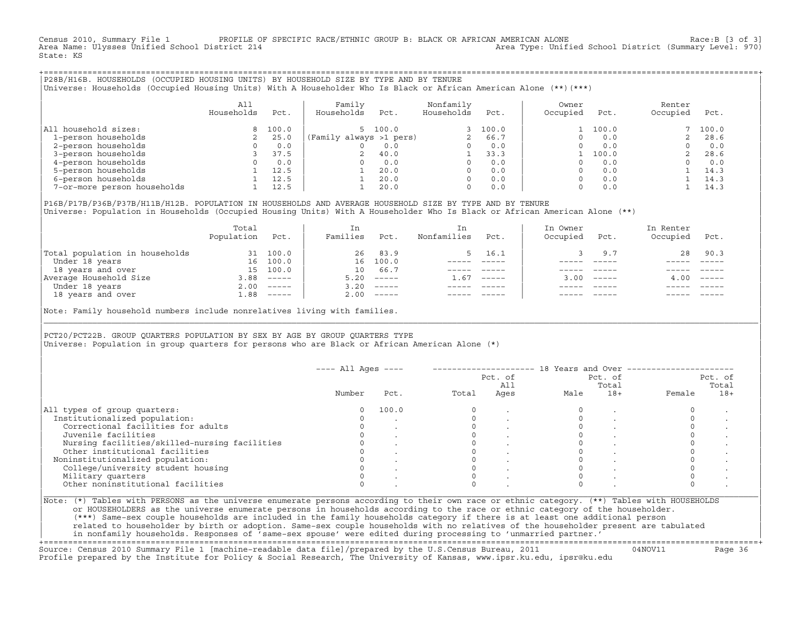Census 2010, Summary File 1 PROFILE OF SPECIFIC RACE/ETHNIC GROUP B: BLACK OR AFRICAN AMERICAN ALONE Race:B [3 of 3]<br>Area Name: Ulysses Unified School District 214 area Type: Unified School District (Summary Level: 970) Area Type: Unified School District (Summary Level: 970) State: KS

+===================================================================================================================================================+|P28B/H16B. HOUSEHOLDS (OCCUPIED HOUSING UNITS) BY HOUSEHOLD SIZE BY TYPE AND BY TENURE | |Universe: Households (Occupied Housing Units) With A Householder Who Is Black or African American Alone (\*\*)(\*\*\*) |

|                             | All<br>Households | Pct.  | Family<br>Households    | Pct.    | Nonfamily<br>Households | Pct.  | Owner<br>Occupied | Pct.  | Renter<br>Occupied | Pct.  |
|-----------------------------|-------------------|-------|-------------------------|---------|-------------------------|-------|-------------------|-------|--------------------|-------|
| All household sizes:        |                   | 100.0 |                         | 5 100.0 |                         | 100.0 |                   | 100.0 |                    | 100.0 |
| 1-person households         |                   | 25.0  | (Family always >1 pers) |         |                         | 66.7  |                   | 0.0   |                    | 28.6  |
| 2-person households         |                   | 0.0   |                         | 0.0     | $\Omega$                | 0.0   |                   | 0.0   |                    | 0.0   |
| 3-person households         |                   | 37.5  |                         | 40.0    |                         | 33.3  |                   | 100.0 |                    | 28.6  |
| 4-person households         |                   | 0.0   |                         | 0.0     | <sup>0</sup>            | 0.0   |                   | 0.0   |                    | 0.0   |
| 5-person households         |                   | 12.5  |                         | 20.0    | $\Omega$                | 0.0   |                   | 0.0   |                    | 14.3  |
| 6-person households         |                   | 12.5  |                         | 20.0    | $\Omega$                | 0.0   |                   | 0.0   |                    | 14.3  |
| 7-or-more person households |                   | 12.5  |                         | 20.0    | 0                       | 0.0   |                   | 0.0   |                    | 14.3  |

|P16B/P17B/P36B/P37B/H11B/H12B. POPULATION IN HOUSEHOLDS AND AVERAGE HOUSEHOLD SIZE BY TYPE AND BY TENURE | Universe: Population in Households (Occupied Housing Units) With A Householder Who Is Black or African American Alone (\*\*)

|                                | Total<br>Population | Pct.     | In<br>Families  | Pct.     | In.<br>Nonfamilies | Pct.     | In Owner<br>Occupied | Pct.         | In Renter<br>Occupied | Pct.                      |
|--------------------------------|---------------------|----------|-----------------|----------|--------------------|----------|----------------------|--------------|-----------------------|---------------------------|
| Total population in households | 31                  | 100.0    | 26              | 83.9     |                    | 5 16.1   |                      | 9.7          | 28                    | 90.3                      |
| Under 18 years                 | 16                  | 100.0    | 16              | 100.0    |                    |          |                      |              |                       |                           |
| 18 years and over              | 15                  | 100.0    | 10 <sup>°</sup> | 66.7     |                    |          |                      |              |                       |                           |
| Average Household Size         | 3.88                | $------$ | 5.20            | $------$ | 1.67               | $------$ |                      | $3.00$ ----- | 4.00                  | $\qquad \qquad - - - - -$ |
| Under 18 years                 | 2.00                | $------$ | 3.20            | $------$ |                    |          |                      |              |                       |                           |
| 18 years and over              | 1.88                | $------$ | 2.00            |          |                    |          |                      | $- - - - -$  |                       | $- - - - -$               |
|                                |                     |          |                 |          |                    |          |                      |              |                       |                           |

Note: Family household numbers include nonrelatives living with families.

| | PCT20/PCT22B. GROUP OUARTERS POPULATION BY SEX BY AGE BY GROUP OUARTERS TYPE Universe: Population in group quarters for persons who are Black or African American Alone (\*)

|                                               |          |       |       | Pct. of<br>All |      | Pct. of<br>Total |        | Pct. of<br>Total |
|-----------------------------------------------|----------|-------|-------|----------------|------|------------------|--------|------------------|
|                                               | Number   | Pct.  | Total | Ages           | Male | $18+$            | Female | $18+$            |
| All types of group quarters:                  | $\Omega$ | 100.0 |       |                |      |                  |        |                  |
| Institutionalized population:                 |          |       |       |                |      |                  |        |                  |
| Correctional facilities for adults            |          |       |       |                |      |                  |        |                  |
| Juvenile facilities                           |          |       |       |                |      |                  |        |                  |
| Nursing facilities/skilled-nursing facilities |          |       |       |                |      |                  |        |                  |
| Other institutional facilities                |          |       |       |                |      |                  |        |                  |
| Noninstitutionalized population:              |          |       |       |                |      |                  |        |                  |
| College/university student housing            |          |       |       |                |      |                  |        |                  |
| Military quarters                             |          |       |       |                |      |                  |        |                  |
| Other noninstitutional facilities             |          |       |       |                |      |                  |        |                  |

|\_\_\_\_\_\_\_\_\_\_\_\_\_\_\_\_\_\_\_\_\_\_\_\_\_\_\_\_\_\_\_\_\_\_\_\_\_\_\_\_\_\_\_\_\_\_\_\_\_\_\_\_\_\_\_\_\_\_\_\_\_\_\_\_\_\_\_\_\_\_\_\_\_\_\_\_\_\_\_\_\_\_\_\_\_\_\_\_\_\_\_\_\_\_\_\_\_\_\_\_\_\_\_\_\_\_\_\_\_\_\_\_\_\_\_\_\_\_\_\_\_\_\_\_\_\_\_\_\_\_\_\_\_\_\_\_\_\_\_\_\_\_\_\_\_\_\_|

| |

or HOUSEHOLDERS as the universe enumerate persons in households according to the race or ethnic category of the householder. | (\*\*\*) Same−sex couple households are included in the family households category if there is at least one additional person | | related to householder by birth or adoption. Same−sex couple households with no relatives of the householder present are tabulated | | in nonfamily households. Responses of 'same−sex spouse' were edited during processing to 'unmarried partner.' |

+===================================================================================================================================================+ Source: Census 2010 Summary File 1 [machine−readable data file]/prepared by the U.S.Census Bureau, 2011 04NOV11 Page 36 Profile prepared by the Institute for Policy & Social Research, The University of Kansas, www.ipsr.ku.edu, ipsr@ku.edu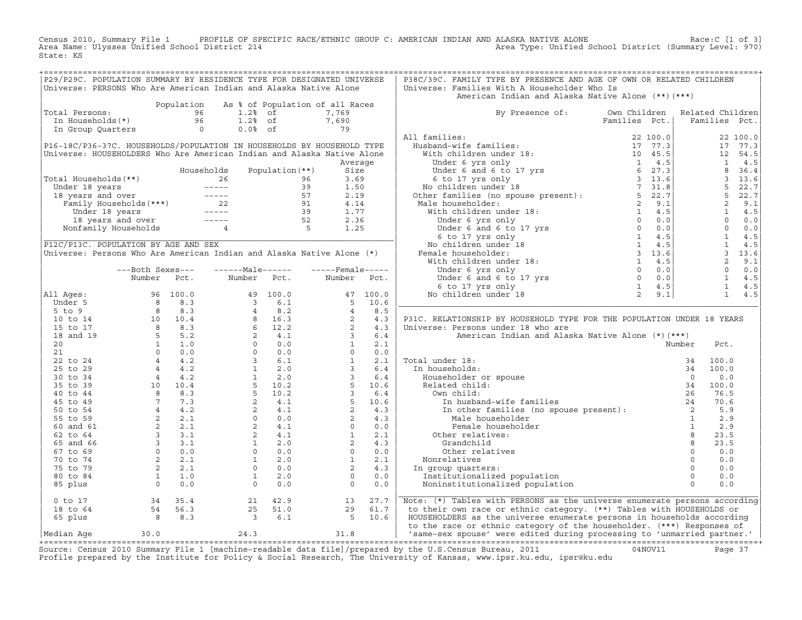Census 2010, Summary File 1 PROFILE OF SPECIFIC RACE/ETHNIC GROUP C: AMERICAN INDIAN AND ALASKA NATIVE ALONE<br>Area Name: Ulysses Unified School District 214 Area Type: Unified School Dist State: KS

| American Indian and Alaska Native Alone (**) (***)<br>Population As % of Population of all Races<br>otal Persons:<br>The Households (*)<br>The Households (*)<br>The Community of the Community of the Community of the Community of the Community of the Community of the Community of the Community of the Community of the Community<br>Total Persons:<br>By Presence of: Own Children<br>Related Children<br>$\begin{array}{c} 7,690 \\ 79 \end{array}$<br>Families Pct.<br>All families:<br>22 100.0<br>P16-18C/P36-37C. HOUSEHOLDS/POPULATION IN HOUSEHOLDS BY HOUSEHOLD TYPE<br>17 77.3<br>Universe: HOUSEHOLDERS Who Are American Indian and Alaska Native Alone<br>12 54.5<br>1 4.5<br>Average<br>8 36.4<br>$\begin{array}{cccc} 1 & 4.5 \\ 3 & 36.4 \\ 3 & 13.6 \\ 5 & 22.7 \\ 2 & 9.1 \\ 1 & 4.5 \\ 0 & 0.0 \\ 0 & 0.0 \\ 1 & 4.5 \\ 1 & 13.6 \\ 2 & 9.1 \\ 0 & 0.0 \\ 1 & 4.5 \\ 1 & 4.5 \\ 1 & 4.5 \\ 1 & 4.5 \\ \end{array}$<br>Total Households (**)<br>Under 18 years<br>18 years and over<br>Tamily Households (***)<br>Under 18 years<br>18 years and over<br>18 years and over<br>18 years and over<br>18 years and over<br>18 years and over<br>Nonfamily Households<br>1.77<br><br>P12C/P13C. POPULATION BY AGE AND SEX<br>Universe: Persons Who Are American Indian and Alaska Native Alone (*)<br>---Both Sexes---<br>$---Male----$<br>$---$ Female-----<br>Number Pct.<br>Number Pct.<br>Number Pct.<br>$\begin{array}{cccccccc} \text{All layers}: & \text{Number} & \text{Pct.} & \text{Number} & \text{Pct.} \\ \text{All layers}: & 96 & 100.0 & 49 & 100.0 & 47 & 100.0 \\ \text{Under 5} & 8 & 8.3 & 3 & 6.1 & 5 & 10.6 \\ \text{5 to 5} & 8 & 8.3 & 3 & 6.1 & 5 & 10.6 \\ \text{5 to 5} & 8 & 8.3 & 4 & 8.5 & 4 & 8.5 \\ \text{10 to 14} & 10 & 10.4 & 8 & 16.3 & 2 & 4.3$<br>1 4.5<br>All Ages:<br>P31C. RELATIONSHIP BY HOUSEHOLD TYPE FOR THE POPULATION UNDER 18 YEARS<br>Universe: Persons under 18 who are<br>American Indian<br>American Indian<br>1 under 18:<br>1 nouseholder or spouse<br>Related child:<br>0 0.0<br>Related child:<br>0 0.0<br>Related child:<br>1 nusband-wife families<br>In other families<br>In other families<br>Male householder<br><br>Total under 18:<br>Commodelid<br>Commodelid<br>Cher relatives<br>coup quarters:<br>stitutionalized population<br>commodelid<br>commodelid<br>commodelid<br>commodelid<br>commodelid<br>commodelid<br>commodelid<br>commodelid<br>commodelid<br>commodelid<br>commodelid<br>commod<br>0.0<br>0.0<br>Nonrelatives<br>0.0<br>In group quarters:<br>Institutionalized population<br>0.0<br>Noninstitutionalized population<br>0.0<br>Note: (*) Tables with PERSONS as the universe enumerate persons according<br>$\begin{array}{cc} 21 & 42.9 \\ 25 & 51.0 \\ 3 & 6.1 \end{array}$<br>27.7<br>$0$ to $17$<br>13<br>29<br>to their own race or ethnic category. (**) Tables with HOUSEHOLDS or<br>18 to 64<br>29 61.7<br>5 10.6<br>HOUSEHOLDERS as the universe enumerate persons in households according<br>65 plus<br>to the race or ethnic category of the householder. (***) Responses of | P29/P29C. POPULATION SUMMARY BY RESIDENCE TYPE FOR DESIGNATED UNIVERSE<br>Universe: PERSONS Who Are American Indian and Alaska Native Alone |      |  |  |  | P38C/39C. FAMILY TYPE BY PRESENCE AND AGE OF OWN OR RELATED CHILDREN<br>Universe: Families With A Householder Who Is |  |  |  |
|---------------------------------------------------------------------------------------------------------------------------------------------------------------------------------------------------------------------------------------------------------------------------------------------------------------------------------------------------------------------------------------------------------------------------------------------------------------------------------------------------------------------------------------------------------------------------------------------------------------------------------------------------------------------------------------------------------------------------------------------------------------------------------------------------------------------------------------------------------------------------------------------------------------------------------------------------------------------------------------------------------------------------------------------------------------------------------------------------------------------------------------------------------------------------------------------------------------------------------------------------------------------------------------------------------------------------------------------------------------------------------------------------------------------------------------------------------------------------------------------------------------------------------------------------------------------------------------------------------------------------------------------------------------------------------------------------------------------------------------------------------------------------------------------------------------------------------------------------------------------------------------------------------------------------------------------------------------------------------------------------------------------------------------------------------------------------------------------------------------------------------------------------------------------------------------------------------------------------------------------------------------------------------------------------------------------------------------------------------------------------------------------------------------------------------------------------------------------------------------------------------------------------------------------------------------------------------------------------------------------------------------------------------------------------------------------------------------------------------------------------------------------------------------------------------------------------------------------------------------------------------------------------------------------------------------------------------------------------------------------------------------------------------------------------------------------------------------------------|---------------------------------------------------------------------------------------------------------------------------------------------|------|--|--|--|----------------------------------------------------------------------------------------------------------------------|--|--|--|
|                                                                                                                                                                                                                                                                                                                                                                                                                                                                                                                                                                                                                                                                                                                                                                                                                                                                                                                                                                                                                                                                                                                                                                                                                                                                                                                                                                                                                                                                                                                                                                                                                                                                                                                                                                                                                                                                                                                                                                                                                                                                                                                                                                                                                                                                                                                                                                                                                                                                                                                                                                                                                                                                                                                                                                                                                                                                                                                                                                                                                                                                                                   |                                                                                                                                             |      |  |  |  |                                                                                                                      |  |  |  |
|                                                                                                                                                                                                                                                                                                                                                                                                                                                                                                                                                                                                                                                                                                                                                                                                                                                                                                                                                                                                                                                                                                                                                                                                                                                                                                                                                                                                                                                                                                                                                                                                                                                                                                                                                                                                                                                                                                                                                                                                                                                                                                                                                                                                                                                                                                                                                                                                                                                                                                                                                                                                                                                                                                                                                                                                                                                                                                                                                                                                                                                                                                   |                                                                                                                                             |      |  |  |  |                                                                                                                      |  |  |  |
|                                                                                                                                                                                                                                                                                                                                                                                                                                                                                                                                                                                                                                                                                                                                                                                                                                                                                                                                                                                                                                                                                                                                                                                                                                                                                                                                                                                                                                                                                                                                                                                                                                                                                                                                                                                                                                                                                                                                                                                                                                                                                                                                                                                                                                                                                                                                                                                                                                                                                                                                                                                                                                                                                                                                                                                                                                                                                                                                                                                                                                                                                                   |                                                                                                                                             |      |  |  |  |                                                                                                                      |  |  |  |
|                                                                                                                                                                                                                                                                                                                                                                                                                                                                                                                                                                                                                                                                                                                                                                                                                                                                                                                                                                                                                                                                                                                                                                                                                                                                                                                                                                                                                                                                                                                                                                                                                                                                                                                                                                                                                                                                                                                                                                                                                                                                                                                                                                                                                                                                                                                                                                                                                                                                                                                                                                                                                                                                                                                                                                                                                                                                                                                                                                                                                                                                                                   |                                                                                                                                             |      |  |  |  |                                                                                                                      |  |  |  |
|                                                                                                                                                                                                                                                                                                                                                                                                                                                                                                                                                                                                                                                                                                                                                                                                                                                                                                                                                                                                                                                                                                                                                                                                                                                                                                                                                                                                                                                                                                                                                                                                                                                                                                                                                                                                                                                                                                                                                                                                                                                                                                                                                                                                                                                                                                                                                                                                                                                                                                                                                                                                                                                                                                                                                                                                                                                                                                                                                                                                                                                                                                   |                                                                                                                                             |      |  |  |  |                                                                                                                      |  |  |  |
|                                                                                                                                                                                                                                                                                                                                                                                                                                                                                                                                                                                                                                                                                                                                                                                                                                                                                                                                                                                                                                                                                                                                                                                                                                                                                                                                                                                                                                                                                                                                                                                                                                                                                                                                                                                                                                                                                                                                                                                                                                                                                                                                                                                                                                                                                                                                                                                                                                                                                                                                                                                                                                                                                                                                                                                                                                                                                                                                                                                                                                                                                                   |                                                                                                                                             |      |  |  |  |                                                                                                                      |  |  |  |
|                                                                                                                                                                                                                                                                                                                                                                                                                                                                                                                                                                                                                                                                                                                                                                                                                                                                                                                                                                                                                                                                                                                                                                                                                                                                                                                                                                                                                                                                                                                                                                                                                                                                                                                                                                                                                                                                                                                                                                                                                                                                                                                                                                                                                                                                                                                                                                                                                                                                                                                                                                                                                                                                                                                                                                                                                                                                                                                                                                                                                                                                                                   |                                                                                                                                             |      |  |  |  |                                                                                                                      |  |  |  |
|                                                                                                                                                                                                                                                                                                                                                                                                                                                                                                                                                                                                                                                                                                                                                                                                                                                                                                                                                                                                                                                                                                                                                                                                                                                                                                                                                                                                                                                                                                                                                                                                                                                                                                                                                                                                                                                                                                                                                                                                                                                                                                                                                                                                                                                                                                                                                                                                                                                                                                                                                                                                                                                                                                                                                                                                                                                                                                                                                                                                                                                                                                   |                                                                                                                                             |      |  |  |  |                                                                                                                      |  |  |  |
|                                                                                                                                                                                                                                                                                                                                                                                                                                                                                                                                                                                                                                                                                                                                                                                                                                                                                                                                                                                                                                                                                                                                                                                                                                                                                                                                                                                                                                                                                                                                                                                                                                                                                                                                                                                                                                                                                                                                                                                                                                                                                                                                                                                                                                                                                                                                                                                                                                                                                                                                                                                                                                                                                                                                                                                                                                                                                                                                                                                                                                                                                                   |                                                                                                                                             |      |  |  |  |                                                                                                                      |  |  |  |
|                                                                                                                                                                                                                                                                                                                                                                                                                                                                                                                                                                                                                                                                                                                                                                                                                                                                                                                                                                                                                                                                                                                                                                                                                                                                                                                                                                                                                                                                                                                                                                                                                                                                                                                                                                                                                                                                                                                                                                                                                                                                                                                                                                                                                                                                                                                                                                                                                                                                                                                                                                                                                                                                                                                                                                                                                                                                                                                                                                                                                                                                                                   |                                                                                                                                             |      |  |  |  |                                                                                                                      |  |  |  |
|                                                                                                                                                                                                                                                                                                                                                                                                                                                                                                                                                                                                                                                                                                                                                                                                                                                                                                                                                                                                                                                                                                                                                                                                                                                                                                                                                                                                                                                                                                                                                                                                                                                                                                                                                                                                                                                                                                                                                                                                                                                                                                                                                                                                                                                                                                                                                                                                                                                                                                                                                                                                                                                                                                                                                                                                                                                                                                                                                                                                                                                                                                   |                                                                                                                                             |      |  |  |  |                                                                                                                      |  |  |  |
|                                                                                                                                                                                                                                                                                                                                                                                                                                                                                                                                                                                                                                                                                                                                                                                                                                                                                                                                                                                                                                                                                                                                                                                                                                                                                                                                                                                                                                                                                                                                                                                                                                                                                                                                                                                                                                                                                                                                                                                                                                                                                                                                                                                                                                                                                                                                                                                                                                                                                                                                                                                                                                                                                                                                                                                                                                                                                                                                                                                                                                                                                                   |                                                                                                                                             |      |  |  |  |                                                                                                                      |  |  |  |
|                                                                                                                                                                                                                                                                                                                                                                                                                                                                                                                                                                                                                                                                                                                                                                                                                                                                                                                                                                                                                                                                                                                                                                                                                                                                                                                                                                                                                                                                                                                                                                                                                                                                                                                                                                                                                                                                                                                                                                                                                                                                                                                                                                                                                                                                                                                                                                                                                                                                                                                                                                                                                                                                                                                                                                                                                                                                                                                                                                                                                                                                                                   |                                                                                                                                             |      |  |  |  |                                                                                                                      |  |  |  |
|                                                                                                                                                                                                                                                                                                                                                                                                                                                                                                                                                                                                                                                                                                                                                                                                                                                                                                                                                                                                                                                                                                                                                                                                                                                                                                                                                                                                                                                                                                                                                                                                                                                                                                                                                                                                                                                                                                                                                                                                                                                                                                                                                                                                                                                                                                                                                                                                                                                                                                                                                                                                                                                                                                                                                                                                                                                                                                                                                                                                                                                                                                   |                                                                                                                                             |      |  |  |  |                                                                                                                      |  |  |  |
|                                                                                                                                                                                                                                                                                                                                                                                                                                                                                                                                                                                                                                                                                                                                                                                                                                                                                                                                                                                                                                                                                                                                                                                                                                                                                                                                                                                                                                                                                                                                                                                                                                                                                                                                                                                                                                                                                                                                                                                                                                                                                                                                                                                                                                                                                                                                                                                                                                                                                                                                                                                                                                                                                                                                                                                                                                                                                                                                                                                                                                                                                                   |                                                                                                                                             |      |  |  |  |                                                                                                                      |  |  |  |
|                                                                                                                                                                                                                                                                                                                                                                                                                                                                                                                                                                                                                                                                                                                                                                                                                                                                                                                                                                                                                                                                                                                                                                                                                                                                                                                                                                                                                                                                                                                                                                                                                                                                                                                                                                                                                                                                                                                                                                                                                                                                                                                                                                                                                                                                                                                                                                                                                                                                                                                                                                                                                                                                                                                                                                                                                                                                                                                                                                                                                                                                                                   |                                                                                                                                             |      |  |  |  |                                                                                                                      |  |  |  |
|                                                                                                                                                                                                                                                                                                                                                                                                                                                                                                                                                                                                                                                                                                                                                                                                                                                                                                                                                                                                                                                                                                                                                                                                                                                                                                                                                                                                                                                                                                                                                                                                                                                                                                                                                                                                                                                                                                                                                                                                                                                                                                                                                                                                                                                                                                                                                                                                                                                                                                                                                                                                                                                                                                                                                                                                                                                                                                                                                                                                                                                                                                   |                                                                                                                                             |      |  |  |  |                                                                                                                      |  |  |  |
|                                                                                                                                                                                                                                                                                                                                                                                                                                                                                                                                                                                                                                                                                                                                                                                                                                                                                                                                                                                                                                                                                                                                                                                                                                                                                                                                                                                                                                                                                                                                                                                                                                                                                                                                                                                                                                                                                                                                                                                                                                                                                                                                                                                                                                                                                                                                                                                                                                                                                                                                                                                                                                                                                                                                                                                                                                                                                                                                                                                                                                                                                                   |                                                                                                                                             |      |  |  |  |                                                                                                                      |  |  |  |
|                                                                                                                                                                                                                                                                                                                                                                                                                                                                                                                                                                                                                                                                                                                                                                                                                                                                                                                                                                                                                                                                                                                                                                                                                                                                                                                                                                                                                                                                                                                                                                                                                                                                                                                                                                                                                                                                                                                                                                                                                                                                                                                                                                                                                                                                                                                                                                                                                                                                                                                                                                                                                                                                                                                                                                                                                                                                                                                                                                                                                                                                                                   |                                                                                                                                             |      |  |  |  |                                                                                                                      |  |  |  |
|                                                                                                                                                                                                                                                                                                                                                                                                                                                                                                                                                                                                                                                                                                                                                                                                                                                                                                                                                                                                                                                                                                                                                                                                                                                                                                                                                                                                                                                                                                                                                                                                                                                                                                                                                                                                                                                                                                                                                                                                                                                                                                                                                                                                                                                                                                                                                                                                                                                                                                                                                                                                                                                                                                                                                                                                                                                                                                                                                                                                                                                                                                   |                                                                                                                                             |      |  |  |  |                                                                                                                      |  |  |  |
|                                                                                                                                                                                                                                                                                                                                                                                                                                                                                                                                                                                                                                                                                                                                                                                                                                                                                                                                                                                                                                                                                                                                                                                                                                                                                                                                                                                                                                                                                                                                                                                                                                                                                                                                                                                                                                                                                                                                                                                                                                                                                                                                                                                                                                                                                                                                                                                                                                                                                                                                                                                                                                                                                                                                                                                                                                                                                                                                                                                                                                                                                                   |                                                                                                                                             |      |  |  |  |                                                                                                                      |  |  |  |
|                                                                                                                                                                                                                                                                                                                                                                                                                                                                                                                                                                                                                                                                                                                                                                                                                                                                                                                                                                                                                                                                                                                                                                                                                                                                                                                                                                                                                                                                                                                                                                                                                                                                                                                                                                                                                                                                                                                                                                                                                                                                                                                                                                                                                                                                                                                                                                                                                                                                                                                                                                                                                                                                                                                                                                                                                                                                                                                                                                                                                                                                                                   |                                                                                                                                             |      |  |  |  |                                                                                                                      |  |  |  |
|                                                                                                                                                                                                                                                                                                                                                                                                                                                                                                                                                                                                                                                                                                                                                                                                                                                                                                                                                                                                                                                                                                                                                                                                                                                                                                                                                                                                                                                                                                                                                                                                                                                                                                                                                                                                                                                                                                                                                                                                                                                                                                                                                                                                                                                                                                                                                                                                                                                                                                                                                                                                                                                                                                                                                                                                                                                                                                                                                                                                                                                                                                   |                                                                                                                                             |      |  |  |  |                                                                                                                      |  |  |  |
|                                                                                                                                                                                                                                                                                                                                                                                                                                                                                                                                                                                                                                                                                                                                                                                                                                                                                                                                                                                                                                                                                                                                                                                                                                                                                                                                                                                                                                                                                                                                                                                                                                                                                                                                                                                                                                                                                                                                                                                                                                                                                                                                                                                                                                                                                                                                                                                                                                                                                                                                                                                                                                                                                                                                                                                                                                                                                                                                                                                                                                                                                                   |                                                                                                                                             |      |  |  |  |                                                                                                                      |  |  |  |
|                                                                                                                                                                                                                                                                                                                                                                                                                                                                                                                                                                                                                                                                                                                                                                                                                                                                                                                                                                                                                                                                                                                                                                                                                                                                                                                                                                                                                                                                                                                                                                                                                                                                                                                                                                                                                                                                                                                                                                                                                                                                                                                                                                                                                                                                                                                                                                                                                                                                                                                                                                                                                                                                                                                                                                                                                                                                                                                                                                                                                                                                                                   |                                                                                                                                             |      |  |  |  |                                                                                                                      |  |  |  |
|                                                                                                                                                                                                                                                                                                                                                                                                                                                                                                                                                                                                                                                                                                                                                                                                                                                                                                                                                                                                                                                                                                                                                                                                                                                                                                                                                                                                                                                                                                                                                                                                                                                                                                                                                                                                                                                                                                                                                                                                                                                                                                                                                                                                                                                                                                                                                                                                                                                                                                                                                                                                                                                                                                                                                                                                                                                                                                                                                                                                                                                                                                   |                                                                                                                                             |      |  |  |  |                                                                                                                      |  |  |  |
|                                                                                                                                                                                                                                                                                                                                                                                                                                                                                                                                                                                                                                                                                                                                                                                                                                                                                                                                                                                                                                                                                                                                                                                                                                                                                                                                                                                                                                                                                                                                                                                                                                                                                                                                                                                                                                                                                                                                                                                                                                                                                                                                                                                                                                                                                                                                                                                                                                                                                                                                                                                                                                                                                                                                                                                                                                                                                                                                                                                                                                                                                                   |                                                                                                                                             |      |  |  |  |                                                                                                                      |  |  |  |
|                                                                                                                                                                                                                                                                                                                                                                                                                                                                                                                                                                                                                                                                                                                                                                                                                                                                                                                                                                                                                                                                                                                                                                                                                                                                                                                                                                                                                                                                                                                                                                                                                                                                                                                                                                                                                                                                                                                                                                                                                                                                                                                                                                                                                                                                                                                                                                                                                                                                                                                                                                                                                                                                                                                                                                                                                                                                                                                                                                                                                                                                                                   |                                                                                                                                             |      |  |  |  |                                                                                                                      |  |  |  |
|                                                                                                                                                                                                                                                                                                                                                                                                                                                                                                                                                                                                                                                                                                                                                                                                                                                                                                                                                                                                                                                                                                                                                                                                                                                                                                                                                                                                                                                                                                                                                                                                                                                                                                                                                                                                                                                                                                                                                                                                                                                                                                                                                                                                                                                                                                                                                                                                                                                                                                                                                                                                                                                                                                                                                                                                                                                                                                                                                                                                                                                                                                   |                                                                                                                                             |      |  |  |  |                                                                                                                      |  |  |  |
|                                                                                                                                                                                                                                                                                                                                                                                                                                                                                                                                                                                                                                                                                                                                                                                                                                                                                                                                                                                                                                                                                                                                                                                                                                                                                                                                                                                                                                                                                                                                                                                                                                                                                                                                                                                                                                                                                                                                                                                                                                                                                                                                                                                                                                                                                                                                                                                                                                                                                                                                                                                                                                                                                                                                                                                                                                                                                                                                                                                                                                                                                                   |                                                                                                                                             |      |  |  |  |                                                                                                                      |  |  |  |
|                                                                                                                                                                                                                                                                                                                                                                                                                                                                                                                                                                                                                                                                                                                                                                                                                                                                                                                                                                                                                                                                                                                                                                                                                                                                                                                                                                                                                                                                                                                                                                                                                                                                                                                                                                                                                                                                                                                                                                                                                                                                                                                                                                                                                                                                                                                                                                                                                                                                                                                                                                                                                                                                                                                                                                                                                                                                                                                                                                                                                                                                                                   |                                                                                                                                             |      |  |  |  |                                                                                                                      |  |  |  |
|                                                                                                                                                                                                                                                                                                                                                                                                                                                                                                                                                                                                                                                                                                                                                                                                                                                                                                                                                                                                                                                                                                                                                                                                                                                                                                                                                                                                                                                                                                                                                                                                                                                                                                                                                                                                                                                                                                                                                                                                                                                                                                                                                                                                                                                                                                                                                                                                                                                                                                                                                                                                                                                                                                                                                                                                                                                                                                                                                                                                                                                                                                   |                                                                                                                                             |      |  |  |  |                                                                                                                      |  |  |  |
|                                                                                                                                                                                                                                                                                                                                                                                                                                                                                                                                                                                                                                                                                                                                                                                                                                                                                                                                                                                                                                                                                                                                                                                                                                                                                                                                                                                                                                                                                                                                                                                                                                                                                                                                                                                                                                                                                                                                                                                                                                                                                                                                                                                                                                                                                                                                                                                                                                                                                                                                                                                                                                                                                                                                                                                                                                                                                                                                                                                                                                                                                                   |                                                                                                                                             |      |  |  |  |                                                                                                                      |  |  |  |
|                                                                                                                                                                                                                                                                                                                                                                                                                                                                                                                                                                                                                                                                                                                                                                                                                                                                                                                                                                                                                                                                                                                                                                                                                                                                                                                                                                                                                                                                                                                                                                                                                                                                                                                                                                                                                                                                                                                                                                                                                                                                                                                                                                                                                                                                                                                                                                                                                                                                                                                                                                                                                                                                                                                                                                                                                                                                                                                                                                                                                                                                                                   |                                                                                                                                             |      |  |  |  |                                                                                                                      |  |  |  |
|                                                                                                                                                                                                                                                                                                                                                                                                                                                                                                                                                                                                                                                                                                                                                                                                                                                                                                                                                                                                                                                                                                                                                                                                                                                                                                                                                                                                                                                                                                                                                                                                                                                                                                                                                                                                                                                                                                                                                                                                                                                                                                                                                                                                                                                                                                                                                                                                                                                                                                                                                                                                                                                                                                                                                                                                                                                                                                                                                                                                                                                                                                   |                                                                                                                                             |      |  |  |  |                                                                                                                      |  |  |  |
|                                                                                                                                                                                                                                                                                                                                                                                                                                                                                                                                                                                                                                                                                                                                                                                                                                                                                                                                                                                                                                                                                                                                                                                                                                                                                                                                                                                                                                                                                                                                                                                                                                                                                                                                                                                                                                                                                                                                                                                                                                                                                                                                                                                                                                                                                                                                                                                                                                                                                                                                                                                                                                                                                                                                                                                                                                                                                                                                                                                                                                                                                                   |                                                                                                                                             |      |  |  |  |                                                                                                                      |  |  |  |
|                                                                                                                                                                                                                                                                                                                                                                                                                                                                                                                                                                                                                                                                                                                                                                                                                                                                                                                                                                                                                                                                                                                                                                                                                                                                                                                                                                                                                                                                                                                                                                                                                                                                                                                                                                                                                                                                                                                                                                                                                                                                                                                                                                                                                                                                                                                                                                                                                                                                                                                                                                                                                                                                                                                                                                                                                                                                                                                                                                                                                                                                                                   |                                                                                                                                             |      |  |  |  |                                                                                                                      |  |  |  |
|                                                                                                                                                                                                                                                                                                                                                                                                                                                                                                                                                                                                                                                                                                                                                                                                                                                                                                                                                                                                                                                                                                                                                                                                                                                                                                                                                                                                                                                                                                                                                                                                                                                                                                                                                                                                                                                                                                                                                                                                                                                                                                                                                                                                                                                                                                                                                                                                                                                                                                                                                                                                                                                                                                                                                                                                                                                                                                                                                                                                                                                                                                   |                                                                                                                                             |      |  |  |  |                                                                                                                      |  |  |  |
|                                                                                                                                                                                                                                                                                                                                                                                                                                                                                                                                                                                                                                                                                                                                                                                                                                                                                                                                                                                                                                                                                                                                                                                                                                                                                                                                                                                                                                                                                                                                                                                                                                                                                                                                                                                                                                                                                                                                                                                                                                                                                                                                                                                                                                                                                                                                                                                                                                                                                                                                                                                                                                                                                                                                                                                                                                                                                                                                                                                                                                                                                                   |                                                                                                                                             |      |  |  |  |                                                                                                                      |  |  |  |
|                                                                                                                                                                                                                                                                                                                                                                                                                                                                                                                                                                                                                                                                                                                                                                                                                                                                                                                                                                                                                                                                                                                                                                                                                                                                                                                                                                                                                                                                                                                                                                                                                                                                                                                                                                                                                                                                                                                                                                                                                                                                                                                                                                                                                                                                                                                                                                                                                                                                                                                                                                                                                                                                                                                                                                                                                                                                                                                                                                                                                                                                                                   |                                                                                                                                             |      |  |  |  |                                                                                                                      |  |  |  |
|                                                                                                                                                                                                                                                                                                                                                                                                                                                                                                                                                                                                                                                                                                                                                                                                                                                                                                                                                                                                                                                                                                                                                                                                                                                                                                                                                                                                                                                                                                                                                                                                                                                                                                                                                                                                                                                                                                                                                                                                                                                                                                                                                                                                                                                                                                                                                                                                                                                                                                                                                                                                                                                                                                                                                                                                                                                                                                                                                                                                                                                                                                   |                                                                                                                                             |      |  |  |  |                                                                                                                      |  |  |  |
|                                                                                                                                                                                                                                                                                                                                                                                                                                                                                                                                                                                                                                                                                                                                                                                                                                                                                                                                                                                                                                                                                                                                                                                                                                                                                                                                                                                                                                                                                                                                                                                                                                                                                                                                                                                                                                                                                                                                                                                                                                                                                                                                                                                                                                                                                                                                                                                                                                                                                                                                                                                                                                                                                                                                                                                                                                                                                                                                                                                                                                                                                                   |                                                                                                                                             |      |  |  |  |                                                                                                                      |  |  |  |
|                                                                                                                                                                                                                                                                                                                                                                                                                                                                                                                                                                                                                                                                                                                                                                                                                                                                                                                                                                                                                                                                                                                                                                                                                                                                                                                                                                                                                                                                                                                                                                                                                                                                                                                                                                                                                                                                                                                                                                                                                                                                                                                                                                                                                                                                                                                                                                                                                                                                                                                                                                                                                                                                                                                                                                                                                                                                                                                                                                                                                                                                                                   |                                                                                                                                             |      |  |  |  |                                                                                                                      |  |  |  |
|                                                                                                                                                                                                                                                                                                                                                                                                                                                                                                                                                                                                                                                                                                                                                                                                                                                                                                                                                                                                                                                                                                                                                                                                                                                                                                                                                                                                                                                                                                                                                                                                                                                                                                                                                                                                                                                                                                                                                                                                                                                                                                                                                                                                                                                                                                                                                                                                                                                                                                                                                                                                                                                                                                                                                                                                                                                                                                                                                                                                                                                                                                   |                                                                                                                                             |      |  |  |  |                                                                                                                      |  |  |  |
|                                                                                                                                                                                                                                                                                                                                                                                                                                                                                                                                                                                                                                                                                                                                                                                                                                                                                                                                                                                                                                                                                                                                                                                                                                                                                                                                                                                                                                                                                                                                                                                                                                                                                                                                                                                                                                                                                                                                                                                                                                                                                                                                                                                                                                                                                                                                                                                                                                                                                                                                                                                                                                                                                                                                                                                                                                                                                                                                                                                                                                                                                                   |                                                                                                                                             |      |  |  |  |                                                                                                                      |  |  |  |
|                                                                                                                                                                                                                                                                                                                                                                                                                                                                                                                                                                                                                                                                                                                                                                                                                                                                                                                                                                                                                                                                                                                                                                                                                                                                                                                                                                                                                                                                                                                                                                                                                                                                                                                                                                                                                                                                                                                                                                                                                                                                                                                                                                                                                                                                                                                                                                                                                                                                                                                                                                                                                                                                                                                                                                                                                                                                                                                                                                                                                                                                                                   |                                                                                                                                             |      |  |  |  |                                                                                                                      |  |  |  |
|                                                                                                                                                                                                                                                                                                                                                                                                                                                                                                                                                                                                                                                                                                                                                                                                                                                                                                                                                                                                                                                                                                                                                                                                                                                                                                                                                                                                                                                                                                                                                                                                                                                                                                                                                                                                                                                                                                                                                                                                                                                                                                                                                                                                                                                                                                                                                                                                                                                                                                                                                                                                                                                                                                                                                                                                                                                                                                                                                                                                                                                                                                   |                                                                                                                                             |      |  |  |  |                                                                                                                      |  |  |  |
|                                                                                                                                                                                                                                                                                                                                                                                                                                                                                                                                                                                                                                                                                                                                                                                                                                                                                                                                                                                                                                                                                                                                                                                                                                                                                                                                                                                                                                                                                                                                                                                                                                                                                                                                                                                                                                                                                                                                                                                                                                                                                                                                                                                                                                                                                                                                                                                                                                                                                                                                                                                                                                                                                                                                                                                                                                                                                                                                                                                                                                                                                                   |                                                                                                                                             |      |  |  |  |                                                                                                                      |  |  |  |
|                                                                                                                                                                                                                                                                                                                                                                                                                                                                                                                                                                                                                                                                                                                                                                                                                                                                                                                                                                                                                                                                                                                                                                                                                                                                                                                                                                                                                                                                                                                                                                                                                                                                                                                                                                                                                                                                                                                                                                                                                                                                                                                                                                                                                                                                                                                                                                                                                                                                                                                                                                                                                                                                                                                                                                                                                                                                                                                                                                                                                                                                                                   |                                                                                                                                             |      |  |  |  |                                                                                                                      |  |  |  |
|                                                                                                                                                                                                                                                                                                                                                                                                                                                                                                                                                                                                                                                                                                                                                                                                                                                                                                                                                                                                                                                                                                                                                                                                                                                                                                                                                                                                                                                                                                                                                                                                                                                                                                                                                                                                                                                                                                                                                                                                                                                                                                                                                                                                                                                                                                                                                                                                                                                                                                                                                                                                                                                                                                                                                                                                                                                                                                                                                                                                                                                                                                   |                                                                                                                                             |      |  |  |  |                                                                                                                      |  |  |  |
|                                                                                                                                                                                                                                                                                                                                                                                                                                                                                                                                                                                                                                                                                                                                                                                                                                                                                                                                                                                                                                                                                                                                                                                                                                                                                                                                                                                                                                                                                                                                                                                                                                                                                                                                                                                                                                                                                                                                                                                                                                                                                                                                                                                                                                                                                                                                                                                                                                                                                                                                                                                                                                                                                                                                                                                                                                                                                                                                                                                                                                                                                                   |                                                                                                                                             |      |  |  |  |                                                                                                                      |  |  |  |
| 24.3 31.8<br>'same-sex spouse' were edited during processing to 'unmarried partner.'                                                                                                                                                                                                                                                                                                                                                                                                                                                                                                                                                                                                                                                                                                                                                                                                                                                                                                                                                                                                                                                                                                                                                                                                                                                                                                                                                                                                                                                                                                                                                                                                                                                                                                                                                                                                                                                                                                                                                                                                                                                                                                                                                                                                                                                                                                                                                                                                                                                                                                                                                                                                                                                                                                                                                                                                                                                                                                                                                                                                              | Median Aqe                                                                                                                                  | 30.0 |  |  |  |                                                                                                                      |  |  |  |

Source: Census 2010 Summary File 1 [machine-readable data file]/prepared by the U.S.Census Bureau, 2011 Page 37<br>Profile prepared by the Institute for Policy & Social Research, The University of Kansas, www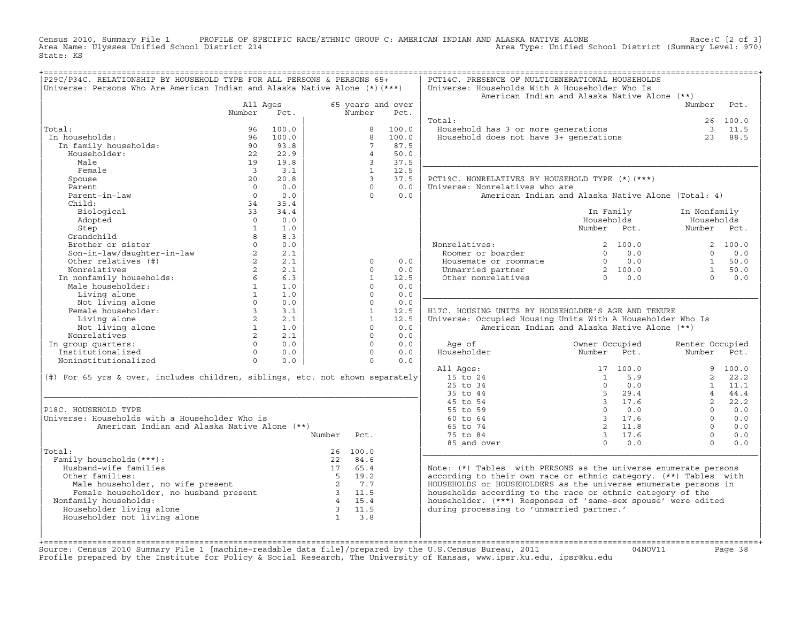Census 2010, Summary File 1 PROFILE OF SPECIFIC RACE/ETHNIC GROUP C: AMERICAN INDIAN AND ALASKA NATIVE ALONE Race:C [2 of 3]<br>Area Name: Ulysses Unified School District 214 Area Type: Unified School District (Summary Level: Area Type: Unified School District (Summary Level: 970) State: KS

| P29C/P34C. RELATIONSHIP BY HOUSEHOLD TYPE FOR ALL PERSONS & PERSONS 65+                                                                                                                                                                                                                        |                         |                |             |                                                 |                   | PCT14C. PRESENCE OF MULTIGENERATIONAL HOUSEHOLDS                                                                                                                                                                                   |                |                                                     |                 |                 |
|------------------------------------------------------------------------------------------------------------------------------------------------------------------------------------------------------------------------------------------------------------------------------------------------|-------------------------|----------------|-------------|-------------------------------------------------|-------------------|------------------------------------------------------------------------------------------------------------------------------------------------------------------------------------------------------------------------------------|----------------|-----------------------------------------------------|-----------------|-----------------|
| Universe: Persons Who Are American Indian and Alaska Native Alone $(*)$ (***)                                                                                                                                                                                                                  |                         |                |             |                                                 |                   | Universe: Households With A Householder Who Is                                                                                                                                                                                     |                |                                                     |                 |                 |
|                                                                                                                                                                                                                                                                                                |                         |                |             |                                                 |                   | American Indian and Alaska Native Alone (**)                                                                                                                                                                                       |                |                                                     |                 |                 |
|                                                                                                                                                                                                                                                                                                | All Ages                |                |             |                                                 | 65 years and over |                                                                                                                                                                                                                                    |                |                                                     | Number Pct.     |                 |
|                                                                                                                                                                                                                                                                                                | Number Pct.             |                |             | Number                                          | Pct.              |                                                                                                                                                                                                                                    |                |                                                     |                 |                 |
|                                                                                                                                                                                                                                                                                                |                         |                |             |                                                 |                   | Total:                                                                                                                                                                                                                             |                |                                                     |                 | 26 100.0        |
| Total:                                                                                                                                                                                                                                                                                         | 96                      | 100.0          |             |                                                 | 8 100.0           | Household has 3 or more generations 3 11.5<br>Household does not have 3+ generations 23 88.5                                                                                                                                       |                |                                                     |                 |                 |
| In households:                                                                                                                                                                                                                                                                                 | 96                      | 100.0          |             | 8                                               | 100.0             |                                                                                                                                                                                                                                    |                |                                                     |                 |                 |
| In family households:                                                                                                                                                                                                                                                                          |                         | 93.8           |             | $7^{\circ}$                                     | 87.5              |                                                                                                                                                                                                                                    |                |                                                     |                 |                 |
| Householder:                                                                                                                                                                                                                                                                                   | $\frac{90}{22}$         | 22.9           |             | $4 \quad$                                       | 50.0              |                                                                                                                                                                                                                                    |                |                                                     |                 |                 |
| Male                                                                                                                                                                                                                                                                                           | 19                      | 19.8           |             | 3 <sup>7</sup>                                  | 37.5              |                                                                                                                                                                                                                                    |                |                                                     |                 |                 |
| Female                                                                                                                                                                                                                                                                                         | $\overline{\mathbf{3}}$ | 3.1            |             | 1                                               | 12.5              |                                                                                                                                                                                                                                    |                |                                                     |                 |                 |
| Spouse                                                                                                                                                                                                                                                                                         | 20                      | 20.8           |             | $\overline{3}$                                  | 37.5              | PCT19C. NONRELATIVES BY HOUSEHOLD TYPE (*) (***)                                                                                                                                                                                   |                |                                                     |                 |                 |
|                                                                                                                                                                                                                                                                                                | $\bigcap$               | 0.0            |             | $\cap$                                          | 0.0               |                                                                                                                                                                                                                                    |                |                                                     |                 |                 |
| Parent                                                                                                                                                                                                                                                                                         |                         |                |             |                                                 |                   | Universe: Nonrelatives who are                                                                                                                                                                                                     |                |                                                     |                 |                 |
| Parent-in-law                                                                                                                                                                                                                                                                                  | $\overline{0}$          | 0.0            |             | $\Omega$                                        | 0.0               | American Indian and Alaska Native Alone (Total: 4)                                                                                                                                                                                 |                |                                                     |                 |                 |
| Child:                                                                                                                                                                                                                                                                                         | 34                      | 35.4           |             |                                                 |                   |                                                                                                                                                                                                                                    |                |                                                     |                 |                 |
| Biological                                                                                                                                                                                                                                                                                     | 33                      | 34.4           |             |                                                 |                   |                                                                                                                                                                                                                                    |                | In Family                                           | In Nonfamily    |                 |
| Adopted                                                                                                                                                                                                                                                                                        | $\overline{0}$          | 0.0            |             |                                                 |                   |                                                                                                                                                                                                                                    | Households     |                                                     | Households      |                 |
| Step                                                                                                                                                                                                                                                                                           | $\overline{1}$          | 1.0            |             |                                                 |                   |                                                                                                                                                                                                                                    | Number Pct.    |                                                     | Number Pct.     |                 |
| Grandchild                                                                                                                                                                                                                                                                                     | $8^{\circ}$             | 8.3            |             |                                                 |                   |                                                                                                                                                                                                                                    |                |                                                     |                 |                 |
| Grandchild<br>Brother or sister<br>Son-in-law/daughter-in-law<br>0 0.0<br>2 2.1<br>Other relatives (#)<br>2 2.1                                                                                                                                                                                |                         |                |             |                                                 |                   | Nonrelatives:<br>Roomer or boarder                                                                                                                                                                                                 |                | 2 100.0                                             |                 | 2 100.0         |
|                                                                                                                                                                                                                                                                                                |                         |                |             |                                                 |                   | Noomer or boarder<br>Housemate or roommate $\begin{array}{cccccc} 2 & 100.0 & 2 & 100.0 \\ 0.0 & 0.0 & 0 & 0.0 \\ \text{Unmarried partner} & 2 & 100.0 & 1 & 50.0 \\ \text{Other nonrelatives} & 0 & 0.0 & 0 & 0.0 \\ \end{array}$ |                |                                                     |                 |                 |
|                                                                                                                                                                                                                                                                                                |                         |                |             | $\Omega$                                        | 0.0               |                                                                                                                                                                                                                                    |                |                                                     |                 |                 |
|                                                                                                                                                                                                                                                                                                |                         |                |             | $\Omega$                                        | 0.0               |                                                                                                                                                                                                                                    |                |                                                     |                 |                 |
|                                                                                                                                                                                                                                                                                                |                         |                |             | $\mathbf{1}$                                    | 12.5              |                                                                                                                                                                                                                                    |                |                                                     |                 |                 |
|                                                                                                                                                                                                                                                                                                |                         |                |             | $\Omega$                                        | 0.0               |                                                                                                                                                                                                                                    |                |                                                     |                 |                 |
|                                                                                                                                                                                                                                                                                                |                         |                |             | $\Omega$                                        | 0.0               |                                                                                                                                                                                                                                    |                |                                                     |                 |                 |
|                                                                                                                                                                                                                                                                                                |                         |                |             |                                                 |                   |                                                                                                                                                                                                                                    |                |                                                     |                 |                 |
|                                                                                                                                                                                                                                                                                                |                         |                |             | $\begin{array}{c} 0 \\ 0 \\ 1 \\ 1 \end{array}$ | 0.0               |                                                                                                                                                                                                                                    |                |                                                     |                 |                 |
|                                                                                                                                                                                                                                                                                                |                         |                |             |                                                 | 12.5              | H17C. HOUSING UNITS BY HOUSEHOLDER'S AGE AND TENURE                                                                                                                                                                                |                |                                                     |                 |                 |
|                                                                                                                                                                                                                                                                                                |                         |                |             |                                                 | 12.5              | Universe: Occupied Housing Units With A Householder Who Is                                                                                                                                                                         |                |                                                     |                 |                 |
|                                                                                                                                                                                                                                                                                                |                         |                |             | $\Omega$                                        | 0.0               | American Indian and Alaska Native Alone (**)                                                                                                                                                                                       |                |                                                     |                 |                 |
|                                                                                                                                                                                                                                                                                                |                         |                |             | $\Omega$                                        | 0.0               |                                                                                                                                                                                                                                    |                |                                                     |                 |                 |
|                                                                                                                                                                                                                                                                                                |                         |                |             | $\Omega$                                        | 0.0               | Age of                                                                                                                                                                                                                             | Owner Occupied |                                                     | Renter Occupied |                 |
| Nonrelatives 2<br>n group quarters: 0<br>Institutionalized 0<br>Noninstitutionalized 0<br>0                                                                                                                                                                                                    |                         | $0 \qquad 0.0$ |             | $\Omega$                                        | 0.0               | Age of                                   Owner Occupied<br>Householder                     Number     Pct.                                                                                                                         |                |                                                     | Number Pct.     |                 |
|                                                                                                                                                                                                                                                                                                |                         | 0.0            |             | $\Omega$                                        | 0.0               |                                                                                                                                                                                                                                    |                |                                                     |                 |                 |
|                                                                                                                                                                                                                                                                                                |                         |                |             |                                                 |                   | All Ages:                                                                                                                                                                                                                          |                | 17 100.0                                            |                 | 9 100.0         |
| (#) For 65 yrs & over, includes children, siblings, etc. not shown separately                                                                                                                                                                                                                  |                         |                |             |                                                 |                   | 15 to 24                                                                                                                                                                                                                           |                | $1 \quad 5.9$                                       |                 | 2, 22.2         |
|                                                                                                                                                                                                                                                                                                |                         |                |             |                                                 |                   | 25 to 34                                                                                                                                                                                                                           |                |                                                     |                 | $1 \quad 11.1$  |
|                                                                                                                                                                                                                                                                                                |                         |                |             |                                                 |                   | 35 to 44                                                                                                                                                                                                                           |                |                                                     |                 | 44.4            |
|                                                                                                                                                                                                                                                                                                |                         |                |             |                                                 |                   | 45 to 54                                                                                                                                                                                                                           |                |                                                     | $2^{\circ}$     | 22.2            |
| P18C. HOUSEHOLD TYPE                                                                                                                                                                                                                                                                           |                         |                |             |                                                 |                   |                                                                                                                                                                                                                                    |                |                                                     |                 | $\Omega$<br>0.0 |
|                                                                                                                                                                                                                                                                                                |                         |                |             |                                                 |                   | 55 to 59                                                                                                                                                                                                                           |                |                                                     |                 |                 |
| Universe: Households with a Householder Who is                                                                                                                                                                                                                                                 |                         |                |             |                                                 |                   | 60 to 64                                                                                                                                                                                                                           |                |                                                     | $\Omega$        | 0.0             |
| American Indian and Alaska Native Alone (**)                                                                                                                                                                                                                                                   |                         |                |             |                                                 |                   | 65 to 74                                                                                                                                                                                                                           |                |                                                     | $\Omega$        | 0.0             |
|                                                                                                                                                                                                                                                                                                |                         |                | Number Pct. |                                                 |                   | 75 to 84                                                                                                                                                                                                                           |                | $\begin{array}{cc} 3 & 17.6 \\ 0 & 0.0 \end{array}$ | $\Omega$        | 0.0             |
|                                                                                                                                                                                                                                                                                                |                         |                |             |                                                 |                   | 85 and over                                                                                                                                                                                                                        |                |                                                     | $\Omega$        | 0.0             |
| Total:                                                                                                                                                                                                                                                                                         |                         |                |             | 26 100.0                                        |                   |                                                                                                                                                                                                                                    |                |                                                     |                 |                 |
| Family households (***) :                                                                                                                                                                                                                                                                      |                         |                |             | 22 84.6                                         |                   |                                                                                                                                                                                                                                    |                |                                                     |                 |                 |
| Husband-wife families                                                                                                                                                                                                                                                                          |                         |                |             | 17 65.4                                         |                   | Note: $(*)$ Tables with PERSONS as the universe enumerate persons                                                                                                                                                                  |                |                                                     |                 |                 |
| Other families:                                                                                                                                                                                                                                                                                |                         |                | $5 \t 19.2$ |                                                 |                   | according to their own race or ethnic category. (**) Tables with                                                                                                                                                                   |                |                                                     |                 |                 |
|                                                                                                                                                                                                                                                                                                |                         |                |             |                                                 |                   | HOUSEHOLDS or HOUSEHOLDERS as the universe enumerate persons in                                                                                                                                                                    |                |                                                     |                 |                 |
|                                                                                                                                                                                                                                                                                                |                         |                |             |                                                 |                   | households according to the race or ethnic category of the                                                                                                                                                                         |                |                                                     |                 |                 |
| Nonfamily households:                                                                                                                                                                                                                                                                          |                         |                |             |                                                 |                   | householder. (***) Responses of 'same-sex spouse' were edited                                                                                                                                                                      |                |                                                     |                 |                 |
| Householder living alone                                                                                                                                                                                                                                                                       |                         |                |             |                                                 |                   | during processing to 'unmarried partner.'                                                                                                                                                                                          |                |                                                     |                 |                 |
| % Cher families:<br>Male householder, no wife present<br>2 7.7<br>Female householder, no husband present<br>3 11.5<br>family households:<br>9 11.5<br>0useholder living alone<br>9 11.5<br>2 11.5<br>11.5<br>11.5<br>2 11.5<br>11.5<br>2 11.5<br>3 11.5<br>13.<br>Householder not living alone |                         |                |             |                                                 |                   |                                                                                                                                                                                                                                    |                |                                                     |                 |                 |
|                                                                                                                                                                                                                                                                                                |                         |                |             |                                                 |                   |                                                                                                                                                                                                                                    |                |                                                     |                 |                 |
|                                                                                                                                                                                                                                                                                                |                         |                |             |                                                 |                   |                                                                                                                                                                                                                                    |                |                                                     |                 |                 |
|                                                                                                                                                                                                                                                                                                |                         |                |             |                                                 |                   |                                                                                                                                                                                                                                    |                |                                                     |                 |                 |
|                                                                                                                                                                                                                                                                                                |                         |                |             |                                                 |                   |                                                                                                                                                                                                                                    |                |                                                     |                 |                 |

+===================================================================================================================================================+Source: Census 2010 Summary File 1 [machine−readable data file]/prepared by the U.S.Census Bureau, 2011 04NOV11 Page 38 Profile prepared by the Institute for Policy & Social Research, The University of Kansas, www.ipsr.ku.edu, ipsr@ku.edu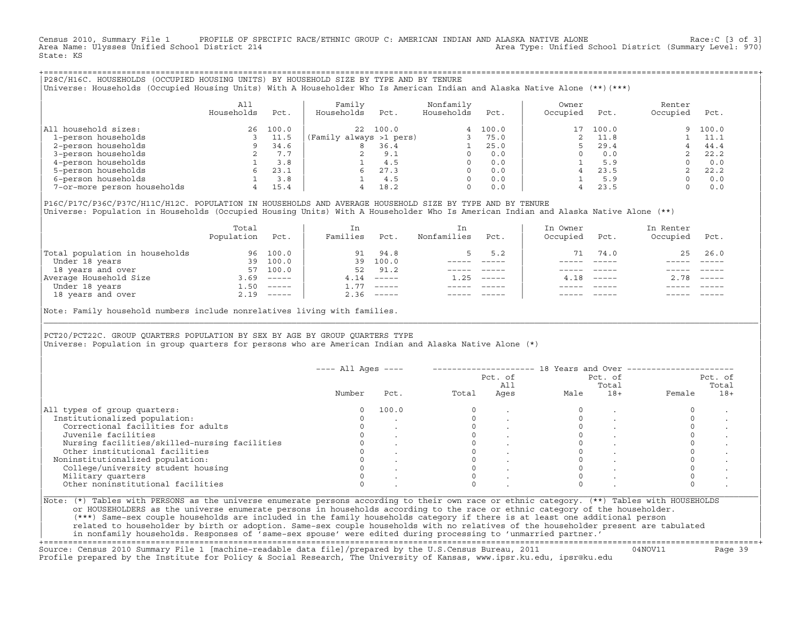Census 2010, Summary File 1 PROFILE OF SPECIFIC RACE/ETHNIC GROUP C: AMERICAN INDIAN AND ALASKA NATIVE ALONE Race:C [3 of 3]<br>Area Name: Ulysses Unified School District 214 Area Type: Unified School District (Summary Level: 970) State: KS

+===================================================================================================================================================+|P28C/H16C. HOUSEHOLDS (OCCUPIED HOUSING UNITS) BY HOUSEHOLD SIZE BY TYPE AND BY TENURE | |Universe: Households (Occupied Housing Units) With A Householder Who Is American Indian and Alaska Native Alone (\*\*)(\*\*\*) |

|                             | A11<br>Households | Pct.  | Family<br>Households<br>Pct. | Nonfamily<br>Households | Pct.  | Owner<br>Occupied | Pct.     | Renter<br>Occupied | Pct.  |
|-----------------------------|-------------------|-------|------------------------------|-------------------------|-------|-------------------|----------|--------------------|-------|
| All household sizes:        | 26                | 100.0 | 100.0<br>$22^{\circ}$        | 4                       | 100.0 |                   | 17 100.0 | 9.                 | 100.0 |
| 1-person households         |                   | 11.5  | (Family always >1 pers)      |                         | 75.0  |                   | 11.8     |                    | 11.1  |
| 2-person households         |                   | 34.6  | 36.4<br>8                    |                         | 25.0  |                   | 29.4     |                    | 44.4  |
| 3-person households         |                   | 7.7   | 9.1                          |                         | 0.0   |                   | 0.0      |                    | 22.2  |
| 4-person households         |                   | 3.8   | 4.5                          |                         | 0.0   |                   | 5.9      |                    | 0.0   |
| 5-person households         |                   | 23.1  | 27.3<br>6                    |                         | 0.0   |                   | 23.5     |                    | 22.2  |
| 6-person households         |                   | 3.8   | 4.5                          | $\Omega$                | 0.0   |                   | 5.9      |                    | 0.0   |
| 7-or-more person households | 4                 | 15.4  | 18.2<br>4                    | 0                       | 0.0   |                   | 23.5     |                    | 0.0   |

|P16C/P17C/P36C/P37C/H11C/H12C. POPULATION IN HOUSEHOLDS AND AVERAGE HOUSEHOLD SIZE BY TYPE AND BY TENURE | Universe: Population in Households (Occupied Housing Units) With A Householder Who Is American Indian and Alaska Native Alone (\*\*)

|                                | Total<br>Population | Pct.         | In<br>Families | Pct.     | In<br>Nonfamilies | Pct.     | In Owner<br>Occupied | Pct.          | In Renter<br>Occupied | Pct.     |
|--------------------------------|---------------------|--------------|----------------|----------|-------------------|----------|----------------------|---------------|-----------------------|----------|
| Total population in households | 96                  | 100.0        | 91             | 94.8     |                   | 5.2      | 71                   | 74.0          |                       | 25 26.0  |
| Under 18 years                 | 39                  | 100.0        | 39             | 100.0    |                   |          |                      |               |                       |          |
| 18 years and over              | 57                  | 100.0        | 52             | 91.2     |                   |          |                      |               |                       |          |
| Average Household Size         | 3.69                | $------$     | 4.14           | $------$ | 1.25              | $------$ | 4.18                 | $\frac{1}{2}$ | 2.78                  | $------$ |
| Under 18 years                 | 1.50                | $------$     | 1.77           | $------$ |                   |          |                      |               |                       |          |
| 18 years and over              |                     | $2.19$ ----- | 2.36           |          |                   |          |                      |               |                       | $------$ |
|                                |                     |              |                |          |                   |          |                      |               |                       |          |

Note: Family household numbers include nonrelatives living with families.

| | PCT20/PCT22C. GROUP OUARTERS POPULATION BY SEX BY AGE BY GROUP OUARTERS TYPE Universe: Population in group quarters for persons who are American Indian and Alaska Native Alone (\*)

|                                               |        |       |       | Pct. of<br>All |      | Pct. of<br>Total |        | Pct. of<br>Total |
|-----------------------------------------------|--------|-------|-------|----------------|------|------------------|--------|------------------|
|                                               | Number | Pct.  | Total | Ages           | Male | $18+$            | Female | $18+$            |
| All types of group quarters:                  |        | 100.0 |       |                |      |                  |        |                  |
| Institutionalized population:                 |        |       |       |                |      |                  |        |                  |
| Correctional facilities for adults            |        |       |       |                |      |                  |        |                  |
| Juvenile facilities                           |        |       |       |                |      |                  |        |                  |
| Nursing facilities/skilled-nursing facilities |        |       |       |                |      |                  |        |                  |
| Other institutional facilities                |        |       |       |                |      |                  |        |                  |
| Noninstitutionalized population:              |        |       |       |                |      |                  |        |                  |
| College/university student housing            |        |       |       |                |      |                  |        |                  |
| Military quarters                             |        |       |       |                |      |                  |        |                  |
| Other noninstitutional facilities             |        |       |       |                |      |                  |        |                  |

|\_\_\_\_\_\_\_\_\_\_\_\_\_\_\_\_\_\_\_\_\_\_\_\_\_\_\_\_\_\_\_\_\_\_\_\_\_\_\_\_\_\_\_\_\_\_\_\_\_\_\_\_\_\_\_\_\_\_\_\_\_\_\_\_\_\_\_\_\_\_\_\_\_\_\_\_\_\_\_\_\_\_\_\_\_\_\_\_\_\_\_\_\_\_\_\_\_\_\_\_\_\_\_\_\_\_\_\_\_\_\_\_\_\_\_\_\_\_\_\_\_\_\_\_\_\_\_\_\_\_\_\_\_\_\_\_\_\_\_\_\_\_\_\_\_\_\_|

| |

ERS as the universe enumerate persons in households according to the race or ethnic category of the householder. | (\*\*\*) Same−sex couple households are included in the family households category if there is at least one additional person | | related to householder by birth or adoption. Same−sex couple households with no relatives of the householder present are tabulated | | in nonfamily households. Responses of 'same−sex spouse' were edited during processing to 'unmarried partner.' |

+===================================================================================================================================================+ Source: Census 2010 Summary File 1 [machine−readable data file]/prepared by the U.S.Census Bureau, 2011 04NOV11 Page 39 Profile prepared by the Institute for Policy & Social Research, The University of Kansas, www.ipsr.ku.edu, ipsr@ku.edu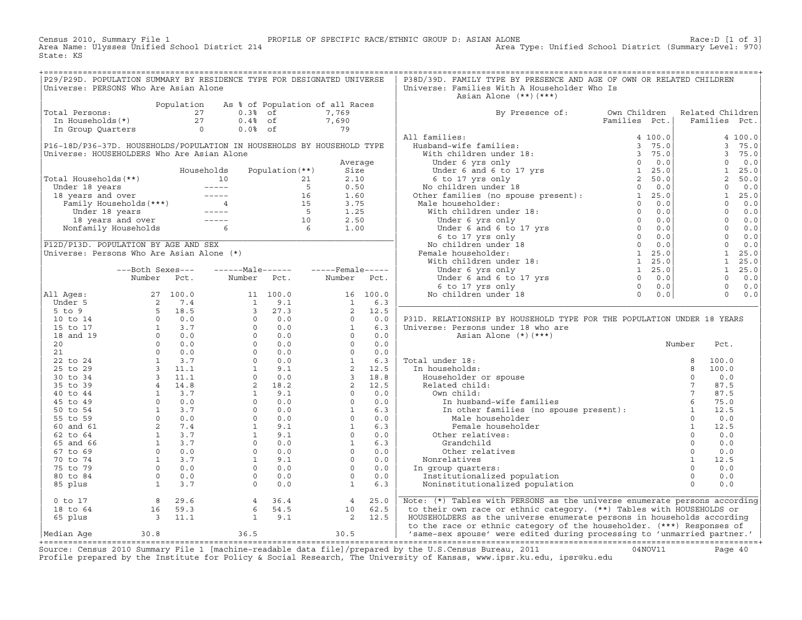Census 2010, Summary File 1 PROFILE OF SPECIFIC RACE/ETHNIC GROUP D: ASIAN ALONE Race:D [1 of 3] Area Type: Unified School District (Summary Level: 970) State: KS

+===================================================================================================================================================+|P29/P29D. POPULATION SUMMARY BY RESIDENCE TYPE FOR DESIGNATED UNIVERSE | P38D/39D. FAMILY TYPE BY PRESENCE AND AGE OF OWN OR RELATED CHILDREN<br>|Universe: PERSONS Who Are Asian Alone Universe: Families With A Householder Who Is Asian Alone  $(**)$   $(***)$ | Population As % of Population of all Races<br>
1 Total Persons: 27 0.3% of 7,769<br>
In Households(\*) 27 0.4% of 7,690<br>
In Group Quarters 0 0.0% of 79 |Total Persons:  $27$  0.3% of 7,769 | By Presence of: Own Children Related Children | In Households(\*) 27 0.4% of 7,690 | Families Pct.| Families Pct.| | In Group Quarters 0 0.0% of 79 | | | | All families:  $\qquad \qquad$  4 100.0| 4 100.0| 4 100.0| |P16−18D/P36−37D. HOUSEHOLDS/POPULATION IN HOUSEHOLDS BY HOUSEHOLD TYPE | Husband−wife families: 3 75.0| 3 75.0| |Universe: HOUSEHOLDERS Who Are Asian Alone | With children under 18: 3 75.0| 3 75.0| | Average | Under 6 yrs only 0 0.0| 0 0.0| | Households Population(\*\*) Size | Under 6 and 6 to 17 yrs 1 25.0| 1 25.0| |Total Households(\*\*) 10 21 2.10 | 6 to 17 yrs only 2 50.0| 2 50.0| | Under 18 years −−−−− 5 0.50 | No children under 18 0 0.0| 0 0.0| | 18 years and over −−−−− 16 1.60 | Other families (no spouse present): 1 25.0| 1 25.0| | Family Households(\*\*\*) 4 15 3.75 | Male householder: 0 0.0| 0 0.0| | Under 18 years −−−−− 5 1.25 | With children under 18: 0 0.0| 0 0.0| | 18 years and over −−−−− 10 2.50 | Under 6 yrs only 0 0.0| 0 0.0| | Nonfamily Households 6 6 1.00 | Under 6 and 6 to 17 yrs 0 0.0| 0 0.0| |\_\_\_\_\_\_\_\_\_\_\_\_\_\_\_\_\_\_\_\_\_\_\_\_\_\_\_\_\_\_\_\_\_\_\_\_\_\_\_\_\_\_\_\_\_\_\_\_\_\_\_\_\_\_\_\_\_\_\_\_\_\_\_\_\_\_\_\_\_\_\_\_| 6 to 17 yrs only 0 0.0| 0 0.0| |P12D/P13D. POPULATION BY AGE AND SEX | No children under 18 0 0.0| 0 0.0| 0 0.0| |Universe: Persons Who Are Asian Alone (\*) | Female householder: 1 25.0| 1 25.0| | | With children under 18: 1 25.0| 1 25.0| | −−−Both Sexes−−− −−−−−−Male−−−−−− −−−−−Female−−−−− | Under 6 yrs only 1 25.0| 1 25.0| | Number Pct. Number Pct. Number Pct. | Under 6 and 6 to 17 yrs 0 0.0| 0 0.0| | | 6 to 17 yrs only 0 0.0| 0 0.0| |All Ages: 27 100.0 11 100.0 16 100.0 | No children under 18 0 0.0| 0 0.0| | Under 5 2 7.4 1 9.1 1 6.3 |\_\_\_\_\_\_\_\_\_\_\_\_\_\_\_\_\_\_\_\_\_\_\_\_\_\_\_\_\_\_\_\_\_\_\_\_\_\_\_\_\_\_\_\_\_\_\_\_\_\_\_\_\_\_\_\_\_\_\_\_\_\_\_\_\_\_\_\_\_\_\_\_\_\_| | 5 to 9 5 18.5 3 27.3 2 12.5 | | | 10 to 14 0 0.0 0 0.0 0 0.0 | P31D. RELATIONSHIP BY HOUSEHOLD TYPE FOR THE POPULATION UNDER 18 YEARS | | 15 to 17  $1$  3.7  $0$  0.0  $1$  6.3 | Universe: Persons under 18 who are | 18 and 19 0 0.0 0 0.0 0 0.0 | Asian Alone (\*)(\*\*\*) | | 20 0 0.0 0 0.0 0 0.0 0 0.0 | 0 0.0 | 0 0.0 | 0 0.0 | 0 0.0 | 0 0.0 | 0 0.0 | 0 0.0 | 0 0.0 | 0 0.0 | 0 0.0 | 0 0.0 | 0 0.0 | 0 0.0 | 0 0.0 | 0 0.0 | 0 0.0 | 0 0.0 | 0 0.0 | 0 0.0 | 0 0.0 | 0 0.0 | 0 0.0 | 0 0.0 | 0 0.0 |  $\begin{array}{ccccccccccc} & 21 & & & 0 & 0.0 & & & 0 & 0.0 & & & & 0.0 & & & & & & \ & & & & 21 & & & & & 0 & 0.0 & & & & & & & \ & & & & & & & & & & & & & & & & \end{array}$ | 22 to 24 1 3.7 0 0.0 1 6.3 | Total under 18: 8 100.0 | | 25 to 29 3 11.1 1 9.1 2 12.5 | In households: 8 100.0 | | 30 to 34 3 11.1 0 0.0 3 18.8 | Householder or spouse 0 0.0 | | 35 to 39 4 14.8 2 18.2 2 12.5 | Related child: 7 87.5 | | 40 to 44 1 3.7 1 9.1 0 0.0 | Own child: 7 87.5 | | 45 to 49 0 0.0 0 0.0 0 0.0 | In husband−wife families 6 75.0 | | 50 to 54 1 3.7 0 0.0 1 6.3 | In other families (no spouse present): 1 12.5 | | 55 to 59 0 0.0 0 0.0 0 0.0 | Male householder 0 0.0 | | 60 and 61 2 7.4 1 9.1 1 6.3 | Female householder 1 12.5 | | 62 to 64 1 3.7 1 9.1 0 0.0 | Other relatives: 0 0.0 | | 65 and 66 1 3.7 0 0.0 1 6.3 | Grandchild 0 0.0 | | 67 to 69 0 0.0 0 0.0 0 0.0 | Other relatives 0 0.0 | | 70 to 74 1 3.7 1 9.1 0 0.0 | Nonrelatives 1 12.5 | | 75 to 79 0 0.0 0 0.0 0 0.0 | In group quarters: 0 0.0 | | 80 to 84 0 0.0 0 0.0 0 0.0 | Institutionalized population 0 0.0 | | 85 plus 1 3.7 0 0.0 1 6.3 | Noninstitutionalized population 0 0.0 | | |\_\_\_\_\_\_\_\_\_\_\_\_\_\_\_\_\_\_\_\_\_\_\_\_\_\_\_\_\_\_\_\_\_\_\_\_\_\_\_\_\_\_\_\_\_\_\_\_\_\_\_\_\_\_\_\_\_\_\_\_\_\_\_\_\_\_\_\_\_\_\_\_\_\_|  $\begin{array}{|l|} \hline \begin{array}{c} 0 \text{ to } 17 \end{array} \end{array} \hspace{1.2cm} \text{8} \hspace{1.2cm} \begin{array}{c} 29.6 \end{array} \hspace{1.2cm} \text{4} \hspace{1.2cm} \begin{array}{c} 36.4 \end{array} \end{array} \hspace{1.2cm} \text{9} \hspace{1.2cm} \begin{array}{c} 4 \hspace{1.2cm} \end{array} \begin{array}{c} 25.0 \end{array} \hspace{1.2cm} \begin{array}{c} \hline \text{Note: (*) Tables with PERSONS as the$ | 18 to 64 16 59.3 6 54.5 10 62.5 | to their own race or ethnic category. (\*\*) Tables with HOUSEHOLDS or |  $|$  65 plus  $|$  3  $|$  11.1  $|$  9.1  $|$  2 12.5  $|$  HOUSEHOLDERS as the universe enumerate persons in households according | to the race or ethnic category of the householder. (\*\*\*) Responses of

|Median Age 30.8 36.5 30.5 | 'same−sex spouse' were edited during processing to 'unmarried partner.' | +===================================================================================================================================================+ Source: Census 2010 Summary File 1 [machine−readable data file]/prepared by the U.S.Census Bureau, 2011 04NOV11 Page 40 Profile prepared by the Institute for Policy & Social Research, The University of Kansas, www.ipsr.ku.edu, ipsr@ku.edu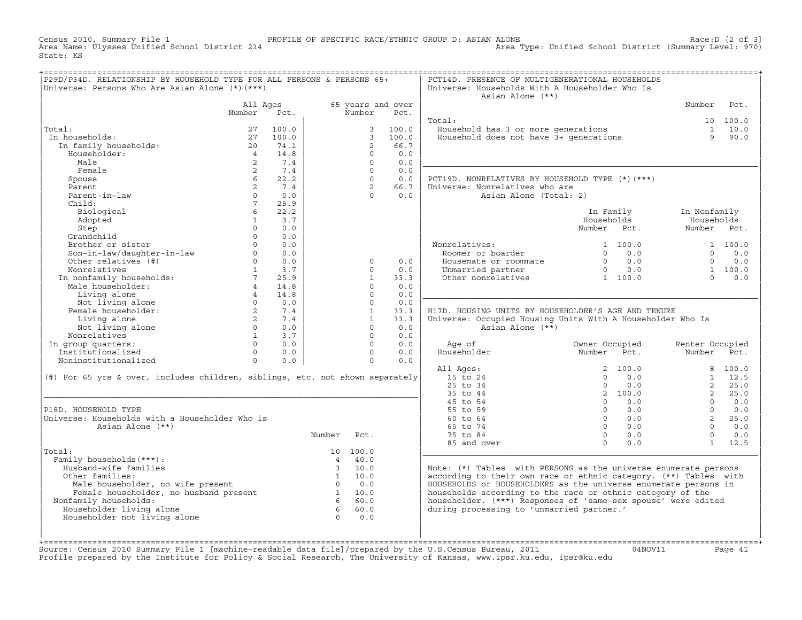Census 2010, Summary File 1 PROFILE OF SPECIFIC RACE/ETHNIC GROUP D: ASIAN ALONE Race:D [2 of 3] Area Type: Unified School District (Summary Level: 970) State: KS

| P29D/P34D. RELATIONSHIP BY HOUSEHOLD TYPE FOR ALL PERSONS & PERSONS 65+<br>Universe: Persons Who Are Asian Alone (*) (***)                                                                                                     |                |           |                |                |                   | PCT14D. PRESENCE OF MULTIGENERATIONAL HOUSEHOLDS<br>Universe: Households With A Householder Who Is<br>Asian Alone (**) |                 |                 |            |
|--------------------------------------------------------------------------------------------------------------------------------------------------------------------------------------------------------------------------------|----------------|-----------|----------------|----------------|-------------------|------------------------------------------------------------------------------------------------------------------------|-----------------|-----------------|------------|
|                                                                                                                                                                                                                                | All Ages       |           |                |                | 65 years and over |                                                                                                                        |                 | Number          | Pct.       |
|                                                                                                                                                                                                                                | Number         | Pct.      |                | Number         | Pct.              |                                                                                                                        |                 |                 |            |
|                                                                                                                                                                                                                                |                |           |                |                |                   | Total:                                                                                                                 |                 |                 | 10 100.0   |
| Total:                                                                                                                                                                                                                         | 27             | 100.0     |                | $\mathcal{E}$  | 100.0             | Household has 3 or more generations<br>Household does not have 3+ generations                                          |                 |                 | 1 10.0     |
| In households:                                                                                                                                                                                                                 | 27             | 100.0     |                | $\overline{3}$ | 100.0             |                                                                                                                        |                 | $\mathsf{Q}$    | 90.0       |
| In family households:                                                                                                                                                                                                          | 20             | 74.1      |                | 2              | 66.7              |                                                                                                                        |                 |                 |            |
| Householder:                                                                                                                                                                                                                   | $\overline{4}$ | 14.8      |                | $\circ$        | 0.0               |                                                                                                                        |                 |                 |            |
| Male                                                                                                                                                                                                                           | 2              | 7.4       |                | $\Omega$       | 0.0               |                                                                                                                        |                 |                 |            |
| Female                                                                                                                                                                                                                         | 2              | 7.4       |                | $\Omega$       | 0.0               |                                                                                                                        |                 |                 |            |
| Spouse                                                                                                                                                                                                                         | 6 <sup>1</sup> | 22.2      |                | $\Omega$       | 0.0               | PCT19D. NONRELATIVES BY HOUSEHOLD TYPE (*)(***)                                                                        |                 |                 |            |
| Parent                                                                                                                                                                                                                         | $2^{\circ}$    | 7.4       |                | $2^{\circ}$    | 66.7              | Universe: Nonrelatives who are                                                                                         |                 |                 |            |
| Parent-in-law                                                                                                                                                                                                                  | $\Omega$       | 0.0       |                | $\Omega$       | 0.0               | Asian Alone (Total: 2)                                                                                                 |                 |                 |            |
| Child:                                                                                                                                                                                                                         | $7^{\circ}$    | 25.9      |                |                |                   |                                                                                                                        |                 |                 |            |
| Biological                                                                                                                                                                                                                     | 6 <sup>1</sup> | 22.2      |                |                |                   |                                                                                                                        | In Family       | In Nonfamily    |            |
| Adopted                                                                                                                                                                                                                        | 1              | 3.7       |                |                |                   |                                                                                                                        | Households      | Households      |            |
| Step                                                                                                                                                                                                                           | $\Omega$       | 0.0       |                |                |                   |                                                                                                                        | Number Pct.     | Number Pct.     |            |
| Grandchild                                                                                                                                                                                                                     | $\Omega$       | 0.0       |                |                |                   |                                                                                                                        |                 |                 |            |
| Brother or sister<br>Brother or sister<br>Son-in-law/daughter-in-law<br>Other relatives (#)                                                                                                                                    | $\Omega$       | 0.0       |                |                |                   | Nonrelatives:                                                                                                          | 1 100.0         |                 | 1 100.0    |
|                                                                                                                                                                                                                                | $\Omega$       | 0.0       |                |                |                   | Roomer or boarder                                                                                                      | $0 \t 0.0$      | $\Omega$        | 0.0        |
|                                                                                                                                                                                                                                | $\Omega$       | 0.0       |                | $\circ$        | 0.0               |                                                                                                                        |                 | $\Omega$        | 0.0        |
| Nonrelatives                                                                                                                                                                                                                   |                | $1 \t3.7$ |                | $\Omega$       | 0.0               |                                                                                                                        |                 |                 | 1, 100, 0  |
| In nonfamily households:<br>Male householder:<br>4<br>Living alone                                                                                                                                                             |                | 25.9      |                | $\mathbf{1}$   | 33.3              | Housemate or roommate $\begin{array}{cccc} 0 & 0.0 \\ 0 & 0.0 \\ 0 & 0.0 \\ 0 & 0.0 \\ 1 & 100.0 \\ \end{array}$       |                 | $\cap$          | 0.0        |
|                                                                                                                                                                                                                                |                | 14.8      |                | $\Omega$       | 0.0               |                                                                                                                        |                 |                 |            |
| Living alone                                                                                                                                                                                                                   | $\overline{4}$ | 14.8      |                | $\Omega$       | 0.0               |                                                                                                                        |                 |                 |            |
| Living alone<br>Not living alone<br>emale householder:                                                                                                                                                                         | $\Omega$       | 0.0       |                | $\Omega$       | 0.0               |                                                                                                                        |                 |                 |            |
| Female householder:                                                                                                                                                                                                            | $2^{\circ}$    | 7.4       |                | $\mathbf{1}$   | 33.3              | H17D. HOUSING UNITS BY HOUSEHOLDER'S AGE AND TENURE                                                                    |                 |                 |            |
| Living alone                                                                                                                                                                                                                   | $2 \quad$      | 7.4       |                | $\mathbf{1}$   | 33.3              | Universe: Occupied Housing Units With A Householder Who Is                                                             |                 |                 |            |
| $\overline{\text{Not living alone}}$                                                                                                                                                                                           | $\Omega$       | 0.0       |                | $\Omega$       | 0.0               | Asian Alone (**)                                                                                                       |                 |                 |            |
| Nonrelatives                                                                                                                                                                                                                   | 1              | 3.7       |                | $\Omega$       | 0.0               |                                                                                                                        |                 |                 |            |
| In group quarters:                                                                                                                                                                                                             | $\Omega$       | 0.0       |                | $\Omega$       | 0.0               | Age of                                                                                                                 | Owner Occupied  | Renter Occupied |            |
| Institutionalized                                                                                                                                                                                                              | $\Omega$       | 0.0       |                | $\Omega$       | 0.0               | Householder                                                                                                            | Number<br>Pct.  | Number Pct.     |            |
| Noninstitutionalized                                                                                                                                                                                                           | $\Omega$       | 0.0       |                | $\Omega$       | 0.0               |                                                                                                                        |                 |                 |            |
|                                                                                                                                                                                                                                |                |           |                |                |                   | All Ages:                                                                                                              | 2, 100.0        |                 | 8 100.0    |
| (#) For 65 yrs & over, includes children, siblings, etc. not shown separately                                                                                                                                                  |                |           |                |                |                   | 15 to 24                                                                                                               | $\Omega$<br>0.0 |                 | $1 \t12.5$ |
|                                                                                                                                                                                                                                |                |           |                |                |                   | $25$ to $34$                                                                                                           | $\Omega$<br>0.0 | $\overline{2}$  | 25.0       |
|                                                                                                                                                                                                                                |                |           |                |                |                   | 35 to 44                                                                                                               | 2, 100.0        | $2^{\circ}$     | 25.0       |
|                                                                                                                                                                                                                                |                |           |                |                |                   | 45 to 54                                                                                                               | $\Omega$<br>0.0 | $\cap$          | 0.0        |
| P18D. HOUSEHOLD TYPE                                                                                                                                                                                                           |                |           |                |                |                   | 55 to 59                                                                                                               | $\Omega$<br>0.0 | $\Omega$        | 0.0        |
| Universe: Households with a Householder Who is                                                                                                                                                                                 |                |           |                |                |                   | 60 to 64                                                                                                               | $\Omega$<br>0.0 | $2^{\circ}$     | 25.0       |
| Asian Alone (**)                                                                                                                                                                                                               |                |           |                |                |                   | 65 to 74                                                                                                               | $\Omega$<br>0.0 | $\Omega$        | 0.0        |
|                                                                                                                                                                                                                                |                |           | Number         | Pct.           |                   | 75 to 84                                                                                                               | $\circ$<br>0.0  | $\Omega$        | 0.0        |
|                                                                                                                                                                                                                                |                |           |                |                |                   | 85 and over                                                                                                            | $\Omega$<br>0.0 | $1 \quad$       | 12.5       |
| Total:                                                                                                                                                                                                                         |                |           |                | 10, 100, 0     |                   |                                                                                                                        |                 |                 |            |
| Family households (***) :                                                                                                                                                                                                      |                |           | $\overline{4}$ | 40.0           |                   |                                                                                                                        |                 |                 |            |
| Husband-wife families                                                                                                                                                                                                          |                |           | $\overline{3}$ | 30.0           |                   | Note: (*) Tables with PERSONS as the universe enumerate persons                                                        |                 |                 |            |
| Other families:                                                                                                                                                                                                                |                |           |                | $1 \quad 10.0$ |                   | according to their own race or ethnic category. (**) Tables with                                                       |                 |                 |            |
| Male householder, no wife present                                                                                                                                                                                              |                |           |                |                |                   | HOUSEHOLDS or HOUSEHOLDERS as the universe enumerate persons in                                                        |                 |                 |            |
| Male householder, no wife present that the contract of the contract of the contract of the contract of the contract of the contract of the contract of the contract of the contract of the contract of the contract of the con |                |           |                |                |                   | households according to the race or ethnic category of the                                                             |                 |                 |            |
| Nonfamily households:                                                                                                                                                                                                          |                |           | 6 <sup>6</sup> | 60.0           |                   | householder. (***) Responses of 'same-sex spouse' were edited                                                          |                 |                 |            |
| Householder living alone                                                                                                                                                                                                       |                |           | 6              | 60.0           |                   | during processing to 'unmarried partner.'                                                                              |                 |                 |            |
| Householder not living alone                                                                                                                                                                                                   |                |           | $\Omega$       | 0.0            |                   |                                                                                                                        |                 |                 |            |
|                                                                                                                                                                                                                                |                |           |                |                |                   |                                                                                                                        |                 |                 |            |
|                                                                                                                                                                                                                                |                |           |                |                |                   |                                                                                                                        |                 |                 |            |

+===================================================================================================================================================+Source: Census 2010 Summary File 1 [machine−readable data file]/prepared by the U.S.Census Bureau, 2011 04NOV11 Page 41 Profile prepared by the Institute for Policy & Social Research, The University of Kansas, www.ipsr.ku.edu, ipsr@ku.edu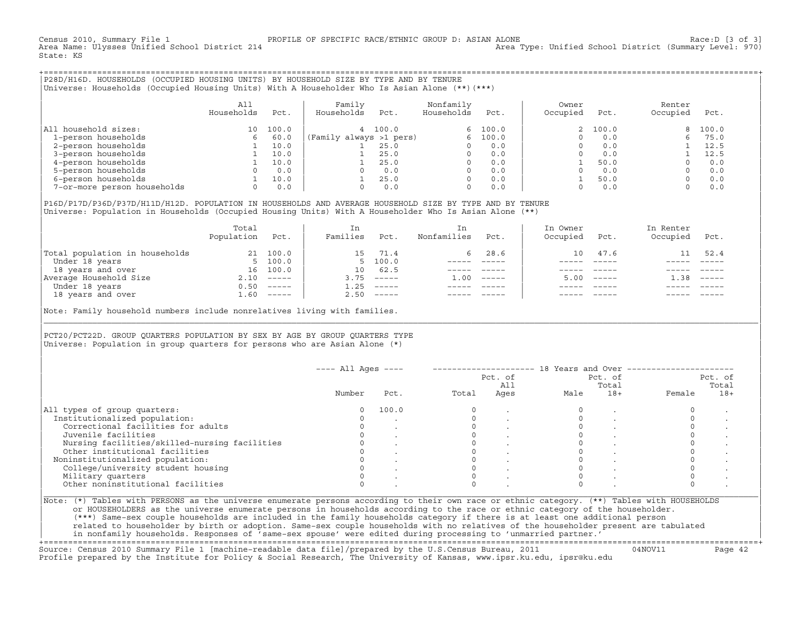Census 2010, Summary File 1 PROFILE OF SPECIFIC RACE/ETHNIC GROUP D: ASIAN ALONE Race:D [3 of 3] Area Type: Unified School District (Summary Level: 970) State: KS

+===================================================================================================================================================+|P28D/H16D. HOUSEHOLDS (OCCUPIED HOUSING UNITS) BY HOUSEHOLD SIZE BY TYPE AND BY TENURE | |Universe: Households (Occupied Housing Units) With A Householder Who Is Asian Alone (\*\*)(\*\*\*) |

|                             | All<br>Households | Pct.  | Family<br>Households<br>Pct. | Nonfamily<br>Households | Pct.    | Owner<br>Occupied | Pct.     | Renter<br>Occupied | Pct.  |  |
|-----------------------------|-------------------|-------|------------------------------|-------------------------|---------|-------------------|----------|--------------------|-------|--|
| All household sizes:        | 10                | 100.0 | 4 100.0                      |                         | 6 100.0 |                   | 2, 100.0 |                    | 100.0 |  |
| 1-person households         |                   | 60.0  | (Family always >1 pers)      |                         | 100.0   |                   | 0.0      |                    | 75.0  |  |
| 2-person households         |                   | 10.0  | 25.0                         |                         | 0.0     |                   | 0.0      |                    | 12.5  |  |
| 3-person households         |                   | 10.0  | 25.0                         |                         | 0.0     |                   | 0.0      |                    | 12.5  |  |
| 4-person households         |                   | 10.0  | 25.0                         |                         | 0.0     |                   | 50.0     |                    | 0.0   |  |
| 5-person households         |                   | 0.0   | 0.0                          |                         | 0.0     |                   | 0.0      |                    | 0.0   |  |
| 6-person households         |                   | 10.0  | 25.0                         |                         | 0.0     |                   | 50.0     |                    | 0.0   |  |
| 7-or-more person households |                   | 0.0   | 0.0                          |                         | 0.0     |                   | 0.0      |                    | 0.0   |  |

| | |P16D/P17D/P36D/P37D/H11D/H12D. POPULATION IN HOUSEHOLDS AND AVERAGE HOUSEHOLD SIZE BY TYPE AND BY TENURE | |Universe: Population in Households (Occupied Housing Units) With A Householder Who Is Asian Alone (\*\*) |

|                                | Total<br>Population | Pct.                      | In<br>Families | Pct.                                                                                                                                                                                                                                                                                                                                                                                                                                                                                 | In.<br>Nonfamilies | Pct.     | In Owner<br>Occupied | Pct.          | In Renter<br>Occupied | Pct.     |  |
|--------------------------------|---------------------|---------------------------|----------------|--------------------------------------------------------------------------------------------------------------------------------------------------------------------------------------------------------------------------------------------------------------------------------------------------------------------------------------------------------------------------------------------------------------------------------------------------------------------------------------|--------------------|----------|----------------------|---------------|-----------------------|----------|--|
| Total population in households | 21                  | 100.0                     |                | 15 71.4                                                                                                                                                                                                                                                                                                                                                                                                                                                                              | 6.                 | 28.6     | 10                   | 47.6          |                       | 52.4     |  |
| Under 18 years                 |                     | 5, 100.0                  |                | 5, 100.0                                                                                                                                                                                                                                                                                                                                                                                                                                                                             |                    |          |                      |               |                       |          |  |
| 18 years and over              | 16                  | 100.0                     | $10^{-}$       | 62.5                                                                                                                                                                                                                                                                                                                                                                                                                                                                                 |                    |          |                      |               |                       |          |  |
| Average Household Size         | 2.10                |                           | 3.75           | $------$                                                                                                                                                                                                                                                                                                                                                                                                                                                                             | 1.00               | $------$ | 5.00                 | $- - - - - -$ | 38                    | $------$ |  |
| Under 18 years                 | 0.50                | $\qquad \qquad - - - - -$ | 1.25           | $------$                                                                                                                                                                                                                                                                                                                                                                                                                                                                             |                    |          |                      |               |                       |          |  |
| 18 years and over              | 1.60                |                           | 2.50           | $\begin{tabular}{cccccc} \multicolumn{2}{c}{} & \multicolumn{2}{c}{} & \multicolumn{2}{c}{} & \multicolumn{2}{c}{} & \multicolumn{2}{c}{} & \multicolumn{2}{c}{} & \multicolumn{2}{c}{} & \multicolumn{2}{c}{} & \multicolumn{2}{c}{} & \multicolumn{2}{c}{} & \multicolumn{2}{c}{} & \multicolumn{2}{c}{} & \multicolumn{2}{c}{} & \multicolumn{2}{c}{} & \multicolumn{2}{c}{} & \multicolumn{2}{c}{} & \multicolumn{2}{c}{} & \multicolumn{2}{c}{} & \multicolumn{2}{c}{} & \mult$ |                    |          |                      |               |                       | $------$ |  |
|                                |                     |                           |                |                                                                                                                                                                                                                                                                                                                                                                                                                                                                                      |                    |          |                      |               |                       |          |  |

Note: Family household numbers include nonrelatives living with families.

## | | PCT20/PCT22D. GROUP OUARTERS POPULATION BY SEX BY AGE BY GROUP OUARTERS TYPE Universe: Population in group quarters for persons who are Asian Alone  $(*)$

|                                               | $---$ All Ages $---$ |       |       | Pct. of<br>All | 18 Years and Over -- | Pct. of<br>Total |        | Pct. of<br>Total |
|-----------------------------------------------|----------------------|-------|-------|----------------|----------------------|------------------|--------|------------------|
|                                               | Number               | Pct.  | Total | Ages           | Male                 | $18+$            | Female | $18+$            |
| All types of group quarters:                  |                      | 100.0 |       |                |                      |                  |        |                  |
| Institutionalized population:                 |                      |       |       |                |                      |                  |        |                  |
| Correctional facilities for adults            |                      |       |       |                |                      |                  |        |                  |
| Juvenile facilities                           |                      |       |       |                |                      |                  |        |                  |
| Nursing facilities/skilled-nursing facilities |                      |       |       |                |                      |                  |        |                  |
| Other institutional facilities                |                      |       |       |                |                      |                  |        |                  |
| Noninstitutionalized population:              |                      |       |       |                |                      |                  |        |                  |
| College/university student housing            |                      |       |       |                |                      |                  |        |                  |
| Military quarters                             |                      |       |       |                |                      |                  |        |                  |
| Other noninstitutional facilities             |                      |       |       |                |                      |                  |        |                  |

|\_\_\_\_\_\_\_\_\_\_\_\_\_\_\_\_\_\_\_\_\_\_\_\_\_\_\_\_\_\_\_\_\_\_\_\_\_\_\_\_\_\_\_\_\_\_\_\_\_\_\_\_\_\_\_\_\_\_\_\_\_\_\_\_\_\_\_\_\_\_\_\_\_\_\_\_\_\_\_\_\_\_\_\_\_\_\_\_\_\_\_\_\_\_\_\_\_\_\_\_\_\_\_\_\_\_\_\_\_\_\_\_\_\_\_\_\_\_\_\_\_\_\_\_\_\_\_\_\_\_\_\_\_\_\_\_\_\_\_\_\_\_\_\_\_\_\_|

| |

|Note: (\*) Tables with PERSONS as the universe enumerate persons according to their own race or ethnic category. (\*\*) Tables with HOUSEHOLDS | or HOUSEHOLDERS as the universe enumerate persons in households according to the race or ethnic category of the householder. | (\*\*\*) Same−sex couple households are included in the family households category if there is at least one additional person | | related to householder by birth or adoption. Same−sex couple households with no relatives of the householder present are tabulated | | in nonfamily households. Responses of 'same−sex spouse' were edited during processing to 'unmarried partner.' |

+===================================================================================================================================================+ Source: Census 2010 Summary File 1 [machine−readable data file]/prepared by the U.S.Census Bureau, 2011 04NOV11 Page 42 Profile prepared by the Institute for Policy & Social Research, The University of Kansas, www.ipsr.ku.edu, ipsr@ku.edu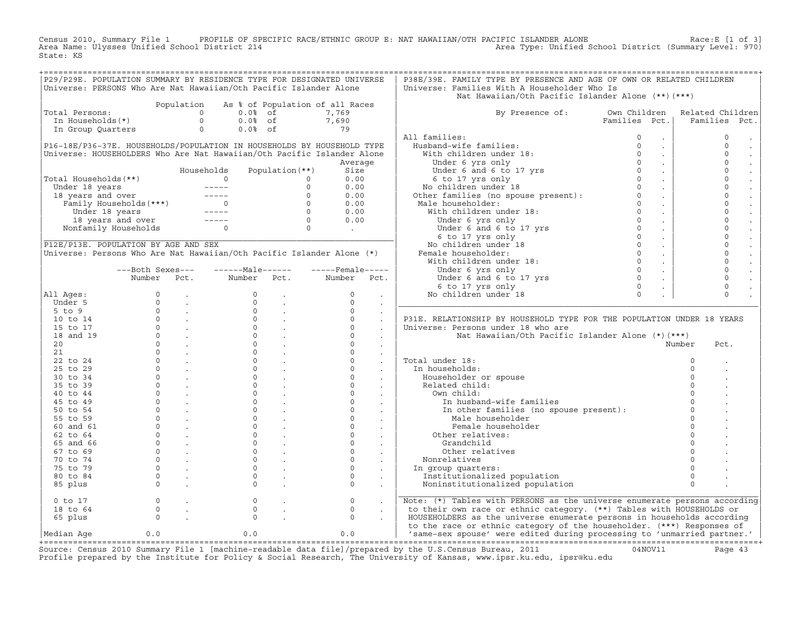Census 2010, Summary File 1 PROFILE OF SPECIFIC RACE/ETHNIC GROUP E: NAT HAWAIIAN/OTH PACIFIC ISLANDER ALONE Race:E [1 of 3]<br>Area Name: Ulysses Unified School District 214 State: KS

| P29/P29E. POPULATION SUMMARY BY RESIDENCE TYPE FOR DESIGNATED UNIVERSE<br>Universe: PERSONS Who Are Nat Hawaiian/Oth Pacific Islander Alone                                                                                                                                                                                                                                        |                                                                              |                                                       |                                            |                                             |                  |                           | P38E/39E. FAMILY TYPE BY PRESENCE AND AGE OF OWN OR RELATED CHILDREN<br>Universe: Families With A Householder Who Is                                                                                                                             |               |          |                     |
|------------------------------------------------------------------------------------------------------------------------------------------------------------------------------------------------------------------------------------------------------------------------------------------------------------------------------------------------------------------------------------|------------------------------------------------------------------------------|-------------------------------------------------------|--------------------------------------------|---------------------------------------------|------------------|---------------------------|--------------------------------------------------------------------------------------------------------------------------------------------------------------------------------------------------------------------------------------------------|---------------|----------|---------------------|
|                                                                                                                                                                                                                                                                                                                                                                                    |                                                                              |                                                       |                                            |                                             |                  |                           | Nat Hawaiian/Oth Pacific Islander Alone (**)(***)                                                                                                                                                                                                |               |          |                     |
|                                                                                                                                                                                                                                                                                                                                                                                    |                                                                              |                                                       | Population As % of Population of all Races |                                             |                  |                           |                                                                                                                                                                                                                                                  |               |          |                     |
| Total Persons:<br>otal Persons: $\begin{array}{ccc} 0 & 0.08 & -\text{if} \\ 0 & 0.08 & \text{if} \\ 0 & 0.08 & \text{if} \\ 0 & 0.08 & \text{if} \\ 0 & 0.08 & \text{if} \\ 0 & 0.08 & \text{if} \\ 0 & 0.08 & \text{if} \\ 0 & 0.08 & \text{if} \\ 0 & 0.08 & \text{if} \\ 0 & 0.08 & \text{if} \\ 0 & 0.08 & \text{if} \\ 0 & 0.08 & \text{if} \\ 0 & 0.08 & \text{if} \\ 0 & $ |                                                                              |                                                       |                                            |                                             | 7,769            |                           | By Presence of: Own Children Related Children                                                                                                                                                                                                    |               |          |                     |
|                                                                                                                                                                                                                                                                                                                                                                                    |                                                                              |                                                       |                                            |                                             |                  |                           |                                                                                                                                                                                                                                                  | Families Pct. |          | Families Pct.       |
|                                                                                                                                                                                                                                                                                                                                                                                    |                                                                              |                                                       |                                            | $0.0\% \text{ of}$<br>$0.0\% \text{ of}$ 79 |                  |                           |                                                                                                                                                                                                                                                  |               |          |                     |
|                                                                                                                                                                                                                                                                                                                                                                                    |                                                                              |                                                       |                                            |                                             |                  |                           | All families:                                                                                                                                                                                                                                    |               |          | $\mathbf{0}$        |
| P16-18E/P36-37E. HOUSEHOLDS/POPULATION IN HOUSEHOLDS BY HOUSEHOLD TYPE                                                                                                                                                                                                                                                                                                             |                                                                              |                                                       |                                            |                                             |                  |                           |                                                                                                                                                                                                                                                  |               |          | $\mathbf{0}$        |
| Universe: HOUSEHOLDERS Who Are Nat Hawaiian/Oth Pacific Islander Alone                                                                                                                                                                                                                                                                                                             |                                                                              |                                                       |                                            |                                             |                  |                           |                                                                                                                                                                                                                                                  |               |          | $\circ$             |
|                                                                                                                                                                                                                                                                                                                                                                                    |                                                                              |                                                       |                                            |                                             | Average          |                           |                                                                                                                                                                                                                                                  |               |          | $\mathsf{O}\xspace$ |
|                                                                                                                                                                                                                                                                                                                                                                                    |                                                                              |                                                       |                                            |                                             |                  |                           |                                                                                                                                                                                                                                                  |               |          | $\mathbf 0$         |
| Total Households(**)                                                                                                                                                                                                                                                                                                                                                               |                                                                              |                                                       |                                            |                                             |                  |                           |                                                                                                                                                                                                                                                  |               |          | $\mathbf 0$         |
|                                                                                                                                                                                                                                                                                                                                                                                    |                                                                              |                                                       |                                            |                                             |                  |                           |                                                                                                                                                                                                                                                  |               |          | $\mathbf{0}$        |
|                                                                                                                                                                                                                                                                                                                                                                                    |                                                                              |                                                       |                                            |                                             |                  |                           |                                                                                                                                                                                                                                                  |               |          | $\circ$             |
|                                                                                                                                                                                                                                                                                                                                                                                    |                                                                              |                                                       |                                            |                                             |                  |                           |                                                                                                                                                                                                                                                  |               |          | $\mathbf 0$         |
|                                                                                                                                                                                                                                                                                                                                                                                    |                                                                              |                                                       |                                            |                                             |                  |                           |                                                                                                                                                                                                                                                  |               |          | $\circ$             |
| 0 13 years 18 years 19 years (**)<br>Under 18 years (**)<br>18 years and over 18 years (**)<br>Under 18 years (**)<br>Under 18 years (**)<br>Under 18 years (**)<br>Under 18 years (**)<br>18 years and over 18 years (**)<br>18 years and ove                                                                                                                                     |                                                                              |                                                       |                                            |                                             |                  |                           |                                                                                                                                                                                                                                                  |               |          | $\circ$             |
|                                                                                                                                                                                                                                                                                                                                                                                    |                                                                              |                                                       |                                            |                                             |                  |                           |                                                                                                                                                                                                                                                  |               |          | $\mathbf 0$         |
|                                                                                                                                                                                                                                                                                                                                                                                    |                                                                              |                                                       |                                            |                                             |                  |                           |                                                                                                                                                                                                                                                  |               |          | $\mathbf{0}$        |
|                                                                                                                                                                                                                                                                                                                                                                                    |                                                                              |                                                       |                                            |                                             |                  |                           |                                                                                                                                                                                                                                                  |               |          |                     |
| P12E/P13E. POPULATION BY AGE AND SEX                                                                                                                                                                                                                                                                                                                                               |                                                                              |                                                       |                                            |                                             |                  |                           |                                                                                                                                                                                                                                                  |               |          | $\mathbf 0$         |
| Universe: Persons Who Are Nat Hawaiian/Oth Pacific Islander Alone (*)                                                                                                                                                                                                                                                                                                              |                                                                              |                                                       |                                            |                                             |                  |                           |                                                                                                                                                                                                                                                  |               |          | $\mathsf{O}\xspace$ |
|                                                                                                                                                                                                                                                                                                                                                                                    |                                                                              |                                                       |                                            |                                             |                  |                           |                                                                                                                                                                                                                                                  |               |          | $\circ$             |
|                                                                                                                                                                                                                                                                                                                                                                                    |                                                                              |                                                       | ---Both Sexes--- -------Male------         |                                             | -----Female----- |                           |                                                                                                                                                                                                                                                  |               |          | $\mathbf 0$         |
|                                                                                                                                                                                                                                                                                                                                                                                    | Number Pct.                                                                  |                                                       | Number Pct. Number Pct.                    |                                             |                  |                           |                                                                                                                                                                                                                                                  |               |          | $\circ$             |
|                                                                                                                                                                                                                                                                                                                                                                                    |                                                                              |                                                       |                                            |                                             |                  |                           |                                                                                                                                                                                                                                                  |               |          | $\circ$             |
| All Ages:                                                                                                                                                                                                                                                                                                                                                                          |                                                                              |                                                       |                                            |                                             |                  |                           |                                                                                                                                                                                                                                                  |               |          | $\Omega$            |
|                                                                                                                                                                                                                                                                                                                                                                                    |                                                                              |                                                       |                                            |                                             |                  |                           |                                                                                                                                                                                                                                                  |               |          |                     |
|                                                                                                                                                                                                                                                                                                                                                                                    |                                                                              |                                                       |                                            |                                             |                  | $\sim$                    |                                                                                                                                                                                                                                                  |               |          |                     |
|                                                                                                                                                                                                                                                                                                                                                                                    |                                                                              |                                                       |                                            |                                             |                  | $\ddot{\phantom{a}}$      | All families:<br>Husband-wife families:<br>With children under 18:<br>Under 6 yrs only<br>Under 6 and 6 to 17 yrs<br>6 to 17 yrs only<br>No children under 18<br>Other families (no spouse present):<br>Near families (no spouse present):<br>Ma |               |          |                     |
|                                                                                                                                                                                                                                                                                                                                                                                    |                                                                              |                                                       |                                            |                                             |                  | $\ddot{\phantom{a}}$      | P31E. RELATIONSHIP BY HOUSEHOLD TYPE FOR THE POPULATION UNDER 18 YEARS                                                                                                                                                                           |               |          |                     |
|                                                                                                                                                                                                                                                                                                                                                                                    |                                                                              |                                                       |                                            |                                             |                  | $\sim$                    | Universe: Persons under 18 who are                                                                                                                                                                                                               |               |          |                     |
|                                                                                                                                                                                                                                                                                                                                                                                    |                                                                              |                                                       |                                            |                                             |                  |                           |                                                                                                                                                                                                                                                  |               |          |                     |
|                                                                                                                                                                                                                                                                                                                                                                                    |                                                                              |                                                       |                                            |                                             |                  |                           | Nat Hawaiian/Oth Pacific Islander Alone (*)(***)                                                                                                                                                                                                 |               | Number   | Pct.                |
|                                                                                                                                                                                                                                                                                                                                                                                    |                                                                              |                                                       |                                            |                                             |                  |                           |                                                                                                                                                                                                                                                  |               |          |                     |
|                                                                                                                                                                                                                                                                                                                                                                                    |                                                                              |                                                       |                                            |                                             |                  |                           | Total under 18:                                                                                                                                                                                                                                  |               | $\circ$  |                     |
|                                                                                                                                                                                                                                                                                                                                                                                    |                                                                              |                                                       |                                            |                                             |                  | $\ddot{\phantom{a}}$      |                                                                                                                                                                                                                                                  |               |          |                     |
|                                                                                                                                                                                                                                                                                                                                                                                    |                                                                              |                                                       |                                            |                                             |                  | $\sim$                    | In households:                                                                                                                                                                                                                                   |               | $\Omega$ |                     |
|                                                                                                                                                                                                                                                                                                                                                                                    |                                                                              |                                                       |                                            |                                             |                  | $\sim$                    | Householder or spouse                                                                                                                                                                                                                            |               | $\Omega$ |                     |
|                                                                                                                                                                                                                                                                                                                                                                                    |                                                                              |                                                       |                                            |                                             |                  | $\sim$ $-$                | Related child:                                                                                                                                                                                                                                   |               | $\Omega$ |                     |
|                                                                                                                                                                                                                                                                                                                                                                                    |                                                                              |                                                       |                                            |                                             |                  |                           | Own child:                                                                                                                                                                                                                                       |               | $\Omega$ |                     |
|                                                                                                                                                                                                                                                                                                                                                                                    |                                                                              |                                                       |                                            |                                             |                  |                           | In husband-wife families                                                                                                                                                                                                                         |               |          |                     |
|                                                                                                                                                                                                                                                                                                                                                                                    |                                                                              |                                                       |                                            |                                             | $\overline{0}$   |                           | In other families (no spouse present):                                                                                                                                                                                                           |               | $\Omega$ |                     |
|                                                                                                                                                                                                                                                                                                                                                                                    |                                                                              |                                                       |                                            |                                             | $\overline{0}$ . |                           | Male householder                                                                                                                                                                                                                                 |               |          |                     |
|                                                                                                                                                                                                                                                                                                                                                                                    |                                                                              |                                                       |                                            |                                             |                  | <b>Contract Contract</b>  | Female householder                                                                                                                                                                                                                               |               | $\Omega$ |                     |
|                                                                                                                                                                                                                                                                                                                                                                                    |                                                                              |                                                       |                                            |                                             |                  | $\sim$                    | Other relatives:                                                                                                                                                                                                                                 |               | $\Omega$ |                     |
|                                                                                                                                                                                                                                                                                                                                                                                    |                                                                              |                                                       |                                            |                                             |                  | $\mathbf{L}^{\text{max}}$ | Grandchild                                                                                                                                                                                                                                       |               |          |                     |
|                                                                                                                                                                                                                                                                                                                                                                                    |                                                                              |                                                       |                                            |                                             |                  |                           | Other relatives                                                                                                                                                                                                                                  |               |          |                     |
|                                                                                                                                                                                                                                                                                                                                                                                    |                                                                              |                                                       |                                            |                                             |                  |                           | Nonrelatives                                                                                                                                                                                                                                     |               |          |                     |
|                                                                                                                                                                                                                                                                                                                                                                                    |                                                                              |                                                       |                                            |                                             |                  |                           | In group quarters:                                                                                                                                                                                                                               |               | $\Omega$ |                     |
|                                                                                                                                                                                                                                                                                                                                                                                    |                                                                              |                                                       |                                            |                                             |                  | $\ddot{\phantom{0}}$      | Institutionalized population                                                                                                                                                                                                                     |               | $\Omega$ |                     |
|                                                                                                                                                                                                                                                                                                                                                                                    |                                                                              |                                                       |                                            |                                             |                  | $\sim$                    | Noninstitutionalized population                                                                                                                                                                                                                  |               | $\Omega$ |                     |
| 0 to 17                                                                                                                                                                                                                                                                                                                                                                            |                                                                              | $\begin{matrix} 0 & 0 \\ 0 & 0 \\ 0 & 0 \end{matrix}$ | $\circ$                                    |                                             | $\circ$          | $\sim$                    |                                                                                                                                                                                                                                                  |               |          |                     |
| 18 to 64                                                                                                                                                                                                                                                                                                                                                                           |                                                                              |                                                       | $\Omega$                                   |                                             | $\Omega$         |                           | Note: (*) Tables with PERSONS as the universe enumerate persons according                                                                                                                                                                        |               |          |                     |
| 65 plus                                                                                                                                                                                                                                                                                                                                                                            | $\begin{matrix} 0 & & \cdot \\ & & 0 \\ & & & \cdot \\ & & & 0 \end{matrix}$ |                                                       | $\Omega$                                   |                                             | $\Omega$         |                           | to their own race or ethnic category. (**) Tables with HOUSEHOLDS or<br>HOUSEHOLDERS as the universe enumerate persons in households according                                                                                                   |               |          |                     |
| Median Aqe                                                                                                                                                                                                                                                                                                                                                                         | 0.0                                                                          |                                                       | 0.0                                        |                                             | 0.0              |                           | to the race or ethnic category of the householder. (***) Responses of<br>'same-sex spouse' were edited during processing to 'unmarried partner.'                                                                                                 |               |          |                     |

Source: Census 2010 Summary File 1 [machine-readable data file]/prepared by the U.S.Census Bureau, 2011 Page 43<br>Profile prepared by the Institute for Policy & Social Research, The University of Kansas, www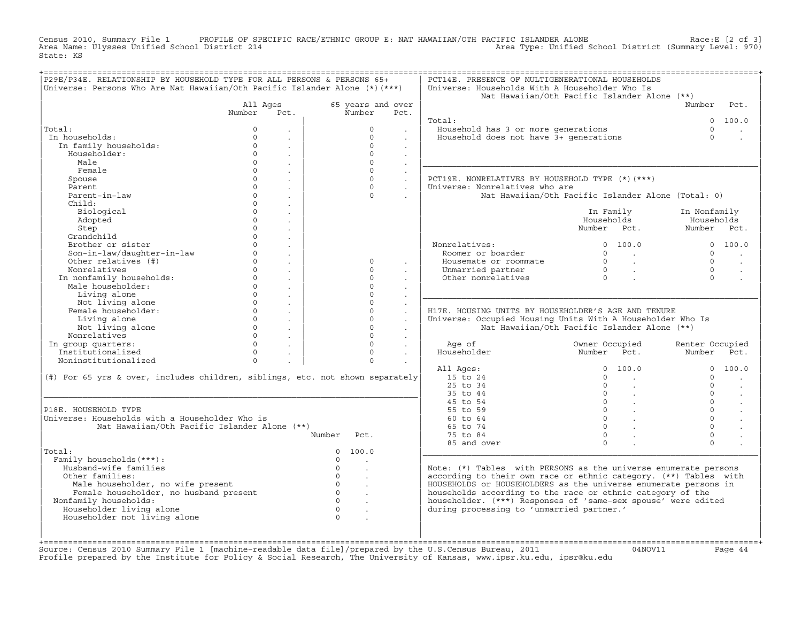Census 2010, Summary File 1 PROFILE OF SPECIFIC RACE/ETHNIC GROUP E: NAT HAWAIIAN/OTH PACIFIC ISLANDER ALONE<br>Area Name: Ulysses Unified School District 214 Area Type: Unified School Dist State: KS

| 65 years and over<br>Number<br>$\Omega$<br>$\Omega$<br>$\Omega$<br>$\Omega$<br>$\Omega$<br>$\Omega$<br>$\Omega$<br>$\Omega$<br>$\Omega$<br>$\Omega$<br>$\Omega$<br>$\Omega$<br>$\Omega$ | Pct.<br>$\sim$<br>$\sim$<br>$\ddot{\phantom{a}}$<br>$\sim$<br>$\sim$<br>$\ddot{\phantom{a}}$<br>$\sim$<br>$\sim$<br>$\sim$<br>$\mathbf{r}$                          | Total:<br>Household has 3 or more generations<br>Household does not have 3+ generations<br>PCT19E. NONRELATIVES BY HOUSEHOLD TYPE (*)(***)<br>Universe: Nonrelatives who are<br>Nonrelatives:<br>Roomer or boarder<br>Housemate or roommate<br>Unmarried partner<br>Other nonrelatives | Nat Hawaiian/Oth Pacific Islander Alone (**)<br>Nat Hawaiian/Oth Pacific Islander Alone (Total: 0)<br>In Family<br>Households<br>Number Pct.<br>0 100.0<br>$\begin{array}{ccc} 0 & & \cdot \end{array}$<br>$\begin{matrix} 0 & & \cdot \\ & & \cdot \\ & & & \cdot \\ 0 & & & \cdot \end{matrix}$ | Number<br>$\cap$<br>$\Omega$<br>In Nonfamily<br>Households<br>Number Pct.<br>$\cap$<br>$\Omega$<br>$\Omega$<br>$\Omega$ | Pct.<br>0 100.0<br>0 100.0                                                                                                                                                                                                                                                                                                              |
|-----------------------------------------------------------------------------------------------------------------------------------------------------------------------------------------|---------------------------------------------------------------------------------------------------------------------------------------------------------------------|----------------------------------------------------------------------------------------------------------------------------------------------------------------------------------------------------------------------------------------------------------------------------------------|---------------------------------------------------------------------------------------------------------------------------------------------------------------------------------------------------------------------------------------------------------------------------------------------------|-------------------------------------------------------------------------------------------------------------------------|-----------------------------------------------------------------------------------------------------------------------------------------------------------------------------------------------------------------------------------------------------------------------------------------------------------------------------------------|
|                                                                                                                                                                                         |                                                                                                                                                                     |                                                                                                                                                                                                                                                                                        |                                                                                                                                                                                                                                                                                                   |                                                                                                                         |                                                                                                                                                                                                                                                                                                                                         |
|                                                                                                                                                                                         |                                                                                                                                                                     |                                                                                                                                                                                                                                                                                        |                                                                                                                                                                                                                                                                                                   |                                                                                                                         |                                                                                                                                                                                                                                                                                                                                         |
|                                                                                                                                                                                         |                                                                                                                                                                     |                                                                                                                                                                                                                                                                                        |                                                                                                                                                                                                                                                                                                   |                                                                                                                         |                                                                                                                                                                                                                                                                                                                                         |
|                                                                                                                                                                                         |                                                                                                                                                                     |                                                                                                                                                                                                                                                                                        |                                                                                                                                                                                                                                                                                                   |                                                                                                                         |                                                                                                                                                                                                                                                                                                                                         |
|                                                                                                                                                                                         |                                                                                                                                                                     |                                                                                                                                                                                                                                                                                        |                                                                                                                                                                                                                                                                                                   |                                                                                                                         |                                                                                                                                                                                                                                                                                                                                         |
|                                                                                                                                                                                         |                                                                                                                                                                     |                                                                                                                                                                                                                                                                                        |                                                                                                                                                                                                                                                                                                   |                                                                                                                         |                                                                                                                                                                                                                                                                                                                                         |
|                                                                                                                                                                                         |                                                                                                                                                                     |                                                                                                                                                                                                                                                                                        |                                                                                                                                                                                                                                                                                                   |                                                                                                                         |                                                                                                                                                                                                                                                                                                                                         |
|                                                                                                                                                                                         |                                                                                                                                                                     |                                                                                                                                                                                                                                                                                        |                                                                                                                                                                                                                                                                                                   |                                                                                                                         |                                                                                                                                                                                                                                                                                                                                         |
|                                                                                                                                                                                         |                                                                                                                                                                     |                                                                                                                                                                                                                                                                                        |                                                                                                                                                                                                                                                                                                   |                                                                                                                         |                                                                                                                                                                                                                                                                                                                                         |
|                                                                                                                                                                                         |                                                                                                                                                                     |                                                                                                                                                                                                                                                                                        |                                                                                                                                                                                                                                                                                                   |                                                                                                                         |                                                                                                                                                                                                                                                                                                                                         |
|                                                                                                                                                                                         |                                                                                                                                                                     |                                                                                                                                                                                                                                                                                        |                                                                                                                                                                                                                                                                                                   |                                                                                                                         |                                                                                                                                                                                                                                                                                                                                         |
|                                                                                                                                                                                         |                                                                                                                                                                     |                                                                                                                                                                                                                                                                                        |                                                                                                                                                                                                                                                                                                   |                                                                                                                         |                                                                                                                                                                                                                                                                                                                                         |
|                                                                                                                                                                                         |                                                                                                                                                                     |                                                                                                                                                                                                                                                                                        |                                                                                                                                                                                                                                                                                                   |                                                                                                                         |                                                                                                                                                                                                                                                                                                                                         |
|                                                                                                                                                                                         |                                                                                                                                                                     |                                                                                                                                                                                                                                                                                        |                                                                                                                                                                                                                                                                                                   |                                                                                                                         |                                                                                                                                                                                                                                                                                                                                         |
|                                                                                                                                                                                         |                                                                                                                                                                     |                                                                                                                                                                                                                                                                                        |                                                                                                                                                                                                                                                                                                   |                                                                                                                         |                                                                                                                                                                                                                                                                                                                                         |
|                                                                                                                                                                                         |                                                                                                                                                                     |                                                                                                                                                                                                                                                                                        |                                                                                                                                                                                                                                                                                                   |                                                                                                                         |                                                                                                                                                                                                                                                                                                                                         |
|                                                                                                                                                                                         |                                                                                                                                                                     |                                                                                                                                                                                                                                                                                        |                                                                                                                                                                                                                                                                                                   |                                                                                                                         |                                                                                                                                                                                                                                                                                                                                         |
|                                                                                                                                                                                         |                                                                                                                                                                     |                                                                                                                                                                                                                                                                                        |                                                                                                                                                                                                                                                                                                   |                                                                                                                         |                                                                                                                                                                                                                                                                                                                                         |
|                                                                                                                                                                                         |                                                                                                                                                                     |                                                                                                                                                                                                                                                                                        |                                                                                                                                                                                                                                                                                                   |                                                                                                                         |                                                                                                                                                                                                                                                                                                                                         |
|                                                                                                                                                                                         |                                                                                                                                                                     |                                                                                                                                                                                                                                                                                        |                                                                                                                                                                                                                                                                                                   |                                                                                                                         | $\sim$                                                                                                                                                                                                                                                                                                                                  |
|                                                                                                                                                                                         |                                                                                                                                                                     |                                                                                                                                                                                                                                                                                        |                                                                                                                                                                                                                                                                                                   |                                                                                                                         |                                                                                                                                                                                                                                                                                                                                         |
|                                                                                                                                                                                         |                                                                                                                                                                     |                                                                                                                                                                                                                                                                                        |                                                                                                                                                                                                                                                                                                   |                                                                                                                         |                                                                                                                                                                                                                                                                                                                                         |
| $\Omega$                                                                                                                                                                                |                                                                                                                                                                     |                                                                                                                                                                                                                                                                                        |                                                                                                                                                                                                                                                                                                   |                                                                                                                         |                                                                                                                                                                                                                                                                                                                                         |
| $\Omega$                                                                                                                                                                                |                                                                                                                                                                     |                                                                                                                                                                                                                                                                                        |                                                                                                                                                                                                                                                                                                   |                                                                                                                         |                                                                                                                                                                                                                                                                                                                                         |
| $\Omega$                                                                                                                                                                                |                                                                                                                                                                     | H17E. HOUSING UNITS BY HOUSEHOLDER'S AGE AND TENURE                                                                                                                                                                                                                                    |                                                                                                                                                                                                                                                                                                   |                                                                                                                         |                                                                                                                                                                                                                                                                                                                                         |
| $\Omega$                                                                                                                                                                                | $\mathbf{r}$<br>$\ddot{\phantom{a}}$                                                                                                                                | Universe: Occupied Housing Units With A Householder Who Is                                                                                                                                                                                                                             |                                                                                                                                                                                                                                                                                                   |                                                                                                                         |                                                                                                                                                                                                                                                                                                                                         |
| $\Omega$                                                                                                                                                                                | $\sim$                                                                                                                                                              |                                                                                                                                                                                                                                                                                        | Nat Hawaiian/Oth Pacific Islander Alone (**)                                                                                                                                                                                                                                                      |                                                                                                                         |                                                                                                                                                                                                                                                                                                                                         |
| $\Omega$                                                                                                                                                                                | $\ddot{\phantom{0}}$                                                                                                                                                |                                                                                                                                                                                                                                                                                        |                                                                                                                                                                                                                                                                                                   |                                                                                                                         |                                                                                                                                                                                                                                                                                                                                         |
| $\Omega$                                                                                                                                                                                | $\sim$                                                                                                                                                              | Age of                                                                                                                                                                                                                                                                                 | Owner Occupied                                                                                                                                                                                                                                                                                    | Renter Occupied                                                                                                         |                                                                                                                                                                                                                                                                                                                                         |
| $\Omega$                                                                                                                                                                                | $\sim$                                                                                                                                                              | Householder                                                                                                                                                                                                                                                                            | Number Pct.                                                                                                                                                                                                                                                                                       | Number Pct.                                                                                                             |                                                                                                                                                                                                                                                                                                                                         |
| $\Omega$                                                                                                                                                                                |                                                                                                                                                                     |                                                                                                                                                                                                                                                                                        |                                                                                                                                                                                                                                                                                                   |                                                                                                                         |                                                                                                                                                                                                                                                                                                                                         |
|                                                                                                                                                                                         |                                                                                                                                                                     | All Ages:                                                                                                                                                                                                                                                                              | 0 100.0                                                                                                                                                                                                                                                                                           |                                                                                                                         | 0 100.0                                                                                                                                                                                                                                                                                                                                 |
| (#) For 65 yrs & over, includes children, siblings, etc. not shown separately                                                                                                           |                                                                                                                                                                     | 15 to 24                                                                                                                                                                                                                                                                               | $\Omega$<br><b>Contract Contract</b>                                                                                                                                                                                                                                                              | $\cap$                                                                                                                  |                                                                                                                                                                                                                                                                                                                                         |
|                                                                                                                                                                                         |                                                                                                                                                                     | 25 to 34                                                                                                                                                                                                                                                                               | $\Omega$                                                                                                                                                                                                                                                                                          | $\cap$                                                                                                                  |                                                                                                                                                                                                                                                                                                                                         |
|                                                                                                                                                                                         |                                                                                                                                                                     | 35 to 44                                                                                                                                                                                                                                                                               | $0 \qquad \qquad .$                                                                                                                                                                                                                                                                               | $\cap$                                                                                                                  | $\ddot{\phantom{a}}$                                                                                                                                                                                                                                                                                                                    |
|                                                                                                                                                                                         |                                                                                                                                                                     | 45 to 54                                                                                                                                                                                                                                                                               | $\begin{matrix} 0 & \cdots & \cdots \end{matrix}$                                                                                                                                                                                                                                                 | $\Omega$                                                                                                                | $\ddot{\phantom{a}}$                                                                                                                                                                                                                                                                                                                    |
|                                                                                                                                                                                         |                                                                                                                                                                     | 55 to 59                                                                                                                                                                                                                                                                               | $\begin{array}{ccc} & & & \\ & & & \end{array}$                                                                                                                                                                                                                                                   | $\Omega$                                                                                                                |                                                                                                                                                                                                                                                                                                                                         |
|                                                                                                                                                                                         |                                                                                                                                                                     | 60 to 64                                                                                                                                                                                                                                                                               | $0 \qquad \qquad .$                                                                                                                                                                                                                                                                               | $\Omega$                                                                                                                |                                                                                                                                                                                                                                                                                                                                         |
|                                                                                                                                                                                         |                                                                                                                                                                     | 65 to 74                                                                                                                                                                                                                                                                               | $0 \qquad \qquad$                                                                                                                                                                                                                                                                                 | $\Omega$                                                                                                                |                                                                                                                                                                                                                                                                                                                                         |
| Number<br>Pct.                                                                                                                                                                          |                                                                                                                                                                     | 75 to 84                                                                                                                                                                                                                                                                               | $\Omega$                                                                                                                                                                                                                                                                                          | $\Omega$                                                                                                                |                                                                                                                                                                                                                                                                                                                                         |
|                                                                                                                                                                                         |                                                                                                                                                                     | 85 and over                                                                                                                                                                                                                                                                            | $\Omega$                                                                                                                                                                                                                                                                                          | $\Omega$                                                                                                                |                                                                                                                                                                                                                                                                                                                                         |
| 100.0<br>$\Omega$                                                                                                                                                                       |                                                                                                                                                                     |                                                                                                                                                                                                                                                                                        |                                                                                                                                                                                                                                                                                                   |                                                                                                                         |                                                                                                                                                                                                                                                                                                                                         |
|                                                                                                                                                                                         |                                                                                                                                                                     |                                                                                                                                                                                                                                                                                        |                                                                                                                                                                                                                                                                                                   |                                                                                                                         |                                                                                                                                                                                                                                                                                                                                         |
| $\Omega$<br><b>Contract</b>                                                                                                                                                             |                                                                                                                                                                     |                                                                                                                                                                                                                                                                                        |                                                                                                                                                                                                                                                                                                   |                                                                                                                         |                                                                                                                                                                                                                                                                                                                                         |
| $\sim$                                                                                                                                                                                  |                                                                                                                                                                     |                                                                                                                                                                                                                                                                                        |                                                                                                                                                                                                                                                                                                   |                                                                                                                         |                                                                                                                                                                                                                                                                                                                                         |
|                                                                                                                                                                                         |                                                                                                                                                                     |                                                                                                                                                                                                                                                                                        |                                                                                                                                                                                                                                                                                                   |                                                                                                                         |                                                                                                                                                                                                                                                                                                                                         |
|                                                                                                                                                                                         |                                                                                                                                                                     |                                                                                                                                                                                                                                                                                        |                                                                                                                                                                                                                                                                                                   |                                                                                                                         |                                                                                                                                                                                                                                                                                                                                         |
|                                                                                                                                                                                         |                                                                                                                                                                     |                                                                                                                                                                                                                                                                                        |                                                                                                                                                                                                                                                                                                   |                                                                                                                         |                                                                                                                                                                                                                                                                                                                                         |
| $\sim$                                                                                                                                                                                  |                                                                                                                                                                     |                                                                                                                                                                                                                                                                                        |                                                                                                                                                                                                                                                                                                   |                                                                                                                         |                                                                                                                                                                                                                                                                                                                                         |
| $\mathcal{L}^{\mathcal{L}}$                                                                                                                                                             |                                                                                                                                                                     |                                                                                                                                                                                                                                                                                        |                                                                                                                                                                                                                                                                                                   |                                                                                                                         |                                                                                                                                                                                                                                                                                                                                         |
|                                                                                                                                                                                         |                                                                                                                                                                     |                                                                                                                                                                                                                                                                                        |                                                                                                                                                                                                                                                                                                   |                                                                                                                         |                                                                                                                                                                                                                                                                                                                                         |
|                                                                                                                                                                                         | $\circ$<br>$\begin{array}{ccccccc}\n0 & & & \end{array}$<br>$\begin{array}{ccc} & & & \\ & & & \end{array}$<br>$\begin{array}{ccc} & & 0 & \end{array}$<br>$\Omega$ |                                                                                                                                                                                                                                                                                        |                                                                                                                                                                                                                                                                                                   | $\Omega$<br>during processing to 'unmarried partner.'<br>$\overline{a}$                                                 | Note: $(*)$ Tables with PERSONS as the universe enumerate persons<br>according to their own race or ethnic category. (**) Tables with<br>HOUSEHOLDS or HOUSEHOLDERS as the universe enumerate persons in<br>households according to the race or ethnic category of the<br>householder. (***) Responses of 'same-sex spouse' were edited |

+===================================================================================================================================================+Source: Census 2010 Summary File 1 [machine−readable data file]/prepared by the U.S.Census Bureau, 2011 04NOV11 Page 44 Profile prepared by the Institute for Policy & Social Research, The University of Kansas, www.ipsr.ku.edu, ipsr@ku.edu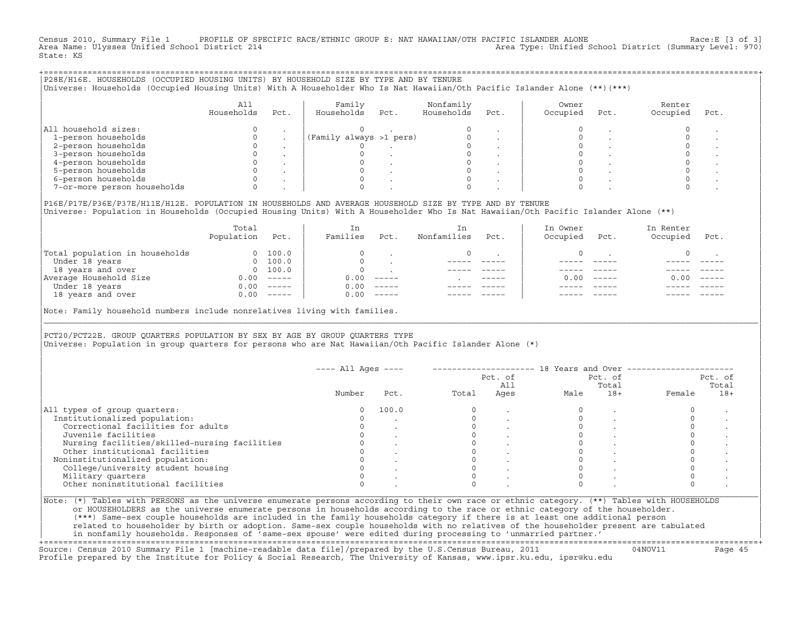Census 2010, Summary File 1 PROFILE OF SPECIFIC RACE/ETHNIC GROUP E: NAT HAWAIIAN/OTH PACIFIC ISLANDER ALONE Race:E [3 of 3]<br>Area Name: Ulysses Unified School District 214 Area Type: Unified School District (Summary Level: 970) State: KS

| P28E/H16E. HOUSEHOLDS (OCCUPIED HOUSING UNITS) BY HOUSEHOLD SIZE BY TYPE AND BY TENURE<br>Universe: Households (Occupied Housing Units) With A Householder Who Is Nat Hawaiian/Oth Pacific Islander Alone (**)(***) |                   |      |                         |      |                         |      |                   |      |                    |      |  |
|---------------------------------------------------------------------------------------------------------------------------------------------------------------------------------------------------------------------|-------------------|------|-------------------------|------|-------------------------|------|-------------------|------|--------------------|------|--|
|                                                                                                                                                                                                                     | All<br>Households | Pct. | Family<br>Households    | Pct. | Nonfamily<br>Households | Pct. | Owner<br>Occupied | Pct. | Renter<br>Occupied | Pct. |  |
| All household sizes:                                                                                                                                                                                                |                   |      |                         |      |                         |      |                   |      |                    |      |  |
| 1-person households                                                                                                                                                                                                 |                   |      | (Family always >1 pers) |      |                         |      |                   |      |                    |      |  |
| 2-person households                                                                                                                                                                                                 |                   |      |                         |      |                         |      |                   |      |                    |      |  |
| 3-person households                                                                                                                                                                                                 |                   |      |                         |      |                         |      |                   |      |                    |      |  |
| 4-person households                                                                                                                                                                                                 |                   |      |                         |      |                         |      |                   |      |                    |      |  |
| 5-person households                                                                                                                                                                                                 |                   |      |                         |      |                         |      |                   |      |                    |      |  |
| 6-person households                                                                                                                                                                                                 |                   |      |                         |      |                         |      |                   |      |                    |      |  |
| 7-or-more person households                                                                                                                                                                                         |                   |      |                         |      |                         |      |                   |      |                    |      |  |
|                                                                                                                                                                                                                     |                   |      |                         |      |                         |      |                   |      |                    |      |  |

|P16E/P17E/P36E/P37E/H11E/H12E. POPULATION IN HOUSEHOLDS AND AVERAGE HOUSEHOLD SIZE BY TYPE AND BY TENURE | |Universe: Population in Households (Occupied Housing Units) With A Householder Who Is Nat Hawaiian/Oth Pacific Islander Alone (\*\*) |

|                                | Total<br>Population | Pct.                                                                                                                                                                                                                                                                                                                                                                                                                                                                                 | In<br>Families | Pct.     | In.<br>Nonfamilies | Pct.          | In Owner<br>Occupied | Pct.          | In Renter<br>Occupied | Pct.     |  |
|--------------------------------|---------------------|--------------------------------------------------------------------------------------------------------------------------------------------------------------------------------------------------------------------------------------------------------------------------------------------------------------------------------------------------------------------------------------------------------------------------------------------------------------------------------------|----------------|----------|--------------------|---------------|----------------------|---------------|-----------------------|----------|--|
| Total population in households | $\Omega$            | 100.0                                                                                                                                                                                                                                                                                                                                                                                                                                                                                |                |          |                    |               |                      |               |                       |          |  |
| Under 18 years                 | $\Omega$            | 100.0                                                                                                                                                                                                                                                                                                                                                                                                                                                                                |                |          |                    |               |                      |               |                       |          |  |
| 18 years and over              |                     | 0 100.0                                                                                                                                                                                                                                                                                                                                                                                                                                                                              |                |          |                    |               |                      |               |                       |          |  |
| Average Household Size         | 0.00                | $------$                                                                                                                                                                                                                                                                                                                                                                                                                                                                             | 0.00           | $------$ |                    | $- - - - - -$ | 0. OO -              | $\frac{1}{2}$ | 0.00                  | $------$ |  |
| Under 18 years                 | 0.00                | $------$                                                                                                                                                                                                                                                                                                                                                                                                                                                                             | 0.00           | $------$ |                    |               |                      |               |                       |          |  |
| 18 years and over              | 0.00                | $\begin{tabular}{cccccc} \multicolumn{2}{c}{} & \multicolumn{2}{c}{} & \multicolumn{2}{c}{} & \multicolumn{2}{c}{} & \multicolumn{2}{c}{} & \multicolumn{2}{c}{} & \multicolumn{2}{c}{} & \multicolumn{2}{c}{} & \multicolumn{2}{c}{} & \multicolumn{2}{c}{} & \multicolumn{2}{c}{} & \multicolumn{2}{c}{} & \multicolumn{2}{c}{} & \multicolumn{2}{c}{} & \multicolumn{2}{c}{} & \multicolumn{2}{c}{} & \multicolumn{2}{c}{} & \multicolumn{2}{c}{} & \multicolumn{2}{c}{} & \mult$ | 0.00           | $------$ |                    |               |                      |               |                       | ------   |  |
|                                |                     |                                                                                                                                                                                                                                                                                                                                                                                                                                                                                      |                |          |                    |               |                      |               |                       |          |  |

|Note: Family household numbers include nonrelatives living with families. |

| | PCT20/PCT22E. GROUP OUARTERS POPULATION BY SEX BY AGE BY GROUP OUARTERS TYPE |Universe: Population in group quarters for persons who are Nat Hawaiian/Oth Pacific Islander Alone (\*) |

|                                               |        |       |       | Pct. of<br>All |      | Pct. of<br>Total |        | Pct. of<br>Total |
|-----------------------------------------------|--------|-------|-------|----------------|------|------------------|--------|------------------|
|                                               | Number | Pct.  | Total | Ages           | Male | $18+$            | Female | $18+$            |
| All types of group quarters:                  |        | 100.0 |       |                |      |                  |        |                  |
| Institutionalized population:                 |        |       |       |                |      |                  |        |                  |
| Correctional facilities for adults            |        |       |       |                |      |                  |        |                  |
| Juvenile facilities                           |        |       |       |                |      |                  |        |                  |
| Nursing facilities/skilled-nursing facilities |        |       |       |                |      |                  |        |                  |
| Other institutional facilities                |        |       |       |                |      |                  |        |                  |
| Noninstitutionalized population:              |        |       |       |                |      |                  |        |                  |
| College/university student housing            |        |       |       |                |      |                  |        |                  |
| Military quarters                             |        |       |       |                |      |                  |        |                  |
| Other noninstitutional facilities             |        |       |       |                |      |                  |        |                  |

|\_\_\_\_\_\_\_\_\_\_\_\_\_\_\_\_\_\_\_\_\_\_\_\_\_\_\_\_\_\_\_\_\_\_\_\_\_\_\_\_\_\_\_\_\_\_\_\_\_\_\_\_\_\_\_\_\_\_\_\_\_\_\_\_\_\_\_\_\_\_\_\_\_\_\_\_\_\_\_\_\_\_\_\_\_\_\_\_\_\_\_\_\_\_\_\_\_\_\_\_\_\_\_\_\_\_\_\_\_\_\_\_\_\_\_\_\_\_\_\_\_\_\_\_\_\_\_\_\_\_\_\_\_\_\_\_\_\_\_\_\_\_\_\_\_\_\_|

| |

| (\*\*\*) Same−sex couple households are included in the family households category if there is at least one additional person | | related to householder by birth or adoption. Same−sex couple households with no relatives of the householder present are tabulated | | in nonfamily households. Responses of 'same−sex spouse' were edited during processing to 'unmarried partner.' |

+===================================================================================================================================================+ Source: Census 2010 Summary File 1 [machine−readable data file]/prepared by the U.S.Census Bureau, 2011 04NOV11 Page 45 Profile prepared by the Institute for Policy & Social Research, The University of Kansas, www.ipsr.ku.edu, ipsr@ku.edu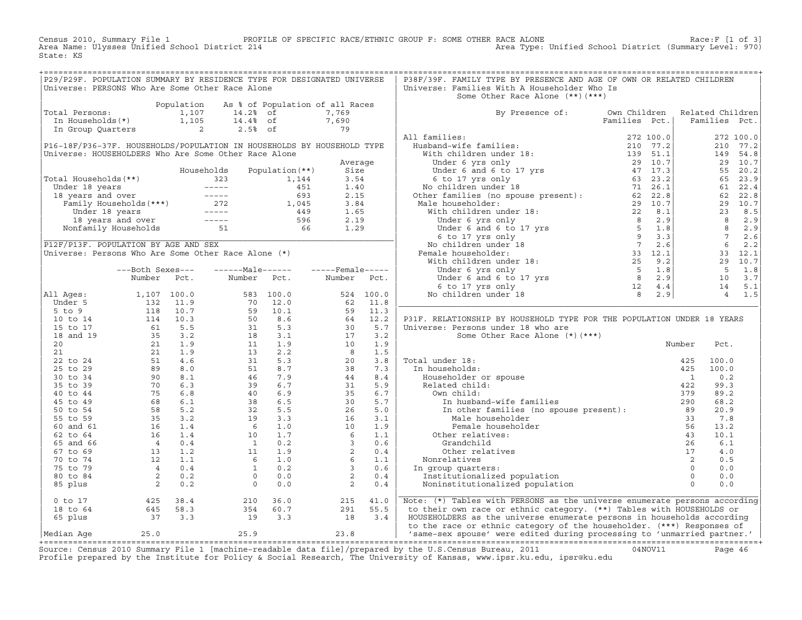Census 2010, Summary File 1 PROFILE OF SPECIFIC RACE/ETHNIC GROUP F: SOME OTHER RACE ALONE Race:F [1 of 3]<br>Area Name: Ulysses Unified School District 214 Area Type: Unified School District (Summary Level: 970) Area Type: Unified School District (Summary Level: 970) State: KS

| P29/P29F. POPULATION SUMMARY BY RESIDENCE TYPE FOR DESIGNATED UNIVERSE                                                                                       |  |  |  | P38F/39F. FAMILY TYPE BY PRESENCE AND AGE OF OWN OR RELATED CHILDREN                                                                                                                                                           |  |  |
|--------------------------------------------------------------------------------------------------------------------------------------------------------------|--|--|--|--------------------------------------------------------------------------------------------------------------------------------------------------------------------------------------------------------------------------------|--|--|
| Universe: PERSONS Who Are Some Other Race Alone                                                                                                              |  |  |  | Universe: Families With A Householder Who Is                                                                                                                                                                                   |  |  |
|                                                                                                                                                              |  |  |  | Some Other Race Alone (**) (***)                                                                                                                                                                                               |  |  |
|                                                                                                                                                              |  |  |  |                                                                                                                                                                                                                                |  |  |
|                                                                                                                                                              |  |  |  | By Presence of: Own Children Related Children<br>Families Pct.   Families Pct.                                                                                                                                                 |  |  |
|                                                                                                                                                              |  |  |  |                                                                                                                                                                                                                                |  |  |
| Population As % of Population of all Races<br>Total Persons: 1,107 14.2% of 7,769<br>In Households(*) 1,105 14.4% of 7,690<br>In Group Quarters 2 2.5% of 79 |  |  |  |                                                                                                                                                                                                                                |  |  |
|                                                                                                                                                              |  |  |  |                                                                                                                                                                                                                                |  |  |
|                                                                                                                                                              |  |  |  |                                                                                                                                                                                                                                |  |  |
|                                                                                                                                                              |  |  |  |                                                                                                                                                                                                                                |  |  |
|                                                                                                                                                              |  |  |  |                                                                                                                                                                                                                                |  |  |
|                                                                                                                                                              |  |  |  |                                                                                                                                                                                                                                |  |  |
|                                                                                                                                                              |  |  |  |                                                                                                                                                                                                                                |  |  |
|                                                                                                                                                              |  |  |  |                                                                                                                                                                                                                                |  |  |
|                                                                                                                                                              |  |  |  |                                                                                                                                                                                                                                |  |  |
|                                                                                                                                                              |  |  |  |                                                                                                                                                                                                                                |  |  |
|                                                                                                                                                              |  |  |  |                                                                                                                                                                                                                                |  |  |
|                                                                                                                                                              |  |  |  |                                                                                                                                                                                                                                |  |  |
|                                                                                                                                                              |  |  |  |                                                                                                                                                                                                                                |  |  |
|                                                                                                                                                              |  |  |  |                                                                                                                                                                                                                                |  |  |
|                                                                                                                                                              |  |  |  |                                                                                                                                                                                                                                |  |  |
|                                                                                                                                                              |  |  |  |                                                                                                                                                                                                                                |  |  |
|                                                                                                                                                              |  |  |  |                                                                                                                                                                                                                                |  |  |
|                                                                                                                                                              |  |  |  |                                                                                                                                                                                                                                |  |  |
|                                                                                                                                                              |  |  |  |                                                                                                                                                                                                                                |  |  |
|                                                                                                                                                              |  |  |  |                                                                                                                                                                                                                                |  |  |
|                                                                                                                                                              |  |  |  |                                                                                                                                                                                                                                |  |  |
|                                                                                                                                                              |  |  |  | P31F. RELATIONSHIP BY HOUSEHOLD TYPE FOR THE POPULATION UNDER 18 YEARS                                                                                                                                                         |  |  |
|                                                                                                                                                              |  |  |  |                                                                                                                                                                                                                                |  |  |
|                                                                                                                                                              |  |  |  |                                                                                                                                                                                                                                |  |  |
|                                                                                                                                                              |  |  |  |                                                                                                                                                                                                                                |  |  |
|                                                                                                                                                              |  |  |  |                                                                                                                                                                                                                                |  |  |
|                                                                                                                                                              |  |  |  |                                                                                                                                                                                                                                |  |  |
|                                                                                                                                                              |  |  |  |                                                                                                                                                                                                                                |  |  |
|                                                                                                                                                              |  |  |  |                                                                                                                                                                                                                                |  |  |
|                                                                                                                                                              |  |  |  |                                                                                                                                                                                                                                |  |  |
|                                                                                                                                                              |  |  |  |                                                                                                                                                                                                                                |  |  |
|                                                                                                                                                              |  |  |  |                                                                                                                                                                                                                                |  |  |
|                                                                                                                                                              |  |  |  |                                                                                                                                                                                                                                |  |  |
|                                                                                                                                                              |  |  |  |                                                                                                                                                                                                                                |  |  |
|                                                                                                                                                              |  |  |  |                                                                                                                                                                                                                                |  |  |
|                                                                                                                                                              |  |  |  |                                                                                                                                                                                                                                |  |  |
|                                                                                                                                                              |  |  |  |                                                                                                                                                                                                                                |  |  |
|                                                                                                                                                              |  |  |  |                                                                                                                                                                                                                                |  |  |
|                                                                                                                                                              |  |  |  |                                                                                                                                                                                                                                |  |  |
|                                                                                                                                                              |  |  |  |                                                                                                                                                                                                                                |  |  |
|                                                                                                                                                              |  |  |  |                                                                                                                                                                                                                                |  |  |
|                                                                                                                                                              |  |  |  | 0 to 17 and 18 to 64 and 18 to 64 and 18 to 64 and 18 to 64 and 18 to 64 and 18 to 64 and 18 to 64 and 18 to 64 and 18 to 64 and 18 to 64 58.3 and 18 to 64 and 18 to 64 and 18 to 64 and 18 to 64 and 18 to 64 and 18 to 65 p |  |  |
|                                                                                                                                                              |  |  |  |                                                                                                                                                                                                                                |  |  |
|                                                                                                                                                              |  |  |  |                                                                                                                                                                                                                                |  |  |
|                                                                                                                                                              |  |  |  |                                                                                                                                                                                                                                |  |  |
|                                                                                                                                                              |  |  |  |                                                                                                                                                                                                                                |  |  |

Source: Census 2010 Summary File 1 [machine-readable data file]/prepared by the U.S.Census Bureau, 2011 Page 46<br>Profile prepared by the Institute for Policy & Social Research, The University of Kansas, www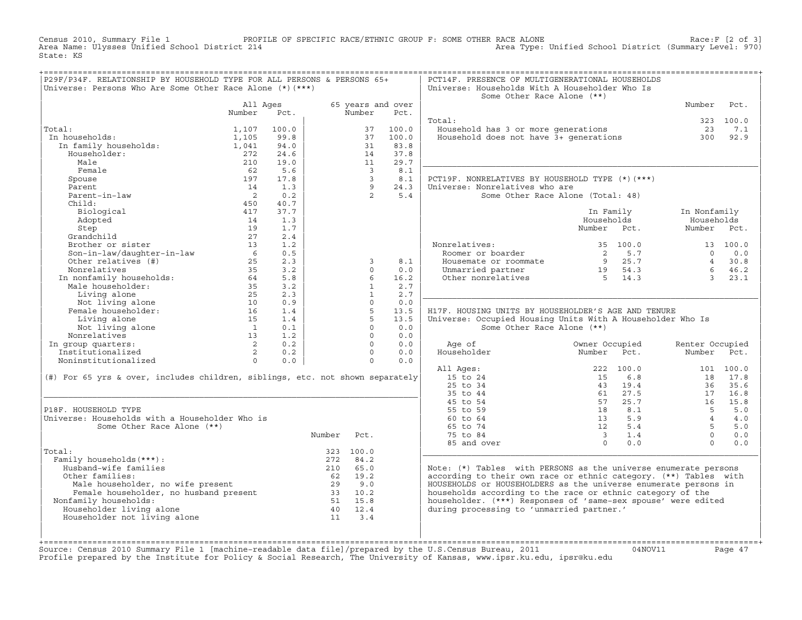Census 2010, Summary File 1 PROFILE OF SPECIFIC RACE/ETHNIC GROUP F: SOME OTHER RACE ALONE RACE OF SPECIFIC RACE ALONE<br>Area Name: Ulysses Unified School District 214 Area Type: Unified School District (Summary Level: 970) Area Type: Unified School District (Summary Level: 970) State: KS

| P29F/P34F. RELATIONSHIP BY HOUSEHOLD TYPE FOR ALL PERSONS & PERSONS 65+                                                                                                                                                                                                        |        |                                                    |                                               |                         |                           | PCT14F. PRESENCE OF MULTIGENERATIONAL HOUSEHOLDS                                                                                                                                |                                                                                                                                                                                                                                                                            |                 |           |
|--------------------------------------------------------------------------------------------------------------------------------------------------------------------------------------------------------------------------------------------------------------------------------|--------|----------------------------------------------------|-----------------------------------------------|-------------------------|---------------------------|---------------------------------------------------------------------------------------------------------------------------------------------------------------------------------|----------------------------------------------------------------------------------------------------------------------------------------------------------------------------------------------------------------------------------------------------------------------------|-----------------|-----------|
|                                                                                                                                                                                                                                                                                |        |                                                    |                                               |                         |                           |                                                                                                                                                                                 |                                                                                                                                                                                                                                                                            |                 |           |
| Universe: Persons Who Are Some Other Race Alone $(*)$ $(***)$                                                                                                                                                                                                                  |        |                                                    |                                               |                         |                           | Universe: Households With A Householder Who Is<br>Some Other Race Alone (**)                                                                                                    |                                                                                                                                                                                                                                                                            |                 |           |
|                                                                                                                                                                                                                                                                                |        |                                                    |                                               |                         |                           |                                                                                                                                                                                 |                                                                                                                                                                                                                                                                            |                 |           |
|                                                                                                                                                                                                                                                                                |        | All Ages<br>Pct.                                   |                                               | Number                  | 65 years and over<br>Pct. |                                                                                                                                                                                 |                                                                                                                                                                                                                                                                            | Number          | Pct.      |
|                                                                                                                                                                                                                                                                                | Number |                                                    |                                               |                         |                           |                                                                                                                                                                                 |                                                                                                                                                                                                                                                                            |                 |           |
|                                                                                                                                                                                                                                                                                |        |                                                    |                                               |                         |                           | Total:                                                                                                                                                                          |                                                                                                                                                                                                                                                                            |                 | 323 100.0 |
| Total:                                                                                                                                                                                                                                                                         | 1,107  | 100.0                                              |                                               |                         | 37 100.0                  | bcai.<br>Household has 3 or more generations and the case of 23<br>Household does not have 3+ generations 300                                                                   |                                                                                                                                                                                                                                                                            | 23              | 7.1       |
| :al:<br>n households:<br>In family households:<br>Householder:<br>In households:                                                                                                                                                                                               | 1,105  | 99.8                                               |                                               | 37                      | 100.0                     |                                                                                                                                                                                 |                                                                                                                                                                                                                                                                            |                 | 92.9      |
|                                                                                                                                                                                                                                                                                | 1,041  | 94.0                                               |                                               | 31                      | 83.8                      |                                                                                                                                                                                 |                                                                                                                                                                                                                                                                            |                 |           |
|                                                                                                                                                                                                                                                                                | 272    | 24.6                                               | $\begin{array}{c} 14 \\ 14 \\ 11 \end{array}$ |                         | 37.8                      |                                                                                                                                                                                 |                                                                                                                                                                                                                                                                            |                 |           |
| Male                                                                                                                                                                                                                                                                           | 210    | 19.0                                               |                                               |                         | 29.7                      |                                                                                                                                                                                 |                                                                                                                                                                                                                                                                            |                 |           |
| Female                                                                                                                                                                                                                                                                         | 62     |                                                    |                                               | $\overline{\mathbf{3}}$ | 8.1                       |                                                                                                                                                                                 |                                                                                                                                                                                                                                                                            |                 |           |
|                                                                                                                                                                                                                                                                                |        | $\begin{bmatrix} 5.6 \\ 17.8 \\ 1.3 \end{bmatrix}$ |                                               |                         |                           | PCT19F. NONRELATIVES BY HOUSEHOLD TYPE (*)(***)                                                                                                                                 |                                                                                                                                                                                                                                                                            |                 |           |
|                                                                                                                                                                                                                                                                                |        |                                                    |                                               |                         |                           | Universe: Nonrelatives who are                                                                                                                                                  |                                                                                                                                                                                                                                                                            |                 |           |
|                                                                                                                                                                                                                                                                                |        |                                                    |                                               |                         |                           |                                                                                                                                                                                 | Some Other Race Alone (Total: 48)                                                                                                                                                                                                                                          |                 |           |
|                                                                                                                                                                                                                                                                                |        |                                                    |                                               |                         |                           |                                                                                                                                                                                 |                                                                                                                                                                                                                                                                            |                 |           |
|                                                                                                                                                                                                                                                                                |        |                                                    |                                               |                         |                           |                                                                                                                                                                                 | In Family                                                                                                                                                                                                                                                                  | In Nonfamily    |           |
|                                                                                                                                                                                                                                                                                |        |                                                    |                                               |                         |                           |                                                                                                                                                                                 | Households                                                                                                                                                                                                                                                                 | Households      |           |
|                                                                                                                                                                                                                                                                                |        |                                                    |                                               |                         |                           |                                                                                                                                                                                 | Number Pct.                                                                                                                                                                                                                                                                | Number Pct.     |           |
|                                                                                                                                                                                                                                                                                |        |                                                    |                                               |                         |                           |                                                                                                                                                                                 |                                                                                                                                                                                                                                                                            |                 |           |
|                                                                                                                                                                                                                                                                                |        |                                                    |                                               |                         |                           |                                                                                                                                                                                 |                                                                                                                                                                                                                                                                            |                 |           |
|                                                                                                                                                                                                                                                                                |        |                                                    |                                               |                         |                           |                                                                                                                                                                                 |                                                                                                                                                                                                                                                                            |                 |           |
|                                                                                                                                                                                                                                                                                |        |                                                    |                                               |                         |                           |                                                                                                                                                                                 |                                                                                                                                                                                                                                                                            |                 |           |
|                                                                                                                                                                                                                                                                                |        |                                                    |                                               |                         |                           | Nonrelatives: 35 100.0 13 100.0<br>Roomer or boarder 2 5.7 0 0.0<br>Housemate or roommate 9 25.7 4 30.8<br>Unmarried partner 19 54.3 6 46.2<br>Other nonrelatives 5 14.3 3 23.1 |                                                                                                                                                                                                                                                                            |                 |           |
|                                                                                                                                                                                                                                                                                |        |                                                    |                                               |                         |                           |                                                                                                                                                                                 |                                                                                                                                                                                                                                                                            |                 |           |
|                                                                                                                                                                                                                                                                                |        |                                                    |                                               |                         |                           |                                                                                                                                                                                 |                                                                                                                                                                                                                                                                            |                 |           |
|                                                                                                                                                                                                                                                                                |        |                                                    |                                               |                         |                           |                                                                                                                                                                                 |                                                                                                                                                                                                                                                                            |                 |           |
| readic process and the special of the special control of the special control of the special control of the special control of the special control of the special control of the special control of the special control of the                                                  |        |                                                    |                                               |                         |                           |                                                                                                                                                                                 |                                                                                                                                                                                                                                                                            |                 |           |
|                                                                                                                                                                                                                                                                                |        |                                                    |                                               |                         |                           | H17F. HOUSING UNITS BY HOUSEHOLDER'S AGE AND TENURE                                                                                                                             |                                                                                                                                                                                                                                                                            |                 |           |
|                                                                                                                                                                                                                                                                                |        |                                                    |                                               |                         |                           | Universe: Occupied Housing Units With A Householder Who Is                                                                                                                      |                                                                                                                                                                                                                                                                            |                 |           |
|                                                                                                                                                                                                                                                                                |        |                                                    |                                               |                         |                           | Some Other Race Alone (**)                                                                                                                                                      |                                                                                                                                                                                                                                                                            |                 |           |
|                                                                                                                                                                                                                                                                                |        |                                                    |                                               |                         |                           |                                                                                                                                                                                 |                                                                                                                                                                                                                                                                            |                 |           |
|                                                                                                                                                                                                                                                                                |        |                                                    |                                               |                         |                           | Age of                                                                                                                                                                          | Owner Occupied                                                                                                                                                                                                                                                             | Renter Occupied |           |
|                                                                                                                                                                                                                                                                                |        |                                                    |                                               |                         |                           |                                                                                                                                                                                 |                                                                                                                                                                                                                                                                            | Number Pct.     |           |
|                                                                                                                                                                                                                                                                                |        |                                                    |                                               |                         |                           |                                                                                                                                                                                 |                                                                                                                                                                                                                                                                            |                 |           |
|                                                                                                                                                                                                                                                                                |        |                                                    |                                               |                         |                           | All Ages:                                                                                                                                                                       |                                                                                                                                                                                                                                                                            |                 |           |
| $(\#)$ For 65 yrs & over, includes children, siblings, etc. not shown separately                                                                                                                                                                                               |        |                                                    |                                               |                         |                           | 15 to 24                                                                                                                                                                        |                                                                                                                                                                                                                                                                            |                 |           |
|                                                                                                                                                                                                                                                                                |        |                                                    |                                               |                         |                           | 25 to 34                                                                                                                                                                        |                                                                                                                                                                                                                                                                            |                 |           |
|                                                                                                                                                                                                                                                                                |        |                                                    |                                               |                         |                           | 35 to 44                                                                                                                                                                        |                                                                                                                                                                                                                                                                            |                 |           |
|                                                                                                                                                                                                                                                                                |        |                                                    |                                               |                         |                           | 45 to 54                                                                                                                                                                        |                                                                                                                                                                                                                                                                            |                 |           |
| P18F. HOUSEHOLD TYPE                                                                                                                                                                                                                                                           |        |                                                    |                                               |                         |                           | 55 to 59                                                                                                                                                                        | $\begin{array}{cccc} 222 & 100.0 & & & & 101 & 100.0 \\ 15 & 6.8 & & 18 & 17.8 \\ 43 & 19.4 & & 36 & 35.6 \\ 61 & 27.5 & & 17 & 16.8 \\ 57 & 25.7 & & 16 & 15.8 \\ 18 & 8.1 & & 5 & 5.0 \\ 12 & 5.4 & & 5 & 5.0 \\ 3 & 1.4 & & 0 & 0.0 \\ 0 & 0.0 & & 0 & 0.0 \end{array}$ |                 |           |
| Universe: Households with a Householder Who is                                                                                                                                                                                                                                 |        |                                                    |                                               |                         |                           | 60 to 64                                                                                                                                                                        |                                                                                                                                                                                                                                                                            |                 |           |
| Some Other Race Alone (**)                                                                                                                                                                                                                                                     |        |                                                    |                                               |                         |                           | 65 to 74                                                                                                                                                                        |                                                                                                                                                                                                                                                                            |                 |           |
|                                                                                                                                                                                                                                                                                |        |                                                    | Number Pct.                                   |                         |                           | 75 to 84                                                                                                                                                                        |                                                                                                                                                                                                                                                                            |                 |           |
|                                                                                                                                                                                                                                                                                |        |                                                    |                                               |                         |                           | 85 and over                                                                                                                                                                     |                                                                                                                                                                                                                                                                            |                 |           |
| Total:                                                                                                                                                                                                                                                                         |        |                                                    |                                               | 323 100.0               |                           |                                                                                                                                                                                 |                                                                                                                                                                                                                                                                            |                 |           |
| Family households (***):                                                                                                                                                                                                                                                       |        |                                                    |                                               | 272 84.2                |                           |                                                                                                                                                                                 |                                                                                                                                                                                                                                                                            |                 |           |
| Husband-wife families                                                                                                                                                                                                                                                          |        |                                                    | $272$ $84.2$<br>210 $65.0$                    |                         |                           | Note: $(*)$ Tables with PERSONS as the universe enumerate persons                                                                                                               |                                                                                                                                                                                                                                                                            |                 |           |
| Other families:                                                                                                                                                                                                                                                                |        |                                                    |                                               |                         |                           | according to their own race or ethnic category. (**) Tables with                                                                                                                |                                                                                                                                                                                                                                                                            |                 |           |
|                                                                                                                                                                                                                                                                                |        |                                                    |                                               |                         |                           | HOUSEHOLDS or HOUSEHOLDERS as the universe enumerate persons in                                                                                                                 |                                                                                                                                                                                                                                                                            |                 |           |
|                                                                                                                                                                                                                                                                                |        |                                                    |                                               |                         |                           | households according to the race or ethnic category of the                                                                                                                      |                                                                                                                                                                                                                                                                            |                 |           |
| Nonfamily households:                                                                                                                                                                                                                                                          |        |                                                    |                                               |                         |                           | householder. (***) Responses of 'same-sex spouse' were edited                                                                                                                   |                                                                                                                                                                                                                                                                            |                 |           |
| Householder living alone                                                                                                                                                                                                                                                       |        |                                                    |                                               |                         |                           | during processing to 'unmarried partner.'                                                                                                                                       |                                                                                                                                                                                                                                                                            |                 |           |
| Householder not living alone                                                                                                                                                                                                                                                   |        |                                                    |                                               |                         |                           |                                                                                                                                                                                 |                                                                                                                                                                                                                                                                            |                 |           |
| And the multiples:<br>Male householder, no wife present<br>Female householder, no husband present<br>Family households:<br>15.8<br>15.8<br>15.8<br>15.8<br>15.9<br>16<br>29 00<br>16<br>16<br>16<br>29 00<br>33<br>10.2<br>51 15.8<br>15.8<br>16<br>20<br>12.4<br>16<br>20<br> |        |                                                    |                                               |                         |                           |                                                                                                                                                                                 |                                                                                                                                                                                                                                                                            |                 |           |
|                                                                                                                                                                                                                                                                                |        |                                                    |                                               |                         |                           |                                                                                                                                                                                 |                                                                                                                                                                                                                                                                            |                 |           |
|                                                                                                                                                                                                                                                                                |        |                                                    |                                               |                         |                           |                                                                                                                                                                                 |                                                                                                                                                                                                                                                                            |                 |           |

+===================================================================================================================================================+Source: Census 2010 Summary File 1 [machine−readable data file]/prepared by the U.S.Census Bureau, 2011 04NOV11 Page 47 Profile prepared by the Institute for Policy & Social Research, The University of Kansas, www.ipsr.ku.edu, ipsr@ku.edu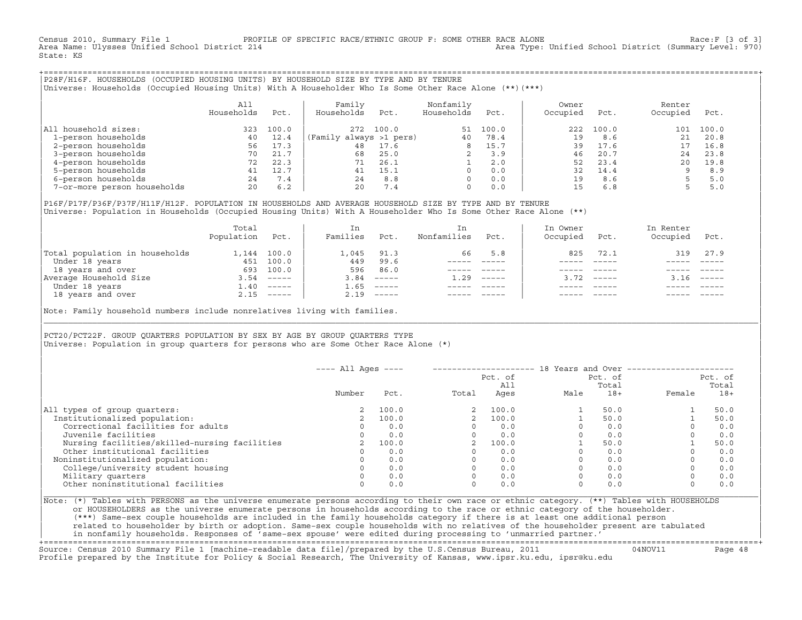Census 2010, Summary File 1 PROFILE OF SPECIFIC RACE/ETHNIC GROUP F: SOME OTHER RACE ALONE Rach of 3]<br>Area Name: Ulysses Unified School District 214 Area Type: Unified School District (Summary Level: 970) Area Type: Unified School District (Summary Level: 970) State: KS

+===================================================================================================================================================+|P28F/H16F. HOUSEHOLDS (OCCUPIED HOUSING UNITS) BY HOUSEHOLD SIZE BY TYPE AND BY TENURE | |Universe: Households (Occupied Housing Units) With A Householder Who Is Some Other Race Alone (\*\*)(\*\*\*) |

|                             | All<br>Households | Pct.  | Family<br>Households    | Pct.  | Nonfamily<br>Households | Pct.  | Owner<br>Occupied | Pct.      | Renter<br>Occupied | Pct.  |  |
|-----------------------------|-------------------|-------|-------------------------|-------|-------------------------|-------|-------------------|-----------|--------------------|-------|--|
| household sizes:<br>All     | 323               | 100.0 | 272                     | 100.0 | 51                      | 100.0 |                   | 222 100.0 | 101                | 100.0 |  |
| 1-person households         | 40                | 12.4  | (Family always >1 pers) |       | 40                      | 78.4  | 19                | 8.6       | 21                 | 20.8  |  |
| 2-person households         | 56                | 17.3  | 48                      | 17.6  | 8                       | 15.7  | 39                | 17.6      |                    | 16.8  |  |
| 3-person households         | 70                | 21.7  | 68                      | 25.0  |                         | 3.9   | 46                | 20.7      | 24                 | 23.8  |  |
| 4-person households         | 72                | 22.3  |                         | 26.1  |                         | 2.0   | 52                | 23.4      | 20                 | 19.8  |  |
| 5-person households         | 41                | 12.7  | 41                      | 15.1  | $\Omega$                | 0.0   | 32                | 14.4      |                    | 8.9   |  |
| 6-person households         | 24                | 7.4   | 2.4                     | 8.8   | $\Omega$                | 0.0   | 19                | 8.6       |                    | 5.0   |  |
| 7-or-more person households | 20                | 6.2   | 20                      | 7.4   | $\Omega$                | 0.0   | 15                | 6.8       |                    | 5.0   |  |

|P16F/P17F/P36F/P37F/H11F/H12F. POPULATION IN HOUSEHOLDS AND AVERAGE HOUSEHOLD SIZE BY TYPE AND BY TENURE | Universe: Population in Households (Occupied Housing Units) With A Householder Who Is Some Other Race Alone (\*\*)

|                                | Total<br>Population | Pct.         | In<br>Families | Pct.                      | In.<br>Nonfamilies | Pct.     | In Owner<br>Occupied | Pct.                      | In Renter<br>Occupied | Pct.        |
|--------------------------------|---------------------|--------------|----------------|---------------------------|--------------------|----------|----------------------|---------------------------|-----------------------|-------------|
| Total population in households |                     | 1,144 100.0  | 1,045          | 91.3                      | 66                 | 5.8      | 825                  | 72.1                      | 319                   | 27.9        |
| Under 18 years                 | 451                 | 100.0        | 449            | 99.6                      |                    |          |                      |                           |                       |             |
| 18 years and over              | 693                 | 100.0        | 596            | 86.0                      |                    |          |                      |                           |                       |             |
| Average Household Size         |                     | $3.54$ ----- | 3.84           | $------$                  | 1.29               | $------$ | 372                  | $\qquad \qquad - - - - -$ | 3.16                  | $------$    |
| Under 18 years                 | $\pm 0.40$          | $------$     | 1.65           | $------$                  |                    |          |                      |                           |                       |             |
| 18 years and over              |                     | $2.15$ ----- | 2.19           | $\qquad \qquad - - - - -$ |                    |          |                      |                           |                       | $- - - - -$ |
|                                |                     |              |                |                           |                    |          |                      |                           |                       |             |

Note: Family household numbers include nonrelatives living with families.

| | PCT20/PCT22F. GROUP OUARTERS POPULATION BY SEX BY AGE BY GROUP OUARTERS TYPE Universe: Population in group quarters for persons who are Some Other Race Alone (\*)

|                                               | $---$ All Ages $---$ |       |       | Pct. of<br>All | 18 Years and Over ------------- | Pct. of<br>Total |        | Pct. of<br>Total |
|-----------------------------------------------|----------------------|-------|-------|----------------|---------------------------------|------------------|--------|------------------|
|                                               | Number               | Pct.  | Total | Ages           | Male                            | $18+$            | Female | $18+$            |
| All types of group quarters:                  | 2                    | 100.0 |       | 100.0          |                                 | 50.0             |        | 50.0             |
| Institutionalized population:                 | 2                    | 100.0 |       | 100.0          |                                 | 50.0             |        | 50.0             |
| Correctional facilities for adults            |                      | 0.0   |       | 0.0            |                                 | 0.0              |        | 0.0              |
| Juvenile facilities                           |                      | 0.0   |       | 0.0            |                                 | 0.0              |        | 0.0              |
| Nursing facilities/skilled-nursing facilities | 2                    | 100.0 |       | 100.0          |                                 | 50.0             |        | 50.0             |
| Other institutional facilities                |                      | 0.0   |       | 0.0            |                                 | 0.0              |        | 0.0              |
| Noninstitutionalized population:              |                      | 0.0   |       | 0.0            |                                 | 0.0              |        | 0.0              |
| College/university student housing            |                      | 0.0   |       | 0.0            |                                 | 0.0              |        | 0.0              |
| Military quarters                             |                      | 0.0   |       | 0.0            |                                 | 0.0              |        | 0.0              |
| Other noninstitutional facilities             |                      | 0.0   |       | 0.0            |                                 | 0.0              |        | 0.0              |

|\_\_\_\_\_\_\_\_\_\_\_\_\_\_\_\_\_\_\_\_\_\_\_\_\_\_\_\_\_\_\_\_\_\_\_\_\_\_\_\_\_\_\_\_\_\_\_\_\_\_\_\_\_\_\_\_\_\_\_\_\_\_\_\_\_\_\_\_\_\_\_\_\_\_\_\_\_\_\_\_\_\_\_\_\_\_\_\_\_\_\_\_\_\_\_\_\_\_\_\_\_\_\_\_\_\_\_\_\_\_\_\_\_\_\_\_\_\_\_\_\_\_\_\_\_\_\_\_\_\_\_\_\_\_\_\_\_\_\_\_\_\_\_\_\_\_\_|

| |

|Note: (\*) Tables with PERSONS as the universe enumerate persons according to their own race or ethnic category. (\*\*) Tables with HOUSEHOLDS | or HOUSEHOLDERS as the universe enumerate persons in households according to the race or ethnic category of the householder. | (\*\*\*) Same−sex couple households are included in the family households category if there is at least one additional person | | related to householder by birth or adoption. Same−sex couple households with no relatives of the householder present are tabulated | | in nonfamily households. Responses of 'same−sex spouse' were edited during processing to 'unmarried partner.' |

+===================================================================================================================================================+ Source: Census 2010 Summary File 1 [machine−readable data file]/prepared by the U.S.Census Bureau, 2011 04NOV11 Page 48 Profile prepared by the Institute for Policy & Social Research, The University of Kansas, www.ipsr.ku.edu, ipsr@ku.edu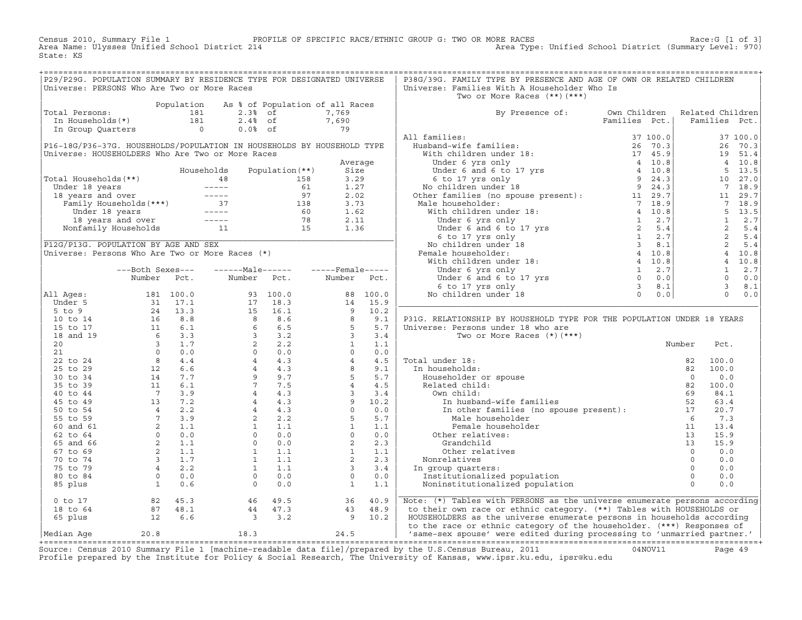Census 2010, Summary File 1 PROFILE OF SPECIFIC RACE/ETHNIC GROUP G: TWO OR MORE RACES Race:G [1 of 3] Area Name: Ulysses Unified School District 214 Area Type: Unified School District (Summary Level: 970) State: KS

+===================================================================================================================================================+

| Universe: PERSONS Who Are Two or More Races<br>Two or More Races $(**)$ $(***)$<br>As % of Population of all Races<br>Population<br>By Presence of:<br>Own Children<br>Related Children<br>Total Persons:<br>181<br>$2.3%$ of<br>7,769<br>181<br>$2.4%$ of<br>7,690<br>Families Pct.<br>In Households(*)<br>Families Pct.<br>$\circ$<br>$0.0%$ of<br>79<br>In Group Quarters<br>All families:<br>37 100.0<br>37 100.0<br>P16-18G/P36-37G. HOUSEHOLDS/POPULATION IN HOUSEHOLDS BY HOUSEHOLD TYPE<br>Husband-wife families:<br>26 70.3<br>26 70.3<br>Universe: HOUSEHOLDERS Who Are Two or More Races<br>With children under 18:<br>17 45.9<br>19 51.4<br>4 10.8<br>Under 6 yrs only<br>4 10.8<br>Average<br>Size<br>4 10.8<br>$5^{\circ}$<br>13.5<br>Households<br>Population $(**)$<br>Under 6 and 6 to 17 yrs<br>9 24.3<br>Total Households (**)<br>3.29<br>6 to 17 yrs only<br>10<br>27.0<br>48<br>158<br>9<br>$\begin{array}{cccccc} - & - & - & - & - \\ \end{array}$<br>61<br>1.27<br>No children under 18<br>24.3<br>$7\overline{ }$<br>18.9<br>Under 18 years<br>Other families (no spouse present):<br>$\qquad \qquad - - - - -$<br>97<br>2.02<br>11 29.7<br>29.7<br>18 years and over<br>11<br>37<br>Family Households (***)<br>138<br>3.73<br>Male householder:<br>7 18.9<br>$7\overline{ }$<br>18.9<br>$\frac{1}{2} \frac{1}{2} \frac{1}{2} \frac{1}{2} \frac{1}{2} \frac{1}{2} \frac{1}{2} \frac{1}{2} \frac{1}{2} \frac{1}{2} \frac{1}{2} \frac{1}{2} \frac{1}{2} \frac{1}{2} \frac{1}{2} \frac{1}{2} \frac{1}{2} \frac{1}{2} \frac{1}{2} \frac{1}{2} \frac{1}{2} \frac{1}{2} \frac{1}{2} \frac{1}{2} \frac{1}{2} \frac{1}{2} \frac{1}{2} \frac{1}{2} \frac{1}{2} \frac{1}{2} \frac{1}{2} \frac{$<br>60<br>With children under 18:<br>4 10.8<br>5<br>13.5<br>Under 18 years<br>1.62<br>$\frac{1}{2} \frac{1}{2} \frac{1}{2} \frac{1}{2} \frac{1}{2} \frac{1}{2} \frac{1}{2} \frac{1}{2} \frac{1}{2} \frac{1}{2} \frac{1}{2} \frac{1}{2} \frac{1}{2} \frac{1}{2} \frac{1}{2} \frac{1}{2} \frac{1}{2} \frac{1}{2} \frac{1}{2} \frac{1}{2} \frac{1}{2} \frac{1}{2} \frac{1}{2} \frac{1}{2} \frac{1}{2} \frac{1}{2} \frac{1}{2} \frac{1}{2} \frac{1}{2} \frac{1}{2} \frac{1}{2} \frac{$<br>78<br>2.11<br>$\mathbf{1}$<br>2.7<br>$\mathbf{1}$<br>2.7<br>18 years and over<br>Under 6 yrs only<br>Under $6$ and $6$ to $17$ yrs<br>$6$ to $17$ yrs only<br>11<br>1.36<br>2<br>$\overline{2}$<br>15<br>5.4<br>5.4<br>Nonfamily Households<br>2<br>1<br>5.4<br>6 to 17 yrs only<br>2.7<br>$\overline{3}$<br>$\overline{2}$<br>P12G/P13G. POPULATION BY AGE AND SEX<br>No children under 18<br>8.1<br>5.4<br>Universe: Persons Who Are Two or More Races (*)<br>Female householder:<br>4 10.8<br>$\overline{4}$<br>10.8<br>4 10.8<br>10.8<br>With children under 18:<br>$4\overline{ }$<br>$---Male----$<br>1<br>2.7<br>$\mathbf{1}$<br>2.7<br>---Both Sexes---<br>$---$ Female -----<br>Under 6 yrs only<br>Under $6$ and $6$ to $17$ yrs<br>$6$ to $17$ yrs only<br>$\Omega$<br>$\circ$<br>Pct.<br>Number<br>Pct.<br>Number<br>0.0<br>0.0<br>Number<br>Pct.<br>$\mathcal{E}$<br>$\mathbf{3}$<br>6 to 17 yrs only<br>8.1<br>8.1<br>$\Omega$<br>0.0<br>All Ages:<br>181 100.0<br>93 100.0<br>88 100.0<br>No children under 18<br>0.0<br>$\Omega$<br>Under 5<br>31<br>17.1<br>17<br>18.3<br>14<br>15.9<br>13.3<br>16.1<br>9<br>10.2<br>$5$ to 9<br>24<br>15<br>8.8<br>8<br>8.6<br>8<br>9.1<br>16<br>P31G. RELATIONSHIP BY HOUSEHOLD TYPE FOR THE POPULATION UNDER 18 YEARS<br>10 to 14<br>6.1<br>6.5<br>5<br>5.7<br>11<br>6<br>Universe: Persons under 18 who are<br>15 to 17<br>$6\overline{6}$<br>3.3<br>$\overline{3}$<br>3.2<br>$\overline{3}$<br>3.4<br>18 and 19<br>Two or More Races $(*)$ $(***)$<br>1.7<br>2.2<br>$\overline{3}$<br>$2^{\circ}$<br>$\mathbf{1}$<br>1.1<br>20<br>Number<br>Pct.<br>21<br>$\Omega$<br>0.0<br>$\Omega$<br>0.0<br>$\Omega$<br>0.0<br>$4\overline{ }$<br>8<br>4.4<br>4.3<br>$\overline{4}$<br>4.5<br>Total under 18:<br>22 to 24<br>82<br>100.0<br>6.6<br>$\overline{4}$<br>4.3<br>8<br>9.1<br>25 to 29<br>12<br>In households:<br>100.0<br>82<br>7.7<br>9<br>9.7<br>5<br>5.7<br>14<br>Householder or spouse<br>30 to 34<br>$\Omega$<br>0.0<br>$7^{\circ}$<br>11<br>7.5<br>$\overline{4}$<br>35 to 39<br>6.1<br>4.5<br>Related child:<br>82<br>100.0<br>$7^{\circ}$<br>3.9<br>$\overline{4}$<br>4.3<br>$\overline{3}$<br>3.4<br>Own child:<br>84.1<br>40 to 44<br>69<br>7.2<br>$\overline{4}$<br>4.3<br>9<br>10.2<br>13<br>In husband-wife families<br>52<br>45 to 49<br>63.4<br>$\circ$<br>0.0<br>2.2<br>$\overline{4}$<br>4.3<br>In other families (no spouse present):<br>50 to 54<br>$\overline{4}$<br>17<br>20.7<br>5<br>$7\overline{ }$<br>3.9<br>5.7<br>55 to 59<br>2<br>2.2<br>Male householder<br>- 6<br>7.3<br>$\overline{a}$<br>1<br>1<br>60 and 61<br>1.1<br>1.1<br>1.1<br>Female householder<br>11<br>13.4<br>$\Omega$<br>$\Omega$<br>0.0<br>$\Omega$<br>0.0<br>0.0<br>62 to 64<br>Other relatives:<br>13<br>15.9<br>2<br>1.1<br>0.0<br>2<br>2.3<br>65 and 66<br>$\circ$<br>Grandchild<br>13<br>15.9<br>2<br>$\mathbf{1}$<br>1.1<br>$\mathbf{1}$<br>1.1<br>1.1<br>Other relatives<br>$\circ$<br>0.0<br>67 to 69<br>$\mathbf{3}$<br>1.7<br>$\mathbf{1}$<br>1.1<br>2<br>2.3<br>70 to 74<br>Nonrelatives<br>$\Omega$<br>0.0<br>$\overline{4}$<br>2.2<br>1.1<br>$\overline{3}$<br>75 to 79<br>$\mathbf{1}$<br>3.4<br>$\Omega$<br>In group quarters:<br>0.0<br>$\circ$<br>0.0<br>$\overline{0}$<br>0.0<br>$\circ$<br>0.0<br>Institutionalized population<br>$\circ$<br>80 to 84<br>0.0<br>0.6<br>$\Omega$<br>0.0<br>1.1<br>$\Omega$<br>0.0<br>85 plus<br>1<br>$\mathbf{1}$<br>Noninstitutionalized population<br>Note: (*) Tables with PERSONS as the universe enumerate persons according<br>$0$ to $17$<br>82<br>45.3<br>46<br>49.5<br>36<br>40.9<br>47.3<br>43<br>48.9<br>to their own race or ethnic category. (**) Tables with HOUSEHOLDS or<br>18 to 64<br>87<br>48.1<br>44<br>HOUSEHOLDERS as the universe enumerate persons in households according<br>6.6<br>3.2<br>9<br>10.2<br>65 plus<br>12<br>$\overline{3}$<br>to the race or ethnic category of the householder. (***) Responses of<br>20.8<br>18.3<br>24.5<br>'same-sex spouse' were edited during processing to 'unmarried partner.'<br>Median Age | P29/P29G. POPULATION SUMMARY BY RESIDENCE TYPE FOR DESIGNATED UNIVERSE |  |  |  | P38G/39G. FAMILY TYPE BY PRESENCE AND AGE OF OWN OR RELATED CHILDREN |  |  |
|--------------------------------------------------------------------------------------------------------------------------------------------------------------------------------------------------------------------------------------------------------------------------------------------------------------------------------------------------------------------------------------------------------------------------------------------------------------------------------------------------------------------------------------------------------------------------------------------------------------------------------------------------------------------------------------------------------------------------------------------------------------------------------------------------------------------------------------------------------------------------------------------------------------------------------------------------------------------------------------------------------------------------------------------------------------------------------------------------------------------------------------------------------------------------------------------------------------------------------------------------------------------------------------------------------------------------------------------------------------------------------------------------------------------------------------------------------------------------------------------------------------------------------------------------------------------------------------------------------------------------------------------------------------------------------------------------------------------------------------------------------------------------------------------------------------------------------------------------------------------------------------------------------------------------------------------------------------------------------------------------------------------------------------------------------------------------------------------------------------------------------------------------------------------------------------------------------------------------------------------------------------------------------------------------------------------------------------------------------------------------------------------------------------------------------------------------------------------------------------------------------------------------------------------------------------------------------------------------------------------------------------------------------------------------------------------------------------------------------------------------------------------------------------------------------------------------------------------------------------------------------------------------------------------------------------------------------------------------------------------------------------------------------------------------------------------------------------------------------------------------------------------------------------------------------------------------------------------------------------------------------------------------------------------------------------------------------------------------------------------------------------------------------------------------------------------------------------------------------------------------------------------------------------------------------------------------------------------------------------------------------------------------------------------------------------------------------------------------------------------------------------------------------------------------------------------------------------------------------------------------------------------------------------------------------------------------------------------------------------------------------------------------------------------------------------------------------------------------------------------------------------------------------------------------------------------------------------------------------------------------------------------------------------------------------------------------------------------------------------------------------------------------------------------------------------------------------------------------------------------------------------------------------------------------------------------------------------------------------------------------------------------------------------------------------------------------------------------------------------------------------------------------------------------------------------------------------------------------------------------------------------------------------------------------------------------------------------------------------------------------------------------------------------------------------------------------------------------------------------------------------------------------------------------------------------------------------------------------------------------------------------------------------------------------------------------------------------------------------------------------------------------------------------------------------------------------------------------------------------------------------------------------------------------------------------------------------------------------------------------------------------------------------------------------------------------------------------------------------------------------------------------------------------------------------------------------------------------------------------------------------------------------------------------------------------------------------------------------------------------------------------------------------------------------------------------------------------------------------------------------------------------------------------------------------------------------------------------------------------------------------------------|------------------------------------------------------------------------|--|--|--|----------------------------------------------------------------------|--|--|
|                                                                                                                                                                                                                                                                                                                                                                                                                                                                                                                                                                                                                                                                                                                                                                                                                                                                                                                                                                                                                                                                                                                                                                                                                                                                                                                                                                                                                                                                                                                                                                                                                                                                                                                                                                                                                                                                                                                                                                                                                                                                                                                                                                                                                                                                                                                                                                                                                                                                                                                                                                                                                                                                                                                                                                                                                                                                                                                                                                                                                                                                                                                                                                                                                                                                                                                                                                                                                                                                                                                                                                                                                                                                                                                                                                                                                                                                                                                                                                                                                                                                                                                                                                                                                                                                                                                                                                                                                                                                                                                                                                                                                                                                                                                                                                                                                                                                                                                                                                                                                                                                                                                                                                                                                                                                                                                                                                                                                                                                                                                                                                                                                                                                                                                                                                                                                                                                                                                                                                                                                                                                                                                                                                                                                                                                    |                                                                        |  |  |  | Universe: Families With A Householder Who Is                         |  |  |
|                                                                                                                                                                                                                                                                                                                                                                                                                                                                                                                                                                                                                                                                                                                                                                                                                                                                                                                                                                                                                                                                                                                                                                                                                                                                                                                                                                                                                                                                                                                                                                                                                                                                                                                                                                                                                                                                                                                                                                                                                                                                                                                                                                                                                                                                                                                                                                                                                                                                                                                                                                                                                                                                                                                                                                                                                                                                                                                                                                                                                                                                                                                                                                                                                                                                                                                                                                                                                                                                                                                                                                                                                                                                                                                                                                                                                                                                                                                                                                                                                                                                                                                                                                                                                                                                                                                                                                                                                                                                                                                                                                                                                                                                                                                                                                                                                                                                                                                                                                                                                                                                                                                                                                                                                                                                                                                                                                                                                                                                                                                                                                                                                                                                                                                                                                                                                                                                                                                                                                                                                                                                                                                                                                                                                                                                    |                                                                        |  |  |  |                                                                      |  |  |
|                                                                                                                                                                                                                                                                                                                                                                                                                                                                                                                                                                                                                                                                                                                                                                                                                                                                                                                                                                                                                                                                                                                                                                                                                                                                                                                                                                                                                                                                                                                                                                                                                                                                                                                                                                                                                                                                                                                                                                                                                                                                                                                                                                                                                                                                                                                                                                                                                                                                                                                                                                                                                                                                                                                                                                                                                                                                                                                                                                                                                                                                                                                                                                                                                                                                                                                                                                                                                                                                                                                                                                                                                                                                                                                                                                                                                                                                                                                                                                                                                                                                                                                                                                                                                                                                                                                                                                                                                                                                                                                                                                                                                                                                                                                                                                                                                                                                                                                                                                                                                                                                                                                                                                                                                                                                                                                                                                                                                                                                                                                                                                                                                                                                                                                                                                                                                                                                                                                                                                                                                                                                                                                                                                                                                                                                    |                                                                        |  |  |  |                                                                      |  |  |
|                                                                                                                                                                                                                                                                                                                                                                                                                                                                                                                                                                                                                                                                                                                                                                                                                                                                                                                                                                                                                                                                                                                                                                                                                                                                                                                                                                                                                                                                                                                                                                                                                                                                                                                                                                                                                                                                                                                                                                                                                                                                                                                                                                                                                                                                                                                                                                                                                                                                                                                                                                                                                                                                                                                                                                                                                                                                                                                                                                                                                                                                                                                                                                                                                                                                                                                                                                                                                                                                                                                                                                                                                                                                                                                                                                                                                                                                                                                                                                                                                                                                                                                                                                                                                                                                                                                                                                                                                                                                                                                                                                                                                                                                                                                                                                                                                                                                                                                                                                                                                                                                                                                                                                                                                                                                                                                                                                                                                                                                                                                                                                                                                                                                                                                                                                                                                                                                                                                                                                                                                                                                                                                                                                                                                                                                    |                                                                        |  |  |  |                                                                      |  |  |
|                                                                                                                                                                                                                                                                                                                                                                                                                                                                                                                                                                                                                                                                                                                                                                                                                                                                                                                                                                                                                                                                                                                                                                                                                                                                                                                                                                                                                                                                                                                                                                                                                                                                                                                                                                                                                                                                                                                                                                                                                                                                                                                                                                                                                                                                                                                                                                                                                                                                                                                                                                                                                                                                                                                                                                                                                                                                                                                                                                                                                                                                                                                                                                                                                                                                                                                                                                                                                                                                                                                                                                                                                                                                                                                                                                                                                                                                                                                                                                                                                                                                                                                                                                                                                                                                                                                                                                                                                                                                                                                                                                                                                                                                                                                                                                                                                                                                                                                                                                                                                                                                                                                                                                                                                                                                                                                                                                                                                                                                                                                                                                                                                                                                                                                                                                                                                                                                                                                                                                                                                                                                                                                                                                                                                                                                    |                                                                        |  |  |  |                                                                      |  |  |
|                                                                                                                                                                                                                                                                                                                                                                                                                                                                                                                                                                                                                                                                                                                                                                                                                                                                                                                                                                                                                                                                                                                                                                                                                                                                                                                                                                                                                                                                                                                                                                                                                                                                                                                                                                                                                                                                                                                                                                                                                                                                                                                                                                                                                                                                                                                                                                                                                                                                                                                                                                                                                                                                                                                                                                                                                                                                                                                                                                                                                                                                                                                                                                                                                                                                                                                                                                                                                                                                                                                                                                                                                                                                                                                                                                                                                                                                                                                                                                                                                                                                                                                                                                                                                                                                                                                                                                                                                                                                                                                                                                                                                                                                                                                                                                                                                                                                                                                                                                                                                                                                                                                                                                                                                                                                                                                                                                                                                                                                                                                                                                                                                                                                                                                                                                                                                                                                                                                                                                                                                                                                                                                                                                                                                                                                    |                                                                        |  |  |  |                                                                      |  |  |
|                                                                                                                                                                                                                                                                                                                                                                                                                                                                                                                                                                                                                                                                                                                                                                                                                                                                                                                                                                                                                                                                                                                                                                                                                                                                                                                                                                                                                                                                                                                                                                                                                                                                                                                                                                                                                                                                                                                                                                                                                                                                                                                                                                                                                                                                                                                                                                                                                                                                                                                                                                                                                                                                                                                                                                                                                                                                                                                                                                                                                                                                                                                                                                                                                                                                                                                                                                                                                                                                                                                                                                                                                                                                                                                                                                                                                                                                                                                                                                                                                                                                                                                                                                                                                                                                                                                                                                                                                                                                                                                                                                                                                                                                                                                                                                                                                                                                                                                                                                                                                                                                                                                                                                                                                                                                                                                                                                                                                                                                                                                                                                                                                                                                                                                                                                                                                                                                                                                                                                                                                                                                                                                                                                                                                                                                    |                                                                        |  |  |  |                                                                      |  |  |
|                                                                                                                                                                                                                                                                                                                                                                                                                                                                                                                                                                                                                                                                                                                                                                                                                                                                                                                                                                                                                                                                                                                                                                                                                                                                                                                                                                                                                                                                                                                                                                                                                                                                                                                                                                                                                                                                                                                                                                                                                                                                                                                                                                                                                                                                                                                                                                                                                                                                                                                                                                                                                                                                                                                                                                                                                                                                                                                                                                                                                                                                                                                                                                                                                                                                                                                                                                                                                                                                                                                                                                                                                                                                                                                                                                                                                                                                                                                                                                                                                                                                                                                                                                                                                                                                                                                                                                                                                                                                                                                                                                                                                                                                                                                                                                                                                                                                                                                                                                                                                                                                                                                                                                                                                                                                                                                                                                                                                                                                                                                                                                                                                                                                                                                                                                                                                                                                                                                                                                                                                                                                                                                                                                                                                                                                    |                                                                        |  |  |  |                                                                      |  |  |
|                                                                                                                                                                                                                                                                                                                                                                                                                                                                                                                                                                                                                                                                                                                                                                                                                                                                                                                                                                                                                                                                                                                                                                                                                                                                                                                                                                                                                                                                                                                                                                                                                                                                                                                                                                                                                                                                                                                                                                                                                                                                                                                                                                                                                                                                                                                                                                                                                                                                                                                                                                                                                                                                                                                                                                                                                                                                                                                                                                                                                                                                                                                                                                                                                                                                                                                                                                                                                                                                                                                                                                                                                                                                                                                                                                                                                                                                                                                                                                                                                                                                                                                                                                                                                                                                                                                                                                                                                                                                                                                                                                                                                                                                                                                                                                                                                                                                                                                                                                                                                                                                                                                                                                                                                                                                                                                                                                                                                                                                                                                                                                                                                                                                                                                                                                                                                                                                                                                                                                                                                                                                                                                                                                                                                                                                    |                                                                        |  |  |  |                                                                      |  |  |
|                                                                                                                                                                                                                                                                                                                                                                                                                                                                                                                                                                                                                                                                                                                                                                                                                                                                                                                                                                                                                                                                                                                                                                                                                                                                                                                                                                                                                                                                                                                                                                                                                                                                                                                                                                                                                                                                                                                                                                                                                                                                                                                                                                                                                                                                                                                                                                                                                                                                                                                                                                                                                                                                                                                                                                                                                                                                                                                                                                                                                                                                                                                                                                                                                                                                                                                                                                                                                                                                                                                                                                                                                                                                                                                                                                                                                                                                                                                                                                                                                                                                                                                                                                                                                                                                                                                                                                                                                                                                                                                                                                                                                                                                                                                                                                                                                                                                                                                                                                                                                                                                                                                                                                                                                                                                                                                                                                                                                                                                                                                                                                                                                                                                                                                                                                                                                                                                                                                                                                                                                                                                                                                                                                                                                                                                    |                                                                        |  |  |  |                                                                      |  |  |
|                                                                                                                                                                                                                                                                                                                                                                                                                                                                                                                                                                                                                                                                                                                                                                                                                                                                                                                                                                                                                                                                                                                                                                                                                                                                                                                                                                                                                                                                                                                                                                                                                                                                                                                                                                                                                                                                                                                                                                                                                                                                                                                                                                                                                                                                                                                                                                                                                                                                                                                                                                                                                                                                                                                                                                                                                                                                                                                                                                                                                                                                                                                                                                                                                                                                                                                                                                                                                                                                                                                                                                                                                                                                                                                                                                                                                                                                                                                                                                                                                                                                                                                                                                                                                                                                                                                                                                                                                                                                                                                                                                                                                                                                                                                                                                                                                                                                                                                                                                                                                                                                                                                                                                                                                                                                                                                                                                                                                                                                                                                                                                                                                                                                                                                                                                                                                                                                                                                                                                                                                                                                                                                                                                                                                                                                    |                                                                        |  |  |  |                                                                      |  |  |
|                                                                                                                                                                                                                                                                                                                                                                                                                                                                                                                                                                                                                                                                                                                                                                                                                                                                                                                                                                                                                                                                                                                                                                                                                                                                                                                                                                                                                                                                                                                                                                                                                                                                                                                                                                                                                                                                                                                                                                                                                                                                                                                                                                                                                                                                                                                                                                                                                                                                                                                                                                                                                                                                                                                                                                                                                                                                                                                                                                                                                                                                                                                                                                                                                                                                                                                                                                                                                                                                                                                                                                                                                                                                                                                                                                                                                                                                                                                                                                                                                                                                                                                                                                                                                                                                                                                                                                                                                                                                                                                                                                                                                                                                                                                                                                                                                                                                                                                                                                                                                                                                                                                                                                                                                                                                                                                                                                                                                                                                                                                                                                                                                                                                                                                                                                                                                                                                                                                                                                                                                                                                                                                                                                                                                                                                    |                                                                        |  |  |  |                                                                      |  |  |
|                                                                                                                                                                                                                                                                                                                                                                                                                                                                                                                                                                                                                                                                                                                                                                                                                                                                                                                                                                                                                                                                                                                                                                                                                                                                                                                                                                                                                                                                                                                                                                                                                                                                                                                                                                                                                                                                                                                                                                                                                                                                                                                                                                                                                                                                                                                                                                                                                                                                                                                                                                                                                                                                                                                                                                                                                                                                                                                                                                                                                                                                                                                                                                                                                                                                                                                                                                                                                                                                                                                                                                                                                                                                                                                                                                                                                                                                                                                                                                                                                                                                                                                                                                                                                                                                                                                                                                                                                                                                                                                                                                                                                                                                                                                                                                                                                                                                                                                                                                                                                                                                                                                                                                                                                                                                                                                                                                                                                                                                                                                                                                                                                                                                                                                                                                                                                                                                                                                                                                                                                                                                                                                                                                                                                                                                    |                                                                        |  |  |  |                                                                      |  |  |
|                                                                                                                                                                                                                                                                                                                                                                                                                                                                                                                                                                                                                                                                                                                                                                                                                                                                                                                                                                                                                                                                                                                                                                                                                                                                                                                                                                                                                                                                                                                                                                                                                                                                                                                                                                                                                                                                                                                                                                                                                                                                                                                                                                                                                                                                                                                                                                                                                                                                                                                                                                                                                                                                                                                                                                                                                                                                                                                                                                                                                                                                                                                                                                                                                                                                                                                                                                                                                                                                                                                                                                                                                                                                                                                                                                                                                                                                                                                                                                                                                                                                                                                                                                                                                                                                                                                                                                                                                                                                                                                                                                                                                                                                                                                                                                                                                                                                                                                                                                                                                                                                                                                                                                                                                                                                                                                                                                                                                                                                                                                                                                                                                                                                                                                                                                                                                                                                                                                                                                                                                                                                                                                                                                                                                                                                    |                                                                        |  |  |  |                                                                      |  |  |
|                                                                                                                                                                                                                                                                                                                                                                                                                                                                                                                                                                                                                                                                                                                                                                                                                                                                                                                                                                                                                                                                                                                                                                                                                                                                                                                                                                                                                                                                                                                                                                                                                                                                                                                                                                                                                                                                                                                                                                                                                                                                                                                                                                                                                                                                                                                                                                                                                                                                                                                                                                                                                                                                                                                                                                                                                                                                                                                                                                                                                                                                                                                                                                                                                                                                                                                                                                                                                                                                                                                                                                                                                                                                                                                                                                                                                                                                                                                                                                                                                                                                                                                                                                                                                                                                                                                                                                                                                                                                                                                                                                                                                                                                                                                                                                                                                                                                                                                                                                                                                                                                                                                                                                                                                                                                                                                                                                                                                                                                                                                                                                                                                                                                                                                                                                                                                                                                                                                                                                                                                                                                                                                                                                                                                                                                    |                                                                        |  |  |  |                                                                      |  |  |
|                                                                                                                                                                                                                                                                                                                                                                                                                                                                                                                                                                                                                                                                                                                                                                                                                                                                                                                                                                                                                                                                                                                                                                                                                                                                                                                                                                                                                                                                                                                                                                                                                                                                                                                                                                                                                                                                                                                                                                                                                                                                                                                                                                                                                                                                                                                                                                                                                                                                                                                                                                                                                                                                                                                                                                                                                                                                                                                                                                                                                                                                                                                                                                                                                                                                                                                                                                                                                                                                                                                                                                                                                                                                                                                                                                                                                                                                                                                                                                                                                                                                                                                                                                                                                                                                                                                                                                                                                                                                                                                                                                                                                                                                                                                                                                                                                                                                                                                                                                                                                                                                                                                                                                                                                                                                                                                                                                                                                                                                                                                                                                                                                                                                                                                                                                                                                                                                                                                                                                                                                                                                                                                                                                                                                                                                    |                                                                        |  |  |  |                                                                      |  |  |
|                                                                                                                                                                                                                                                                                                                                                                                                                                                                                                                                                                                                                                                                                                                                                                                                                                                                                                                                                                                                                                                                                                                                                                                                                                                                                                                                                                                                                                                                                                                                                                                                                                                                                                                                                                                                                                                                                                                                                                                                                                                                                                                                                                                                                                                                                                                                                                                                                                                                                                                                                                                                                                                                                                                                                                                                                                                                                                                                                                                                                                                                                                                                                                                                                                                                                                                                                                                                                                                                                                                                                                                                                                                                                                                                                                                                                                                                                                                                                                                                                                                                                                                                                                                                                                                                                                                                                                                                                                                                                                                                                                                                                                                                                                                                                                                                                                                                                                                                                                                                                                                                                                                                                                                                                                                                                                                                                                                                                                                                                                                                                                                                                                                                                                                                                                                                                                                                                                                                                                                                                                                                                                                                                                                                                                                                    |                                                                        |  |  |  |                                                                      |  |  |
|                                                                                                                                                                                                                                                                                                                                                                                                                                                                                                                                                                                                                                                                                                                                                                                                                                                                                                                                                                                                                                                                                                                                                                                                                                                                                                                                                                                                                                                                                                                                                                                                                                                                                                                                                                                                                                                                                                                                                                                                                                                                                                                                                                                                                                                                                                                                                                                                                                                                                                                                                                                                                                                                                                                                                                                                                                                                                                                                                                                                                                                                                                                                                                                                                                                                                                                                                                                                                                                                                                                                                                                                                                                                                                                                                                                                                                                                                                                                                                                                                                                                                                                                                                                                                                                                                                                                                                                                                                                                                                                                                                                                                                                                                                                                                                                                                                                                                                                                                                                                                                                                                                                                                                                                                                                                                                                                                                                                                                                                                                                                                                                                                                                                                                                                                                                                                                                                                                                                                                                                                                                                                                                                                                                                                                                                    |                                                                        |  |  |  |                                                                      |  |  |
|                                                                                                                                                                                                                                                                                                                                                                                                                                                                                                                                                                                                                                                                                                                                                                                                                                                                                                                                                                                                                                                                                                                                                                                                                                                                                                                                                                                                                                                                                                                                                                                                                                                                                                                                                                                                                                                                                                                                                                                                                                                                                                                                                                                                                                                                                                                                                                                                                                                                                                                                                                                                                                                                                                                                                                                                                                                                                                                                                                                                                                                                                                                                                                                                                                                                                                                                                                                                                                                                                                                                                                                                                                                                                                                                                                                                                                                                                                                                                                                                                                                                                                                                                                                                                                                                                                                                                                                                                                                                                                                                                                                                                                                                                                                                                                                                                                                                                                                                                                                                                                                                                                                                                                                                                                                                                                                                                                                                                                                                                                                                                                                                                                                                                                                                                                                                                                                                                                                                                                                                                                                                                                                                                                                                                                                                    |                                                                        |  |  |  |                                                                      |  |  |
|                                                                                                                                                                                                                                                                                                                                                                                                                                                                                                                                                                                                                                                                                                                                                                                                                                                                                                                                                                                                                                                                                                                                                                                                                                                                                                                                                                                                                                                                                                                                                                                                                                                                                                                                                                                                                                                                                                                                                                                                                                                                                                                                                                                                                                                                                                                                                                                                                                                                                                                                                                                                                                                                                                                                                                                                                                                                                                                                                                                                                                                                                                                                                                                                                                                                                                                                                                                                                                                                                                                                                                                                                                                                                                                                                                                                                                                                                                                                                                                                                                                                                                                                                                                                                                                                                                                                                                                                                                                                                                                                                                                                                                                                                                                                                                                                                                                                                                                                                                                                                                                                                                                                                                                                                                                                                                                                                                                                                                                                                                                                                                                                                                                                                                                                                                                                                                                                                                                                                                                                                                                                                                                                                                                                                                                                    |                                                                        |  |  |  |                                                                      |  |  |
|                                                                                                                                                                                                                                                                                                                                                                                                                                                                                                                                                                                                                                                                                                                                                                                                                                                                                                                                                                                                                                                                                                                                                                                                                                                                                                                                                                                                                                                                                                                                                                                                                                                                                                                                                                                                                                                                                                                                                                                                                                                                                                                                                                                                                                                                                                                                                                                                                                                                                                                                                                                                                                                                                                                                                                                                                                                                                                                                                                                                                                                                                                                                                                                                                                                                                                                                                                                                                                                                                                                                                                                                                                                                                                                                                                                                                                                                                                                                                                                                                                                                                                                                                                                                                                                                                                                                                                                                                                                                                                                                                                                                                                                                                                                                                                                                                                                                                                                                                                                                                                                                                                                                                                                                                                                                                                                                                                                                                                                                                                                                                                                                                                                                                                                                                                                                                                                                                                                                                                                                                                                                                                                                                                                                                                                                    |                                                                        |  |  |  |                                                                      |  |  |
|                                                                                                                                                                                                                                                                                                                                                                                                                                                                                                                                                                                                                                                                                                                                                                                                                                                                                                                                                                                                                                                                                                                                                                                                                                                                                                                                                                                                                                                                                                                                                                                                                                                                                                                                                                                                                                                                                                                                                                                                                                                                                                                                                                                                                                                                                                                                                                                                                                                                                                                                                                                                                                                                                                                                                                                                                                                                                                                                                                                                                                                                                                                                                                                                                                                                                                                                                                                                                                                                                                                                                                                                                                                                                                                                                                                                                                                                                                                                                                                                                                                                                                                                                                                                                                                                                                                                                                                                                                                                                                                                                                                                                                                                                                                                                                                                                                                                                                                                                                                                                                                                                                                                                                                                                                                                                                                                                                                                                                                                                                                                                                                                                                                                                                                                                                                                                                                                                                                                                                                                                                                                                                                                                                                                                                                                    |                                                                        |  |  |  |                                                                      |  |  |
|                                                                                                                                                                                                                                                                                                                                                                                                                                                                                                                                                                                                                                                                                                                                                                                                                                                                                                                                                                                                                                                                                                                                                                                                                                                                                                                                                                                                                                                                                                                                                                                                                                                                                                                                                                                                                                                                                                                                                                                                                                                                                                                                                                                                                                                                                                                                                                                                                                                                                                                                                                                                                                                                                                                                                                                                                                                                                                                                                                                                                                                                                                                                                                                                                                                                                                                                                                                                                                                                                                                                                                                                                                                                                                                                                                                                                                                                                                                                                                                                                                                                                                                                                                                                                                                                                                                                                                                                                                                                                                                                                                                                                                                                                                                                                                                                                                                                                                                                                                                                                                                                                                                                                                                                                                                                                                                                                                                                                                                                                                                                                                                                                                                                                                                                                                                                                                                                                                                                                                                                                                                                                                                                                                                                                                                                    |                                                                        |  |  |  |                                                                      |  |  |
|                                                                                                                                                                                                                                                                                                                                                                                                                                                                                                                                                                                                                                                                                                                                                                                                                                                                                                                                                                                                                                                                                                                                                                                                                                                                                                                                                                                                                                                                                                                                                                                                                                                                                                                                                                                                                                                                                                                                                                                                                                                                                                                                                                                                                                                                                                                                                                                                                                                                                                                                                                                                                                                                                                                                                                                                                                                                                                                                                                                                                                                                                                                                                                                                                                                                                                                                                                                                                                                                                                                                                                                                                                                                                                                                                                                                                                                                                                                                                                                                                                                                                                                                                                                                                                                                                                                                                                                                                                                                                                                                                                                                                                                                                                                                                                                                                                                                                                                                                                                                                                                                                                                                                                                                                                                                                                                                                                                                                                                                                                                                                                                                                                                                                                                                                                                                                                                                                                                                                                                                                                                                                                                                                                                                                                                                    |                                                                        |  |  |  |                                                                      |  |  |
|                                                                                                                                                                                                                                                                                                                                                                                                                                                                                                                                                                                                                                                                                                                                                                                                                                                                                                                                                                                                                                                                                                                                                                                                                                                                                                                                                                                                                                                                                                                                                                                                                                                                                                                                                                                                                                                                                                                                                                                                                                                                                                                                                                                                                                                                                                                                                                                                                                                                                                                                                                                                                                                                                                                                                                                                                                                                                                                                                                                                                                                                                                                                                                                                                                                                                                                                                                                                                                                                                                                                                                                                                                                                                                                                                                                                                                                                                                                                                                                                                                                                                                                                                                                                                                                                                                                                                                                                                                                                                                                                                                                                                                                                                                                                                                                                                                                                                                                                                                                                                                                                                                                                                                                                                                                                                                                                                                                                                                                                                                                                                                                                                                                                                                                                                                                                                                                                                                                                                                                                                                                                                                                                                                                                                                                                    |                                                                        |  |  |  |                                                                      |  |  |
|                                                                                                                                                                                                                                                                                                                                                                                                                                                                                                                                                                                                                                                                                                                                                                                                                                                                                                                                                                                                                                                                                                                                                                                                                                                                                                                                                                                                                                                                                                                                                                                                                                                                                                                                                                                                                                                                                                                                                                                                                                                                                                                                                                                                                                                                                                                                                                                                                                                                                                                                                                                                                                                                                                                                                                                                                                                                                                                                                                                                                                                                                                                                                                                                                                                                                                                                                                                                                                                                                                                                                                                                                                                                                                                                                                                                                                                                                                                                                                                                                                                                                                                                                                                                                                                                                                                                                                                                                                                                                                                                                                                                                                                                                                                                                                                                                                                                                                                                                                                                                                                                                                                                                                                                                                                                                                                                                                                                                                                                                                                                                                                                                                                                                                                                                                                                                                                                                                                                                                                                                                                                                                                                                                                                                                                                    |                                                                        |  |  |  |                                                                      |  |  |
|                                                                                                                                                                                                                                                                                                                                                                                                                                                                                                                                                                                                                                                                                                                                                                                                                                                                                                                                                                                                                                                                                                                                                                                                                                                                                                                                                                                                                                                                                                                                                                                                                                                                                                                                                                                                                                                                                                                                                                                                                                                                                                                                                                                                                                                                                                                                                                                                                                                                                                                                                                                                                                                                                                                                                                                                                                                                                                                                                                                                                                                                                                                                                                                                                                                                                                                                                                                                                                                                                                                                                                                                                                                                                                                                                                                                                                                                                                                                                                                                                                                                                                                                                                                                                                                                                                                                                                                                                                                                                                                                                                                                                                                                                                                                                                                                                                                                                                                                                                                                                                                                                                                                                                                                                                                                                                                                                                                                                                                                                                                                                                                                                                                                                                                                                                                                                                                                                                                                                                                                                                                                                                                                                                                                                                                                    |                                                                        |  |  |  |                                                                      |  |  |
|                                                                                                                                                                                                                                                                                                                                                                                                                                                                                                                                                                                                                                                                                                                                                                                                                                                                                                                                                                                                                                                                                                                                                                                                                                                                                                                                                                                                                                                                                                                                                                                                                                                                                                                                                                                                                                                                                                                                                                                                                                                                                                                                                                                                                                                                                                                                                                                                                                                                                                                                                                                                                                                                                                                                                                                                                                                                                                                                                                                                                                                                                                                                                                                                                                                                                                                                                                                                                                                                                                                                                                                                                                                                                                                                                                                                                                                                                                                                                                                                                                                                                                                                                                                                                                                                                                                                                                                                                                                                                                                                                                                                                                                                                                                                                                                                                                                                                                                                                                                                                                                                                                                                                                                                                                                                                                                                                                                                                                                                                                                                                                                                                                                                                                                                                                                                                                                                                                                                                                                                                                                                                                                                                                                                                                                                    |                                                                        |  |  |  |                                                                      |  |  |
|                                                                                                                                                                                                                                                                                                                                                                                                                                                                                                                                                                                                                                                                                                                                                                                                                                                                                                                                                                                                                                                                                                                                                                                                                                                                                                                                                                                                                                                                                                                                                                                                                                                                                                                                                                                                                                                                                                                                                                                                                                                                                                                                                                                                                                                                                                                                                                                                                                                                                                                                                                                                                                                                                                                                                                                                                                                                                                                                                                                                                                                                                                                                                                                                                                                                                                                                                                                                                                                                                                                                                                                                                                                                                                                                                                                                                                                                                                                                                                                                                                                                                                                                                                                                                                                                                                                                                                                                                                                                                                                                                                                                                                                                                                                                                                                                                                                                                                                                                                                                                                                                                                                                                                                                                                                                                                                                                                                                                                                                                                                                                                                                                                                                                                                                                                                                                                                                                                                                                                                                                                                                                                                                                                                                                                                                    |                                                                        |  |  |  |                                                                      |  |  |
|                                                                                                                                                                                                                                                                                                                                                                                                                                                                                                                                                                                                                                                                                                                                                                                                                                                                                                                                                                                                                                                                                                                                                                                                                                                                                                                                                                                                                                                                                                                                                                                                                                                                                                                                                                                                                                                                                                                                                                                                                                                                                                                                                                                                                                                                                                                                                                                                                                                                                                                                                                                                                                                                                                                                                                                                                                                                                                                                                                                                                                                                                                                                                                                                                                                                                                                                                                                                                                                                                                                                                                                                                                                                                                                                                                                                                                                                                                                                                                                                                                                                                                                                                                                                                                                                                                                                                                                                                                                                                                                                                                                                                                                                                                                                                                                                                                                                                                                                                                                                                                                                                                                                                                                                                                                                                                                                                                                                                                                                                                                                                                                                                                                                                                                                                                                                                                                                                                                                                                                                                                                                                                                                                                                                                                                                    |                                                                        |  |  |  |                                                                      |  |  |
|                                                                                                                                                                                                                                                                                                                                                                                                                                                                                                                                                                                                                                                                                                                                                                                                                                                                                                                                                                                                                                                                                                                                                                                                                                                                                                                                                                                                                                                                                                                                                                                                                                                                                                                                                                                                                                                                                                                                                                                                                                                                                                                                                                                                                                                                                                                                                                                                                                                                                                                                                                                                                                                                                                                                                                                                                                                                                                                                                                                                                                                                                                                                                                                                                                                                                                                                                                                                                                                                                                                                                                                                                                                                                                                                                                                                                                                                                                                                                                                                                                                                                                                                                                                                                                                                                                                                                                                                                                                                                                                                                                                                                                                                                                                                                                                                                                                                                                                                                                                                                                                                                                                                                                                                                                                                                                                                                                                                                                                                                                                                                                                                                                                                                                                                                                                                                                                                                                                                                                                                                                                                                                                                                                                                                                                                    |                                                                        |  |  |  |                                                                      |  |  |
|                                                                                                                                                                                                                                                                                                                                                                                                                                                                                                                                                                                                                                                                                                                                                                                                                                                                                                                                                                                                                                                                                                                                                                                                                                                                                                                                                                                                                                                                                                                                                                                                                                                                                                                                                                                                                                                                                                                                                                                                                                                                                                                                                                                                                                                                                                                                                                                                                                                                                                                                                                                                                                                                                                                                                                                                                                                                                                                                                                                                                                                                                                                                                                                                                                                                                                                                                                                                                                                                                                                                                                                                                                                                                                                                                                                                                                                                                                                                                                                                                                                                                                                                                                                                                                                                                                                                                                                                                                                                                                                                                                                                                                                                                                                                                                                                                                                                                                                                                                                                                                                                                                                                                                                                                                                                                                                                                                                                                                                                                                                                                                                                                                                                                                                                                                                                                                                                                                                                                                                                                                                                                                                                                                                                                                                                    |                                                                        |  |  |  |                                                                      |  |  |
|                                                                                                                                                                                                                                                                                                                                                                                                                                                                                                                                                                                                                                                                                                                                                                                                                                                                                                                                                                                                                                                                                                                                                                                                                                                                                                                                                                                                                                                                                                                                                                                                                                                                                                                                                                                                                                                                                                                                                                                                                                                                                                                                                                                                                                                                                                                                                                                                                                                                                                                                                                                                                                                                                                                                                                                                                                                                                                                                                                                                                                                                                                                                                                                                                                                                                                                                                                                                                                                                                                                                                                                                                                                                                                                                                                                                                                                                                                                                                                                                                                                                                                                                                                                                                                                                                                                                                                                                                                                                                                                                                                                                                                                                                                                                                                                                                                                                                                                                                                                                                                                                                                                                                                                                                                                                                                                                                                                                                                                                                                                                                                                                                                                                                                                                                                                                                                                                                                                                                                                                                                                                                                                                                                                                                                                                    |                                                                        |  |  |  |                                                                      |  |  |
|                                                                                                                                                                                                                                                                                                                                                                                                                                                                                                                                                                                                                                                                                                                                                                                                                                                                                                                                                                                                                                                                                                                                                                                                                                                                                                                                                                                                                                                                                                                                                                                                                                                                                                                                                                                                                                                                                                                                                                                                                                                                                                                                                                                                                                                                                                                                                                                                                                                                                                                                                                                                                                                                                                                                                                                                                                                                                                                                                                                                                                                                                                                                                                                                                                                                                                                                                                                                                                                                                                                                                                                                                                                                                                                                                                                                                                                                                                                                                                                                                                                                                                                                                                                                                                                                                                                                                                                                                                                                                                                                                                                                                                                                                                                                                                                                                                                                                                                                                                                                                                                                                                                                                                                                                                                                                                                                                                                                                                                                                                                                                                                                                                                                                                                                                                                                                                                                                                                                                                                                                                                                                                                                                                                                                                                                    |                                                                        |  |  |  |                                                                      |  |  |
|                                                                                                                                                                                                                                                                                                                                                                                                                                                                                                                                                                                                                                                                                                                                                                                                                                                                                                                                                                                                                                                                                                                                                                                                                                                                                                                                                                                                                                                                                                                                                                                                                                                                                                                                                                                                                                                                                                                                                                                                                                                                                                                                                                                                                                                                                                                                                                                                                                                                                                                                                                                                                                                                                                                                                                                                                                                                                                                                                                                                                                                                                                                                                                                                                                                                                                                                                                                                                                                                                                                                                                                                                                                                                                                                                                                                                                                                                                                                                                                                                                                                                                                                                                                                                                                                                                                                                                                                                                                                                                                                                                                                                                                                                                                                                                                                                                                                                                                                                                                                                                                                                                                                                                                                                                                                                                                                                                                                                                                                                                                                                                                                                                                                                                                                                                                                                                                                                                                                                                                                                                                                                                                                                                                                                                                                    |                                                                        |  |  |  |                                                                      |  |  |
|                                                                                                                                                                                                                                                                                                                                                                                                                                                                                                                                                                                                                                                                                                                                                                                                                                                                                                                                                                                                                                                                                                                                                                                                                                                                                                                                                                                                                                                                                                                                                                                                                                                                                                                                                                                                                                                                                                                                                                                                                                                                                                                                                                                                                                                                                                                                                                                                                                                                                                                                                                                                                                                                                                                                                                                                                                                                                                                                                                                                                                                                                                                                                                                                                                                                                                                                                                                                                                                                                                                                                                                                                                                                                                                                                                                                                                                                                                                                                                                                                                                                                                                                                                                                                                                                                                                                                                                                                                                                                                                                                                                                                                                                                                                                                                                                                                                                                                                                                                                                                                                                                                                                                                                                                                                                                                                                                                                                                                                                                                                                                                                                                                                                                                                                                                                                                                                                                                                                                                                                                                                                                                                                                                                                                                                                    |                                                                        |  |  |  |                                                                      |  |  |
|                                                                                                                                                                                                                                                                                                                                                                                                                                                                                                                                                                                                                                                                                                                                                                                                                                                                                                                                                                                                                                                                                                                                                                                                                                                                                                                                                                                                                                                                                                                                                                                                                                                                                                                                                                                                                                                                                                                                                                                                                                                                                                                                                                                                                                                                                                                                                                                                                                                                                                                                                                                                                                                                                                                                                                                                                                                                                                                                                                                                                                                                                                                                                                                                                                                                                                                                                                                                                                                                                                                                                                                                                                                                                                                                                                                                                                                                                                                                                                                                                                                                                                                                                                                                                                                                                                                                                                                                                                                                                                                                                                                                                                                                                                                                                                                                                                                                                                                                                                                                                                                                                                                                                                                                                                                                                                                                                                                                                                                                                                                                                                                                                                                                                                                                                                                                                                                                                                                                                                                                                                                                                                                                                                                                                                                                    |                                                                        |  |  |  |                                                                      |  |  |
|                                                                                                                                                                                                                                                                                                                                                                                                                                                                                                                                                                                                                                                                                                                                                                                                                                                                                                                                                                                                                                                                                                                                                                                                                                                                                                                                                                                                                                                                                                                                                                                                                                                                                                                                                                                                                                                                                                                                                                                                                                                                                                                                                                                                                                                                                                                                                                                                                                                                                                                                                                                                                                                                                                                                                                                                                                                                                                                                                                                                                                                                                                                                                                                                                                                                                                                                                                                                                                                                                                                                                                                                                                                                                                                                                                                                                                                                                                                                                                                                                                                                                                                                                                                                                                                                                                                                                                                                                                                                                                                                                                                                                                                                                                                                                                                                                                                                                                                                                                                                                                                                                                                                                                                                                                                                                                                                                                                                                                                                                                                                                                                                                                                                                                                                                                                                                                                                                                                                                                                                                                                                                                                                                                                                                                                                    |                                                                        |  |  |  |                                                                      |  |  |
|                                                                                                                                                                                                                                                                                                                                                                                                                                                                                                                                                                                                                                                                                                                                                                                                                                                                                                                                                                                                                                                                                                                                                                                                                                                                                                                                                                                                                                                                                                                                                                                                                                                                                                                                                                                                                                                                                                                                                                                                                                                                                                                                                                                                                                                                                                                                                                                                                                                                                                                                                                                                                                                                                                                                                                                                                                                                                                                                                                                                                                                                                                                                                                                                                                                                                                                                                                                                                                                                                                                                                                                                                                                                                                                                                                                                                                                                                                                                                                                                                                                                                                                                                                                                                                                                                                                                                                                                                                                                                                                                                                                                                                                                                                                                                                                                                                                                                                                                                                                                                                                                                                                                                                                                                                                                                                                                                                                                                                                                                                                                                                                                                                                                                                                                                                                                                                                                                                                                                                                                                                                                                                                                                                                                                                                                    |                                                                        |  |  |  |                                                                      |  |  |
|                                                                                                                                                                                                                                                                                                                                                                                                                                                                                                                                                                                                                                                                                                                                                                                                                                                                                                                                                                                                                                                                                                                                                                                                                                                                                                                                                                                                                                                                                                                                                                                                                                                                                                                                                                                                                                                                                                                                                                                                                                                                                                                                                                                                                                                                                                                                                                                                                                                                                                                                                                                                                                                                                                                                                                                                                                                                                                                                                                                                                                                                                                                                                                                                                                                                                                                                                                                                                                                                                                                                                                                                                                                                                                                                                                                                                                                                                                                                                                                                                                                                                                                                                                                                                                                                                                                                                                                                                                                                                                                                                                                                                                                                                                                                                                                                                                                                                                                                                                                                                                                                                                                                                                                                                                                                                                                                                                                                                                                                                                                                                                                                                                                                                                                                                                                                                                                                                                                                                                                                                                                                                                                                                                                                                                                                    |                                                                        |  |  |  |                                                                      |  |  |
|                                                                                                                                                                                                                                                                                                                                                                                                                                                                                                                                                                                                                                                                                                                                                                                                                                                                                                                                                                                                                                                                                                                                                                                                                                                                                                                                                                                                                                                                                                                                                                                                                                                                                                                                                                                                                                                                                                                                                                                                                                                                                                                                                                                                                                                                                                                                                                                                                                                                                                                                                                                                                                                                                                                                                                                                                                                                                                                                                                                                                                                                                                                                                                                                                                                                                                                                                                                                                                                                                                                                                                                                                                                                                                                                                                                                                                                                                                                                                                                                                                                                                                                                                                                                                                                                                                                                                                                                                                                                                                                                                                                                                                                                                                                                                                                                                                                                                                                                                                                                                                                                                                                                                                                                                                                                                                                                                                                                                                                                                                                                                                                                                                                                                                                                                                                                                                                                                                                                                                                                                                                                                                                                                                                                                                                                    |                                                                        |  |  |  |                                                                      |  |  |
|                                                                                                                                                                                                                                                                                                                                                                                                                                                                                                                                                                                                                                                                                                                                                                                                                                                                                                                                                                                                                                                                                                                                                                                                                                                                                                                                                                                                                                                                                                                                                                                                                                                                                                                                                                                                                                                                                                                                                                                                                                                                                                                                                                                                                                                                                                                                                                                                                                                                                                                                                                                                                                                                                                                                                                                                                                                                                                                                                                                                                                                                                                                                                                                                                                                                                                                                                                                                                                                                                                                                                                                                                                                                                                                                                                                                                                                                                                                                                                                                                                                                                                                                                                                                                                                                                                                                                                                                                                                                                                                                                                                                                                                                                                                                                                                                                                                                                                                                                                                                                                                                                                                                                                                                                                                                                                                                                                                                                                                                                                                                                                                                                                                                                                                                                                                                                                                                                                                                                                                                                                                                                                                                                                                                                                                                    |                                                                        |  |  |  |                                                                      |  |  |
|                                                                                                                                                                                                                                                                                                                                                                                                                                                                                                                                                                                                                                                                                                                                                                                                                                                                                                                                                                                                                                                                                                                                                                                                                                                                                                                                                                                                                                                                                                                                                                                                                                                                                                                                                                                                                                                                                                                                                                                                                                                                                                                                                                                                                                                                                                                                                                                                                                                                                                                                                                                                                                                                                                                                                                                                                                                                                                                                                                                                                                                                                                                                                                                                                                                                                                                                                                                                                                                                                                                                                                                                                                                                                                                                                                                                                                                                                                                                                                                                                                                                                                                                                                                                                                                                                                                                                                                                                                                                                                                                                                                                                                                                                                                                                                                                                                                                                                                                                                                                                                                                                                                                                                                                                                                                                                                                                                                                                                                                                                                                                                                                                                                                                                                                                                                                                                                                                                                                                                                                                                                                                                                                                                                                                                                                    |                                                                        |  |  |  |                                                                      |  |  |
|                                                                                                                                                                                                                                                                                                                                                                                                                                                                                                                                                                                                                                                                                                                                                                                                                                                                                                                                                                                                                                                                                                                                                                                                                                                                                                                                                                                                                                                                                                                                                                                                                                                                                                                                                                                                                                                                                                                                                                                                                                                                                                                                                                                                                                                                                                                                                                                                                                                                                                                                                                                                                                                                                                                                                                                                                                                                                                                                                                                                                                                                                                                                                                                                                                                                                                                                                                                                                                                                                                                                                                                                                                                                                                                                                                                                                                                                                                                                                                                                                                                                                                                                                                                                                                                                                                                                                                                                                                                                                                                                                                                                                                                                                                                                                                                                                                                                                                                                                                                                                                                                                                                                                                                                                                                                                                                                                                                                                                                                                                                                                                                                                                                                                                                                                                                                                                                                                                                                                                                                                                                                                                                                                                                                                                                                    |                                                                        |  |  |  |                                                                      |  |  |
|                                                                                                                                                                                                                                                                                                                                                                                                                                                                                                                                                                                                                                                                                                                                                                                                                                                                                                                                                                                                                                                                                                                                                                                                                                                                                                                                                                                                                                                                                                                                                                                                                                                                                                                                                                                                                                                                                                                                                                                                                                                                                                                                                                                                                                                                                                                                                                                                                                                                                                                                                                                                                                                                                                                                                                                                                                                                                                                                                                                                                                                                                                                                                                                                                                                                                                                                                                                                                                                                                                                                                                                                                                                                                                                                                                                                                                                                                                                                                                                                                                                                                                                                                                                                                                                                                                                                                                                                                                                                                                                                                                                                                                                                                                                                                                                                                                                                                                                                                                                                                                                                                                                                                                                                                                                                                                                                                                                                                                                                                                                                                                                                                                                                                                                                                                                                                                                                                                                                                                                                                                                                                                                                                                                                                                                                    |                                                                        |  |  |  |                                                                      |  |  |
|                                                                                                                                                                                                                                                                                                                                                                                                                                                                                                                                                                                                                                                                                                                                                                                                                                                                                                                                                                                                                                                                                                                                                                                                                                                                                                                                                                                                                                                                                                                                                                                                                                                                                                                                                                                                                                                                                                                                                                                                                                                                                                                                                                                                                                                                                                                                                                                                                                                                                                                                                                                                                                                                                                                                                                                                                                                                                                                                                                                                                                                                                                                                                                                                                                                                                                                                                                                                                                                                                                                                                                                                                                                                                                                                                                                                                                                                                                                                                                                                                                                                                                                                                                                                                                                                                                                                                                                                                                                                                                                                                                                                                                                                                                                                                                                                                                                                                                                                                                                                                                                                                                                                                                                                                                                                                                                                                                                                                                                                                                                                                                                                                                                                                                                                                                                                                                                                                                                                                                                                                                                                                                                                                                                                                                                                    |                                                                        |  |  |  |                                                                      |  |  |
|                                                                                                                                                                                                                                                                                                                                                                                                                                                                                                                                                                                                                                                                                                                                                                                                                                                                                                                                                                                                                                                                                                                                                                                                                                                                                                                                                                                                                                                                                                                                                                                                                                                                                                                                                                                                                                                                                                                                                                                                                                                                                                                                                                                                                                                                                                                                                                                                                                                                                                                                                                                                                                                                                                                                                                                                                                                                                                                                                                                                                                                                                                                                                                                                                                                                                                                                                                                                                                                                                                                                                                                                                                                                                                                                                                                                                                                                                                                                                                                                                                                                                                                                                                                                                                                                                                                                                                                                                                                                                                                                                                                                                                                                                                                                                                                                                                                                                                                                                                                                                                                                                                                                                                                                                                                                                                                                                                                                                                                                                                                                                                                                                                                                                                                                                                                                                                                                                                                                                                                                                                                                                                                                                                                                                                                                    |                                                                        |  |  |  |                                                                      |  |  |
|                                                                                                                                                                                                                                                                                                                                                                                                                                                                                                                                                                                                                                                                                                                                                                                                                                                                                                                                                                                                                                                                                                                                                                                                                                                                                                                                                                                                                                                                                                                                                                                                                                                                                                                                                                                                                                                                                                                                                                                                                                                                                                                                                                                                                                                                                                                                                                                                                                                                                                                                                                                                                                                                                                                                                                                                                                                                                                                                                                                                                                                                                                                                                                                                                                                                                                                                                                                                                                                                                                                                                                                                                                                                                                                                                                                                                                                                                                                                                                                                                                                                                                                                                                                                                                                                                                                                                                                                                                                                                                                                                                                                                                                                                                                                                                                                                                                                                                                                                                                                                                                                                                                                                                                                                                                                                                                                                                                                                                                                                                                                                                                                                                                                                                                                                                                                                                                                                                                                                                                                                                                                                                                                                                                                                                                                    |                                                                        |  |  |  |                                                                      |  |  |
|                                                                                                                                                                                                                                                                                                                                                                                                                                                                                                                                                                                                                                                                                                                                                                                                                                                                                                                                                                                                                                                                                                                                                                                                                                                                                                                                                                                                                                                                                                                                                                                                                                                                                                                                                                                                                                                                                                                                                                                                                                                                                                                                                                                                                                                                                                                                                                                                                                                                                                                                                                                                                                                                                                                                                                                                                                                                                                                                                                                                                                                                                                                                                                                                                                                                                                                                                                                                                                                                                                                                                                                                                                                                                                                                                                                                                                                                                                                                                                                                                                                                                                                                                                                                                                                                                                                                                                                                                                                                                                                                                                                                                                                                                                                                                                                                                                                                                                                                                                                                                                                                                                                                                                                                                                                                                                                                                                                                                                                                                                                                                                                                                                                                                                                                                                                                                                                                                                                                                                                                                                                                                                                                                                                                                                                                    |                                                                        |  |  |  |                                                                      |  |  |
|                                                                                                                                                                                                                                                                                                                                                                                                                                                                                                                                                                                                                                                                                                                                                                                                                                                                                                                                                                                                                                                                                                                                                                                                                                                                                                                                                                                                                                                                                                                                                                                                                                                                                                                                                                                                                                                                                                                                                                                                                                                                                                                                                                                                                                                                                                                                                                                                                                                                                                                                                                                                                                                                                                                                                                                                                                                                                                                                                                                                                                                                                                                                                                                                                                                                                                                                                                                                                                                                                                                                                                                                                                                                                                                                                                                                                                                                                                                                                                                                                                                                                                                                                                                                                                                                                                                                                                                                                                                                                                                                                                                                                                                                                                                                                                                                                                                                                                                                                                                                                                                                                                                                                                                                                                                                                                                                                                                                                                                                                                                                                                                                                                                                                                                                                                                                                                                                                                                                                                                                                                                                                                                                                                                                                                                                    |                                                                        |  |  |  |                                                                      |  |  |
|                                                                                                                                                                                                                                                                                                                                                                                                                                                                                                                                                                                                                                                                                                                                                                                                                                                                                                                                                                                                                                                                                                                                                                                                                                                                                                                                                                                                                                                                                                                                                                                                                                                                                                                                                                                                                                                                                                                                                                                                                                                                                                                                                                                                                                                                                                                                                                                                                                                                                                                                                                                                                                                                                                                                                                                                                                                                                                                                                                                                                                                                                                                                                                                                                                                                                                                                                                                                                                                                                                                                                                                                                                                                                                                                                                                                                                                                                                                                                                                                                                                                                                                                                                                                                                                                                                                                                                                                                                                                                                                                                                                                                                                                                                                                                                                                                                                                                                                                                                                                                                                                                                                                                                                                                                                                                                                                                                                                                                                                                                                                                                                                                                                                                                                                                                                                                                                                                                                                                                                                                                                                                                                                                                                                                                                                    |                                                                        |  |  |  |                                                                      |  |  |
|                                                                                                                                                                                                                                                                                                                                                                                                                                                                                                                                                                                                                                                                                                                                                                                                                                                                                                                                                                                                                                                                                                                                                                                                                                                                                                                                                                                                                                                                                                                                                                                                                                                                                                                                                                                                                                                                                                                                                                                                                                                                                                                                                                                                                                                                                                                                                                                                                                                                                                                                                                                                                                                                                                                                                                                                                                                                                                                                                                                                                                                                                                                                                                                                                                                                                                                                                                                                                                                                                                                                                                                                                                                                                                                                                                                                                                                                                                                                                                                                                                                                                                                                                                                                                                                                                                                                                                                                                                                                                                                                                                                                                                                                                                                                                                                                                                                                                                                                                                                                                                                                                                                                                                                                                                                                                                                                                                                                                                                                                                                                                                                                                                                                                                                                                                                                                                                                                                                                                                                                                                                                                                                                                                                                                                                                    |                                                                        |  |  |  |                                                                      |  |  |
|                                                                                                                                                                                                                                                                                                                                                                                                                                                                                                                                                                                                                                                                                                                                                                                                                                                                                                                                                                                                                                                                                                                                                                                                                                                                                                                                                                                                                                                                                                                                                                                                                                                                                                                                                                                                                                                                                                                                                                                                                                                                                                                                                                                                                                                                                                                                                                                                                                                                                                                                                                                                                                                                                                                                                                                                                                                                                                                                                                                                                                                                                                                                                                                                                                                                                                                                                                                                                                                                                                                                                                                                                                                                                                                                                                                                                                                                                                                                                                                                                                                                                                                                                                                                                                                                                                                                                                                                                                                                                                                                                                                                                                                                                                                                                                                                                                                                                                                                                                                                                                                                                                                                                                                                                                                                                                                                                                                                                                                                                                                                                                                                                                                                                                                                                                                                                                                                                                                                                                                                                                                                                                                                                                                                                                                                    |                                                                        |  |  |  |                                                                      |  |  |
|                                                                                                                                                                                                                                                                                                                                                                                                                                                                                                                                                                                                                                                                                                                                                                                                                                                                                                                                                                                                                                                                                                                                                                                                                                                                                                                                                                                                                                                                                                                                                                                                                                                                                                                                                                                                                                                                                                                                                                                                                                                                                                                                                                                                                                                                                                                                                                                                                                                                                                                                                                                                                                                                                                                                                                                                                                                                                                                                                                                                                                                                                                                                                                                                                                                                                                                                                                                                                                                                                                                                                                                                                                                                                                                                                                                                                                                                                                                                                                                                                                                                                                                                                                                                                                                                                                                                                                                                                                                                                                                                                                                                                                                                                                                                                                                                                                                                                                                                                                                                                                                                                                                                                                                                                                                                                                                                                                                                                                                                                                                                                                                                                                                                                                                                                                                                                                                                                                                                                                                                                                                                                                                                                                                                                                                                    |                                                                        |  |  |  |                                                                      |  |  |

|Median Age 20.8 18.3 24.5 | 'same−sex spouse' were edited during processing to 'unmarried partner.' | +===================================================================================================================================================+ Source: Census 2010 Summary File 1 [machine−readable data file]/prepared by the U.S.Census Bureau, 2011 04NOV11 Page 49 Profile prepared by the Institute for Policy & Social Research, The University of Kansas, www.ipsr.ku.edu, ipsr@ku.edu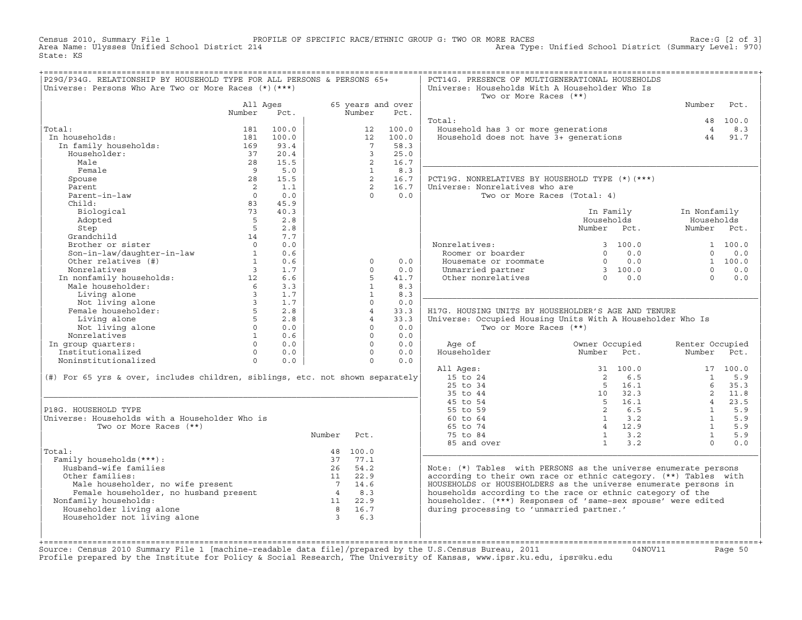Census 2010, Summary File 1 PROFILE OF SPECIFIC RACE/ETHNIC GROUP G: TWO OR MORE RACES Race:G [2 of 3] Area Type: Unified School District (Summary Level: 970) State: KS

| P29G/P34G. RELATIONSHIP BY HOUSEHOLD TYPE FOR ALL PERSONS & PERSONS 65+<br>Universe: Persons Who Are Two or More Races (*) (***)                                                                                               |                         |                                            |        |                     |                           | PCT14G. PRESENCE OF MULTIGENERATIONAL HOUSEHOLDS<br>Universe: Households With A Householder Who Is<br>Two or More Races (**) |                       |                                |          |
|--------------------------------------------------------------------------------------------------------------------------------------------------------------------------------------------------------------------------------|-------------------------|--------------------------------------------|--------|---------------------|---------------------------|------------------------------------------------------------------------------------------------------------------------------|-----------------------|--------------------------------|----------|
|                                                                                                                                                                                                                                | All Ages<br>Number Pct. |                                            |        | Number              | 65 years and over<br>Pct. |                                                                                                                              |                       | Number                         | Pct.     |
|                                                                                                                                                                                                                                |                         |                                            |        |                     |                           | Total:                                                                                                                       |                       |                                | 48 100.0 |
| Total:                                                                                                                                                                                                                         | 181                     | 100.0                                      |        | 12                  | 100.0                     |                                                                                                                              |                       | $\overline{4}$                 | 8.3      |
| In households:                                                                                                                                                                                                                 | 181                     | 100.0                                      |        | 12                  | 100.0                     | Household has 3 or more generations<br>Household does not have 3+ generations                                                |                       | 44                             | 91.7     |
| In family households:                                                                                                                                                                                                          | 169                     | 93.4                                       |        | $7^{\circ}$         | 58.3                      |                                                                                                                              |                       |                                |          |
| Householder:                                                                                                                                                                                                                   | 37                      | 20.4                                       |        | $\mathbf{3}$        | 25.0                      |                                                                                                                              |                       |                                |          |
| Male                                                                                                                                                                                                                           | 28                      | 15.5                                       |        | 2                   | 16.7                      |                                                                                                                              |                       |                                |          |
| Female                                                                                                                                                                                                                         | $\overline{9}$          | 5.0                                        |        | $\mathbf{1}$        | 8.3                       |                                                                                                                              |                       |                                |          |
| Spouse                                                                                                                                                                                                                         | 28                      | 15.5                                       |        | $\overline{a}$      | 16.7                      | PCT19G. NONRELATIVES BY HOUSEHOLD TYPE (*) (***)                                                                             |                       |                                |          |
| Parent                                                                                                                                                                                                                         | $\overline{2}$          | 1.1                                        |        | $2^{\circ}$         | 16.7                      | Universe: Nonrelatives who are                                                                                               |                       |                                |          |
| Parent-in-law                                                                                                                                                                                                                  | $\overline{0}$          | 0.0                                        |        | $\Omega$            | 0.0                       | Two or More Races (Total: 4)                                                                                                 |                       |                                |          |
| Child:                                                                                                                                                                                                                         | 83                      | 45.9                                       |        |                     |                           |                                                                                                                              |                       |                                |          |
| Biological                                                                                                                                                                                                                     | 73                      | 40.3                                       |        |                     |                           |                                                                                                                              | In Family             | In Nonfamily                   |          |
| Adopted                                                                                                                                                                                                                        | $5^{\circ}$             | 2.8                                        |        |                     |                           |                                                                                                                              | Households            | Households                     |          |
| Step                                                                                                                                                                                                                           | $5^{\circ}$             | 2.8                                        |        |                     |                           |                                                                                                                              | Number Pct.           | Number Pct.                    |          |
| Grandchild                                                                                                                                                                                                                     | 14                      | 7.7                                        |        |                     |                           |                                                                                                                              |                       |                                |          |
| Brother or sister                                                                                                                                                                                                              | $\overline{0}$          | 0.0                                        |        |                     |                           | Nonrelatives:<br>Roomer or boarder                                                                                           | 3, 100.0              |                                | 1 100.0  |
| Son-in-law/daughter-in-law<br>Other relatives (#)                                                                                                                                                                              | $\overline{\mathbf{1}}$ | 0.6                                        |        |                     |                           |                                                                                                                              | $0 \t 0.0$            | $\Omega$                       | 0.0      |
|                                                                                                                                                                                                                                | $\mathbf{1}$            | 0.6                                        |        | $\circ$             | 0.0                       |                                                                                                                              |                       |                                | 1 100.0  |
| Nonrelatives                                                                                                                                                                                                                   | $\overline{\mathbf{3}}$ | 1.7                                        |        | $\Omega$            | 0.0                       | Housemate or roommate $0$ 0.0<br>Unmarried partner 3 100.0<br>Other nonrelatives 0 0.0                                       |                       | $\Omega$                       | 0.0      |
| In nonfamily households:<br>Male householder:<br>6                                                                                                                                                                             |                         | 6.6                                        |        | $5^{\circ}$         | 41.7                      |                                                                                                                              |                       | $\cap$                         | 0.0      |
|                                                                                                                                                                                                                                |                         | 3.3                                        |        | $\mathbf{1}$        | 8.3                       |                                                                                                                              |                       |                                |          |
| Living alone                                                                                                                                                                                                                   | $\overline{\mathbf{3}}$ | 1.7                                        |        | $\mathbf{1}$        | 8.3                       |                                                                                                                              |                       |                                |          |
|                                                                                                                                                                                                                                |                         | 1.7                                        |        | $\Omega$            | 0.0                       |                                                                                                                              |                       |                                |          |
| Living alone 3<br>Not living alone 3<br>Female householder: 5<br>Living alone 5<br>5                                                                                                                                           | 5 <sub>1</sub>          | 2.8                                        |        | 4<br>$\overline{4}$ | 33.3                      | H17G. HOUSING UNITS BY HOUSEHOLDER'S AGE AND TENURE                                                                          |                       |                                |          |
| Living alone<br>Not living alone<br>borrelatives                                                                                                                                                                               |                         | 2.8                                        |        | $\Omega$            | 33.3                      | Universe: Occupied Housing Units With A Householder Who Is                                                                   |                       |                                |          |
| Nonrelatives                                                                                                                                                                                                                   |                         | $\begin{matrix}0&&0.0\\1&&0.6\end{matrix}$ |        | $\Omega$            | 0.0<br>0.0                | Two or More Races (**)                                                                                                       |                       |                                |          |
| $\begin{array}{ccccc} & & & & 1 & \\ & & & & 0 & \\ & & & & & 0 \\ & & & & & & 0 \\ \mathrm{c} \mathrm{d} & & & & & 0 \end{array}$<br>In group quarters:                                                                       |                         | 0.0                                        |        | $\Omega$            | 0.0                       | Age of                                                                                                                       | Owner Occupied        |                                |          |
| Institutionalized                                                                                                                                                                                                              |                         | $0 \qquad 0.0$                             |        | $\Omega$            | 0.0                       | Householder                                                                                                                  | Number<br>Pct.        | Renter Occupied<br>Number Pct. |          |
| Noninstitutionalized                                                                                                                                                                                                           |                         | 0.0                                        |        | $\Omega$            | 0.0                       |                                                                                                                              |                       |                                |          |
|                                                                                                                                                                                                                                |                         |                                            |        |                     |                           | All Ages:                                                                                                                    | 31 100.0              |                                | 17 100.0 |
| (#) For 65 yrs & over, includes children, siblings, etc. not shown separately                                                                                                                                                  |                         |                                            |        |                     |                           | 15 to 24                                                                                                                     | $\overline{2}$<br>6.5 | $\mathbf{1}$                   | 5.9      |
|                                                                                                                                                                                                                                |                         |                                            |        |                     |                           | $25$ to $34$                                                                                                                 | 5 16.1                | 6                              | 35.3     |
|                                                                                                                                                                                                                                |                         |                                            |        |                     |                           | 35 to 44                                                                                                                     | 10 32.3               |                                | 2 11.8   |
|                                                                                                                                                                                                                                |                         |                                            |        |                     |                           | 45 to 54                                                                                                                     | $5 \t16.1$            | $\overline{4}$                 | 23.5     |
| P18G. HOUSEHOLD TYPE                                                                                                                                                                                                           |                         |                                            |        |                     |                           | 55 to 59                                                                                                                     | $\overline{2}$<br>6.5 | $\mathbf{1}$                   | 5.9      |
| Universe: Households with a Householder Who is                                                                                                                                                                                 |                         |                                            |        |                     |                           | $60 \text{ to } 64$                                                                                                          | $1 \t3.2$             | $\mathbf{1}$                   | 5.9      |
| Two or More Races (**)                                                                                                                                                                                                         |                         |                                            |        |                     |                           | 65 to 74                                                                                                                     | 4 12.9                | $\overline{1}$                 | 5.9      |
|                                                                                                                                                                                                                                |                         |                                            | Number | Pct.                |                           | 75 to 84                                                                                                                     | $1 \t 3.2$            | $\mathbf{1}$                   | 5.9      |
|                                                                                                                                                                                                                                |                         |                                            |        |                     |                           | 85 and over                                                                                                                  | $1 \t 3.2$            | $\Omega$                       | 0.0      |
| Total:                                                                                                                                                                                                                         |                         |                                            |        | 48 100.0            |                           |                                                                                                                              |                       |                                |          |
| Family households (***) :                                                                                                                                                                                                      |                         |                                            |        | 37 77.1             |                           |                                                                                                                              |                       |                                |          |
| Husband-wife families                                                                                                                                                                                                          |                         |                                            |        | 26 54.2             |                           | Note: (*) Tables with PERSONS as the universe enumerate persons                                                              |                       |                                |          |
| Other families:                                                                                                                                                                                                                |                         |                                            |        | 11 22.9             |                           | according to their own race or ethnic category. (**) Tables with                                                             |                       |                                |          |
| Male householder, no wife present that the same householder, no husband present that the same of the same of the same of the same of the same of the same of the same of the same of the same of the same of the same of the s |                         |                                            |        |                     |                           | HOUSEHOLDS or HOUSEHOLDERS as the universe enumerate persons in                                                              |                       |                                |          |
|                                                                                                                                                                                                                                |                         |                                            |        |                     |                           | households according to the race or ethnic category of the                                                                   |                       |                                |          |
| Nonfamily households:                                                                                                                                                                                                          |                         |                                            |        | 11 22.9             |                           | householder. (***) Responses of 'same-sex spouse' were edited                                                                |                       |                                |          |
| Householder living alone                                                                                                                                                                                                       |                         |                                            |        | 8 16.7              |                           | during processing to 'unmarried partner.'                                                                                    |                       |                                |          |
| Householder not living alone                                                                                                                                                                                                   |                         |                                            |        | 36.3                |                           |                                                                                                                              |                       |                                |          |
|                                                                                                                                                                                                                                |                         |                                            |        |                     |                           |                                                                                                                              |                       |                                |          |
|                                                                                                                                                                                                                                |                         |                                            |        |                     |                           |                                                                                                                              |                       |                                |          |

+===================================================================================================================================================+Source: Census 2010 Summary File 1 [machine-readable data file]/prepared by the U.S.Census Bureau, 2011 Page 50<br>Profile prepared by the Institute for Policy & Social Research, The University of Kansas, www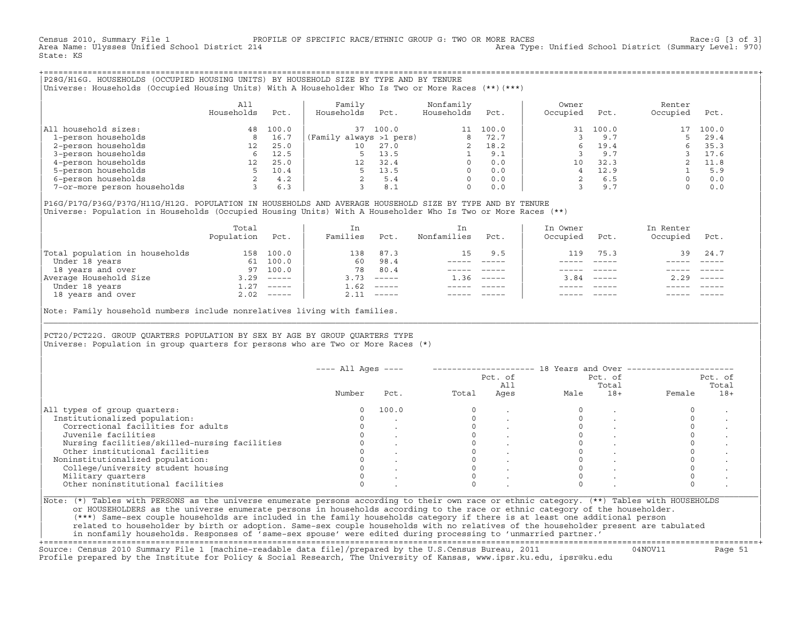Census 2010, Summary File 1 PROFILE OF SPECIFIC RACE/ETHNIC GROUP G: TWO OR MORE RACES Race:G [3 of 3] Area Type: Unified School District (Summary Level: 970) State: KS

+===================================================================================================================================================+|P28G/H16G. HOUSEHOLDS (OCCUPIED HOUSING UNITS) BY HOUSEHOLD SIZE BY TYPE AND BY TENURE | |Universe: Households (Occupied Housing Units) With A Householder Who Is Two or More Races (\*\*)(\*\*\*) |

|                             | A11<br>Households | Pct.  | Family<br>Households    | Pct.  | Nonfamily<br>Households | Pct.  | Owner<br>Occupied | Pct.  | Renter<br>Occupied | Pct.  |  |
|-----------------------------|-------------------|-------|-------------------------|-------|-------------------------|-------|-------------------|-------|--------------------|-------|--|
| All household sizes:        | 48                | 100.0 | 37                      | 100.0 |                         | 100.0 | 31                | 100.0 | 17                 | 100.0 |  |
| 1-person households         |                   | 16.7  | (Family always >1 pers) |       | 8                       | 72.7  |                   | 9.7   |                    | 29.4  |  |
| 2-person households         | 12                | 25.0  | 10                      | 27.0  |                         | 18.2  |                   | 19.4  |                    | 35.3  |  |
| 3-person households         |                   | 12.5  |                         | 13.5  |                         | 9.1   |                   | 9.7   |                    | 17.6  |  |
| 4-person households         |                   | 25.0  | 12 <sup>°</sup>         | 32.4  | $\Omega$                | 0.0   | 10                | 32.3  |                    | 11.8  |  |
| 5-person households         |                   | 10.4  |                         | 13.5  |                         | 0.0   |                   | 12.9  |                    | 5.9   |  |
| 6-person households         |                   | 4.2   |                         | 5.4   | $\Omega$                | 0.0   |                   | 6.5   |                    | 0.0   |  |
| 7-or-more person households |                   | 6.3   |                         | 8.1   | $\Omega$                | 0.0   |                   | 9.7   |                    | 0.0   |  |

|P16G/P17G/P36G/P37G/H11G/H12G. POPULATION IN HOUSEHOLDS AND AVERAGE HOUSEHOLD SIZE BY TYPE AND BY TENURE | Universe: Population in Households (Occupied Housing Units) With A Householder Who Is Two or More Races (\*\*)

|                                | Total<br>Population | Pct.         | In<br>Families | Pct.                      | In.<br>Nonfamilies | Pct.     | In Owner<br>Occupied | Pct.                      | In Renter<br>Occupied | Pct.        |
|--------------------------------|---------------------|--------------|----------------|---------------------------|--------------------|----------|----------------------|---------------------------|-----------------------|-------------|
| Total population in households | 158                 | 100.0        | 138            | 87.3                      | 15                 | 9.5      | 119                  | 75.3                      | 39                    | 24.7        |
| Under 18 years                 | 61                  | 100.0        | 60             | 98.4                      |                    |          |                      |                           |                       |             |
| 18 years and over              | 97                  | 100.0        | 78             | 80.4                      |                    |          |                      |                           |                       |             |
| Average Household Size         | 3.29                | $------$     | 3.73           | $------$                  | 1.36               | $------$ | 3.84                 | $\qquad \qquad - - - - -$ | 2.29                  | $------$    |
| Under 18 years                 | 1.27                | $------$     | 1.62           | $------$                  |                    |          |                      |                           |                       |             |
| 18 years and over              |                     | $2.02$ ----- | 2.11           | $\qquad \qquad - - - - -$ |                    |          |                      | $- - - - -$               |                       | $- - - - -$ |
|                                |                     |              |                |                           |                    |          |                      |                           |                       |             |

Note: Family household numbers include nonrelatives living with families.

| | PCT20/PCT22G. GROUP OUARTERS POPULATION BY SEX BY AGE BY GROUP OUARTERS TYPE Universe: Population in group quarters for persons who are Two or More Races (\*)

|                                               |        |       |       | Pct. of<br>All |      | Pct. of<br>Total |        | Pct. of<br>Total |
|-----------------------------------------------|--------|-------|-------|----------------|------|------------------|--------|------------------|
|                                               | Number | Pct.  | Total | Ages           | Male | $18+$            | Female | $18+$            |
| All types of group quarters:                  |        | 100.0 |       |                |      |                  |        |                  |
| Institutionalized population:                 |        |       |       |                |      |                  |        |                  |
| Correctional facilities for adults            |        |       |       |                |      |                  |        |                  |
| Juvenile facilities                           |        |       |       |                |      |                  |        |                  |
| Nursing facilities/skilled-nursing facilities |        |       |       |                |      |                  |        |                  |
| Other institutional facilities                |        |       |       |                |      |                  |        |                  |
| Noninstitutionalized population:              |        |       |       |                |      |                  |        |                  |
| College/university student housing            |        |       |       |                |      |                  |        |                  |
| Military quarters                             |        |       |       |                |      |                  |        |                  |
| Other noninstitutional facilities             |        |       |       |                |      |                  |        |                  |

|\_\_\_\_\_\_\_\_\_\_\_\_\_\_\_\_\_\_\_\_\_\_\_\_\_\_\_\_\_\_\_\_\_\_\_\_\_\_\_\_\_\_\_\_\_\_\_\_\_\_\_\_\_\_\_\_\_\_\_\_\_\_\_\_\_\_\_\_\_\_\_\_\_\_\_\_\_\_\_\_\_\_\_\_\_\_\_\_\_\_\_\_\_\_\_\_\_\_\_\_\_\_\_\_\_\_\_\_\_\_\_\_\_\_\_\_\_\_\_\_\_\_\_\_\_\_\_\_\_\_\_\_\_\_\_\_\_\_\_\_\_\_\_\_\_\_\_|

| |

or HOUSEHOLDERS as the universe enumerate persons in households according to the race or ethnic category of the householder. | (\*\*\*) Same−sex couple households are included in the family households category if there is at least one additional person | | related to householder by birth or adoption. Same−sex couple households with no relatives of the householder present are tabulated | | in nonfamily households. Responses of 'same−sex spouse' were edited during processing to 'unmarried partner.' |

+===================================================================================================================================================+ Source: Census 2010 Summary File 1 [machine−readable data file]/prepared by the U.S.Census Bureau, 2011 04NOV11 Page 51 Profile prepared by the Institute for Policy & Social Research, The University of Kansas, www.ipsr.ku.edu, ipsr@ku.edu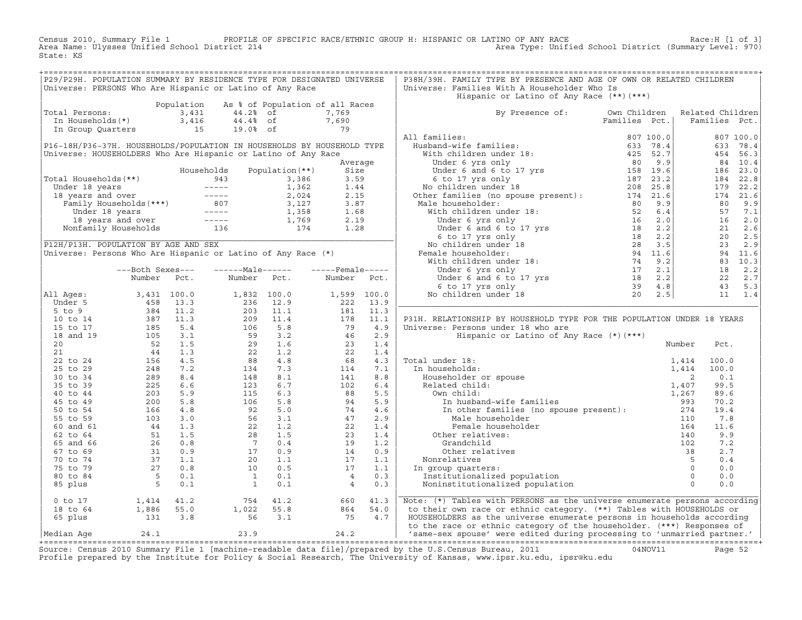Census 2010, Summary File 1 PROFILE OF SPECIFIC RACE/ETHNIC GROUP H: HISPANIC OR LATINO OF ANY RACE Race:H [1 of 3]<br>Area Name: Ulysses Unified School District 214 Area Type: Unified School District (Summary Level: 970) Area Type: Unified School District (Summary Level: 970) State: KS

| P29/P29H. POPULATION SUMMARY BY RESIDENCE TYPE FOR DESIGNATED UNIVERSE<br>Universe: PERSONS Who Are Hispanic or Latino of Any Race<br>Universe: Families With A Householder Who Is<br>Hispanic or Latino of Any Race (**)(***)<br>Population As % of Population of all Races<br>Total Persons: 3,431 44.2% of 7,769<br>In Households(*) 3,416 44.4% of 7,690<br>In Group Quarters 15 19.0% of 79<br>By Presence of: Own Children Related Children<br>Families Pct.   Families Pct.<br>P31H. RELATIONSHIP BY HOUSEHOLD TYPE FOR THE POPULATION UNDER 18 YEARS<br>0 to 17 1,414 41.2 754 41.2 660 41.3<br>18 to 64 1,886 55.0 1,022 55.8 864 54.0 to their own race or ethnic category. (**) Tables with HOUSEHOLDS or<br>65 plus 131 3.8 56 3.1 75 4.7 HOUSEHOLDERS as the universe enumerate perso |  |  |  | P38H/39H. FAMILY TYPE BY PRESENCE AND AGE OF OWN OR RELATED CHILDREN |  |  |  |
|----------------------------------------------------------------------------------------------------------------------------------------------------------------------------------------------------------------------------------------------------------------------------------------------------------------------------------------------------------------------------------------------------------------------------------------------------------------------------------------------------------------------------------------------------------------------------------------------------------------------------------------------------------------------------------------------------------------------------------------------------------------------------------------------------|--|--|--|----------------------------------------------------------------------|--|--|--|
|                                                                                                                                                                                                                                                                                                                                                                                                                                                                                                                                                                                                                                                                                                                                                                                                    |  |  |  |                                                                      |  |  |  |
|                                                                                                                                                                                                                                                                                                                                                                                                                                                                                                                                                                                                                                                                                                                                                                                                    |  |  |  |                                                                      |  |  |  |
|                                                                                                                                                                                                                                                                                                                                                                                                                                                                                                                                                                                                                                                                                                                                                                                                    |  |  |  |                                                                      |  |  |  |
|                                                                                                                                                                                                                                                                                                                                                                                                                                                                                                                                                                                                                                                                                                                                                                                                    |  |  |  |                                                                      |  |  |  |
|                                                                                                                                                                                                                                                                                                                                                                                                                                                                                                                                                                                                                                                                                                                                                                                                    |  |  |  |                                                                      |  |  |  |
|                                                                                                                                                                                                                                                                                                                                                                                                                                                                                                                                                                                                                                                                                                                                                                                                    |  |  |  |                                                                      |  |  |  |
|                                                                                                                                                                                                                                                                                                                                                                                                                                                                                                                                                                                                                                                                                                                                                                                                    |  |  |  |                                                                      |  |  |  |
|                                                                                                                                                                                                                                                                                                                                                                                                                                                                                                                                                                                                                                                                                                                                                                                                    |  |  |  |                                                                      |  |  |  |
|                                                                                                                                                                                                                                                                                                                                                                                                                                                                                                                                                                                                                                                                                                                                                                                                    |  |  |  |                                                                      |  |  |  |
|                                                                                                                                                                                                                                                                                                                                                                                                                                                                                                                                                                                                                                                                                                                                                                                                    |  |  |  |                                                                      |  |  |  |
|                                                                                                                                                                                                                                                                                                                                                                                                                                                                                                                                                                                                                                                                                                                                                                                                    |  |  |  |                                                                      |  |  |  |
|                                                                                                                                                                                                                                                                                                                                                                                                                                                                                                                                                                                                                                                                                                                                                                                                    |  |  |  |                                                                      |  |  |  |
|                                                                                                                                                                                                                                                                                                                                                                                                                                                                                                                                                                                                                                                                                                                                                                                                    |  |  |  |                                                                      |  |  |  |
|                                                                                                                                                                                                                                                                                                                                                                                                                                                                                                                                                                                                                                                                                                                                                                                                    |  |  |  |                                                                      |  |  |  |
|                                                                                                                                                                                                                                                                                                                                                                                                                                                                                                                                                                                                                                                                                                                                                                                                    |  |  |  |                                                                      |  |  |  |
|                                                                                                                                                                                                                                                                                                                                                                                                                                                                                                                                                                                                                                                                                                                                                                                                    |  |  |  |                                                                      |  |  |  |
|                                                                                                                                                                                                                                                                                                                                                                                                                                                                                                                                                                                                                                                                                                                                                                                                    |  |  |  |                                                                      |  |  |  |
|                                                                                                                                                                                                                                                                                                                                                                                                                                                                                                                                                                                                                                                                                                                                                                                                    |  |  |  |                                                                      |  |  |  |
|                                                                                                                                                                                                                                                                                                                                                                                                                                                                                                                                                                                                                                                                                                                                                                                                    |  |  |  |                                                                      |  |  |  |
|                                                                                                                                                                                                                                                                                                                                                                                                                                                                                                                                                                                                                                                                                                                                                                                                    |  |  |  |                                                                      |  |  |  |
|                                                                                                                                                                                                                                                                                                                                                                                                                                                                                                                                                                                                                                                                                                                                                                                                    |  |  |  |                                                                      |  |  |  |
|                                                                                                                                                                                                                                                                                                                                                                                                                                                                                                                                                                                                                                                                                                                                                                                                    |  |  |  |                                                                      |  |  |  |
|                                                                                                                                                                                                                                                                                                                                                                                                                                                                                                                                                                                                                                                                                                                                                                                                    |  |  |  |                                                                      |  |  |  |
|                                                                                                                                                                                                                                                                                                                                                                                                                                                                                                                                                                                                                                                                                                                                                                                                    |  |  |  |                                                                      |  |  |  |
|                                                                                                                                                                                                                                                                                                                                                                                                                                                                                                                                                                                                                                                                                                                                                                                                    |  |  |  |                                                                      |  |  |  |
|                                                                                                                                                                                                                                                                                                                                                                                                                                                                                                                                                                                                                                                                                                                                                                                                    |  |  |  |                                                                      |  |  |  |
|                                                                                                                                                                                                                                                                                                                                                                                                                                                                                                                                                                                                                                                                                                                                                                                                    |  |  |  |                                                                      |  |  |  |
|                                                                                                                                                                                                                                                                                                                                                                                                                                                                                                                                                                                                                                                                                                                                                                                                    |  |  |  |                                                                      |  |  |  |
|                                                                                                                                                                                                                                                                                                                                                                                                                                                                                                                                                                                                                                                                                                                                                                                                    |  |  |  |                                                                      |  |  |  |
|                                                                                                                                                                                                                                                                                                                                                                                                                                                                                                                                                                                                                                                                                                                                                                                                    |  |  |  |                                                                      |  |  |  |
|                                                                                                                                                                                                                                                                                                                                                                                                                                                                                                                                                                                                                                                                                                                                                                                                    |  |  |  |                                                                      |  |  |  |
|                                                                                                                                                                                                                                                                                                                                                                                                                                                                                                                                                                                                                                                                                                                                                                                                    |  |  |  |                                                                      |  |  |  |
|                                                                                                                                                                                                                                                                                                                                                                                                                                                                                                                                                                                                                                                                                                                                                                                                    |  |  |  |                                                                      |  |  |  |
|                                                                                                                                                                                                                                                                                                                                                                                                                                                                                                                                                                                                                                                                                                                                                                                                    |  |  |  |                                                                      |  |  |  |
|                                                                                                                                                                                                                                                                                                                                                                                                                                                                                                                                                                                                                                                                                                                                                                                                    |  |  |  |                                                                      |  |  |  |
|                                                                                                                                                                                                                                                                                                                                                                                                                                                                                                                                                                                                                                                                                                                                                                                                    |  |  |  |                                                                      |  |  |  |
|                                                                                                                                                                                                                                                                                                                                                                                                                                                                                                                                                                                                                                                                                                                                                                                                    |  |  |  |                                                                      |  |  |  |
|                                                                                                                                                                                                                                                                                                                                                                                                                                                                                                                                                                                                                                                                                                                                                                                                    |  |  |  |                                                                      |  |  |  |
|                                                                                                                                                                                                                                                                                                                                                                                                                                                                                                                                                                                                                                                                                                                                                                                                    |  |  |  |                                                                      |  |  |  |
|                                                                                                                                                                                                                                                                                                                                                                                                                                                                                                                                                                                                                                                                                                                                                                                                    |  |  |  |                                                                      |  |  |  |
|                                                                                                                                                                                                                                                                                                                                                                                                                                                                                                                                                                                                                                                                                                                                                                                                    |  |  |  |                                                                      |  |  |  |
|                                                                                                                                                                                                                                                                                                                                                                                                                                                                                                                                                                                                                                                                                                                                                                                                    |  |  |  |                                                                      |  |  |  |
|                                                                                                                                                                                                                                                                                                                                                                                                                                                                                                                                                                                                                                                                                                                                                                                                    |  |  |  |                                                                      |  |  |  |
|                                                                                                                                                                                                                                                                                                                                                                                                                                                                                                                                                                                                                                                                                                                                                                                                    |  |  |  |                                                                      |  |  |  |
|                                                                                                                                                                                                                                                                                                                                                                                                                                                                                                                                                                                                                                                                                                                                                                                                    |  |  |  |                                                                      |  |  |  |
|                                                                                                                                                                                                                                                                                                                                                                                                                                                                                                                                                                                                                                                                                                                                                                                                    |  |  |  |                                                                      |  |  |  |
|                                                                                                                                                                                                                                                                                                                                                                                                                                                                                                                                                                                                                                                                                                                                                                                                    |  |  |  |                                                                      |  |  |  |
|                                                                                                                                                                                                                                                                                                                                                                                                                                                                                                                                                                                                                                                                                                                                                                                                    |  |  |  |                                                                      |  |  |  |
|                                                                                                                                                                                                                                                                                                                                                                                                                                                                                                                                                                                                                                                                                                                                                                                                    |  |  |  |                                                                      |  |  |  |
|                                                                                                                                                                                                                                                                                                                                                                                                                                                                                                                                                                                                                                                                                                                                                                                                    |  |  |  |                                                                      |  |  |  |
|                                                                                                                                                                                                                                                                                                                                                                                                                                                                                                                                                                                                                                                                                                                                                                                                    |  |  |  |                                                                      |  |  |  |
|                                                                                                                                                                                                                                                                                                                                                                                                                                                                                                                                                                                                                                                                                                                                                                                                    |  |  |  |                                                                      |  |  |  |
|                                                                                                                                                                                                                                                                                                                                                                                                                                                                                                                                                                                                                                                                                                                                                                                                    |  |  |  |                                                                      |  |  |  |
|                                                                                                                                                                                                                                                                                                                                                                                                                                                                                                                                                                                                                                                                                                                                                                                                    |  |  |  |                                                                      |  |  |  |
|                                                                                                                                                                                                                                                                                                                                                                                                                                                                                                                                                                                                                                                                                                                                                                                                    |  |  |  |                                                                      |  |  |  |
|                                                                                                                                                                                                                                                                                                                                                                                                                                                                                                                                                                                                                                                                                                                                                                                                    |  |  |  |                                                                      |  |  |  |
|                                                                                                                                                                                                                                                                                                                                                                                                                                                                                                                                                                                                                                                                                                                                                                                                    |  |  |  |                                                                      |  |  |  |

+===================================================================================================================================================+Source: Census 2010 Summary File 1 [machine−readable data file]/prepared by the U.S.Census Bureau, 2011 04NOV11 Page 52 Profile prepared by the Institute for Policy & Social Research, The University of Kansas, www.ipsr.ku.edu, ipsr@ku.edu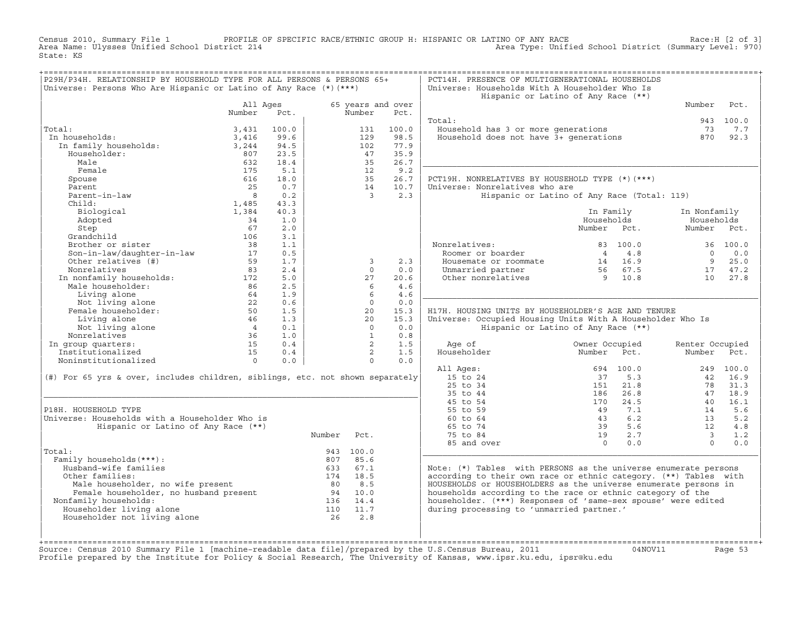Census 2010, Summary File 1 PROFILE OF SPECIFIC RACE/ETHNIC GROUP H: HISPANIC OR LATINO OF ANY RACE Race:H [2 of 3]<br>Area Name: Ulysses Unified School District 214 Area Type: Unified School District (Summary Level: 970) Area Type: Unified School District (Summary Level: 970) State: KS

| P29H/P34H. RELATIONSHIP BY HOUSEHOLD TYPE FOR ALL PERSONS & PERSONS 65+<br>Universe: Persons Who Are Hispanic or Latino of Any Race (*) (***) |                         |       |        |                         |                   | PCT14H. PRESENCE OF MULTIGENERATIONAL HOUSEHOLDS<br>Universe: Households With A Householder Who Is |                                             |                          |           |
|-----------------------------------------------------------------------------------------------------------------------------------------------|-------------------------|-------|--------|-------------------------|-------------------|----------------------------------------------------------------------------------------------------|---------------------------------------------|--------------------------|-----------|
|                                                                                                                                               |                         |       |        |                         |                   |                                                                                                    | Hispanic or Latino of Any Race (**)         |                          |           |
|                                                                                                                                               | All Ages                |       |        |                         | 65 years and over |                                                                                                    |                                             | Number                   | Pct.      |
|                                                                                                                                               | Number                  | Pct.  |        | Number                  | Pct.              |                                                                                                    |                                             |                          |           |
|                                                                                                                                               |                         |       |        |                         |                   | Total:                                                                                             |                                             |                          | 943 100.0 |
| Total:                                                                                                                                        | 3,431                   | 100.0 |        | 131                     | 100.0             | Household has 3 or more generations                                                                |                                             | 73                       | 7.7       |
| In households:                                                                                                                                | 3,416                   | 99.6  |        | 129                     | 98.5              | Household does not have 3+ generations                                                             |                                             | 870                      | 92.3      |
| In family households:                                                                                                                         | 3,244                   | 94.5  |        | 102                     | 77.9              |                                                                                                    |                                             |                          |           |
| Householder:                                                                                                                                  | 807                     | 23.5  |        | 47                      | 35.9              |                                                                                                    |                                             |                          |           |
| Male                                                                                                                                          | 632                     | 18.4  |        | 35                      | 26.7              |                                                                                                    |                                             |                          |           |
| Female                                                                                                                                        | 175                     | 5.1   |        | 12                      | 9.2               |                                                                                                    |                                             |                          |           |
| Spouse                                                                                                                                        | 616                     | 18.0  |        | 35                      | 26.7              | PCT19H. NONRELATIVES BY HOUSEHOLD TYPE (*)(***)                                                    |                                             |                          |           |
| Parent                                                                                                                                        | 25                      | 0.7   |        | 14                      | 10.7              | Universe: Nonrelatives who are                                                                     |                                             |                          |           |
| Parent-in-law                                                                                                                                 | $\overline{\mathbf{8}}$ | 0.2   |        | $\overline{\mathbf{3}}$ | 2.3               |                                                                                                    | Hispanic or Latino of Any Race (Total: 119) |                          |           |
| Child:                                                                                                                                        | 1,485                   | 43.3  |        |                         |                   |                                                                                                    |                                             |                          |           |
| Biological                                                                                                                                    | 1,384                   | 40.3  |        |                         |                   |                                                                                                    | In Family                                   | In Nonfamily             |           |
| Adopted                                                                                                                                       | 34                      | 1.0   |        |                         |                   |                                                                                                    | Households                                  | Households               |           |
| Step                                                                                                                                          | 67                      | 2.0   |        |                         |                   |                                                                                                    | Number Pct.                                 | Number Pct.              |           |
| Grandchild                                                                                                                                    | 106                     | 3.1   |        |                         |                   |                                                                                                    |                                             |                          |           |
| Brother or sister                                                                                                                             | 38                      | 1.1   |        |                         |                   | Nonrelatives:                                                                                      |                                             |                          |           |
|                                                                                                                                               |                         | 0.5   |        |                         |                   | Roomer or boarder                                                                                  | 83 100.0                                    | $\Omega$                 | 36 100.0  |
| Son-in-law/daughter-in-law                                                                                                                    | 17                      |       |        |                         |                   |                                                                                                    | $4 \t 4.8$                                  |                          | 0.0       |
| Other relatives (#)                                                                                                                           | 59                      | 1.7   |        | $\overline{3}$          | 2.3               | Housemate or roommate                                                                              | 14 16.9                                     |                          | 9 25.0    |
| Nonrelatives                                                                                                                                  | 83                      | 2.4   |        | $\Omega$                | 0.0               | Unmarried partner                                                                                  | 56 67.5                                     | 17                       | 47.2      |
| Nonitiative.<br>In nonfamily households:                                                                                                      | 172                     | 5.0   |        | 27                      | 20.6              | Other nonrelatives                                                                                 | $9 \t10.8$                                  | 10                       | 27.8      |
| Male householder:                                                                                                                             | 86                      | 2.5   |        | 6                       | 4.6               |                                                                                                    |                                             |                          |           |
| Living alone                                                                                                                                  | 64                      | 1.9   |        | 6                       | 4.6               |                                                                                                    |                                             |                          |           |
| Not living alone                                                                                                                              | 22                      | 0.6   |        | $\circ$                 | 0.0               |                                                                                                    |                                             |                          |           |
| Female householder:                                                                                                                           | 50                      | 1.5   |        | 20                      | 15.3              | H17H. HOUSING UNITS BY HOUSEHOLDER'S AGE AND TENURE                                                |                                             |                          |           |
| Living alone                                                                                                                                  | 46                      | 1.3   |        | 20                      | 15.3              | Universe: Occupied Housing Units With A Householder Who Is                                         |                                             |                          |           |
| Not living alone                                                                                                                              | $\overline{4}$          | 0.1   |        | $\Omega$                | 0.0               |                                                                                                    | Hispanic or Latino of Any Race (**)         |                          |           |
| Nonrelatives                                                                                                                                  | 36                      | 1.0   |        | $\mathbf{1}$            | 0.8               |                                                                                                    |                                             |                          |           |
| In group quarters:                                                                                                                            | 15                      | 0.4   |        | $\overline{a}$          | 1.5               | Age of                                                                                             | Owner Occupied                              | Renter Occupied          |           |
| Institutionalized                                                                                                                             | 15                      | 0.4   |        | $\overline{2}$          | 1.5               | Householder                                                                                        | Number<br>Pct.                              | Number                   | Pct.      |
| Noninstitutionalized                                                                                                                          | $\Omega$                | 0.0   |        | $\Omega$                | 0.0               |                                                                                                    |                                             |                          |           |
|                                                                                                                                               |                         |       |        |                         |                   | All Ages:                                                                                          | 694 100.0                                   |                          | 249100.0  |
| (#) For 65 yrs & over, includes children, siblings, etc. not shown separately                                                                 |                         |       |        |                         |                   | 15 to 24                                                                                           | 5.3<br>37                                   | 42                       | 16.9      |
|                                                                                                                                               |                         |       |        |                         |                   | 25 to 34                                                                                           | 151<br>21.8                                 |                          | 78 31.3   |
|                                                                                                                                               |                         |       |        |                         |                   | 35 to 44                                                                                           | 26.8<br>186                                 | 47                       | 18.9      |
|                                                                                                                                               |                         |       |        |                         |                   | 45 to 54                                                                                           | 170<br>24.5                                 | 40                       | 16.1      |
| P18H. HOUSEHOLD TYPE                                                                                                                          |                         |       |        |                         |                   | 55 to 59                                                                                           | 7.1<br>49                                   | 14                       | 5.6       |
| Universe: Households with a Householder Who is                                                                                                |                         |       |        |                         |                   | 60 to 64                                                                                           | 6.2<br>43                                   | 13                       | 5.2       |
| Hispanic or Latino of Any Race (**)                                                                                                           |                         |       |        |                         |                   | 65 to 74                                                                                           | 39 5.6                                      | 12                       | 4.8       |
|                                                                                                                                               |                         |       | Number | Pct.                    |                   | 75 to 84                                                                                           | 19<br>2.7                                   | $\overline{\phantom{a}}$ | 1.2       |
|                                                                                                                                               |                         |       |        |                         |                   | 85 and over                                                                                        | $\overline{0}$<br>0.0                       | $\Omega$                 | 0.0       |
| Total:                                                                                                                                        |                         |       |        | 943 100.0               |                   |                                                                                                    |                                             |                          |           |
| Family households (***) :                                                                                                                     |                         |       |        | 807 85.6                |                   |                                                                                                    |                                             |                          |           |
| Husband-wife families                                                                                                                         |                         |       |        | 633 67.1                |                   | Note: (*) Tables with PERSONS as the universe enumerate persons                                    |                                             |                          |           |
| Other families:                                                                                                                               |                         |       |        | 174 18.5                |                   | according to their own race or ethnic category. (**) Tables with                                   |                                             |                          |           |
|                                                                                                                                               |                         |       | 80     | 8.5                     |                   | HOUSEHOLDS or HOUSEHOLDERS as the universe enumerate persons in                                    |                                             |                          |           |
| <br>Male householder, no wife present<br>Female householder, no husband present<br>:amily households:                                         |                         |       |        | 94 10.0                 |                   | households according to the race or ethnic category of the                                         |                                             |                          |           |
|                                                                                                                                               |                         |       |        | 136 14.4                |                   |                                                                                                    |                                             |                          |           |
| Nonfamily households:                                                                                                                         |                         |       |        |                         |                   | householder. (***) Responses of 'same-sex spouse' were edited                                      |                                             |                          |           |
| Householder living alone                                                                                                                      |                         |       |        | 110 11.7                |                   | during processing to 'unmarried partner.'                                                          |                                             |                          |           |
| Householder not living alone                                                                                                                  |                         |       | 26     | 2.8                     |                   |                                                                                                    |                                             |                          |           |
|                                                                                                                                               |                         |       |        |                         |                   |                                                                                                    |                                             |                          |           |
|                                                                                                                                               |                         |       |        |                         |                   |                                                                                                    |                                             |                          |           |
|                                                                                                                                               |                         |       |        |                         |                   |                                                                                                    |                                             |                          |           |

+===================================================================================================================================================+Source: Census 2010 Summary File 1 [machine−readable data file]/prepared by the U.S.Census Bureau, 2011 04NOV11 Page 53 Profile prepared by the Institute for Policy & Social Research, The University of Kansas, www.ipsr.ku.edu, ipsr@ku.edu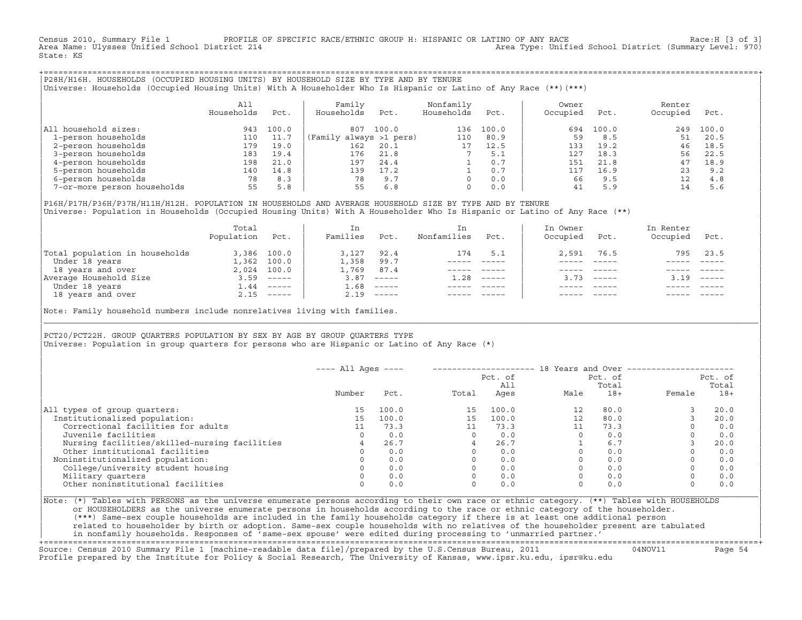Census 2010, Summary File 1 PROFILE OF SPECIFIC RACE/ETHNIC GROUP H: HISPANIC OR LATINO OF ANY RACE RACE Race:H [3 of 3]<br>Area Name: Ulysses Unified School District 214 Area Type: Unified School District (Summary Level: 970) State: KS

+===================================================================================================================================================+|P28H/H16H. HOUSEHOLDS (OCCUPIED HOUSING UNITS) BY HOUSEHOLD SIZE BY TYPE AND BY TENURE | |Universe: Households (Occupied Housing Units) With A Householder Who Is Hispanic or Latino of Any Race (\*\*)(\*\*\*) |

|                             | All<br>Households | Pct.  | Family<br>Households    | Pct.  | Nonfamily<br>Households | Pct.  | Owner<br>Occupied | Pct.  | Renter<br>Occupied | Pct.  |  |
|-----------------------------|-------------------|-------|-------------------------|-------|-------------------------|-------|-------------------|-------|--------------------|-------|--|
| All household sizes:        | 943               | 100.0 | 807                     | 100.0 | 136                     | 100.0 | 694               | 100.0 | 249                | 100.0 |  |
| 1-person households         | 110               | 11.7  | (Family always >1 pers) |       | 110                     | 80.9  | 59                | 8.5   | 51                 | 20.5  |  |
| 2-person households         | 179               | 19.0  | 162                     | 20.1  |                         | 12.5  | 133               | 19.2  | 46                 | 18.5  |  |
| 3-person households         | 183               | 19.4  | 176                     | 21.8  |                         | 5.1   | 127               | 18.3  | 56                 | 22.5  |  |
| 4-person households         | 198               | 21.0  | 197                     | 24.4  |                         | 0.7   | 151               | 21.8  | 47                 | 18.9  |  |
| 5-person households         | 140               | 14.8  | 139                     | 17.2  |                         | 0.7   | 117               | 16.9  | 23                 | 9.2   |  |
| 6-person households         | 78                | 8.3   | 78                      | 9.7   |                         | 0.0   | 66                | 9.5   | 12                 | 4.8   |  |
| 7-or-more person households | 55                | 5.8   | 55                      | 6.8   | 0                       | 0.0   | 41                | 5.9   | 14                 | 5.6   |  |

|P16H/P17H/P36H/P37H/H11H/H12H. POPULATION IN HOUSEHOLDS AND AVERAGE HOUSEHOLD SIZE BY TYPE AND BY TENURE | Universe: Population in Households (Occupied Housing Units) With A Householder Who Is Hispanic or Latino of Any Race (\*\*)

|                                | Total<br>Population | Pct.                      | In<br>Families | Pct.     | In<br>Nonfamilies | Pct.     | In Owner<br>Occupied | Pct.                      | In Renter<br>Occupied | Pct.                      |  |
|--------------------------------|---------------------|---------------------------|----------------|----------|-------------------|----------|----------------------|---------------------------|-----------------------|---------------------------|--|
| Total population in households |                     | 3,386 100.0               | 3,127          | 92.4     | 174               | 5.1      | 2,591                | 76.5                      | 795                   | 23.5                      |  |
| Under 18 years                 | 1,362               | 100.0                     | 1,358          | 99.7     |                   |          |                      |                           |                       |                           |  |
| 18 years and over              |                     | 2,024 100.0               | 1,769          | 87.4     |                   |          |                      |                           |                       |                           |  |
| Average Household Size         | 3.59                | $\qquad \qquad - - - - -$ | 3.87           | $------$ | 1.28              | $------$ | 373                  | $\qquad \qquad - - - - -$ | 3.19                  | $\qquad \qquad - - - - -$ |  |
| Under 18 years                 | $\pm 0.44$          | $------$                  | 1.68           | $------$ |                   |          |                      |                           |                       |                           |  |
| 18 years and over              |                     | $2.15$ -----              | 2.19           |          |                   |          |                      |                           |                       | $- - - - -$               |  |

Note: Family household numbers include nonrelatives living with families.

| | PCT20/PCT22H. GROUP OUARTERS POPULATION BY SEX BY AGE BY GROUP OUARTERS TYPE Universe: Population in group quarters for persons who are Hispanic or Latino of Any Race (\*)

|                                               | $---$ All Ages $---$ |       |       |                |          |                  | 18 Years and Over ------------------ |                  |
|-----------------------------------------------|----------------------|-------|-------|----------------|----------|------------------|--------------------------------------|------------------|
|                                               |                      |       |       | Pct. of<br>A11 |          | Pct. of<br>Total |                                      | Pct. of<br>Total |
|                                               | Number               | Pct.  | Total | Ages           | Male     | $18+$            | Female                               | $18+$            |
| All types of group quarters:                  | 15                   | 100.0 | 15    | 100.0          | 12       | 80.0             |                                      | 20.0             |
| Institutionalized population:                 | 15 <sub>1</sub>      | 100.0 | 15    | 100.0          | 12       | 80.0             |                                      | 20.0             |
| Correctional facilities for adults            |                      | 73.3  |       | 73.3           | 11       | 73.3             |                                      | 0.0              |
| Juvenile facilities                           | $\Omega$             | 0.0   |       | 0.0            | $\Omega$ | 0.0              |                                      | 0.0              |
| Nursing facilities/skilled-nursing facilities |                      | 26.7  |       | 26.7           |          | 6.7              |                                      | 20.0             |
| Other institutional facilities                |                      | 0.0   |       | 0.0            |          | 0.0              |                                      | 0.0              |
| Noninstitutionalized population:              |                      | 0.0   |       | 0.0            |          | 0.0              |                                      | 0.0              |
| College/university student housing            |                      | 0.0   |       | 0.0            |          | 0.0              |                                      | 0.0              |
| Military quarters                             |                      | 0.0   |       | 0.0            |          | 0.0              |                                      | 0.0              |
| Other noninstitutional facilities             |                      | 0.0   |       | 0.0            |          | 0.0              |                                      | 0.0              |

|\_\_\_\_\_\_\_\_\_\_\_\_\_\_\_\_\_\_\_\_\_\_\_\_\_\_\_\_\_\_\_\_\_\_\_\_\_\_\_\_\_\_\_\_\_\_\_\_\_\_\_\_\_\_\_\_\_\_\_\_\_\_\_\_\_\_\_\_\_\_\_\_\_\_\_\_\_\_\_\_\_\_\_\_\_\_\_\_\_\_\_\_\_\_\_\_\_\_\_\_\_\_\_\_\_\_\_\_\_\_\_\_\_\_\_\_\_\_\_\_\_\_\_\_\_\_\_\_\_\_\_\_\_\_\_\_\_\_\_\_\_\_\_\_\_\_\_|

| |

|Note: (\*) Tables with PERSONS as the universe enumerate persons according to their own race or ethnic category. (\*\*) Tables with HOUSEHOLDS | or HOUSEHOLDERS as the universe enumerate persons in households according to the race or ethnic category of the householder. | (\*\*\*) Same−sex couple households are included in the family households category if there is at least one additional person | | related to householder by birth or adoption. Same−sex couple households with no relatives of the householder present are tabulated | | in nonfamily households. Responses of 'same−sex spouse' were edited during processing to 'unmarried partner.' |

+===================================================================================================================================================+ Source: Census 2010 Summary File 1 [machine−readable data file]/prepared by the U.S.Census Bureau, 2011 04NOV11 Page 54 Profile prepared by the Institute for Policy & Social Research, The University of Kansas, www.ipsr.ku.edu, ipsr@ku.edu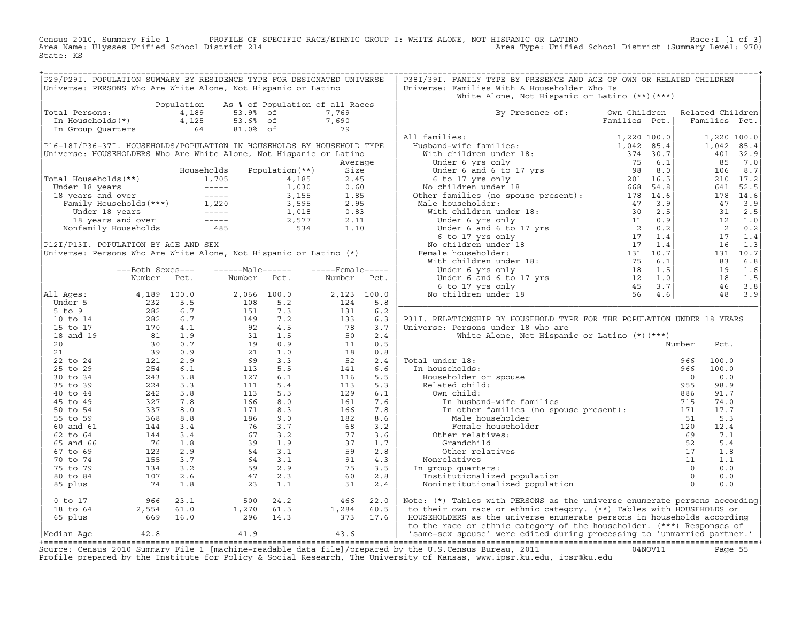Census 2010, Summary File 1 PROFILE OF SPECIFIC RACE/ETHNIC GROUP I: WHITE ALONE, NOT HISPANIC OR LATINO Race:I [1 of 3] Area Name: Ulysses Unified School District 214 Area Type: Unified School District (Summary Level: 970) State: KS

| Total Persons:<br>In Households(*)<br>In Group Quarters<br>P16-18I/P36-37I. HOUSEHOLDS/POPULATION IN HOUSEHOLDS BY HOUSEHOLD TYPE<br>Universe: HOUSEHOLDERS Who Are White Alone, Not Hispanic or Latino<br>Total Households(**)<br>01 Households (**)<br>Under 18 years<br>1,705 1,705 4,185<br>1,705 1,705 4,185<br>1,930<br>18 years and over<br>Family Households (***)<br>1,220 3,595<br>Under 18 years<br>1,018 1,220 3,595<br>1,018 1,018<br>1,018 1,018<br>1,018 1,018<br>1,018 1,01 |                                                                                                                                                                                                                                                                                                                               | Population<br>4,189<br>4,125<br>and the control of the<br>64 | 53.9% of<br>53.6% of<br>81.0% of                                                                                                                                                                                                             | As % of Population of all Races<br>$\frac{1}{2}$ 79                                  | 7,769<br>7,690    |             | White Alone, Not Hispanic or Latino $(**)$ $(***)$                                                                                                                                                                                                                    |                               |                                   |                 |
|---------------------------------------------------------------------------------------------------------------------------------------------------------------------------------------------------------------------------------------------------------------------------------------------------------------------------------------------------------------------------------------------------------------------------------------------------------------------------------------------|-------------------------------------------------------------------------------------------------------------------------------------------------------------------------------------------------------------------------------------------------------------------------------------------------------------------------------|--------------------------------------------------------------|----------------------------------------------------------------------------------------------------------------------------------------------------------------------------------------------------------------------------------------------|--------------------------------------------------------------------------------------|-------------------|-------------|-----------------------------------------------------------------------------------------------------------------------------------------------------------------------------------------------------------------------------------------------------------------------|-------------------------------|-----------------------------------|-----------------|
|                                                                                                                                                                                                                                                                                                                                                                                                                                                                                             |                                                                                                                                                                                                                                                                                                                               |                                                              |                                                                                                                                                                                                                                              |                                                                                      |                   |             |                                                                                                                                                                                                                                                                       |                               |                                   |                 |
|                                                                                                                                                                                                                                                                                                                                                                                                                                                                                             |                                                                                                                                                                                                                                                                                                                               |                                                              |                                                                                                                                                                                                                                              |                                                                                      |                   |             | By Presence of:<br>millies:<br>Framilies:<br>Hubband–wife families:<br>With children under 18:<br>With children under 18:<br>Under 6 and 6 to 17 yrs<br>Under 6 and 6 to 17 yrs<br>Sec.<br>6 to 17 yrs only<br>No children under 18:<br>Wher families (no spouse pres | Own Children<br>Families Pct. | Related Children<br>Families Pct. |                 |
|                                                                                                                                                                                                                                                                                                                                                                                                                                                                                             |                                                                                                                                                                                                                                                                                                                               |                                                              |                                                                                                                                                                                                                                              |                                                                                      |                   |             | All families:                                                                                                                                                                                                                                                         |                               |                                   | 1,220 100.0     |
|                                                                                                                                                                                                                                                                                                                                                                                                                                                                                             |                                                                                                                                                                                                                                                                                                                               |                                                              |                                                                                                                                                                                                                                              |                                                                                      |                   |             |                                                                                                                                                                                                                                                                       |                               |                                   | 1,042 85.4      |
|                                                                                                                                                                                                                                                                                                                                                                                                                                                                                             |                                                                                                                                                                                                                                                                                                                               |                                                              |                                                                                                                                                                                                                                              |                                                                                      |                   |             |                                                                                                                                                                                                                                                                       |                               |                                   | 401 32.9        |
|                                                                                                                                                                                                                                                                                                                                                                                                                                                                                             |                                                                                                                                                                                                                                                                                                                               |                                                              |                                                                                                                                                                                                                                              |                                                                                      | Average           |             |                                                                                                                                                                                                                                                                       |                               | 85                                | 7.0             |
|                                                                                                                                                                                                                                                                                                                                                                                                                                                                                             |                                                                                                                                                                                                                                                                                                                               |                                                              | Households                                                                                                                                                                                                                                   | Population (**)                                                                      | Size              |             |                                                                                                                                                                                                                                                                       |                               |                                   | 106 8.7         |
|                                                                                                                                                                                                                                                                                                                                                                                                                                                                                             |                                                                                                                                                                                                                                                                                                                               |                                                              |                                                                                                                                                                                                                                              |                                                                                      | 2.45              |             |                                                                                                                                                                                                                                                                       |                               |                                   | 210 17.2        |
|                                                                                                                                                                                                                                                                                                                                                                                                                                                                                             |                                                                                                                                                                                                                                                                                                                               |                                                              |                                                                                                                                                                                                                                              |                                                                                      | 0.60              |             |                                                                                                                                                                                                                                                                       |                               |                                   | 641 52.5        |
|                                                                                                                                                                                                                                                                                                                                                                                                                                                                                             |                                                                                                                                                                                                                                                                                                                               |                                                              |                                                                                                                                                                                                                                              |                                                                                      | 1.85              |             |                                                                                                                                                                                                                                                                       |                               |                                   | 178 14.6        |
|                                                                                                                                                                                                                                                                                                                                                                                                                                                                                             |                                                                                                                                                                                                                                                                                                                               |                                                              |                                                                                                                                                                                                                                              |                                                                                      | 2.95              |             |                                                                                                                                                                                                                                                                       |                               |                                   | 47 3.9          |
|                                                                                                                                                                                                                                                                                                                                                                                                                                                                                             |                                                                                                                                                                                                                                                                                                                               |                                                              |                                                                                                                                                                                                                                              |                                                                                      | 0.83              |             |                                                                                                                                                                                                                                                                       |                               |                                   | 31 2.5          |
|                                                                                                                                                                                                                                                                                                                                                                                                                                                                                             |                                                                                                                                                                                                                                                                                                                               |                                                              |                                                                                                                                                                                                                                              | $\begin{array}{cccc} 1,018 & & 0.83 \\ 2,577 & & 2.11 \\ & 534 & & 1.10 \end{array}$ |                   |             |                                                                                                                                                                                                                                                                       |                               |                                   | 12 1.0<br>2 0.2 |
|                                                                                                                                                                                                                                                                                                                                                                                                                                                                                             |                                                                                                                                                                                                                                                                                                                               |                                                              |                                                                                                                                                                                                                                              |                                                                                      |                   |             |                                                                                                                                                                                                                                                                       |                               | 17                                | 1.4             |
| P12I/P13I. POPULATION BY AGE AND SEX                                                                                                                                                                                                                                                                                                                                                                                                                                                        |                                                                                                                                                                                                                                                                                                                               |                                                              |                                                                                                                                                                                                                                              |                                                                                      |                   |             |                                                                                                                                                                                                                                                                       |                               |                                   | $16$ $1.3$      |
| Universe: Persons Who Are White Alone, Not Hispanic or Latino (*)                                                                                                                                                                                                                                                                                                                                                                                                                           |                                                                                                                                                                                                                                                                                                                               |                                                              |                                                                                                                                                                                                                                              |                                                                                      |                   |             |                                                                                                                                                                                                                                                                       |                               |                                   | 131 10.7        |
|                                                                                                                                                                                                                                                                                                                                                                                                                                                                                             |                                                                                                                                                                                                                                                                                                                               |                                                              |                                                                                                                                                                                                                                              |                                                                                      |                   |             |                                                                                                                                                                                                                                                                       |                               |                                   | 83 6.8          |
|                                                                                                                                                                                                                                                                                                                                                                                                                                                                                             | ---Both Sexes---                                                                                                                                                                                                                                                                                                              |                                                              | ------Male------                                                                                                                                                                                                                             |                                                                                      | $---$ Female----- |             |                                                                                                                                                                                                                                                                       |                               |                                   | 19 1.6          |
|                                                                                                                                                                                                                                                                                                                                                                                                                                                                                             | Number                                                                                                                                                                                                                                                                                                                        | Pct.                                                         | Number Pct.                                                                                                                                                                                                                                  |                                                                                      | Number            | Pct.        |                                                                                                                                                                                                                                                                       |                               |                                   | 18 1.5          |
|                                                                                                                                                                                                                                                                                                                                                                                                                                                                                             |                                                                                                                                                                                                                                                                                                                               |                                                              |                                                                                                                                                                                                                                              |                                                                                      |                   |             |                                                                                                                                                                                                                                                                       |                               |                                   | 46 3.8          |
| All Ages:                                                                                                                                                                                                                                                                                                                                                                                                                                                                                   |                                                                                                                                                                                                                                                                                                                               |                                                              |                                                                                                                                                                                                                                              |                                                                                      |                   | 2,123 100.0 |                                                                                                                                                                                                                                                                       |                               |                                   | 48 3.9          |
| Under 5                                                                                                                                                                                                                                                                                                                                                                                                                                                                                     |                                                                                                                                                                                                                                                                                                                               |                                                              |                                                                                                                                                                                                                                              |                                                                                      | 124               | 5.8         |                                                                                                                                                                                                                                                                       |                               |                                   |                 |
| $5$ to $9$                                                                                                                                                                                                                                                                                                                                                                                                                                                                                  | $\begin{array}{cccc} 4\, , 189 & 100 \, . \, 0 \\ 232 & 5 \, . \, 5 \\ 282 & 6 \, . \, 7 \\ 282 & 6 \, . \, 7 \\ 170 & 4 \, . \, 1 \\ 31 & 1 \, . \, 9 \\ 30 & 0 \, . \, 9 \\ 121 & 2 \, . \, 9 \\ 254 & 6 \, . \, 1 \\ 243 & 5 \, . \, 8 \\ 224 & 5 \, . \, 3 \\ 242 & 5 \, . \, 3 \\ 242 & 5 \, . \, 3 \\ 242 & 5 \, . \, $ |                                                              | $\begin{array}{cccc} 2\, , 066 & 100\, . \, 0 \\ 108 & 5\, . \, 2 \\ 151 & 7\, . \, 3 \\ 149 & 7\, . \, 2 \\ 92 & 4\, . \, 5 \\ 31 & 1\, . \, 5 \\ 19 & 0\, . \, 9 \\ 21 & 1\, . \, 0 \\ 69 & 3\, . \, 3 \\ 113 & 5\, . \, 5 \\ \end{array}$ |                                                                                      | 131               | $6.2$       |                                                                                                                                                                                                                                                                       |                               |                                   |                 |
| 10 to 14                                                                                                                                                                                                                                                                                                                                                                                                                                                                                    |                                                                                                                                                                                                                                                                                                                               |                                                              |                                                                                                                                                                                                                                              |                                                                                      | 133               | 6.3         | P31I. RELATIONSHIP BY HOUSEHOLD TYPE FOR THE POPULATION UNDER 18 YEARS                                                                                                                                                                                                |                               |                                   |                 |
| 15 to 17                                                                                                                                                                                                                                                                                                                                                                                                                                                                                    |                                                                                                                                                                                                                                                                                                                               |                                                              |                                                                                                                                                                                                                                              |                                                                                      | 78                | 3.7         | Universe: Persons under 18 who are                                                                                                                                                                                                                                    |                               |                                   |                 |
| 18 and 19                                                                                                                                                                                                                                                                                                                                                                                                                                                                                   |                                                                                                                                                                                                                                                                                                                               |                                                              |                                                                                                                                                                                                                                              |                                                                                      | 50                | 2.4         | White Alone, Not Hispanic or Latino (*) (***)                                                                                                                                                                                                                         |                               |                                   |                 |
| 20<br>21                                                                                                                                                                                                                                                                                                                                                                                                                                                                                    |                                                                                                                                                                                                                                                                                                                               |                                                              |                                                                                                                                                                                                                                              |                                                                                      | 11<br>18          | 0.5<br>0.8  |                                                                                                                                                                                                                                                                       |                               | Number<br>Pct.                    |                 |
| 22 to 24                                                                                                                                                                                                                                                                                                                                                                                                                                                                                    |                                                                                                                                                                                                                                                                                                                               |                                                              |                                                                                                                                                                                                                                              |                                                                                      | 52                | 2.4         | Total under 18:                                                                                                                                                                                                                                                       |                               | 100.0<br>966                      |                 |
| 25 to 29                                                                                                                                                                                                                                                                                                                                                                                                                                                                                    |                                                                                                                                                                                                                                                                                                                               |                                                              | 113                                                                                                                                                                                                                                          | 5.5                                                                                  | 141               | 6.6         | al under 18:<br>a households:<br>Householder or spouse<br>Related child:<br>In households:                                                                                                                                                                            |                               | 100.0<br>966                      |                 |
| 30 to 34                                                                                                                                                                                                                                                                                                                                                                                                                                                                                    |                                                                                                                                                                                                                                                                                                                               |                                                              | 127                                                                                                                                                                                                                                          | 6.1                                                                                  | 116               | 5.5         |                                                                                                                                                                                                                                                                       |                               | $\Omega$<br>0.0                   |                 |
| 35 to 39                                                                                                                                                                                                                                                                                                                                                                                                                                                                                    |                                                                                                                                                                                                                                                                                                                               |                                                              | 111                                                                                                                                                                                                                                          | 5.4                                                                                  | 113               | 5.3         |                                                                                                                                                                                                                                                                       |                               | 98.9<br>955                       |                 |
| 40 to 44                                                                                                                                                                                                                                                                                                                                                                                                                                                                                    |                                                                                                                                                                                                                                                                                                                               |                                                              | 113                                                                                                                                                                                                                                          | 5.5                                                                                  | 129               | 6.1         | Own child:                                                                                                                                                                                                                                                            |                               | 886<br>91.7                       |                 |
| 45 to 49                                                                                                                                                                                                                                                                                                                                                                                                                                                                                    | $\frac{12}{327}$<br>337<br>368                                                                                                                                                                                                                                                                                                | 7.8                                                          | 166                                                                                                                                                                                                                                          | 8.0                                                                                  | 161               | 7.6         | In husband-wife families                                                                                                                                                                                                                                              |                               | 715<br>74.0                       |                 |
| 50 to 54                                                                                                                                                                                                                                                                                                                                                                                                                                                                                    |                                                                                                                                                                                                                                                                                                                               | 8.0                                                          | 171                                                                                                                                                                                                                                          | 8.3                                                                                  | 166               | 7.8         | In other families (no spouse present): 171                                                                                                                                                                                                                            |                               | 17.7                              |                 |
| 55 to 59                                                                                                                                                                                                                                                                                                                                                                                                                                                                                    |                                                                                                                                                                                                                                                                                                                               | 8.8                                                          | 186                                                                                                                                                                                                                                          | 9.0                                                                                  | 182               | 8.6         | Male householder                                                                                                                                                                                                                                                      |                               | 5.3<br>51                         |                 |
| 60 and 61                                                                                                                                                                                                                                                                                                                                                                                                                                                                                   | 144                                                                                                                                                                                                                                                                                                                           | 3.4                                                          | 76                                                                                                                                                                                                                                           | 3.7                                                                                  | 68                | 3.2         | Female householder                                                                                                                                                                                                                                                    |                               | 120<br>12.4                       |                 |
| 62 to 64                                                                                                                                                                                                                                                                                                                                                                                                                                                                                    | $\begin{array}{ccccc} 144 & & \ldots & & \\ & 76 & & 1.8 & & \\ 123 & & 2.9 & & \\ & 155 & & 3.7 & & \\ \end{array}$                                                                                                                                                                                                          |                                                              |                                                                                                                                                                                                                                              |                                                                                      | 77                | 3.6         | Other relatives:                                                                                                                                                                                                                                                      |                               | 7.1<br>69                         |                 |
| 65 and 66                                                                                                                                                                                                                                                                                                                                                                                                                                                                                   |                                                                                                                                                                                                                                                                                                                               |                                                              |                                                                                                                                                                                                                                              |                                                                                      | 37                | 1.7         | Grandchild                                                                                                                                                                                                                                                            |                               | 5.4                               |                 |
| 67 to 69                                                                                                                                                                                                                                                                                                                                                                                                                                                                                    |                                                                                                                                                                                                                                                                                                                               |                                                              |                                                                                                                                                                                                                                              |                                                                                      | 59                | 2.8         | Other relatives                                                                                                                                                                                                                                                       |                               | 1.8                               |                 |
| 70 to 74                                                                                                                                                                                                                                                                                                                                                                                                                                                                                    | $155$ $3.7$<br>$134$ $3.2$<br>$107$ $2.6$                                                                                                                                                                                                                                                                                     |                                                              |                                                                                                                                                                                                                                              |                                                                                      | 91                | 4.3         | Nonrelatives                                                                                                                                                                                                                                                          |                               | 1.1                               |                 |
| 75 to 79<br>80 to 84                                                                                                                                                                                                                                                                                                                                                                                                                                                                        |                                                                                                                                                                                                                                                                                                                               |                                                              |                                                                                                                                                                                                                                              |                                                                                      | 75<br>60          | 3.5<br>2.8  | In group quarters:                                                                                                                                                                                                                                                    |                               | 0.0<br>0.0                        |                 |
| 85 plus                                                                                                                                                                                                                                                                                                                                                                                                                                                                                     | 74                                                                                                                                                                                                                                                                                                                            | 1.8                                                          | $67$ $3.2$<br>$39$ $1.9$<br>$64$ $3.1$<br>$64$ $3.1$<br>$59$ $2.9$<br>$47$ $2.3$<br>$2.3$<br>$1.$<br>23                                                                                                                                      | 1.1                                                                                  | 51                | 2.4         | 9<br>Institutionalized population<br>Noninstitutionalized population                                                                                                                                                                                                  |                               | 0.0                               |                 |
| $0$ to $17$                                                                                                                                                                                                                                                                                                                                                                                                                                                                                 |                                                                                                                                                                                                                                                                                                                               | 23.1                                                         | 500                                                                                                                                                                                                                                          | 24.2                                                                                 | 466               | 22.0        | Note: (*) Tables with PERSONS as the universe enumerate persons according                                                                                                                                                                                             |                               |                                   |                 |
| 18 to 64                                                                                                                                                                                                                                                                                                                                                                                                                                                                                    | $966$<br>2,554                                                                                                                                                                                                                                                                                                                | 61.0                                                         | 1,270                                                                                                                                                                                                                                        | 61.5                                                                                 | 1,284             | 60.5        | to their own race or ethnic category. (**) Tables with HOUSEHOLDS or                                                                                                                                                                                                  |                               |                                   |                 |
| 65 plus                                                                                                                                                                                                                                                                                                                                                                                                                                                                                     | 669 16.0                                                                                                                                                                                                                                                                                                                      |                                                              | 296 14.3                                                                                                                                                                                                                                     |                                                                                      | 373               | 17.6        | HOUSEHOLDERS as the universe enumerate persons in households according                                                                                                                                                                                                |                               |                                   |                 |
| Median Aqe                                                                                                                                                                                                                                                                                                                                                                                                                                                                                  | 42.8                                                                                                                                                                                                                                                                                                                          |                                                              | 41.9                                                                                                                                                                                                                                         |                                                                                      | 43.6              |             | to the race or ethnic category of the householder. (***) Responses of<br>  'same-sex spouse' were edited during processing to 'unmarried partner.'                                                                                                                    |                               |                                   |                 |

Source: Census 2010 Summary File 1 [machine-readable data file]/prepared by the U.S.Census Bureau, 2011 Page 55<br>Profile prepared by the Institute for Policy & Social Research, The University of Kansas, www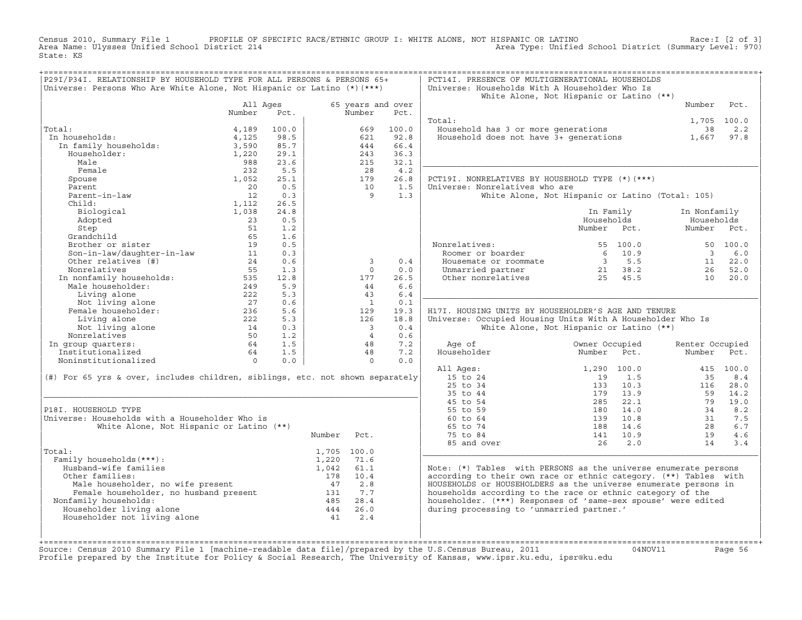Census 2010, Summary File 1 PROFILE OF SPECIFIC RACE/ETHNIC GROUP I: WHITE ALONE, NOT HISPANIC OR LATINO Race:I [2 of 3] Area Name: Ulysses Unified School District 214 Area Type: Unified School District (Summary Level: 970) State: KS

| P29I/P34I. RELATIONSHIP BY HOUSEHOLD TYPE FOR ALL PERSONS & PERSONS 65+                                            |                |       |                                                        |                          |       | PCT14I. PRESENCE OF MULTIGENERATIONAL HOUSEHOLDS                 |                                                  |                         |           |
|--------------------------------------------------------------------------------------------------------------------|----------------|-------|--------------------------------------------------------|--------------------------|-------|------------------------------------------------------------------|--------------------------------------------------|-------------------------|-----------|
| Universe: Persons Who Are White Alone, Not Hispanic or Latino (*) (***)                                            |                |       |                                                        |                          |       | Universe: Households With A Householder Who Is                   |                                                  |                         |           |
|                                                                                                                    |                |       |                                                        |                          |       |                                                                  | White Alone, Not Hispanic or Latino (**)         |                         |           |
|                                                                                                                    | All Ages       |       |                                                        | 65 years and over        |       |                                                                  |                                                  | Number                  | Pct.      |
|                                                                                                                    | Number         | Pct.  |                                                        | Number                   | Pct.  |                                                                  |                                                  |                         |           |
|                                                                                                                    |                |       |                                                        |                          |       | Total:                                                           |                                                  | 1,705 100.0             |           |
| Total:                                                                                                             | 4,189          | 100.0 |                                                        | 669                      | 100.0 | Household has 3 or more generations                              |                                                  | 38                      | 2.2       |
| In households:                                                                                                     | 4,125          | 98.5  |                                                        | 621                      | 92.8  | Household does not have 3+ generations                           |                                                  | 1,667                   | 97.8      |
| In family households:<br>Householder:                                                                              | 3,590          | 85.7  |                                                        | 444                      | 66.4  |                                                                  |                                                  |                         |           |
| Householder:                                                                                                       | 1,220          | 29.1  |                                                        | 243                      | 36.3  |                                                                  |                                                  |                         |           |
| Male                                                                                                               | 988            | 23.6  |                                                        | 215                      | 32.1  |                                                                  |                                                  |                         |           |
| Female                                                                                                             | 232            | 5.5   |                                                        | 28                       | 4.2   |                                                                  |                                                  |                         |           |
| Spouse                                                                                                             | 1,052          | 25.1  |                                                        | 179                      | 26.8  | PCT19I. NONRELATIVES BY HOUSEHOLD TYPE (*) (***)                 |                                                  |                         |           |
| Parent                                                                                                             | 20             | 0.5   |                                                        | 10                       | 1.5   | Universe: Nonrelatives who are                                   |                                                  |                         |           |
| Parent-in-law                                                                                                      | 12             | 0.3   |                                                        | - 9                      | 1.3   |                                                                  | White Alone, Not Hispanic or Latino (Total: 105) |                         |           |
| Child:                                                                                                             | 1,112          | 26.5  |                                                        |                          |       |                                                                  |                                                  |                         |           |
| Biological                                                                                                         | 1,038          | 24.8  |                                                        |                          |       |                                                                  | In Family                                        | In Nonfamily            |           |
| Adopted                                                                                                            | 23             | 0.5   |                                                        |                          |       |                                                                  | Households                                       | Households              |           |
| Step                                                                                                               | 51             | 1.2   |                                                        |                          |       |                                                                  | Number Pct.                                      | Number Pct.             |           |
| Grandchild                                                                                                         | 65             | 1.6   |                                                        |                          |       |                                                                  |                                                  |                         |           |
| Brother or sister                                                                                                  | 19             | 0.5   |                                                        |                          |       | Nonrelatives:                                                    | 55 100.0                                         |                         | 50 100.0  |
| Son-in-law/daughter-in-law                                                                                         | 11             | 0.3   |                                                        |                          |       | Roomer or boarder                                                | 6<br>10.9                                        | $\overline{\mathbf{3}}$ | 6.0       |
| Other relatives (#)                                                                                                | 24             | 0.6   |                                                        | $\overline{3}$           | 0.4   | Housemate or roommate                                            | $3 \t 5.5$                                       | 11                      | 22.0      |
| Nonrelatives                                                                                                       | 55             | 1.3   |                                                        | $\Omega$                 | 0.0   |                                                                  |                                                  | 26                      | 52.0      |
|                                                                                                                    |                |       |                                                        |                          |       | Unmarried partner                                                | 21 38.2<br>$21$ $38.2$<br>25 $45.5$              |                         |           |
|                                                                                                                    |                | 12.8  |                                                        | 177                      | 26.5  | Other nonrelatives                                               |                                                  | 10                      | 20.0      |
|                                                                                                                    |                | 5.9   |                                                        | 44                       | 6.6   |                                                                  |                                                  |                         |           |
| Living alone                                                                                                       | 222            | 5.3   |                                                        | 43                       | 6.4   |                                                                  |                                                  |                         |           |
| Not living alone                                                                                                   | 27             | 0.6   |                                                        | $\overline{1}$           | 0.1   |                                                                  |                                                  |                         |           |
| Female householder:                                                                                                | 236            | 5.6   |                                                        | 129                      | 19.3  | H17I. HOUSING UNITS BY HOUSEHOLDER'S AGE AND TENURE              |                                                  |                         |           |
| Living alone                                                                                                       | 222            | 5.3   |                                                        | 126                      | 18.8  | Universe: Occupied Housing Units With A Householder Who Is       |                                                  |                         |           |
| Not living alone                                                                                                   | 14             | 0.3   |                                                        | $\overline{\phantom{a}}$ | 0.4   |                                                                  | White Alone, Not Hispanic or Latino (**)         |                         |           |
| Nonrelatives                                                                                                       | 50             | 1.2   |                                                        | $\overline{4}$           | 0.6   |                                                                  |                                                  |                         |           |
| In group quarters:                                                                                                 | 64             | 1.5   |                                                        | 48                       | 7.2   | Age of                                                           | Owner Occupied                                   | Renter Occupied         |           |
| Institutionalized                                                                                                  | 64             | 1.5   |                                                        | 48                       | 7.2   | Householder                                                      | Number<br>Pct.                                   | Number                  | Pct.      |
| Noninstitutionalized                                                                                               | $\overline{0}$ | 0.0   |                                                        | $\Omega$                 | 0.0   |                                                                  |                                                  |                         |           |
|                                                                                                                    |                |       |                                                        |                          |       | All Ages:                                                        | 1,290 100.0                                      |                         | 415 100.0 |
| (#) For 65 yrs & over, includes children, siblings, etc. not shown separately                                      |                |       |                                                        |                          |       | 15 to 24                                                         | 19<br>1.5                                        | 35                      | 8.4       |
|                                                                                                                    |                |       |                                                        |                          |       | 25 to 34                                                         | 10.3<br>133                                      | 116                     | 28.0      |
|                                                                                                                    |                |       |                                                        |                          |       | 35 to 44                                                         | 179<br>13.9                                      | 59                      | 14.2      |
|                                                                                                                    |                |       |                                                        |                          |       | 45 to 54                                                         | 22.1<br>285                                      | 79                      | 19.0      |
| P18I. HOUSEHOLD TYPE                                                                                               |                |       |                                                        |                          |       | 55 to 59                                                         | 180<br>14.0                                      | 34                      | 8.2       |
| Universe: Households with a Householder Who is                                                                     |                |       |                                                        |                          |       | 60 to 64                                                         | 139<br>10.8                                      | 31                      | 7.5       |
| White Alone, Not Hispanic or Latino (**)                                                                           |                |       |                                                        |                          |       | 65 to 74                                                         | 14.6<br>188                                      | 28                      | 6.7       |
|                                                                                                                    |                |       | Number                                                 | Pct.                     |       | 75 to 84                                                         | 141 10.9                                         | 19                      | 4.6       |
|                                                                                                                    |                |       |                                                        |                          |       | 85 and over                                                      | 2.0<br>26                                        | 14                      | 3.4       |
| Total:                                                                                                             |                |       |                                                        | 1,705 100.0              |       |                                                                  |                                                  |                         |           |
| Family households (***) :                                                                                          |                |       | 1,220                                                  | 71.6                     |       |                                                                  |                                                  |                         |           |
| Husband-wife families                                                                                              |                |       | 1,042                                                  | 61.1                     |       | Note: (*) Tables with PERSONS as the universe enumerate persons  |                                                  |                         |           |
| Other families:                                                                                                    |                |       | 178                                                    | 10.4                     |       | according to their own race or ethnic category. (**) Tables with |                                                  |                         |           |
|                                                                                                                    |                |       | 47                                                     | 2.8                      |       | HOUSEHOLDS or HOUSEHOLDERS as the universe enumerate persons in  |                                                  |                         |           |
| ncr rummaroo.<br>Male householder, no wife present<br>Female householder, no husband present<br>Family households: |                |       | $\begin{array}{c} 1 \overline{\smash)131} \end{array}$ | 7.7                      |       | households according to the race or ethnic category of the       |                                                  |                         |           |
|                                                                                                                    |                |       | 485 28.4                                               |                          |       |                                                                  |                                                  |                         |           |
| Nonfamily households:                                                                                              |                |       |                                                        |                          |       | householder. (***) Responses of 'same-sex spouse' were edited    |                                                  |                         |           |
| Householder living alone                                                                                           |                |       | $\frac{100}{444}$                                      | 26.0                     |       | during processing to 'unmarried partner.'                        |                                                  |                         |           |
| Householder not living alone                                                                                       |                |       | 41                                                     | 2.4                      |       |                                                                  |                                                  |                         |           |
|                                                                                                                    |                |       |                                                        |                          |       |                                                                  |                                                  |                         |           |
|                                                                                                                    |                |       |                                                        |                          |       |                                                                  |                                                  |                         |           |
|                                                                                                                    |                |       |                                                        |                          |       |                                                                  |                                                  |                         |           |

+===================================================================================================================================================+Source: Census 2010 Summary File 1 [machine−readable data file]/prepared by the U.S.Census Bureau, 2011 04NOV11 Page 56 Profile prepared by the Institute for Policy & Social Research, The University of Kansas, www.ipsr.ku.edu, ipsr@ku.edu